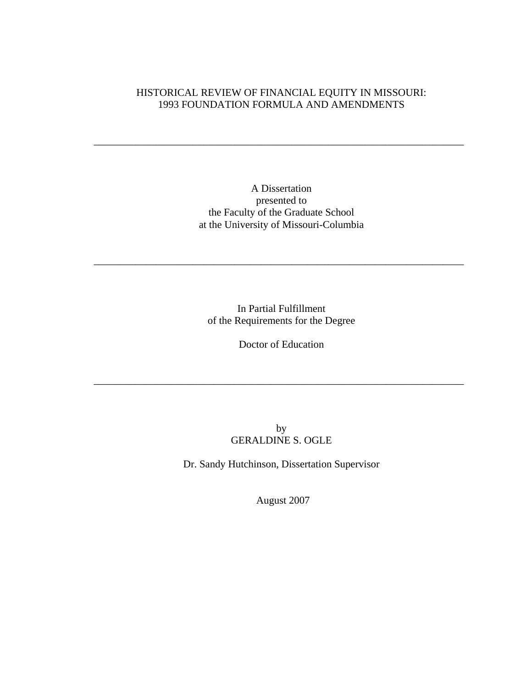# HISTORICAL REVIEW OF FINANCIAL EQUITY IN MISSOURI: 1993 FOUNDATION FORMULA AND AMENDMENTS

\_\_\_\_\_\_\_\_\_\_\_\_\_\_\_\_\_\_\_\_\_\_\_\_\_\_\_\_\_\_\_\_\_\_\_\_\_\_\_\_\_\_\_\_\_\_\_\_\_\_\_\_\_\_\_\_\_\_\_\_\_\_\_\_\_\_\_\_\_\_\_

A Dissertation presented to the Faculty of the Graduate School at the University of Missouri-Columbia

\_\_\_\_\_\_\_\_\_\_\_\_\_\_\_\_\_\_\_\_\_\_\_\_\_\_\_\_\_\_\_\_\_\_\_\_\_\_\_\_\_\_\_\_\_\_\_\_\_\_\_\_\_\_\_\_\_\_\_\_\_\_\_\_\_\_\_\_\_\_\_

In Partial Fulfillment of the Requirements for the Degree

Doctor of Education

\_\_\_\_\_\_\_\_\_\_\_\_\_\_\_\_\_\_\_\_\_\_\_\_\_\_\_\_\_\_\_\_\_\_\_\_\_\_\_\_\_\_\_\_\_\_\_\_\_\_\_\_\_\_\_\_\_\_\_\_\_\_\_\_\_\_\_\_\_\_\_

by GERALDINE S. OGLE

Dr. Sandy Hutchinson, Dissertation Supervisor

August 2007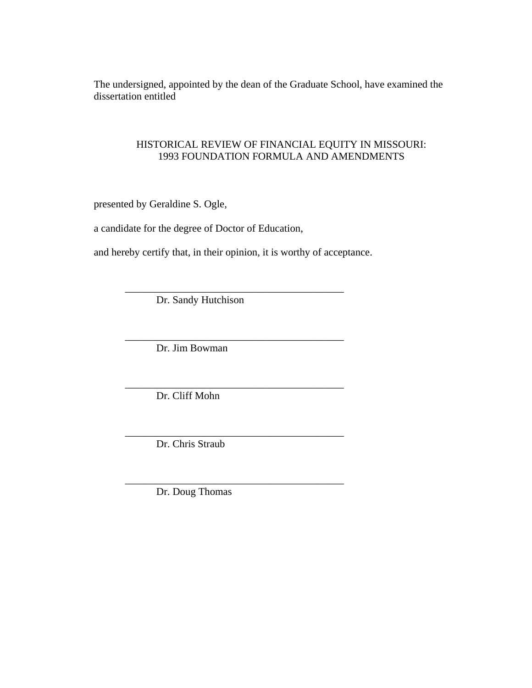The undersigned, appointed by the dean of the Graduate School, have examined the dissertation entitled

# HISTORICAL REVIEW OF FINANCIAL EQUITY IN MISSOURI: 1993 FOUNDATION FORMULA AND AMENDMENTS

presented by Geraldine S. Ogle,

a candidate for the degree of Doctor of Education,

and hereby certify that, in their opinion, it is worthy of acceptance.

 $\overline{\phantom{a}}$  ,  $\overline{\phantom{a}}$  ,  $\overline{\phantom{a}}$  ,  $\overline{\phantom{a}}$  ,  $\overline{\phantom{a}}$  ,  $\overline{\phantom{a}}$  ,  $\overline{\phantom{a}}$  ,  $\overline{\phantom{a}}$  ,  $\overline{\phantom{a}}$  ,  $\overline{\phantom{a}}$  ,  $\overline{\phantom{a}}$  ,  $\overline{\phantom{a}}$  ,  $\overline{\phantom{a}}$  ,  $\overline{\phantom{a}}$  ,  $\overline{\phantom{a}}$  ,  $\overline{\phantom{a}}$ 

 $\overline{\phantom{a}}$  ,  $\overline{\phantom{a}}$  ,  $\overline{\phantom{a}}$  ,  $\overline{\phantom{a}}$  ,  $\overline{\phantom{a}}$  ,  $\overline{\phantom{a}}$  ,  $\overline{\phantom{a}}$  ,  $\overline{\phantom{a}}$  ,  $\overline{\phantom{a}}$  ,  $\overline{\phantom{a}}$  ,  $\overline{\phantom{a}}$  ,  $\overline{\phantom{a}}$  ,  $\overline{\phantom{a}}$  ,  $\overline{\phantom{a}}$  ,  $\overline{\phantom{a}}$  ,  $\overline{\phantom{a}}$ 

 $\overline{\phantom{a}}$  ,  $\overline{\phantom{a}}$  ,  $\overline{\phantom{a}}$  ,  $\overline{\phantom{a}}$  ,  $\overline{\phantom{a}}$  ,  $\overline{\phantom{a}}$  ,  $\overline{\phantom{a}}$  ,  $\overline{\phantom{a}}$  ,  $\overline{\phantom{a}}$  ,  $\overline{\phantom{a}}$  ,  $\overline{\phantom{a}}$  ,  $\overline{\phantom{a}}$  ,  $\overline{\phantom{a}}$  ,  $\overline{\phantom{a}}$  ,  $\overline{\phantom{a}}$  ,  $\overline{\phantom{a}}$ 

 $\frac{1}{2}$  ,  $\frac{1}{2}$  ,  $\frac{1}{2}$  ,  $\frac{1}{2}$  ,  $\frac{1}{2}$  ,  $\frac{1}{2}$  ,  $\frac{1}{2}$  ,  $\frac{1}{2}$  ,  $\frac{1}{2}$  ,  $\frac{1}{2}$  ,  $\frac{1}{2}$  ,  $\frac{1}{2}$  ,  $\frac{1}{2}$  ,  $\frac{1}{2}$  ,  $\frac{1}{2}$  ,  $\frac{1}{2}$  ,  $\frac{1}{2}$  ,  $\frac{1}{2}$  ,  $\frac{1$ 

\_\_\_\_\_\_\_\_\_\_\_\_\_\_\_\_\_\_\_\_\_\_\_\_\_\_\_\_\_\_\_\_\_\_\_\_\_\_\_\_\_\_

Dr. Sandy Hutchison

Dr. Jim Bowman

Dr. Cliff Mohn

Dr. Chris Straub

Dr. Doug Thomas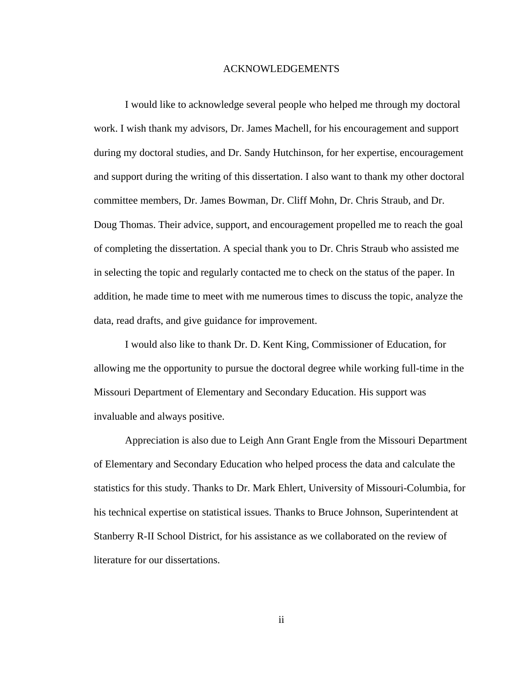#### ACKNOWLEDGEMENTS

I would like to acknowledge several people who helped me through my doctoral work. I wish thank my advisors, Dr. James Machell, for his encouragement and support during my doctoral studies, and Dr. Sandy Hutchinson, for her expertise, encouragement and support during the writing of this dissertation. I also want to thank my other doctoral committee members, Dr. James Bowman, Dr. Cliff Mohn, Dr. Chris Straub, and Dr. Doug Thomas. Their advice, support, and encouragement propelled me to reach the goal of completing the dissertation. A special thank you to Dr. Chris Straub who assisted me in selecting the topic and regularly contacted me to check on the status of the paper. In addition, he made time to meet with me numerous times to discuss the topic, analyze the data, read drafts, and give guidance for improvement.

I would also like to thank Dr. D. Kent King, Commissioner of Education, for allowing me the opportunity to pursue the doctoral degree while working full-time in the Missouri Department of Elementary and Secondary Education. His support was invaluable and always positive.

Appreciation is also due to Leigh Ann Grant Engle from the Missouri Department of Elementary and Secondary Education who helped process the data and calculate the statistics for this study. Thanks to Dr. Mark Ehlert, University of Missouri-Columbia, for his technical expertise on statistical issues. Thanks to Bruce Johnson, Superintendent at Stanberry R-II School District, for his assistance as we collaborated on the review of literature for our dissertations.

ii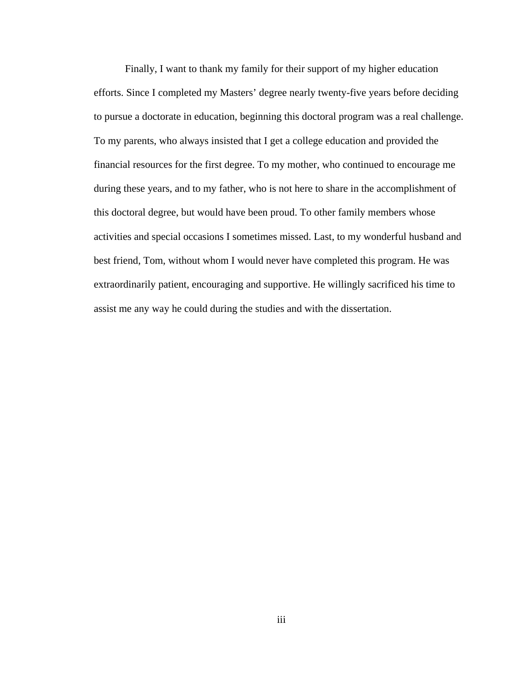Finally, I want to thank my family for their support of my higher education efforts. Since I completed my Masters' degree nearly twenty-five years before deciding to pursue a doctorate in education, beginning this doctoral program was a real challenge. To my parents, who always insisted that I get a college education and provided the financial resources for the first degree. To my mother, who continued to encourage me during these years, and to my father, who is not here to share in the accomplishment of this doctoral degree, but would have been proud. To other family members whose activities and special occasions I sometimes missed. Last, to my wonderful husband and best friend, Tom, without whom I would never have completed this program. He was extraordinarily patient, encouraging and supportive. He willingly sacrificed his time to assist me any way he could during the studies and with the dissertation.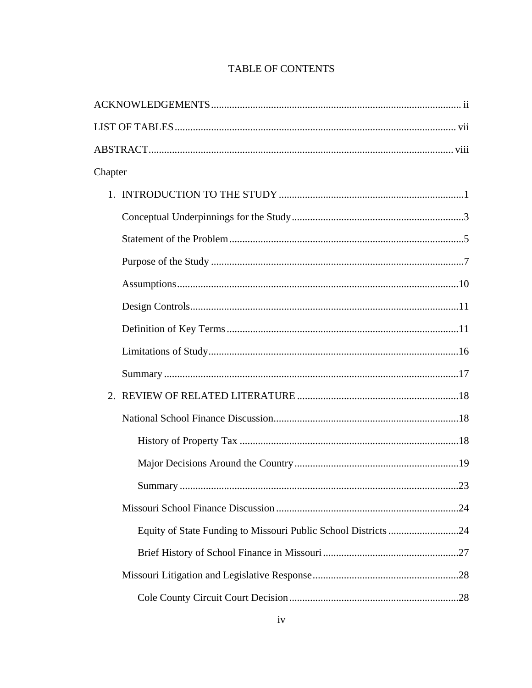| Chapter |  |  |  |  |
|---------|--|--|--|--|
|         |  |  |  |  |
|         |  |  |  |  |
|         |  |  |  |  |
|         |  |  |  |  |
|         |  |  |  |  |
|         |  |  |  |  |
|         |  |  |  |  |
|         |  |  |  |  |
|         |  |  |  |  |
|         |  |  |  |  |
|         |  |  |  |  |
|         |  |  |  |  |
|         |  |  |  |  |
|         |  |  |  |  |
|         |  |  |  |  |
|         |  |  |  |  |
|         |  |  |  |  |
|         |  |  |  |  |
|         |  |  |  |  |

# TABLE OF CONTENTS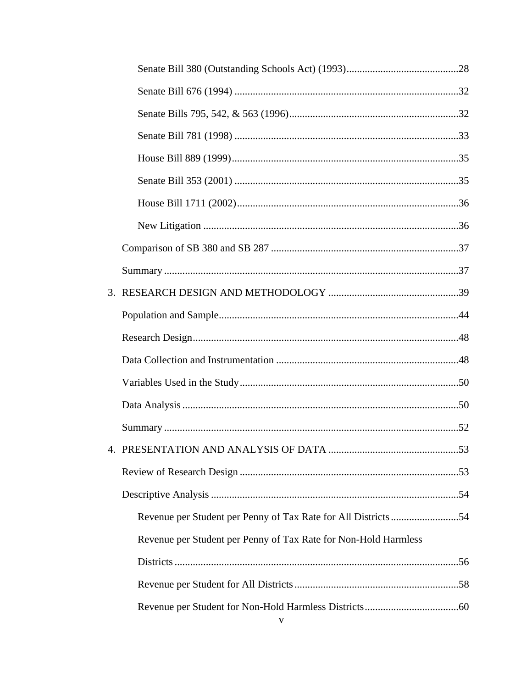| 4. PRESENTATION AND ANALYSIS OF DATA                            | 53 |
|-----------------------------------------------------------------|----|
|                                                                 |    |
|                                                                 |    |
|                                                                 |    |
| Revenue per Student per Penny of Tax Rate for Non-Hold Harmless |    |
|                                                                 |    |
|                                                                 |    |
|                                                                 |    |
|                                                                 |    |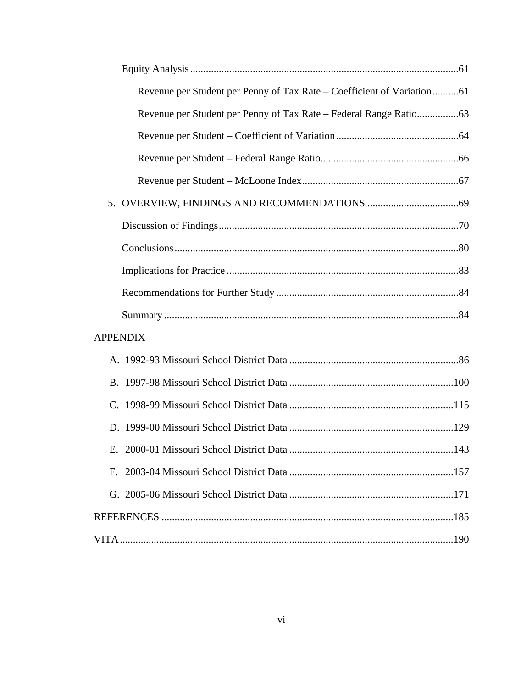| <b>APPENDIX</b> |
|-----------------|
|                 |
|                 |
|                 |
|                 |
|                 |
| $F_{\cdot}$     |
|                 |
|                 |
|                 |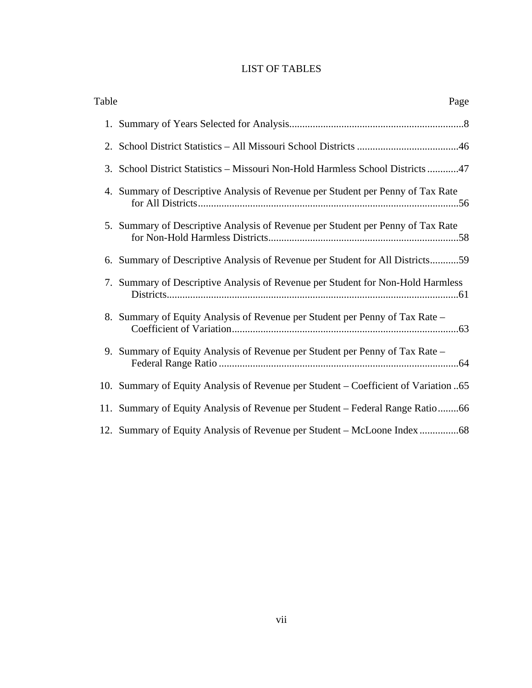# LIST OF TABLES

| Page                                                                                | Table |
|-------------------------------------------------------------------------------------|-------|
|                                                                                     |       |
|                                                                                     |       |
| 3. School District Statistics – Missouri Non-Hold Harmless School Districts 47      |       |
| 4. Summary of Descriptive Analysis of Revenue per Student per Penny of Tax Rate     |       |
| 5. Summary of Descriptive Analysis of Revenue per Student per Penny of Tax Rate     |       |
| 6. Summary of Descriptive Analysis of Revenue per Student for All Districts59       |       |
| 7. Summary of Descriptive Analysis of Revenue per Student for Non-Hold Harmless     |       |
| 8. Summary of Equity Analysis of Revenue per Student per Penny of Tax Rate –        |       |
| 9. Summary of Equity Analysis of Revenue per Student per Penny of Tax Rate -        |       |
| 10. Summary of Equity Analysis of Revenue per Student – Coefficient of Variation 65 |       |
| 11. Summary of Equity Analysis of Revenue per Student – Federal Range Ratio66       |       |
|                                                                                     |       |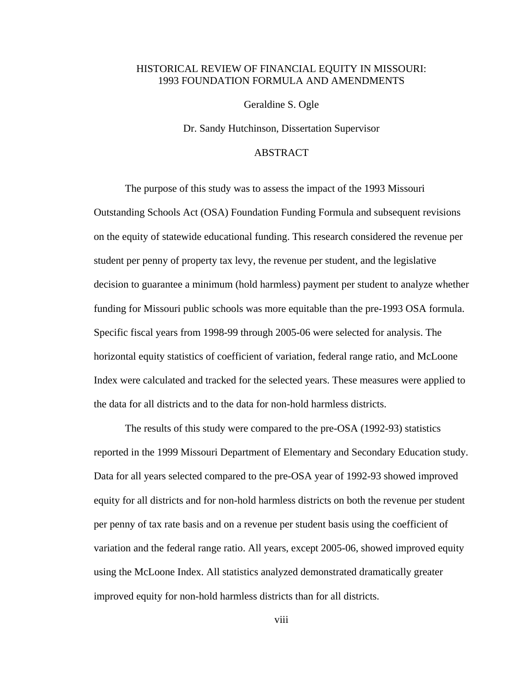## HISTORICAL REVIEW OF FINANCIAL EQUITY IN MISSOURI: 1993 FOUNDATION FORMULA AND AMENDMENTS

Geraldine S. Ogle

Dr. Sandy Hutchinson, Dissertation Supervisor

# ABSTRACT

The purpose of this study was to assess the impact of the 1993 Missouri Outstanding Schools Act (OSA) Foundation Funding Formula and subsequent revisions on the equity of statewide educational funding. This research considered the revenue per student per penny of property tax levy, the revenue per student, and the legislative decision to guarantee a minimum (hold harmless) payment per student to analyze whether funding for Missouri public schools was more equitable than the pre-1993 OSA formula. Specific fiscal years from 1998-99 through 2005-06 were selected for analysis. The horizontal equity statistics of coefficient of variation, federal range ratio, and McLoone Index were calculated and tracked for the selected years. These measures were applied to the data for all districts and to the data for non-hold harmless districts.

The results of this study were compared to the pre-OSA (1992-93) statistics reported in the 1999 Missouri Department of Elementary and Secondary Education study. Data for all years selected compared to the pre-OSA year of 1992-93 showed improved equity for all districts and for non-hold harmless districts on both the revenue per student per penny of tax rate basis and on a revenue per student basis using the coefficient of variation and the federal range ratio. All years, except 2005-06, showed improved equity using the McLoone Index. All statistics analyzed demonstrated dramatically greater improved equity for non-hold harmless districts than for all districts.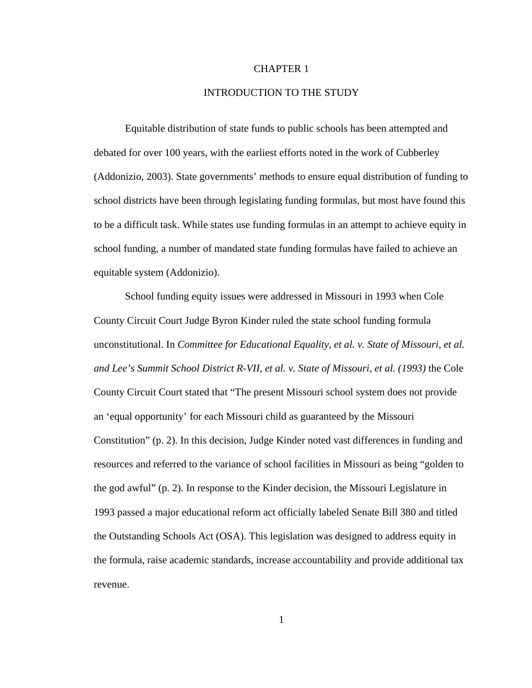#### CHAPTER 1

# INTRODUCTION TO THE STUDY

Equitable distribution of state funds to public schools has been attempted and debated for over 100 years, with the earliest efforts noted in the work of Cubberley (Addonizio, 2003). State governments' methods to ensure equal distribution of funding to school districts have been through legislating funding formulas, but most have found this to be a difficult task. While states use funding formulas in an attempt to achieve equity in school funding, a number of mandated state funding formulas have failed to achieve an equitable system (Addonizio).

School funding equity issues were addressed in Missouri in 1993 when Cole County Circuit Court Judge Byron Kinder ruled the state school funding formula unconstitutional. In *Committee for Educational Equality, et al. v. State of Missouri, et al. and Lee's Summit School District R-VII, et al. v. State of Missouri, et al. (1993)* the Cole County Circuit Court stated that "The present Missouri school system does not provide an 'equal opportunity' for each Missouri child as guaranteed by the Missouri Constitution" (p. 2). In this decision, Judge Kinder noted vast differences in funding and resources and referred to the variance of school facilities in Missouri as being "golden to the god awful" (p. 2). In response to the Kinder decision, the Missouri Legislature in 1993 passed a major educational reform act officially labeled Senate Bill 380 and titled the Outstanding Schools Act (OSA). This legislation was designed to address equity in the formula, raise academic standards, increase accountability and provide additional tax revenue.

1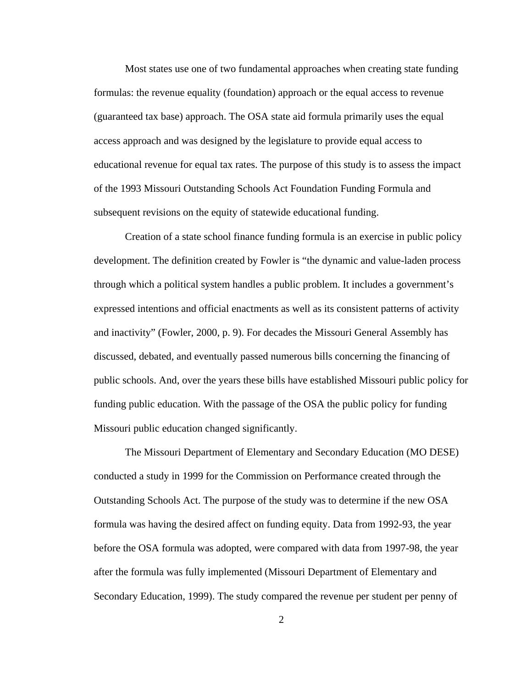Most states use one of two fundamental approaches when creating state funding formulas: the revenue equality (foundation) approach or the equal access to revenue (guaranteed tax base) approach. The OSA state aid formula primarily uses the equal access approach and was designed by the legislature to provide equal access to educational revenue for equal tax rates. The purpose of this study is to assess the impact of the 1993 Missouri Outstanding Schools Act Foundation Funding Formula and subsequent revisions on the equity of statewide educational funding.

Creation of a state school finance funding formula is an exercise in public policy development. The definition created by Fowler is "the dynamic and value-laden process through which a political system handles a public problem. It includes a government's expressed intentions and official enactments as well as its consistent patterns of activity and inactivity" (Fowler, 2000, p. 9). For decades the Missouri General Assembly has discussed, debated, and eventually passed numerous bills concerning the financing of public schools. And, over the years these bills have established Missouri public policy for funding public education. With the passage of the OSA the public policy for funding Missouri public education changed significantly.

The Missouri Department of Elementary and Secondary Education (MO DESE) conducted a study in 1999 for the Commission on Performance created through the Outstanding Schools Act. The purpose of the study was to determine if the new OSA formula was having the desired affect on funding equity. Data from 1992-93, the year before the OSA formula was adopted, were compared with data from 1997-98, the year after the formula was fully implemented (Missouri Department of Elementary and Secondary Education, 1999). The study compared the revenue per student per penny of

2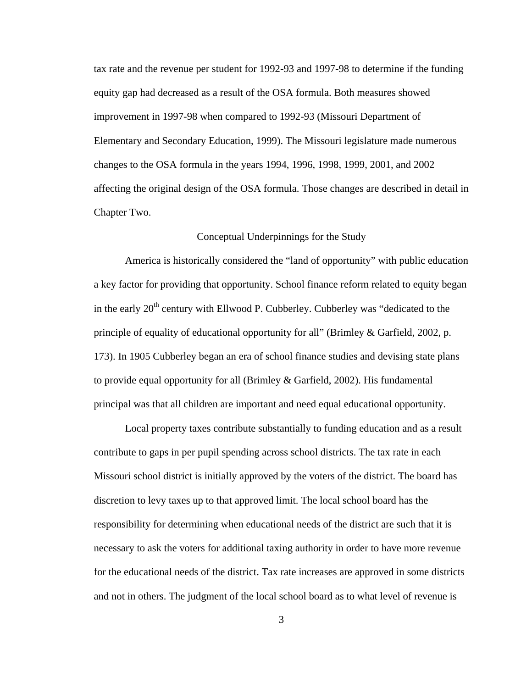tax rate and the revenue per student for 1992-93 and 1997-98 to determine if the funding equity gap had decreased as a result of the OSA formula. Both measures showed improvement in 1997-98 when compared to 1992-93 (Missouri Department of Elementary and Secondary Education, 1999). The Missouri legislature made numerous changes to the OSA formula in the years 1994, 1996, 1998, 1999, 2001, and 2002 affecting the original design of the OSA formula. Those changes are described in detail in Chapter Two.

#### Conceptual Underpinnings for the Study

 America is historically considered the "land of opportunity" with public education a key factor for providing that opportunity. School finance reform related to equity began in the early  $20<sup>th</sup>$  century with Ellwood P. Cubberley. Cubberley was "dedicated to the principle of equality of educational opportunity for all" (Brimley & Garfield, 2002, p. 173). In 1905 Cubberley began an era of school finance studies and devising state plans to provide equal opportunity for all (Brimley & Garfield, 2002). His fundamental principal was that all children are important and need equal educational opportunity.

Local property taxes contribute substantially to funding education and as a result contribute to gaps in per pupil spending across school districts. The tax rate in each Missouri school district is initially approved by the voters of the district. The board has discretion to levy taxes up to that approved limit. The local school board has the responsibility for determining when educational needs of the district are such that it is necessary to ask the voters for additional taxing authority in order to have more revenue for the educational needs of the district. Tax rate increases are approved in some districts and not in others. The judgment of the local school board as to what level of revenue is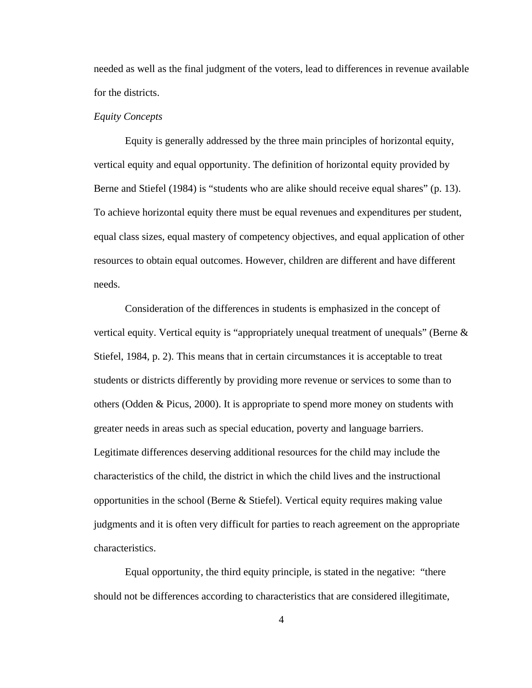needed as well as the final judgment of the voters, lead to differences in revenue available for the districts.

#### *Equity Concepts*

Equity is generally addressed by the three main principles of horizontal equity, vertical equity and equal opportunity. The definition of horizontal equity provided by Berne and Stiefel (1984) is "students who are alike should receive equal shares" (p. 13). To achieve horizontal equity there must be equal revenues and expenditures per student, equal class sizes, equal mastery of competency objectives, and equal application of other resources to obtain equal outcomes. However, children are different and have different needs.

Consideration of the differences in students is emphasized in the concept of vertical equity. Vertical equity is "appropriately unequal treatment of unequals" (Berne & Stiefel, 1984, p. 2). This means that in certain circumstances it is acceptable to treat students or districts differently by providing more revenue or services to some than to others (Odden & Picus, 2000). It is appropriate to spend more money on students with greater needs in areas such as special education, poverty and language barriers. Legitimate differences deserving additional resources for the child may include the characteristics of the child, the district in which the child lives and the instructional opportunities in the school (Berne  $\&$  Stiefel). Vertical equity requires making value judgments and it is often very difficult for parties to reach agreement on the appropriate characteristics.

Equal opportunity, the third equity principle, is stated in the negative: "there should not be differences according to characteristics that are considered illegitimate,

4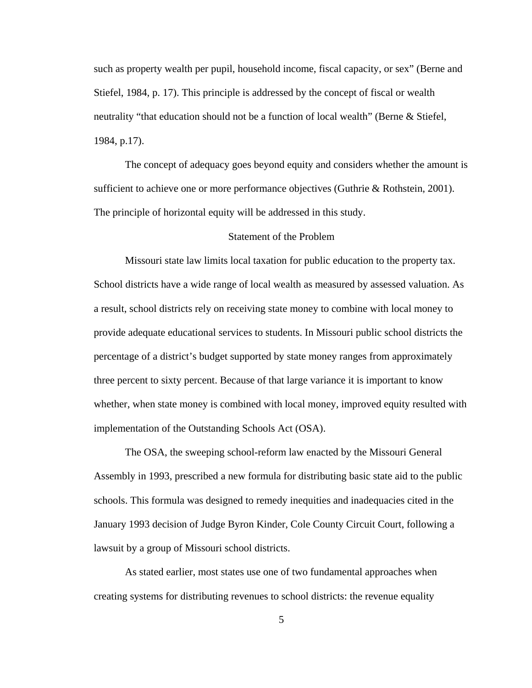such as property wealth per pupil, household income, fiscal capacity, or sex" (Berne and Stiefel, 1984, p. 17). This principle is addressed by the concept of fiscal or wealth neutrality "that education should not be a function of local wealth" (Berne & Stiefel, 1984, p.17).

The concept of adequacy goes beyond equity and considers whether the amount is sufficient to achieve one or more performance objectives (Guthrie & Rothstein, 2001). The principle of horizontal equity will be addressed in this study.

## Statement of the Problem

Missouri state law limits local taxation for public education to the property tax. School districts have a wide range of local wealth as measured by assessed valuation. As a result, school districts rely on receiving state money to combine with local money to provide adequate educational services to students. In Missouri public school districts the percentage of a district's budget supported by state money ranges from approximately three percent to sixty percent. Because of that large variance it is important to know whether, when state money is combined with local money, improved equity resulted with implementation of the Outstanding Schools Act (OSA).

The OSA, the sweeping school-reform law enacted by the Missouri General Assembly in 1993, prescribed a new formula for distributing basic state aid to the public schools. This formula was designed to remedy inequities and inadequacies cited in the January 1993 decision of Judge Byron Kinder, Cole County Circuit Court, following a lawsuit by a group of Missouri school districts.

As stated earlier, most states use one of two fundamental approaches when creating systems for distributing revenues to school districts: the revenue equality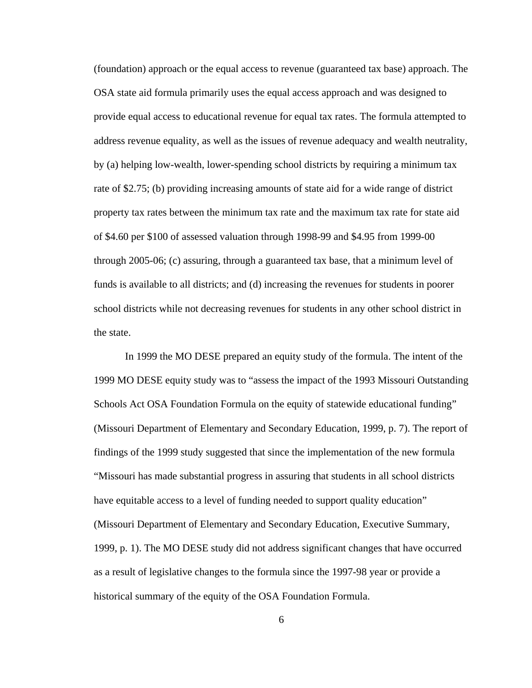(foundation) approach or the equal access to revenue (guaranteed tax base) approach. The OSA state aid formula primarily uses the equal access approach and was designed to provide equal access to educational revenue for equal tax rates. The formula attempted to address revenue equality, as well as the issues of revenue adequacy and wealth neutrality, by (a) helping low-wealth, lower-spending school districts by requiring a minimum tax rate of \$2.75; (b) providing increasing amounts of state aid for a wide range of district property tax rates between the minimum tax rate and the maximum tax rate for state aid of \$4.60 per \$100 of assessed valuation through 1998-99 and \$4.95 from 1999-00 through 2005-06; (c) assuring, through a guaranteed tax base, that a minimum level of funds is available to all districts; and (d) increasing the revenues for students in poorer school districts while not decreasing revenues for students in any other school district in the state.

In 1999 the MO DESE prepared an equity study of the formula. The intent of the 1999 MO DESE equity study was to "assess the impact of the 1993 Missouri Outstanding Schools Act OSA Foundation Formula on the equity of statewide educational funding" (Missouri Department of Elementary and Secondary Education, 1999, p. 7). The report of findings of the 1999 study suggested that since the implementation of the new formula "Missouri has made substantial progress in assuring that students in all school districts have equitable access to a level of funding needed to support quality education" (Missouri Department of Elementary and Secondary Education, Executive Summary, 1999, p. 1). The MO DESE study did not address significant changes that have occurred as a result of legislative changes to the formula since the 1997-98 year or provide a historical summary of the equity of the OSA Foundation Formula.

6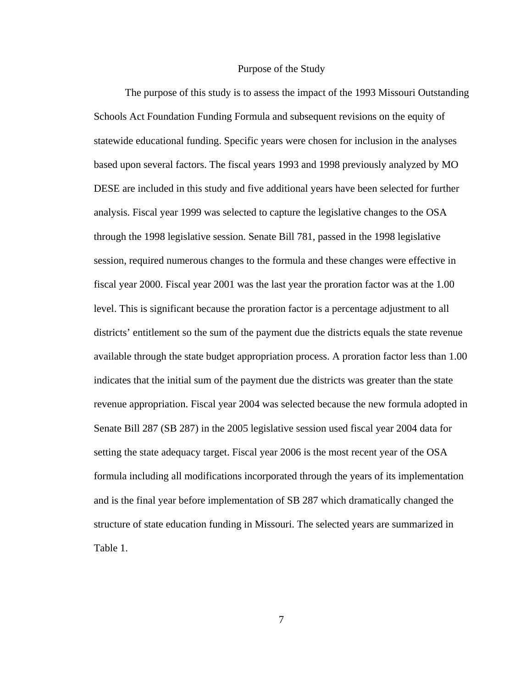#### Purpose of the Study

The purpose of this study is to assess the impact of the 1993 Missouri Outstanding Schools Act Foundation Funding Formula and subsequent revisions on the equity of statewide educational funding. Specific years were chosen for inclusion in the analyses based upon several factors. The fiscal years 1993 and 1998 previously analyzed by MO DESE are included in this study and five additional years have been selected for further analysis. Fiscal year 1999 was selected to capture the legislative changes to the OSA through the 1998 legislative session. Senate Bill 781, passed in the 1998 legislative session, required numerous changes to the formula and these changes were effective in fiscal year 2000. Fiscal year 2001 was the last year the proration factor was at the 1.00 level. This is significant because the proration factor is a percentage adjustment to all districts' entitlement so the sum of the payment due the districts equals the state revenue available through the state budget appropriation process. A proration factor less than 1.00 indicates that the initial sum of the payment due the districts was greater than the state revenue appropriation. Fiscal year 2004 was selected because the new formula adopted in Senate Bill 287 (SB 287) in the 2005 legislative session used fiscal year 2004 data for setting the state adequacy target. Fiscal year 2006 is the most recent year of the OSA formula including all modifications incorporated through the years of its implementation and is the final year before implementation of SB 287 which dramatically changed the structure of state education funding in Missouri. The selected years are summarized in Table 1.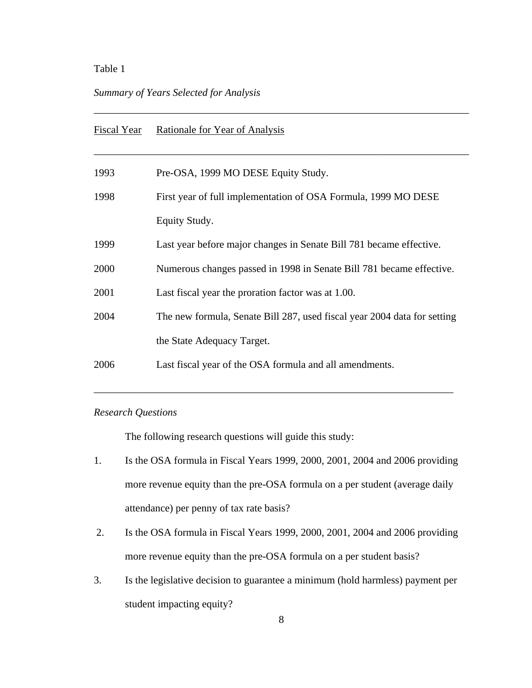# Table 1

# *Summary of Years Selected for Analysis*

| Fiscal Year | <b>Rationale for Year of Analysis</b>                                    |
|-------------|--------------------------------------------------------------------------|
| 1993        | Pre-OSA, 1999 MO DESE Equity Study.                                      |
| 1998        | First year of full implementation of OSA Formula, 1999 MO DESE           |
|             | Equity Study.                                                            |
| 1999        | Last year before major changes in Senate Bill 781 became effective.      |
| 2000        | Numerous changes passed in 1998 in Senate Bill 781 became effective.     |
| 2001        | Last fiscal year the proration factor was at 1.00.                       |
| 2004        | The new formula, Senate Bill 287, used fiscal year 2004 data for setting |
|             | the State Adequacy Target.                                               |
| 2006        | Last fiscal year of the OSA formula and all amendments.                  |
|             |                                                                          |

\_\_\_\_\_\_\_\_\_\_\_\_\_\_\_\_\_\_\_\_\_\_\_\_\_\_\_\_\_\_\_\_\_\_\_\_\_\_\_\_\_\_\_\_\_\_\_\_\_\_\_\_\_\_\_\_\_\_\_\_\_\_\_\_\_\_\_\_\_\_\_\_

# *Research Questions*

The following research questions will guide this study:

1. Is the OSA formula in Fiscal Years 1999, 2000, 2001, 2004 and 2006 providing more revenue equity than the pre-OSA formula on a per student (average daily attendance) per penny of tax rate basis?

\_\_\_\_\_\_\_\_\_\_\_\_\_\_\_\_\_\_\_\_\_\_\_\_\_\_\_\_\_\_\_\_\_\_\_\_\_\_\_\_\_\_\_\_\_\_\_\_\_\_\_\_\_\_\_\_\_\_\_\_\_\_\_\_\_\_\_\_\_

- 2. Is the OSA formula in Fiscal Years 1999, 2000, 2001, 2004 and 2006 providing more revenue equity than the pre-OSA formula on a per student basis?
- 3. Is the legislative decision to guarantee a minimum (hold harmless) payment per student impacting equity?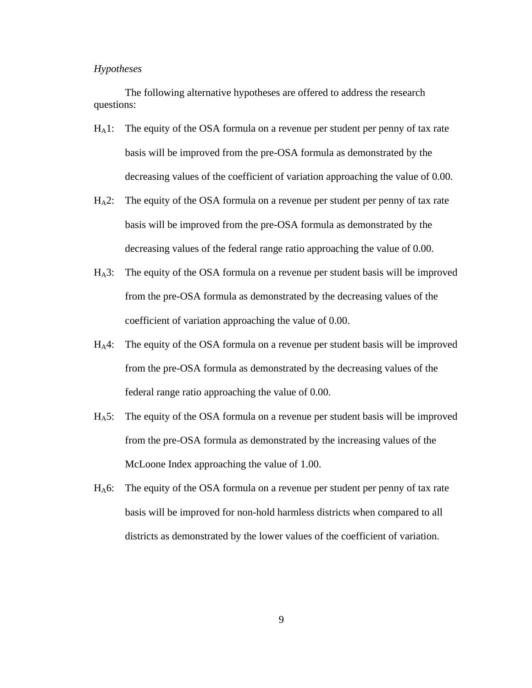## *Hypotheses*

The following alternative hypotheses are offered to address the research questions:

- HA1: The equity of the OSA formula on a revenue per student per penny of tax rate basis will be improved from the pre-OSA formula as demonstrated by the decreasing values of the coefficient of variation approaching the value of 0.00.
- H<sub>A</sub>2: The equity of the OSA formula on a revenue per student per penny of tax rate basis will be improved from the pre-OSA formula as demonstrated by the decreasing values of the federal range ratio approaching the value of 0.00.
- HA3: The equity of the OSA formula on a revenue per student basis will be improved from the pre-OSA formula as demonstrated by the decreasing values of the coefficient of variation approaching the value of 0.00.
- HA4: The equity of the OSA formula on a revenue per student basis will be improved from the pre-OSA formula as demonstrated by the decreasing values of the federal range ratio approaching the value of 0.00.
- HA5: The equity of the OSA formula on a revenue per student basis will be improved from the pre-OSA formula as demonstrated by the increasing values of the McLoone Index approaching the value of 1.00.
- HA6: The equity of the OSA formula on a revenue per student per penny of tax rate basis will be improved for non-hold harmless districts when compared to all districts as demonstrated by the lower values of the coefficient of variation.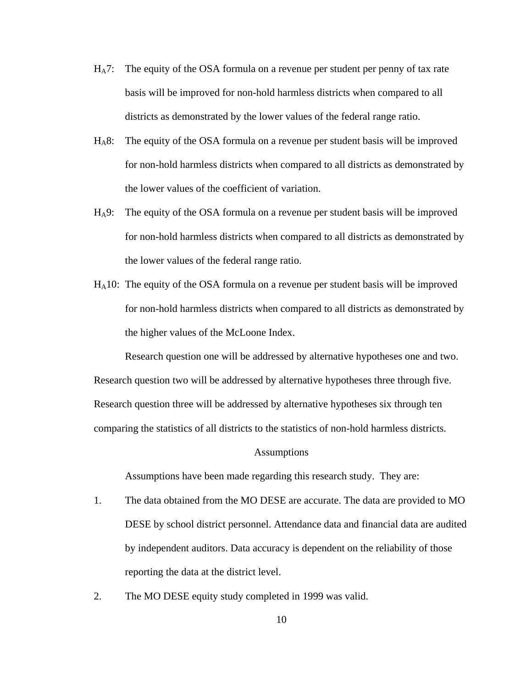- $H_A$ 7: The equity of the OSA formula on a revenue per student per penny of tax rate basis will be improved for non-hold harmless districts when compared to all districts as demonstrated by the lower values of the federal range ratio.
- HA8: The equity of the OSA formula on a revenue per student basis will be improved for non-hold harmless districts when compared to all districts as demonstrated by the lower values of the coefficient of variation.
- HA9: The equity of the OSA formula on a revenue per student basis will be improved for non-hold harmless districts when compared to all districts as demonstrated by the lower values of the federal range ratio.
- HA10: The equity of the OSA formula on a revenue per student basis will be improved for non-hold harmless districts when compared to all districts as demonstrated by the higher values of the McLoone Index.

Research question one will be addressed by alternative hypotheses one and two. Research question two will be addressed by alternative hypotheses three through five. Research question three will be addressed by alternative hypotheses six through ten comparing the statistics of all districts to the statistics of non-hold harmless districts.

#### Assumptions

Assumptions have been made regarding this research study. They are:

- 1. The data obtained from the MO DESE are accurate. The data are provided to MO DESE by school district personnel. Attendance data and financial data are audited by independent auditors. Data accuracy is dependent on the reliability of those reporting the data at the district level.
- 2. The MO DESE equity study completed in 1999 was valid.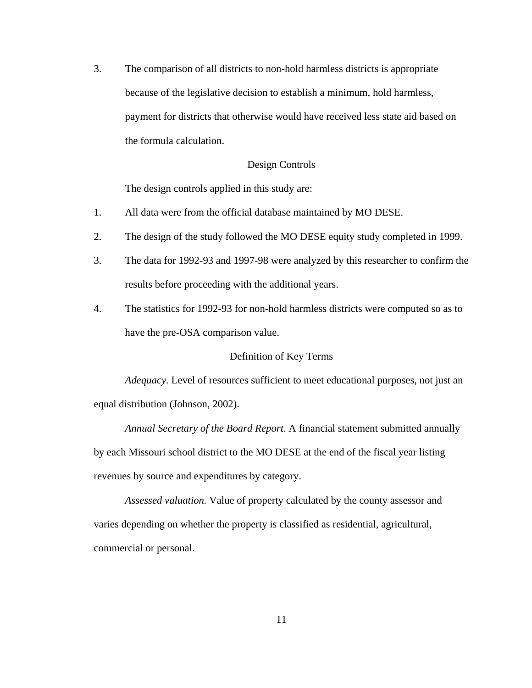3. The comparison of all districts to non-hold harmless districts is appropriate because of the legislative decision to establish a minimum, hold harmless, payment for districts that otherwise would have received less state aid based on the formula calculation.

## Design Controls

The design controls applied in this study are:

- 1. All data were from the official database maintained by MO DESE.
- 2. The design of the study followed the MO DESE equity study completed in 1999.
- 3. The data for 1992-93 and 1997-98 were analyzed by this researcher to confirm the results before proceeding with the additional years.
- 4. The statistics for 1992-93 for non-hold harmless districts were computed so as to have the pre-OSA comparison value.

## Definition of Key Terms

*Adequacy.* Level of resources sufficient to meet educational purposes, not just an equal distribution (Johnson, 2002).

*Annual Secretary of the Board Report*. A financial statement submitted annually by each Missouri school district to the MO DESE at the end of the fiscal year listing revenues by source and expenditures by category.

*Assessed valuation.* Value of property calculated by the county assessor and varies depending on whether the property is classified as residential, agricultural, commercial or personal.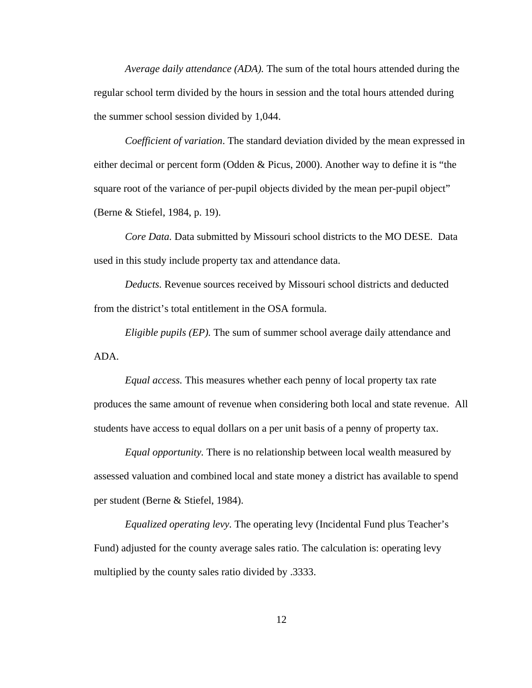*Average daily attendance (ADA).* The sum of the total hours attended during the regular school term divided by the hours in session and the total hours attended during the summer school session divided by 1,044.

*Coefficient of variation*. The standard deviation divided by the mean expressed in either decimal or percent form (Odden & Picus, 2000). Another way to define it is "the square root of the variance of per-pupil objects divided by the mean per-pupil object" (Berne & Stiefel, 1984, p. 19).

*Core Data.* Data submitted by Missouri school districts to the MO DESE. Data used in this study include property tax and attendance data.

*Deducts.* Revenue sources received by Missouri school districts and deducted from the district's total entitlement in the OSA formula.

*Eligible pupils (EP).* The sum of summer school average daily attendance and ADA.

*Equal access.* This measures whether each penny of local property tax rate produces the same amount of revenue when considering both local and state revenue. All students have access to equal dollars on a per unit basis of a penny of property tax.

*Equal opportunity.* There is no relationship between local wealth measured by assessed valuation and combined local and state money a district has available to spend per student (Berne & Stiefel, 1984).

*Equalized operating levy.* The operating levy (Incidental Fund plus Teacher's Fund) adjusted for the county average sales ratio. The calculation is: operating levy multiplied by the county sales ratio divided by .3333.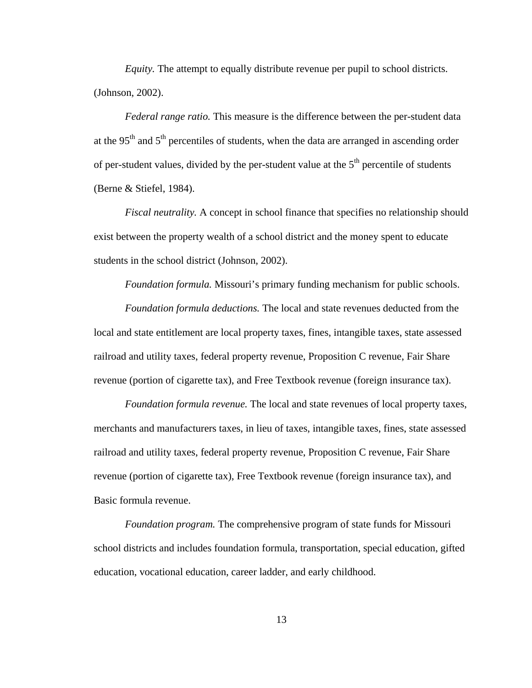*Equity.* The attempt to equally distribute revenue per pupil to school districts. (Johnson, 2002).

*Federal range ratio.* This measure is the difference between the per-student data at the 95<sup>th</sup> and  $5<sup>th</sup>$  percentiles of students, when the data are arranged in ascending order of per-student values, divided by the per-student value at the  $5<sup>th</sup>$  percentile of students (Berne & Stiefel, 1984).

*Fiscal neutrality.* A concept in school finance that specifies no relationship should exist between the property wealth of a school district and the money spent to educate students in the school district (Johnson, 2002).

*Foundation formula.* Missouri's primary funding mechanism for public schools.

*Foundation formula deductions.* The local and state revenues deducted from the local and state entitlement are local property taxes, fines, intangible taxes, state assessed railroad and utility taxes, federal property revenue, Proposition C revenue, Fair Share revenue (portion of cigarette tax), and Free Textbook revenue (foreign insurance tax).

*Foundation formula revenue.* The local and state revenues of local property taxes, merchants and manufacturers taxes, in lieu of taxes, intangible taxes, fines, state assessed railroad and utility taxes, federal property revenue, Proposition C revenue, Fair Share revenue (portion of cigarette tax), Free Textbook revenue (foreign insurance tax), and Basic formula revenue.

*Foundation program.* The comprehensive program of state funds for Missouri school districts and includes foundation formula, transportation, special education, gifted education, vocational education, career ladder, and early childhood.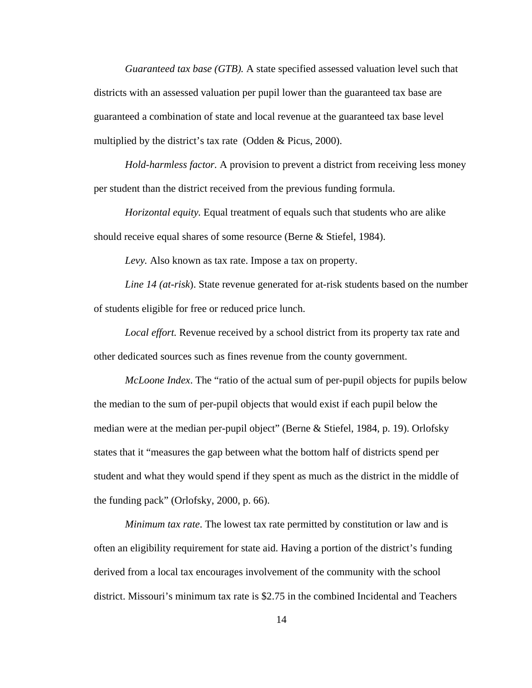*Guaranteed tax base (GTB).* A state specified assessed valuation level such that districts with an assessed valuation per pupil lower than the guaranteed tax base are guaranteed a combination of state and local revenue at the guaranteed tax base level multiplied by the district's tax rate (Odden & Picus, 2000).

*Hold-harmless factor.* A provision to prevent a district from receiving less money per student than the district received from the previous funding formula.

*Horizontal equity.* Equal treatment of equals such that students who are alike should receive equal shares of some resource (Berne & Stiefel, 1984).

*Levy.* Also known as tax rate. Impose a tax on property.

*Line 14 (at-risk*). State revenue generated for at-risk students based on the number of students eligible for free or reduced price lunch.

*Local effort.* Revenue received by a school district from its property tax rate and other dedicated sources such as fines revenue from the county government.

*McLoone Index*. The "ratio of the actual sum of per-pupil objects for pupils below the median to the sum of per-pupil objects that would exist if each pupil below the median were at the median per-pupil object" (Berne & Stiefel, 1984, p. 19). Orlofsky states that it "measures the gap between what the bottom half of districts spend per student and what they would spend if they spent as much as the district in the middle of the funding pack" (Orlofsky, 2000, p. 66).

*Minimum tax rate*. The lowest tax rate permitted by constitution or law and is often an eligibility requirement for state aid. Having a portion of the district's funding derived from a local tax encourages involvement of the community with the school district. Missouri's minimum tax rate is \$2.75 in the combined Incidental and Teachers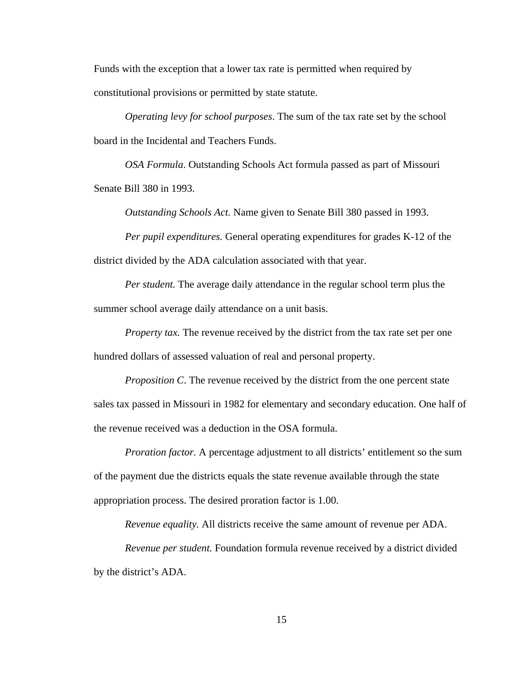Funds with the exception that a lower tax rate is permitted when required by constitutional provisions or permitted by state statute.

*Operating levy for school purposes*. The sum of the tax rate set by the school board in the Incidental and Teachers Funds.

*OSA Formula*. Outstanding Schools Act formula passed as part of Missouri Senate Bill 380 in 1993.

*Outstanding Schools Act.* Name given to Senate Bill 380 passed in 1993.

*Per pupil expenditures.* General operating expenditures for grades K-12 of the district divided by the ADA calculation associated with that year.

*Per student.* The average daily attendance in the regular school term plus the summer school average daily attendance on a unit basis.

*Property tax.* The revenue received by the district from the tax rate set per one hundred dollars of assessed valuation of real and personal property.

*Proposition C*. The revenue received by the district from the one percent state sales tax passed in Missouri in 1982 for elementary and secondary education. One half of the revenue received was a deduction in the OSA formula.

*Proration factor.* A percentage adjustment to all districts' entitlement so the sum of the payment due the districts equals the state revenue available through the state appropriation process. The desired proration factor is 1.00.

*Revenue equality.* All districts receive the same amount of revenue per ADA.

*Revenue per student.* Foundation formula revenue received by a district divided by the district's ADA.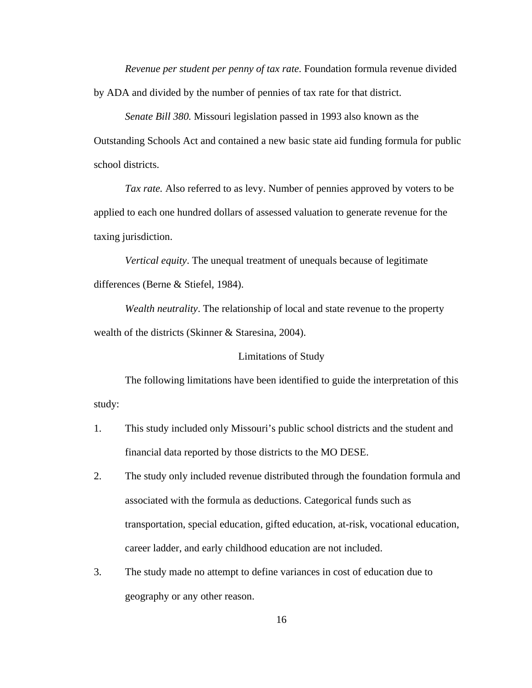*Revenue per student per penny of tax rate.* Foundation formula revenue divided by ADA and divided by the number of pennies of tax rate for that district.

*Senate Bill 380.* Missouri legislation passed in 1993 also known as the Outstanding Schools Act and contained a new basic state aid funding formula for public school districts.

*Tax rate.* Also referred to as levy. Number of pennies approved by voters to be applied to each one hundred dollars of assessed valuation to generate revenue for the taxing jurisdiction.

*Vertical equity*. The unequal treatment of unequals because of legitimate differences (Berne & Stiefel, 1984).

*Wealth neutrality*. The relationship of local and state revenue to the property wealth of the districts (Skinner & Staresina, 2004).

Limitations of Study

The following limitations have been identified to guide the interpretation of this study:

- 1. This study included only Missouri's public school districts and the student and financial data reported by those districts to the MO DESE.
- 2. The study only included revenue distributed through the foundation formula and associated with the formula as deductions. Categorical funds such as transportation, special education, gifted education, at-risk, vocational education, career ladder, and early childhood education are not included.
- 3. The study made no attempt to define variances in cost of education due to geography or any other reason.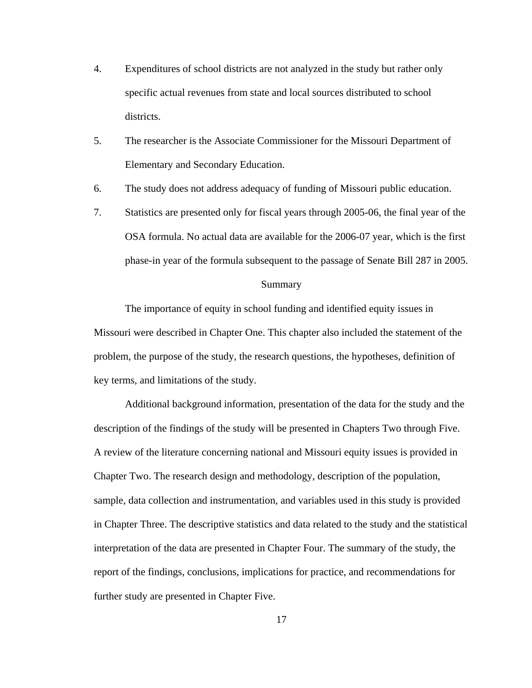- 4. Expenditures of school districts are not analyzed in the study but rather only specific actual revenues from state and local sources distributed to school districts.
- 5. The researcher is the Associate Commissioner for the Missouri Department of Elementary and Secondary Education.
- 6. The study does not address adequacy of funding of Missouri public education.
- 7. Statistics are presented only for fiscal years through 2005-06, the final year of the OSA formula. No actual data are available for the 2006-07 year, which is the first phase-in year of the formula subsequent to the passage of Senate Bill 287 in 2005.

#### Summary

The importance of equity in school funding and identified equity issues in Missouri were described in Chapter One. This chapter also included the statement of the problem, the purpose of the study, the research questions, the hypotheses, definition of key terms, and limitations of the study.

Additional background information, presentation of the data for the study and the description of the findings of the study will be presented in Chapters Two through Five. A review of the literature concerning national and Missouri equity issues is provided in Chapter Two. The research design and methodology, description of the population, sample, data collection and instrumentation, and variables used in this study is provided in Chapter Three. The descriptive statistics and data related to the study and the statistical interpretation of the data are presented in Chapter Four. The summary of the study, the report of the findings, conclusions, implications for practice, and recommendations for further study are presented in Chapter Five.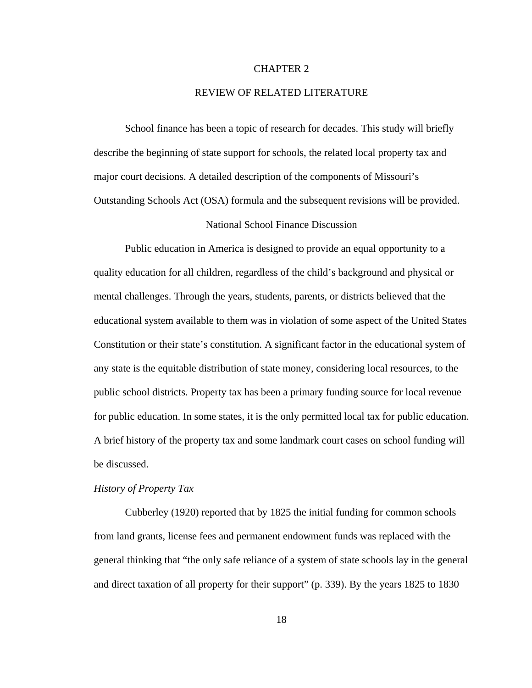#### CHAPTER 2

# REVIEW OF RELATED LITERATURE

 School finance has been a topic of research for decades. This study will briefly describe the beginning of state support for schools, the related local property tax and major court decisions. A detailed description of the components of Missouri's Outstanding Schools Act (OSA) formula and the subsequent revisions will be provided.

# National School Finance Discussion

 Public education in America is designed to provide an equal opportunity to a quality education for all children, regardless of the child's background and physical or mental challenges. Through the years, students, parents, or districts believed that the educational system available to them was in violation of some aspect of the United States Constitution or their state's constitution. A significant factor in the educational system of any state is the equitable distribution of state money, considering local resources, to the public school districts. Property tax has been a primary funding source for local revenue for public education. In some states, it is the only permitted local tax for public education. A brief history of the property tax and some landmark court cases on school funding will be discussed.

## *History of Property Tax*

 Cubberley (1920) reported that by 1825 the initial funding for common schools from land grants, license fees and permanent endowment funds was replaced with the general thinking that "the only safe reliance of a system of state schools lay in the general and direct taxation of all property for their support" (p. 339). By the years 1825 to 1830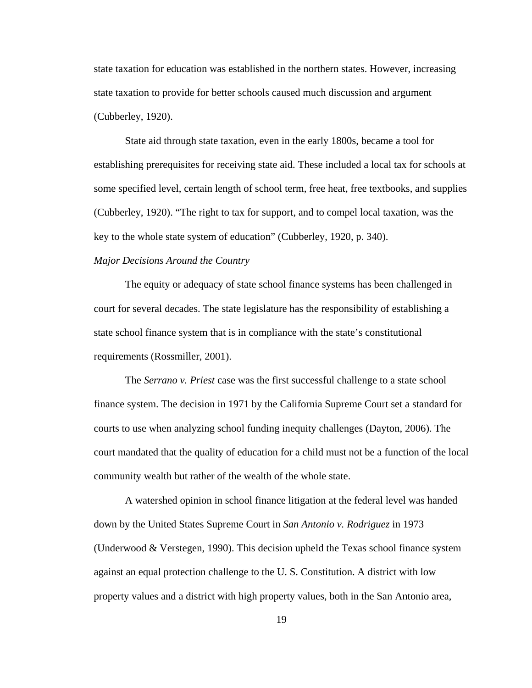state taxation for education was established in the northern states. However, increasing state taxation to provide for better schools caused much discussion and argument (Cubberley, 1920).

 State aid through state taxation, even in the early 1800s, became a tool for establishing prerequisites for receiving state aid. These included a local tax for schools at some specified level, certain length of school term, free heat, free textbooks, and supplies (Cubberley, 1920). "The right to tax for support, and to compel local taxation, was the key to the whole state system of education" (Cubberley, 1920, p. 340).

## *Major Decisions Around the Country*

 The equity or adequacy of state school finance systems has been challenged in court for several decades. The state legislature has the responsibility of establishing a state school finance system that is in compliance with the state's constitutional requirements (Rossmiller, 2001).

The *Serrano v. Priest* case was the first successful challenge to a state school finance system. The decision in 1971 by the California Supreme Court set a standard for courts to use when analyzing school funding inequity challenges (Dayton, 2006). The court mandated that the quality of education for a child must not be a function of the local community wealth but rather of the wealth of the whole state.

 A watershed opinion in school finance litigation at the federal level was handed down by the United States Supreme Court in *San Antonio v. Rodriguez* in 1973 (Underwood & Verstegen, 1990). This decision upheld the Texas school finance system against an equal protection challenge to the U. S. Constitution. A district with low property values and a district with high property values, both in the San Antonio area,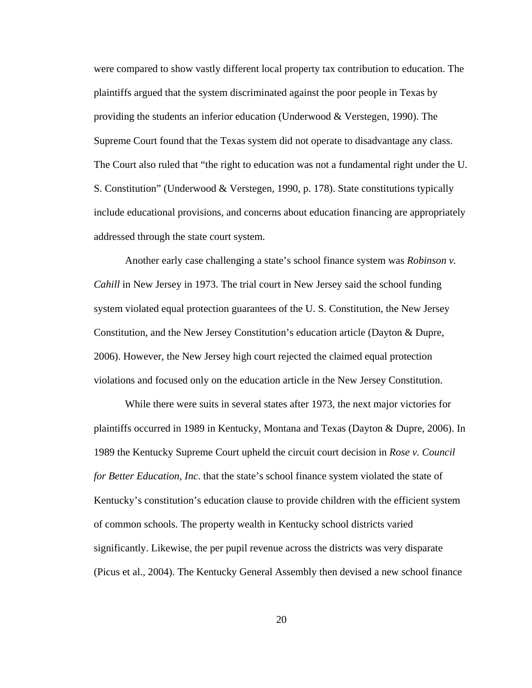were compared to show vastly different local property tax contribution to education. The plaintiffs argued that the system discriminated against the poor people in Texas by providing the students an inferior education (Underwood & Verstegen, 1990). The Supreme Court found that the Texas system did not operate to disadvantage any class. The Court also ruled that "the right to education was not a fundamental right under the U. S. Constitution" (Underwood & Verstegen, 1990, p. 178). State constitutions typically include educational provisions, and concerns about education financing are appropriately addressed through the state court system.

 Another early case challenging a state's school finance system was *Robinson v. Cahill* in New Jersey in 1973. The trial court in New Jersey said the school funding system violated equal protection guarantees of the U. S. Constitution, the New Jersey Constitution, and the New Jersey Constitution's education article (Dayton & Dupre, 2006). However, the New Jersey high court rejected the claimed equal protection violations and focused only on the education article in the New Jersey Constitution.

 While there were suits in several states after 1973, the next major victories for plaintiffs occurred in 1989 in Kentucky, Montana and Texas (Dayton & Dupre, 2006). In 1989 the Kentucky Supreme Court upheld the circuit court decision in *Rose v. Council for Better Education, Inc*. that the state's school finance system violated the state of Kentucky's constitution's education clause to provide children with the efficient system of common schools. The property wealth in Kentucky school districts varied significantly. Likewise, the per pupil revenue across the districts was very disparate (Picus et al., 2004). The Kentucky General Assembly then devised a new school finance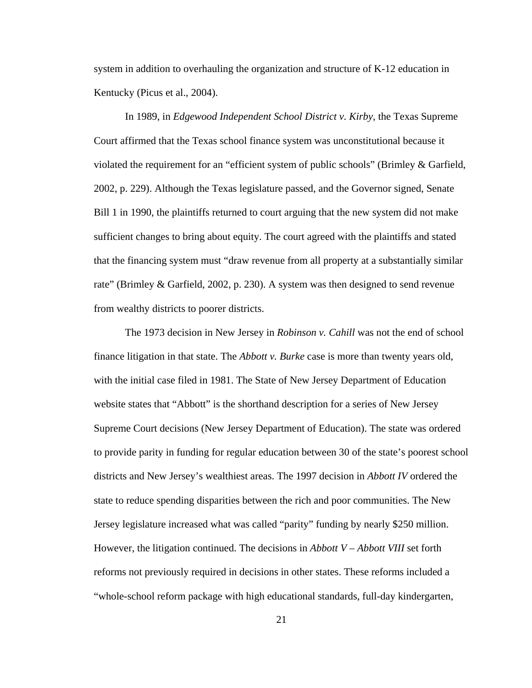system in addition to overhauling the organization and structure of K-12 education in Kentucky (Picus et al., 2004).

 In 1989, in *Edgewood Independent School District v. Kirby*, the Texas Supreme Court affirmed that the Texas school finance system was unconstitutional because it violated the requirement for an "efficient system of public schools" (Brimley & Garfield, 2002, p. 229). Although the Texas legislature passed, and the Governor signed, Senate Bill 1 in 1990, the plaintiffs returned to court arguing that the new system did not make sufficient changes to bring about equity. The court agreed with the plaintiffs and stated that the financing system must "draw revenue from all property at a substantially similar rate" (Brimley & Garfield, 2002, p. 230). A system was then designed to send revenue from wealthy districts to poorer districts.

The 1973 decision in New Jersey in *Robinson v. Cahill* was not the end of school finance litigation in that state. The *Abbott v. Burke* case is more than twenty years old, with the initial case filed in 1981. The State of New Jersey Department of Education website states that "Abbott" is the shorthand description for a series of New Jersey Supreme Court decisions (New Jersey Department of Education). The state was ordered to provide parity in funding for regular education between 30 of the state's poorest school districts and New Jersey's wealthiest areas. The 1997 decision in *Abbott IV* ordered the state to reduce spending disparities between the rich and poor communities. The New Jersey legislature increased what was called "parity" funding by nearly \$250 million. However, the litigation continued. The decisions in *Abbott V – Abbott VIII* set forth reforms not previously required in decisions in other states. These reforms included a "whole-school reform package with high educational standards, full-day kindergarten,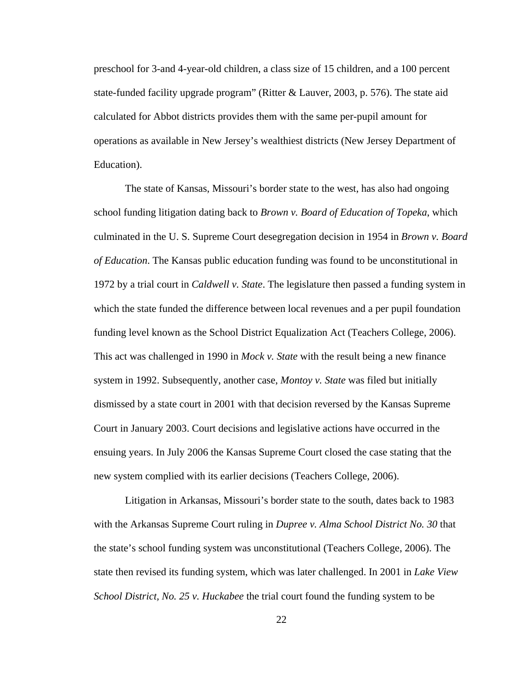preschool for 3-and 4-year-old children, a class size of 15 children, and a 100 percent state-funded facility upgrade program" (Ritter & Lauver, 2003, p. 576). The state aid calculated for Abbot districts provides them with the same per-pupil amount for operations as available in New Jersey's wealthiest districts (New Jersey Department of Education).

 The state of Kansas, Missouri's border state to the west, has also had ongoing school funding litigation dating back to *Brown v. Board of Education of Topeka*, which culminated in the U. S. Supreme Court desegregation decision in 1954 in *Brown v. Board of Education*. The Kansas public education funding was found to be unconstitutional in 1972 by a trial court in *Caldwell v. State*. The legislature then passed a funding system in which the state funded the difference between local revenues and a per pupil foundation funding level known as the School District Equalization Act (Teachers College, 2006). This act was challenged in 1990 in *Mock v. State* with the result being a new finance system in 1992. Subsequently, another case, *Montoy v. State* was filed but initially dismissed by a state court in 2001 with that decision reversed by the Kansas Supreme Court in January 2003. Court decisions and legislative actions have occurred in the ensuing years. In July 2006 the Kansas Supreme Court closed the case stating that the new system complied with its earlier decisions (Teachers College, 2006).

 Litigation in Arkansas, Missouri's border state to the south, dates back to 1983 with the Arkansas Supreme Court ruling in *Dupree v. Alma School District No. 30* that the state's school funding system was unconstitutional (Teachers College, 2006). The state then revised its funding system, which was later challenged. In 2001 in *Lake View School District, No. 25 v. Huckabee* the trial court found the funding system to be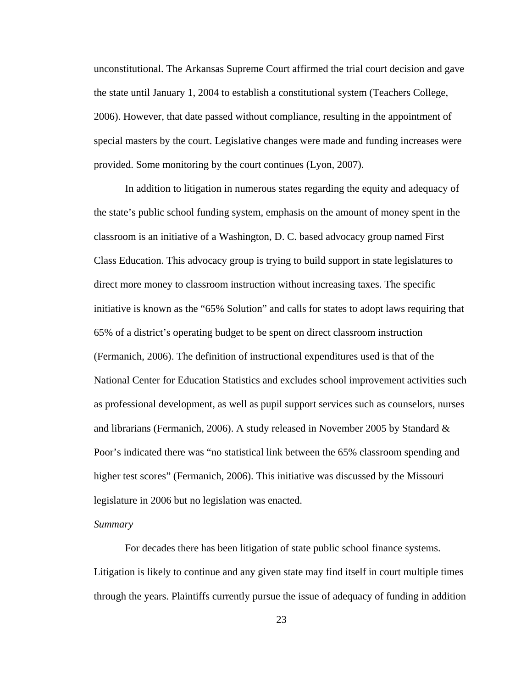unconstitutional. The Arkansas Supreme Court affirmed the trial court decision and gave the state until January 1, 2004 to establish a constitutional system (Teachers College, 2006). However, that date passed without compliance, resulting in the appointment of special masters by the court. Legislative changes were made and funding increases were provided. Some monitoring by the court continues (Lyon, 2007).

 In addition to litigation in numerous states regarding the equity and adequacy of the state's public school funding system, emphasis on the amount of money spent in the classroom is an initiative of a Washington, D. C. based advocacy group named First Class Education. This advocacy group is trying to build support in state legislatures to direct more money to classroom instruction without increasing taxes. The specific initiative is known as the "65% Solution" and calls for states to adopt laws requiring that 65% of a district's operating budget to be spent on direct classroom instruction (Fermanich, 2006). The definition of instructional expenditures used is that of the National Center for Education Statistics and excludes school improvement activities such as professional development, as well as pupil support services such as counselors, nurses and librarians (Fermanich, 2006). A study released in November 2005 by Standard  $\&$ Poor's indicated there was "no statistical link between the 65% classroom spending and higher test scores" (Fermanich, 2006). This initiative was discussed by the Missouri legislature in 2006 but no legislation was enacted.

#### *Summary*

 For decades there has been litigation of state public school finance systems. Litigation is likely to continue and any given state may find itself in court multiple times through the years. Plaintiffs currently pursue the issue of adequacy of funding in addition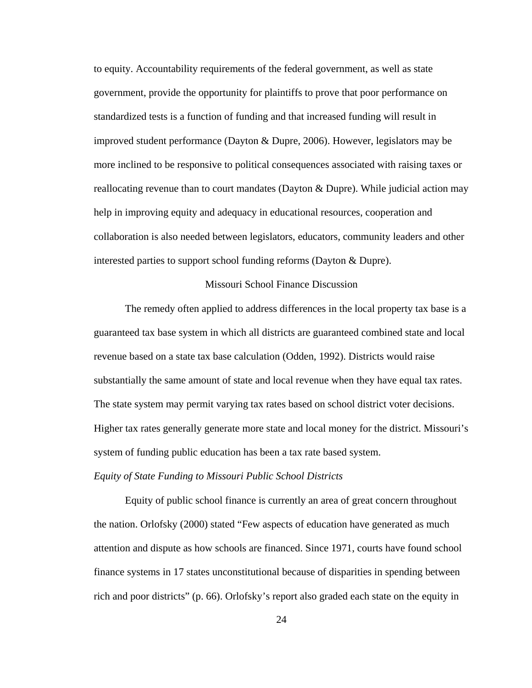to equity. Accountability requirements of the federal government, as well as state government, provide the opportunity for plaintiffs to prove that poor performance on standardized tests is a function of funding and that increased funding will result in improved student performance (Dayton & Dupre, 2006). However, legislators may be more inclined to be responsive to political consequences associated with raising taxes or reallocating revenue than to court mandates (Dayton & Dupre). While judicial action may help in improving equity and adequacy in educational resources, cooperation and collaboration is also needed between legislators, educators, community leaders and other interested parties to support school funding reforms (Dayton & Dupre).

## Missouri School Finance Discussion

The remedy often applied to address differences in the local property tax base is a guaranteed tax base system in which all districts are guaranteed combined state and local revenue based on a state tax base calculation (Odden, 1992). Districts would raise substantially the same amount of state and local revenue when they have equal tax rates. The state system may permit varying tax rates based on school district voter decisions. Higher tax rates generally generate more state and local money for the district. Missouri's system of funding public education has been a tax rate based system.

## *Equity of State Funding to Missouri Public School Districts*

Equity of public school finance is currently an area of great concern throughout the nation. Orlofsky (2000) stated "Few aspects of education have generated as much attention and dispute as how schools are financed. Since 1971, courts have found school finance systems in 17 states unconstitutional because of disparities in spending between rich and poor districts" (p. 66). Orlofsky's report also graded each state on the equity in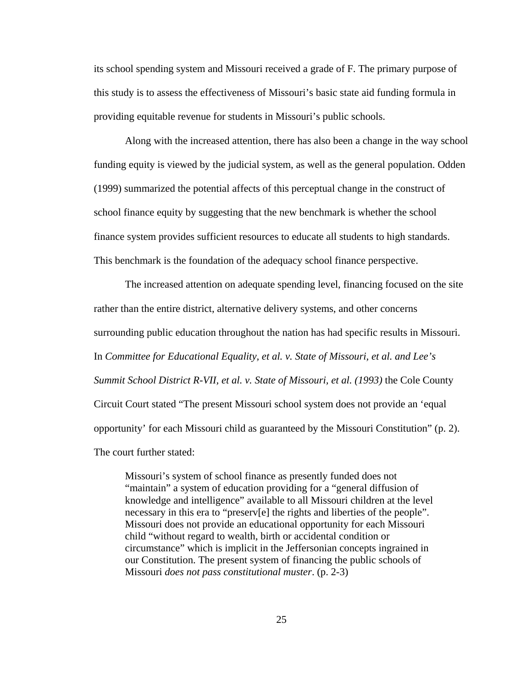its school spending system and Missouri received a grade of F. The primary purpose of this study is to assess the effectiveness of Missouri's basic state aid funding formula in providing equitable revenue for students in Missouri's public schools.

Along with the increased attention, there has also been a change in the way school funding equity is viewed by the judicial system, as well as the general population. Odden (1999) summarized the potential affects of this perceptual change in the construct of school finance equity by suggesting that the new benchmark is whether the school finance system provides sufficient resources to educate all students to high standards. This benchmark is the foundation of the adequacy school finance perspective.

The increased attention on adequate spending level, financing focused on the site rather than the entire district, alternative delivery systems, and other concerns surrounding public education throughout the nation has had specific results in Missouri. In *Committee for Educational Equality, et al. v. State of Missouri, et al. and Lee's Summit School District R-VII, et al. v. State of Missouri, et al. (1993)* the Cole County Circuit Court stated "The present Missouri school system does not provide an 'equal opportunity' for each Missouri child as guaranteed by the Missouri Constitution" (p. 2). The court further stated:

Missouri's system of school finance as presently funded does not "maintain" a system of education providing for a "general diffusion of knowledge and intelligence" available to all Missouri children at the level necessary in this era to "preserv[e] the rights and liberties of the people". Missouri does not provide an educational opportunity for each Missouri child "without regard to wealth, birth or accidental condition or circumstance" which is implicit in the Jeffersonian concepts ingrained in our Constitution. The present system of financing the public schools of Missouri *does not pass constitutional muster*. (p. 2-3)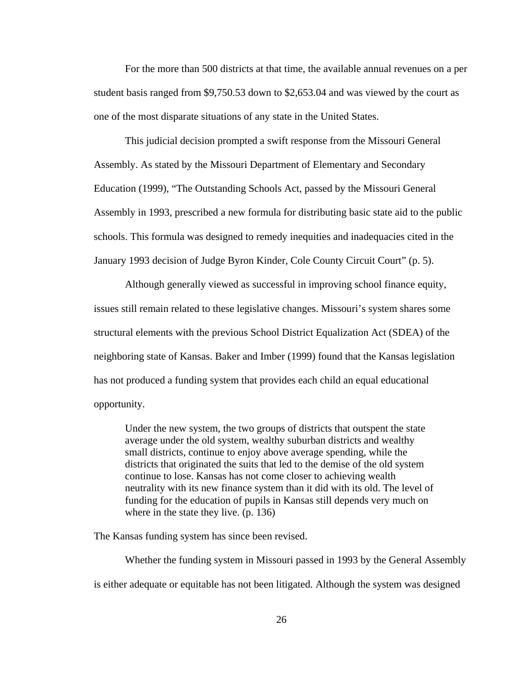For the more than 500 districts at that time, the available annual revenues on a per student basis ranged from \$9,750.53 down to \$2,653.04 and was viewed by the court as one of the most disparate situations of any state in the United States.

This judicial decision prompted a swift response from the Missouri General Assembly. As stated by the Missouri Department of Elementary and Secondary Education (1999), "The Outstanding Schools Act, passed by the Missouri General Assembly in 1993, prescribed a new formula for distributing basic state aid to the public schools. This formula was designed to remedy inequities and inadequacies cited in the January 1993 decision of Judge Byron Kinder, Cole County Circuit Court" (p. 5).

Although generally viewed as successful in improving school finance equity, issues still remain related to these legislative changes. Missouri's system shares some structural elements with the previous School District Equalization Act (SDEA) of the neighboring state of Kansas. Baker and Imber (1999) found that the Kansas legislation has not produced a funding system that provides each child an equal educational opportunity.

Under the new system, the two groups of districts that outspent the state average under the old system, wealthy suburban districts and wealthy small districts, continue to enjoy above average spending, while the districts that originated the suits that led to the demise of the old system continue to lose. Kansas has not come closer to achieving wealth neutrality with its new finance system than it did with its old. The level of funding for the education of pupils in Kansas still depends very much on where in the state they live. (p. 136)

The Kansas funding system has since been revised.

Whether the funding system in Missouri passed in 1993 by the General Assembly is either adequate or equitable has not been litigated. Although the system was designed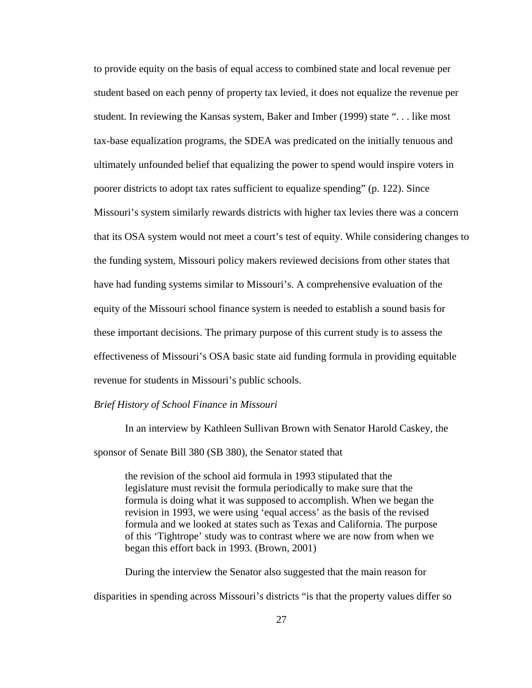to provide equity on the basis of equal access to combined state and local revenue per student based on each penny of property tax levied, it does not equalize the revenue per student. In reviewing the Kansas system, Baker and Imber (1999) state ". . . like most tax-base equalization programs, the SDEA was predicated on the initially tenuous and ultimately unfounded belief that equalizing the power to spend would inspire voters in poorer districts to adopt tax rates sufficient to equalize spending" (p. 122). Since Missouri's system similarly rewards districts with higher tax levies there was a concern that its OSA system would not meet a court's test of equity. While considering changes to the funding system, Missouri policy makers reviewed decisions from other states that have had funding systems similar to Missouri's. A comprehensive evaluation of the equity of the Missouri school finance system is needed to establish a sound basis for these important decisions. The primary purpose of this current study is to assess the effectiveness of Missouri's OSA basic state aid funding formula in providing equitable revenue for students in Missouri's public schools.

#### *Brief History of School Finance in Missouri*

In an interview by Kathleen Sullivan Brown with Senator Harold Caskey, the sponsor of Senate Bill 380 (SB 380), the Senator stated that

the revision of the school aid formula in 1993 stipulated that the legislature must revisit the formula periodically to make sure that the formula is doing what it was supposed to accomplish. When we began the revision in 1993, we were using 'equal access' as the basis of the revised formula and we looked at states such as Texas and California. The purpose of this 'Tightrope' study was to contrast where we are now from when we began this effort back in 1993. (Brown, 2001)

During the interview the Senator also suggested that the main reason for

disparities in spending across Missouri's districts "is that the property values differ so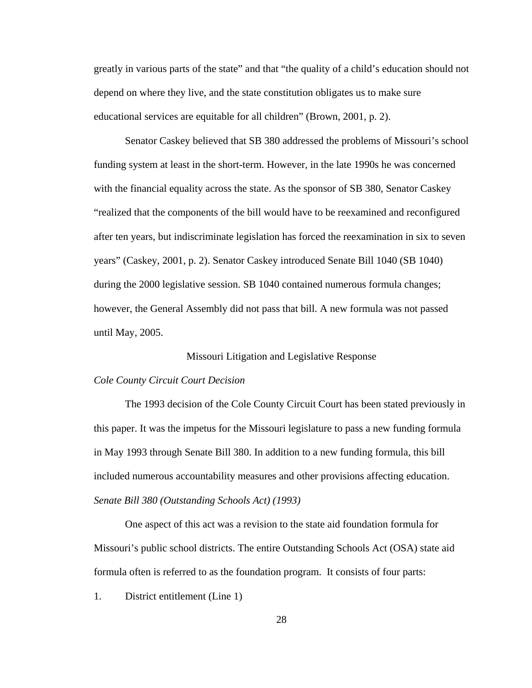greatly in various parts of the state" and that "the quality of a child's education should not depend on where they live, and the state constitution obligates us to make sure educational services are equitable for all children" (Brown, 2001, p. 2).

 Senator Caskey believed that SB 380 addressed the problems of Missouri's school funding system at least in the short-term. However, in the late 1990s he was concerned with the financial equality across the state. As the sponsor of SB 380, Senator Caskey "realized that the components of the bill would have to be reexamined and reconfigured after ten years, but indiscriminate legislation has forced the reexamination in six to seven years" (Caskey, 2001, p. 2). Senator Caskey introduced Senate Bill 1040 (SB 1040) during the 2000 legislative session. SB 1040 contained numerous formula changes; however, the General Assembly did not pass that bill. A new formula was not passed until May, 2005.

### Missouri Litigation and Legislative Response

#### *Cole County Circuit Court Decision*

 The 1993 decision of the Cole County Circuit Court has been stated previously in this paper. It was the impetus for the Missouri legislature to pass a new funding formula in May 1993 through Senate Bill 380. In addition to a new funding formula, this bill included numerous accountability measures and other provisions affecting education. *Senate Bill 380 (Outstanding Schools Act) (1993)* 

One aspect of this act was a revision to the state aid foundation formula for Missouri's public school districts. The entire Outstanding Schools Act (OSA) state aid formula often is referred to as the foundation program. It consists of four parts:

1. District entitlement (Line 1)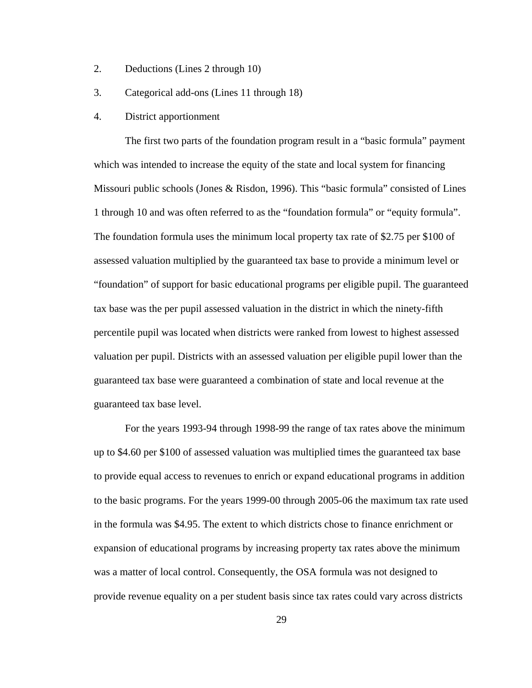- 2. Deductions (Lines 2 through 10)
- 3. Categorical add-ons (Lines 11 through 18)
- 4. District apportionment

The first two parts of the foundation program result in a "basic formula" payment which was intended to increase the equity of the state and local system for financing Missouri public schools (Jones & Risdon, 1996). This "basic formula" consisted of Lines 1 through 10 and was often referred to as the "foundation formula" or "equity formula". The foundation formula uses the minimum local property tax rate of \$2.75 per \$100 of assessed valuation multiplied by the guaranteed tax base to provide a minimum level or "foundation" of support for basic educational programs per eligible pupil. The guaranteed tax base was the per pupil assessed valuation in the district in which the ninety-fifth percentile pupil was located when districts were ranked from lowest to highest assessed valuation per pupil. Districts with an assessed valuation per eligible pupil lower than the guaranteed tax base were guaranteed a combination of state and local revenue at the guaranteed tax base level.

For the years 1993-94 through 1998-99 the range of tax rates above the minimum up to \$4.60 per \$100 of assessed valuation was multiplied times the guaranteed tax base to provide equal access to revenues to enrich or expand educational programs in addition to the basic programs. For the years 1999-00 through 2005-06 the maximum tax rate used in the formula was \$4.95. The extent to which districts chose to finance enrichment or expansion of educational programs by increasing property tax rates above the minimum was a matter of local control. Consequently, the OSA formula was not designed to provide revenue equality on a per student basis since tax rates could vary across districts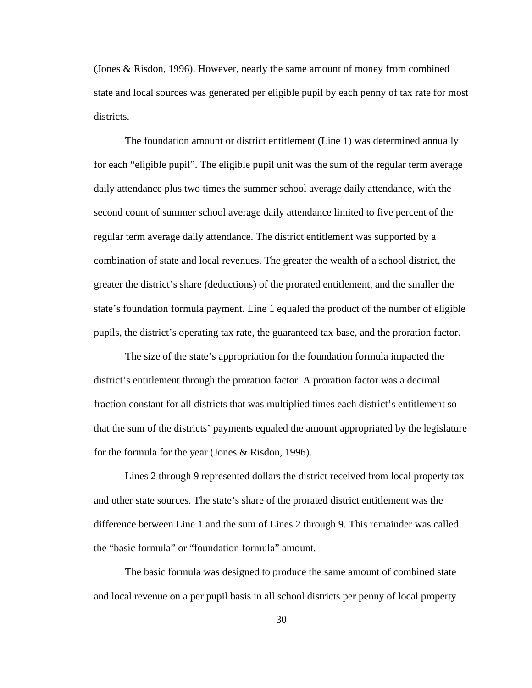(Jones & Risdon, 1996). However, nearly the same amount of money from combined state and local sources was generated per eligible pupil by each penny of tax rate for most districts.

The foundation amount or district entitlement (Line 1) was determined annually for each "eligible pupil". The eligible pupil unit was the sum of the regular term average daily attendance plus two times the summer school average daily attendance, with the second count of summer school average daily attendance limited to five percent of the regular term average daily attendance. The district entitlement was supported by a combination of state and local revenues. The greater the wealth of a school district, the greater the district's share (deductions) of the prorated entitlement, and the smaller the state's foundation formula payment. Line 1 equaled the product of the number of eligible pupils, the district's operating tax rate, the guaranteed tax base, and the proration factor.

The size of the state's appropriation for the foundation formula impacted the district's entitlement through the proration factor. A proration factor was a decimal fraction constant for all districts that was multiplied times each district's entitlement so that the sum of the districts' payments equaled the amount appropriated by the legislature for the formula for the year (Jones & Risdon, 1996).

Lines 2 through 9 represented dollars the district received from local property tax and other state sources. The state's share of the prorated district entitlement was the difference between Line 1 and the sum of Lines 2 through 9. This remainder was called the "basic formula" or "foundation formula" amount.

The basic formula was designed to produce the same amount of combined state and local revenue on a per pupil basis in all school districts per penny of local property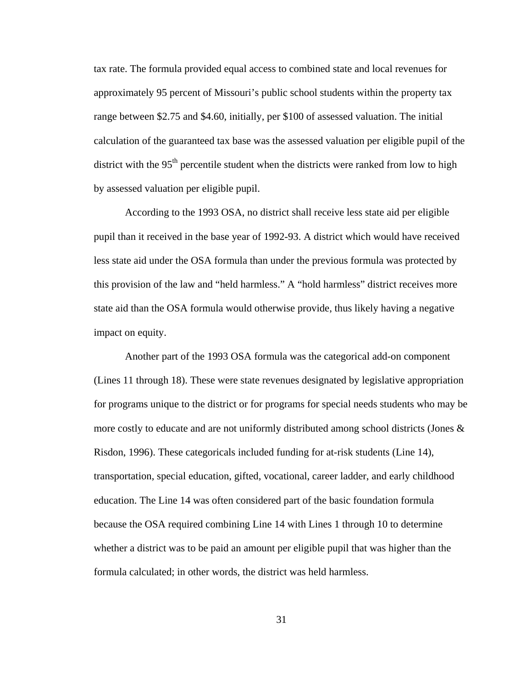tax rate. The formula provided equal access to combined state and local revenues for approximately 95 percent of Missouri's public school students within the property tax range between \$2.75 and \$4.60, initially, per \$100 of assessed valuation. The initial calculation of the guaranteed tax base was the assessed valuation per eligible pupil of the district with the  $95<sup>th</sup>$  percentile student when the districts were ranked from low to high by assessed valuation per eligible pupil.

According to the 1993 OSA, no district shall receive less state aid per eligible pupil than it received in the base year of 1992-93. A district which would have received less state aid under the OSA formula than under the previous formula was protected by this provision of the law and "held harmless." A "hold harmless" district receives more state aid than the OSA formula would otherwise provide, thus likely having a negative impact on equity.

Another part of the 1993 OSA formula was the categorical add-on component (Lines 11 through 18). These were state revenues designated by legislative appropriation for programs unique to the district or for programs for special needs students who may be more costly to educate and are not uniformly distributed among school districts (Jones  $\&$ Risdon, 1996). These categoricals included funding for at-risk students (Line 14), transportation, special education, gifted, vocational, career ladder, and early childhood education. The Line 14 was often considered part of the basic foundation formula because the OSA required combining Line 14 with Lines 1 through 10 to determine whether a district was to be paid an amount per eligible pupil that was higher than the formula calculated; in other words, the district was held harmless.

31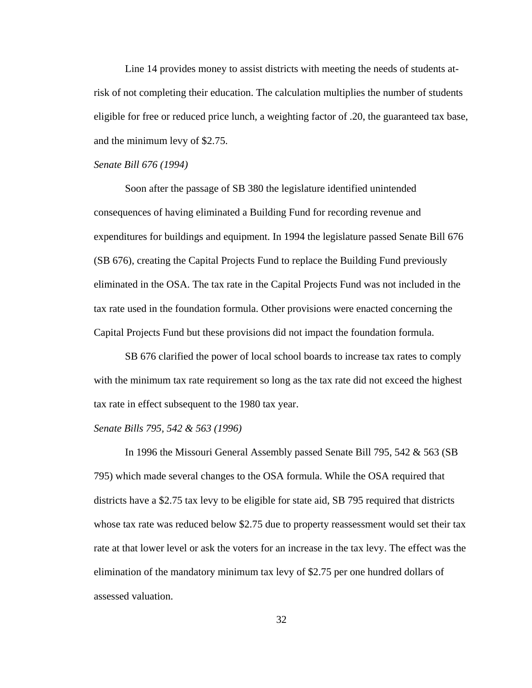Line 14 provides money to assist districts with meeting the needs of students atrisk of not completing their education. The calculation multiplies the number of students eligible for free or reduced price lunch, a weighting factor of .20, the guaranteed tax base, and the minimum levy of \$2.75.

#### *Senate Bill 676 (1994)*

Soon after the passage of SB 380 the legislature identified unintended consequences of having eliminated a Building Fund for recording revenue and expenditures for buildings and equipment. In 1994 the legislature passed Senate Bill 676 (SB 676), creating the Capital Projects Fund to replace the Building Fund previously eliminated in the OSA. The tax rate in the Capital Projects Fund was not included in the tax rate used in the foundation formula. Other provisions were enacted concerning the Capital Projects Fund but these provisions did not impact the foundation formula.

SB 676 clarified the power of local school boards to increase tax rates to comply with the minimum tax rate requirement so long as the tax rate did not exceed the highest tax rate in effect subsequent to the 1980 tax year.

#### *Senate Bills 795, 542 & 563 (1996)*

In 1996 the Missouri General Assembly passed Senate Bill 795, 542 & 563 (SB 795) which made several changes to the OSA formula. While the OSA required that districts have a \$2.75 tax levy to be eligible for state aid, SB 795 required that districts whose tax rate was reduced below \$2.75 due to property reassessment would set their tax rate at that lower level or ask the voters for an increase in the tax levy. The effect was the elimination of the mandatory minimum tax levy of \$2.75 per one hundred dollars of assessed valuation.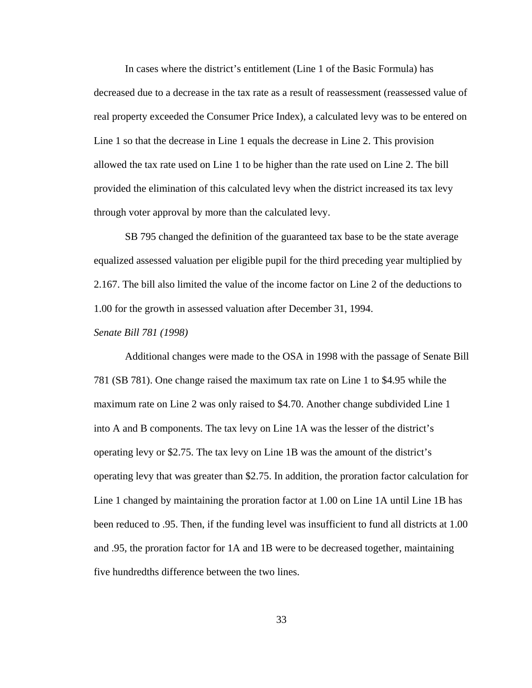In cases where the district's entitlement (Line 1 of the Basic Formula) has decreased due to a decrease in the tax rate as a result of reassessment (reassessed value of real property exceeded the Consumer Price Index), a calculated levy was to be entered on Line 1 so that the decrease in Line 1 equals the decrease in Line 2. This provision allowed the tax rate used on Line 1 to be higher than the rate used on Line 2. The bill provided the elimination of this calculated levy when the district increased its tax levy through voter approval by more than the calculated levy.

SB 795 changed the definition of the guaranteed tax base to be the state average equalized assessed valuation per eligible pupil for the third preceding year multiplied by 2.167. The bill also limited the value of the income factor on Line 2 of the deductions to 1.00 for the growth in assessed valuation after December 31, 1994.

#### *Senate Bill 781 (1998)*

Additional changes were made to the OSA in 1998 with the passage of Senate Bill 781 (SB 781). One change raised the maximum tax rate on Line 1 to \$4.95 while the maximum rate on Line 2 was only raised to \$4.70. Another change subdivided Line 1 into A and B components. The tax levy on Line 1A was the lesser of the district's operating levy or \$2.75. The tax levy on Line 1B was the amount of the district's operating levy that was greater than \$2.75. In addition, the proration factor calculation for Line 1 changed by maintaining the proration factor at 1.00 on Line 1A until Line 1B has been reduced to .95. Then, if the funding level was insufficient to fund all districts at 1.00 and .95, the proration factor for 1A and 1B were to be decreased together, maintaining five hundredths difference between the two lines.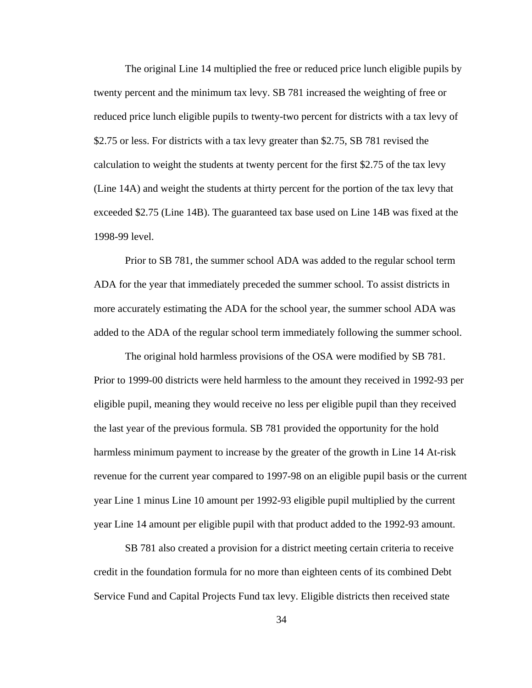The original Line 14 multiplied the free or reduced price lunch eligible pupils by twenty percent and the minimum tax levy. SB 781 increased the weighting of free or reduced price lunch eligible pupils to twenty-two percent for districts with a tax levy of \$2.75 or less. For districts with a tax levy greater than \$2.75, SB 781 revised the calculation to weight the students at twenty percent for the first \$2.75 of the tax levy (Line 14A) and weight the students at thirty percent for the portion of the tax levy that exceeded \$2.75 (Line 14B). The guaranteed tax base used on Line 14B was fixed at the 1998-99 level.

Prior to SB 781, the summer school ADA was added to the regular school term ADA for the year that immediately preceded the summer school. To assist districts in more accurately estimating the ADA for the school year, the summer school ADA was added to the ADA of the regular school term immediately following the summer school.

The original hold harmless provisions of the OSA were modified by SB 781. Prior to 1999-00 districts were held harmless to the amount they received in 1992-93 per eligible pupil, meaning they would receive no less per eligible pupil than they received the last year of the previous formula. SB 781 provided the opportunity for the hold harmless minimum payment to increase by the greater of the growth in Line 14 At-risk revenue for the current year compared to 1997-98 on an eligible pupil basis or the current year Line 1 minus Line 10 amount per 1992-93 eligible pupil multiplied by the current year Line 14 amount per eligible pupil with that product added to the 1992-93 amount.

SB 781 also created a provision for a district meeting certain criteria to receive credit in the foundation formula for no more than eighteen cents of its combined Debt Service Fund and Capital Projects Fund tax levy. Eligible districts then received state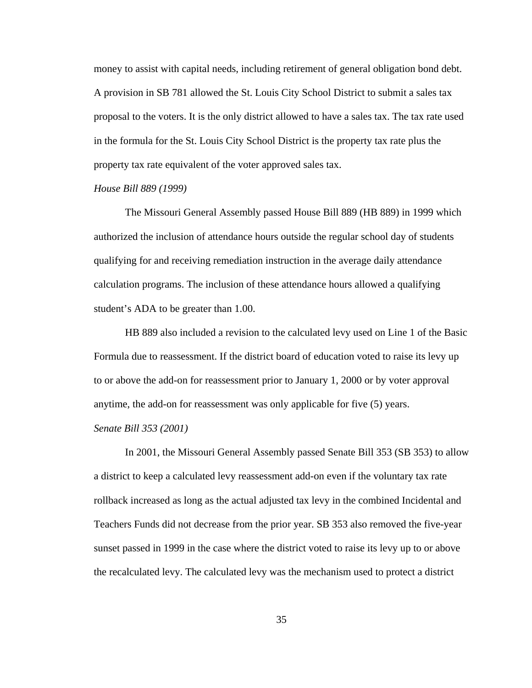money to assist with capital needs, including retirement of general obligation bond debt. A provision in SB 781 allowed the St. Louis City School District to submit a sales tax proposal to the voters. It is the only district allowed to have a sales tax. The tax rate used in the formula for the St. Louis City School District is the property tax rate plus the property tax rate equivalent of the voter approved sales tax.

## *House Bill 889 (1999)*

 The Missouri General Assembly passed House Bill 889 (HB 889) in 1999 which authorized the inclusion of attendance hours outside the regular school day of students qualifying for and receiving remediation instruction in the average daily attendance calculation programs. The inclusion of these attendance hours allowed a qualifying student's ADA to be greater than 1.00.

 HB 889 also included a revision to the calculated levy used on Line 1 of the Basic Formula due to reassessment. If the district board of education voted to raise its levy up to or above the add-on for reassessment prior to January 1, 2000 or by voter approval anytime, the add-on for reassessment was only applicable for five (5) years.

### *Senate Bill 353 (2001)*

In 2001, the Missouri General Assembly passed Senate Bill 353 (SB 353) to allow a district to keep a calculated levy reassessment add-on even if the voluntary tax rate rollback increased as long as the actual adjusted tax levy in the combined Incidental and Teachers Funds did not decrease from the prior year. SB 353 also removed the five-year sunset passed in 1999 in the case where the district voted to raise its levy up to or above the recalculated levy. The calculated levy was the mechanism used to protect a district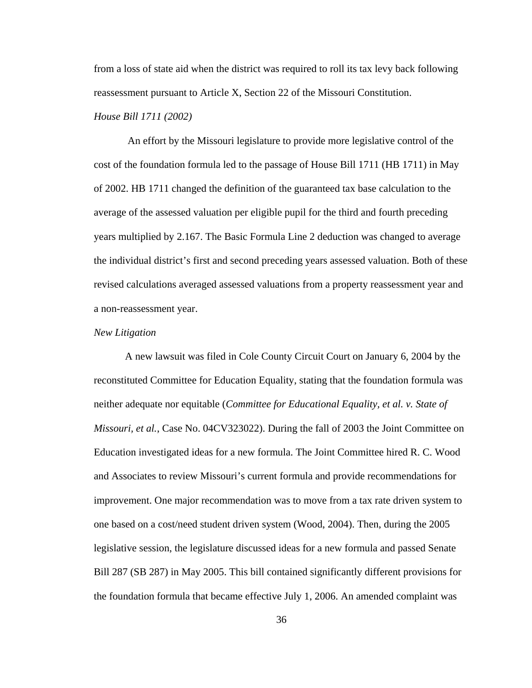from a loss of state aid when the district was required to roll its tax levy back following reassessment pursuant to Article X, Section 22 of the Missouri Constitution. *House Bill 1711 (2002)* 

 An effort by the Missouri legislature to provide more legislative control of the cost of the foundation formula led to the passage of House Bill 1711 (HB 1711) in May of 2002. HB 1711 changed the definition of the guaranteed tax base calculation to the average of the assessed valuation per eligible pupil for the third and fourth preceding years multiplied by 2.167. The Basic Formula Line 2 deduction was changed to average the individual district's first and second preceding years assessed valuation. Both of these revised calculations averaged assessed valuations from a property reassessment year and a non-reassessment year.

#### *New Litigation*

A new lawsuit was filed in Cole County Circuit Court on January 6, 2004 by the reconstituted Committee for Education Equality, stating that the foundation formula was neither adequate nor equitable (*Committee for Educational Equality, et al. v. State of Missouri, et al.*, Case No. 04CV323022). During the fall of 2003 the Joint Committee on Education investigated ideas for a new formula. The Joint Committee hired R. C. Wood and Associates to review Missouri's current formula and provide recommendations for improvement. One major recommendation was to move from a tax rate driven system to one based on a cost/need student driven system (Wood, 2004). Then, during the 2005 legislative session, the legislature discussed ideas for a new formula and passed Senate Bill 287 (SB 287) in May 2005. This bill contained significantly different provisions for the foundation formula that became effective July 1, 2006. An amended complaint was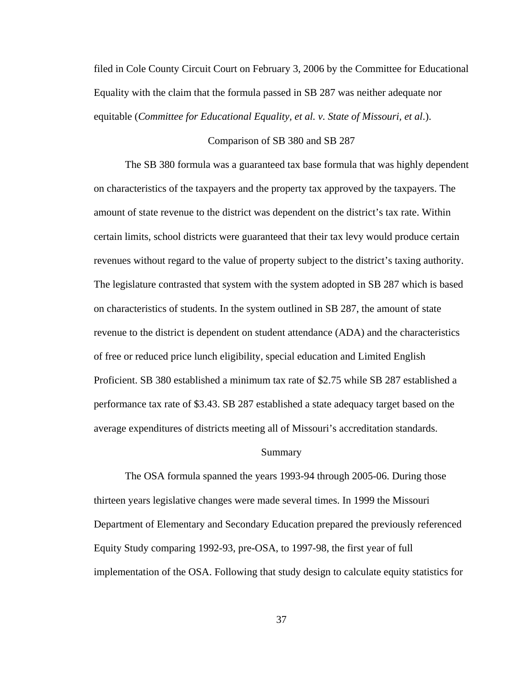filed in Cole County Circuit Court on February 3, 2006 by the Committee for Educational Equality with the claim that the formula passed in SB 287 was neither adequate nor equitable (*Committee for Educational Equality, et al. v. State of Missouri, et al*.).

#### Comparison of SB 380 and SB 287

The SB 380 formula was a guaranteed tax base formula that was highly dependent on characteristics of the taxpayers and the property tax approved by the taxpayers. The amount of state revenue to the district was dependent on the district's tax rate. Within certain limits, school districts were guaranteed that their tax levy would produce certain revenues without regard to the value of property subject to the district's taxing authority. The legislature contrasted that system with the system adopted in SB 287 which is based on characteristics of students. In the system outlined in SB 287, the amount of state revenue to the district is dependent on student attendance (ADA) and the characteristics of free or reduced price lunch eligibility, special education and Limited English Proficient. SB 380 established a minimum tax rate of \$2.75 while SB 287 established a performance tax rate of \$3.43. SB 287 established a state adequacy target based on the average expenditures of districts meeting all of Missouri's accreditation standards.

#### Summary

The OSA formula spanned the years 1993-94 through 2005-06. During those thirteen years legislative changes were made several times. In 1999 the Missouri Department of Elementary and Secondary Education prepared the previously referenced Equity Study comparing 1992-93, pre-OSA, to 1997-98, the first year of full implementation of the OSA. Following that study design to calculate equity statistics for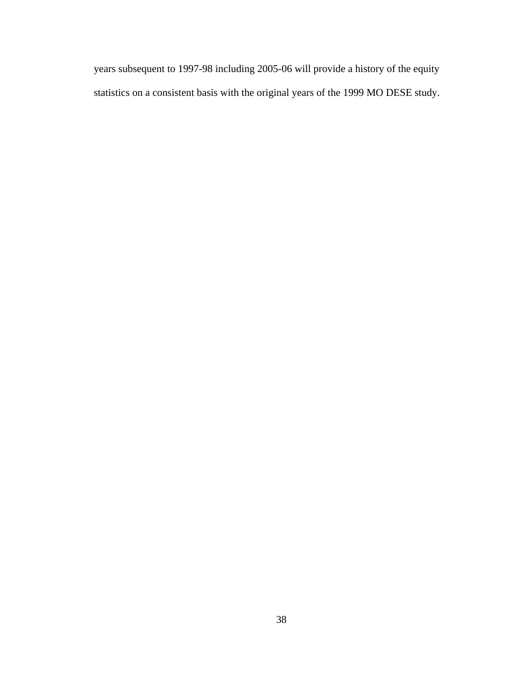years subsequent to 1997-98 including 2005-06 will provide a history of the equity statistics on a consistent basis with the original years of the 1999 MO DESE study.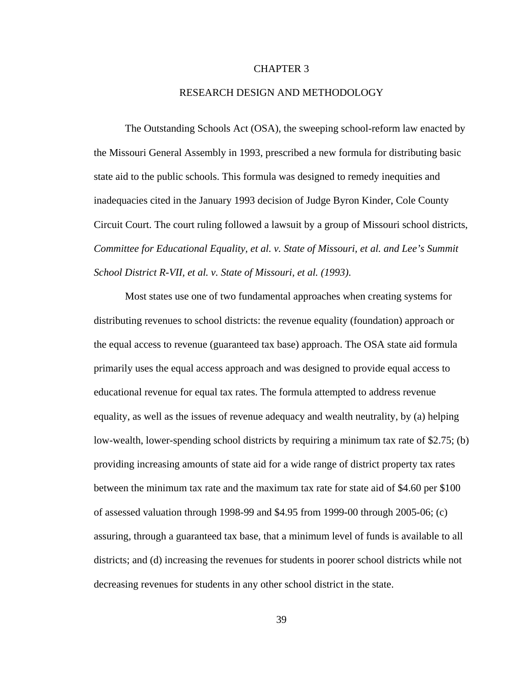#### CHAPTER 3

## RESEARCH DESIGN AND METHODOLOGY

The Outstanding Schools Act (OSA), the sweeping school-reform law enacted by the Missouri General Assembly in 1993, prescribed a new formula for distributing basic state aid to the public schools. This formula was designed to remedy inequities and inadequacies cited in the January 1993 decision of Judge Byron Kinder, Cole County Circuit Court. The court ruling followed a lawsuit by a group of Missouri school districts, *Committee for Educational Equality, et al. v. State of Missouri, et al. and Lee's Summit School District R-VII, et al. v. State of Missouri, et al. (1993)*.

Most states use one of two fundamental approaches when creating systems for distributing revenues to school districts: the revenue equality (foundation) approach or the equal access to revenue (guaranteed tax base) approach. The OSA state aid formula primarily uses the equal access approach and was designed to provide equal access to educational revenue for equal tax rates. The formula attempted to address revenue equality, as well as the issues of revenue adequacy and wealth neutrality, by (a) helping low-wealth, lower-spending school districts by requiring a minimum tax rate of \$2.75; (b) providing increasing amounts of state aid for a wide range of district property tax rates between the minimum tax rate and the maximum tax rate for state aid of \$4.60 per \$100 of assessed valuation through 1998-99 and \$4.95 from 1999-00 through 2005-06; (c) assuring, through a guaranteed tax base, that a minimum level of funds is available to all districts; and (d) increasing the revenues for students in poorer school districts while not decreasing revenues for students in any other school district in the state.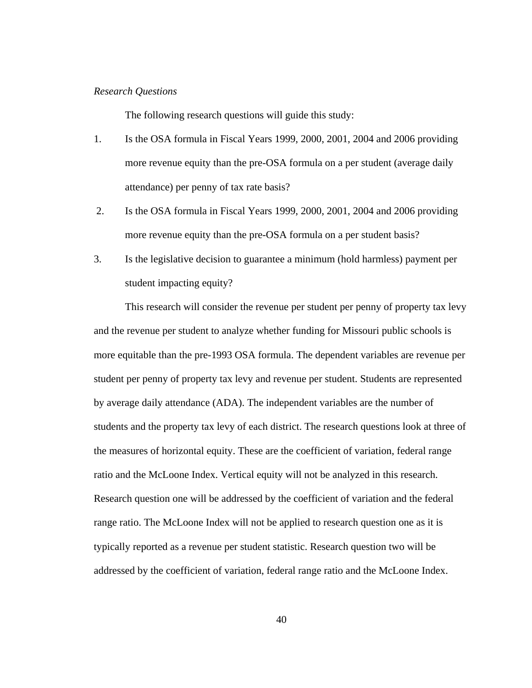## *Research Questions*

The following research questions will guide this study:

- 1. Is the OSA formula in Fiscal Years 1999, 2000, 2001, 2004 and 2006 providing more revenue equity than the pre-OSA formula on a per student (average daily attendance) per penny of tax rate basis?
- 2. Is the OSA formula in Fiscal Years 1999, 2000, 2001, 2004 and 2006 providing more revenue equity than the pre-OSA formula on a per student basis?
- 3. Is the legislative decision to guarantee a minimum (hold harmless) payment per student impacting equity?

This research will consider the revenue per student per penny of property tax levy and the revenue per student to analyze whether funding for Missouri public schools is more equitable than the pre-1993 OSA formula. The dependent variables are revenue per student per penny of property tax levy and revenue per student. Students are represented by average daily attendance (ADA). The independent variables are the number of students and the property tax levy of each district. The research questions look at three of the measures of horizontal equity. These are the coefficient of variation, federal range ratio and the McLoone Index. Vertical equity will not be analyzed in this research. Research question one will be addressed by the coefficient of variation and the federal range ratio. The McLoone Index will not be applied to research question one as it is typically reported as a revenue per student statistic. Research question two will be addressed by the coefficient of variation, federal range ratio and the McLoone Index.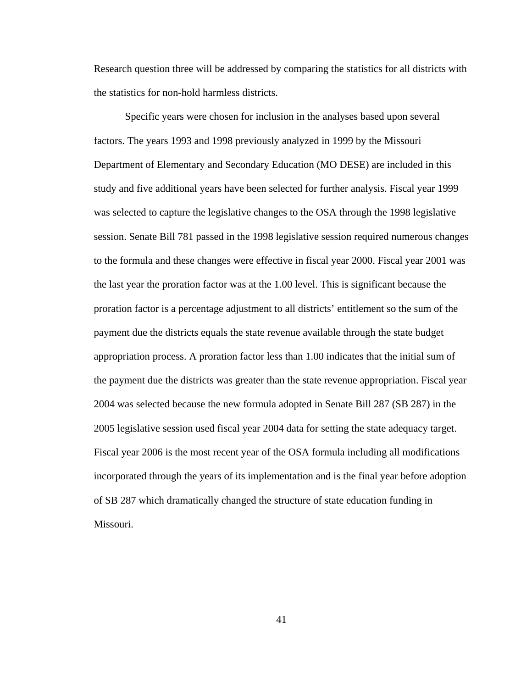Research question three will be addressed by comparing the statistics for all districts with the statistics for non-hold harmless districts.

Specific years were chosen for inclusion in the analyses based upon several factors. The years 1993 and 1998 previously analyzed in 1999 by the Missouri Department of Elementary and Secondary Education (MO DESE) are included in this study and five additional years have been selected for further analysis. Fiscal year 1999 was selected to capture the legislative changes to the OSA through the 1998 legislative session. Senate Bill 781 passed in the 1998 legislative session required numerous changes to the formula and these changes were effective in fiscal year 2000. Fiscal year 2001 was the last year the proration factor was at the 1.00 level. This is significant because the proration factor is a percentage adjustment to all districts' entitlement so the sum of the payment due the districts equals the state revenue available through the state budget appropriation process. A proration factor less than 1.00 indicates that the initial sum of the payment due the districts was greater than the state revenue appropriation. Fiscal year 2004 was selected because the new formula adopted in Senate Bill 287 (SB 287) in the 2005 legislative session used fiscal year 2004 data for setting the state adequacy target. Fiscal year 2006 is the most recent year of the OSA formula including all modifications incorporated through the years of its implementation and is the final year before adoption of SB 287 which dramatically changed the structure of state education funding in Missouri.

41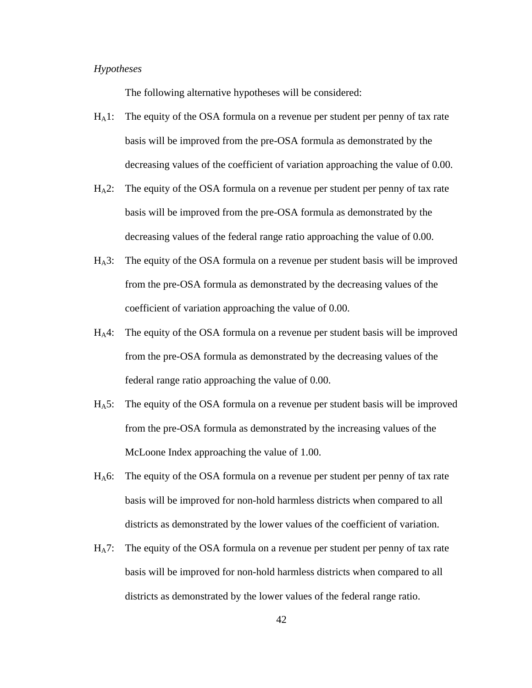## *Hypotheses*

The following alternative hypotheses will be considered:

- HA1: The equity of the OSA formula on a revenue per student per penny of tax rate basis will be improved from the pre-OSA formula as demonstrated by the decreasing values of the coefficient of variation approaching the value of 0.00.
- $H_A2$ : The equity of the OSA formula on a revenue per student per penny of tax rate basis will be improved from the pre-OSA formula as demonstrated by the decreasing values of the federal range ratio approaching the value of 0.00.
- HA3: The equity of the OSA formula on a revenue per student basis will be improved from the pre-OSA formula as demonstrated by the decreasing values of the coefficient of variation approaching the value of 0.00.
- HA4: The equity of the OSA formula on a revenue per student basis will be improved from the pre-OSA formula as demonstrated by the decreasing values of the federal range ratio approaching the value of 0.00.
- HA5: The equity of the OSA formula on a revenue per student basis will be improved from the pre-OSA formula as demonstrated by the increasing values of the McLoone Index approaching the value of 1.00.
- HA6: The equity of the OSA formula on a revenue per student per penny of tax rate basis will be improved for non-hold harmless districts when compared to all districts as demonstrated by the lower values of the coefficient of variation.
- $H_A$ 7: The equity of the OSA formula on a revenue per student per penny of tax rate basis will be improved for non-hold harmless districts when compared to all districts as demonstrated by the lower values of the federal range ratio.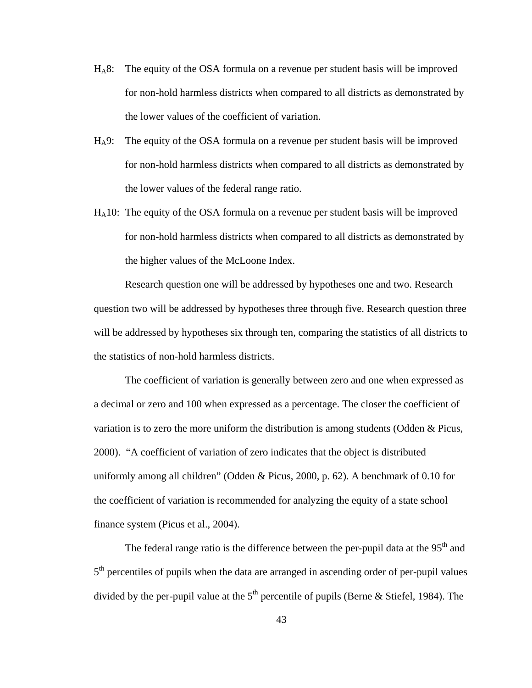- HA8: The equity of the OSA formula on a revenue per student basis will be improved for non-hold harmless districts when compared to all districts as demonstrated by the lower values of the coefficient of variation.
- HA9: The equity of the OSA formula on a revenue per student basis will be improved for non-hold harmless districts when compared to all districts as demonstrated by the lower values of the federal range ratio.
- HA10: The equity of the OSA formula on a revenue per student basis will be improved for non-hold harmless districts when compared to all districts as demonstrated by the higher values of the McLoone Index.

Research question one will be addressed by hypotheses one and two. Research question two will be addressed by hypotheses three through five. Research question three will be addressed by hypotheses six through ten, comparing the statistics of all districts to the statistics of non-hold harmless districts.

The coefficient of variation is generally between zero and one when expressed as a decimal or zero and 100 when expressed as a percentage. The closer the coefficient of variation is to zero the more uniform the distribution is among students (Odden & Picus, 2000). "A coefficient of variation of zero indicates that the object is distributed uniformly among all children" (Odden & Picus, 2000, p. 62). A benchmark of 0.10 for the coefficient of variation is recommended for analyzing the equity of a state school finance system (Picus et al., 2004).

The federal range ratio is the difference between the per-pupil data at the 95<sup>th</sup> and  $5<sup>th</sup>$  percentiles of pupils when the data are arranged in ascending order of per-pupil values divided by the per-pupil value at the  $5<sup>th</sup>$  percentile of pupils (Berne & Stiefel, 1984). The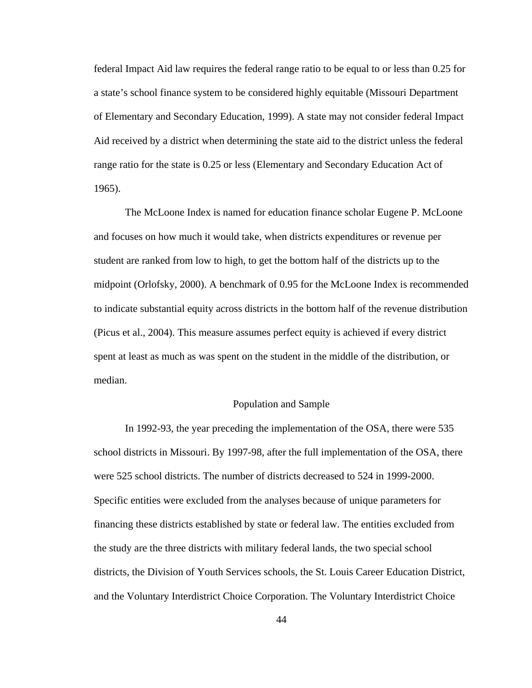federal Impact Aid law requires the federal range ratio to be equal to or less than 0.25 for a state's school finance system to be considered highly equitable (Missouri Department of Elementary and Secondary Education, 1999). A state may not consider federal Impact Aid received by a district when determining the state aid to the district unless the federal range ratio for the state is 0.25 or less (Elementary and Secondary Education Act of 1965).

The McLoone Index is named for education finance scholar Eugene P. McLoone and focuses on how much it would take, when districts expenditures or revenue per student are ranked from low to high, to get the bottom half of the districts up to the midpoint (Orlofsky, 2000). A benchmark of 0.95 for the McLoone Index is recommended to indicate substantial equity across districts in the bottom half of the revenue distribution (Picus et al., 2004). This measure assumes perfect equity is achieved if every district spent at least as much as was spent on the student in the middle of the distribution, or median.

### Population and Sample

 In 1992-93, the year preceding the implementation of the OSA, there were 535 school districts in Missouri. By 1997-98, after the full implementation of the OSA, there were 525 school districts. The number of districts decreased to 524 in 1999-2000. Specific entities were excluded from the analyses because of unique parameters for financing these districts established by state or federal law. The entities excluded from the study are the three districts with military federal lands, the two special school districts, the Division of Youth Services schools, the St. Louis Career Education District, and the Voluntary Interdistrict Choice Corporation. The Voluntary Interdistrict Choice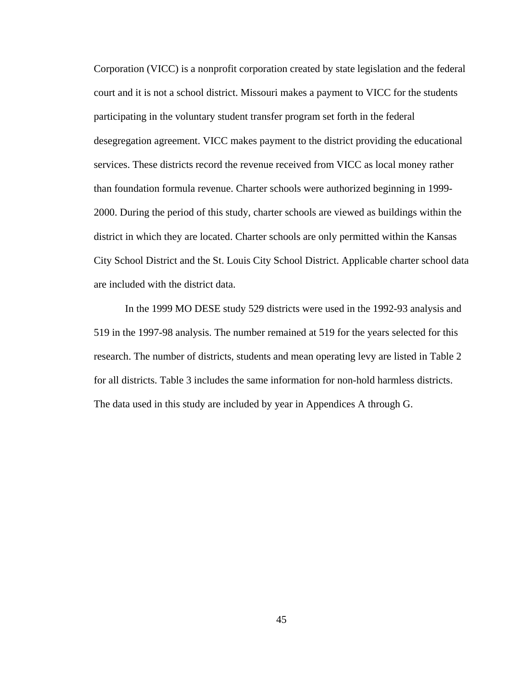Corporation (VICC) is a nonprofit corporation created by state legislation and the federal court and it is not a school district. Missouri makes a payment to VICC for the students participating in the voluntary student transfer program set forth in the federal desegregation agreement. VICC makes payment to the district providing the educational services. These districts record the revenue received from VICC as local money rather than foundation formula revenue. Charter schools were authorized beginning in 1999- 2000. During the period of this study, charter schools are viewed as buildings within the district in which they are located. Charter schools are only permitted within the Kansas City School District and the St. Louis City School District. Applicable charter school data are included with the district data.

In the 1999 MO DESE study 529 districts were used in the 1992-93 analysis and 519 in the 1997-98 analysis. The number remained at 519 for the years selected for this research. The number of districts, students and mean operating levy are listed in Table 2 for all districts. Table 3 includes the same information for non-hold harmless districts. The data used in this study are included by year in Appendices A through G.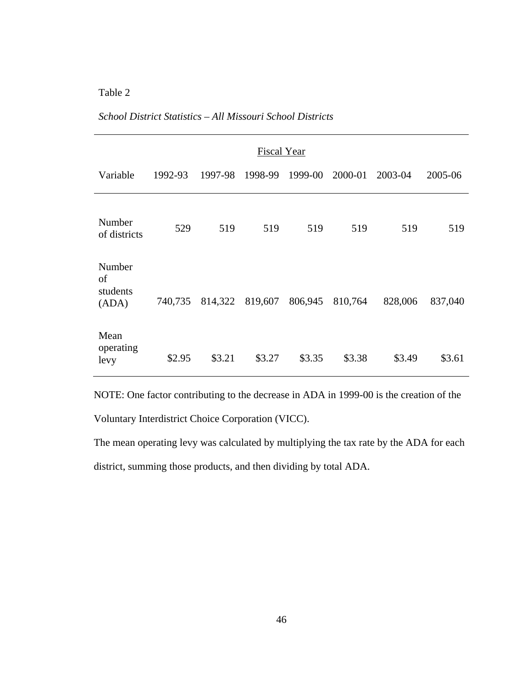# Table 2

| Fiscal Year                       |         |         |         |         |         |         |         |
|-----------------------------------|---------|---------|---------|---------|---------|---------|---------|
| Variable                          | 1992-93 | 1997-98 | 1998-99 | 1999-00 | 2000-01 | 2003-04 | 2005-06 |
| Number<br>of districts            | 529     | 519     | 519     | 519     | 519     | 519     | 519     |
| Number<br>of<br>students<br>(ADA) | 740,735 | 814,322 | 819,607 | 806,945 | 810,764 | 828,006 | 837,040 |
| Mean<br>operating<br>levy         | \$2.95  | \$3.21  | \$3.27  | \$3.35  | \$3.38  | \$3.49  | \$3.61  |

## *School District Statistics – All Missouri School Districts*

NOTE: One factor contributing to the decrease in ADA in 1999-00 is the creation of the Voluntary Interdistrict Choice Corporation (VICC).

The mean operating levy was calculated by multiplying the tax rate by the ADA for each district, summing those products, and then dividing by total ADA.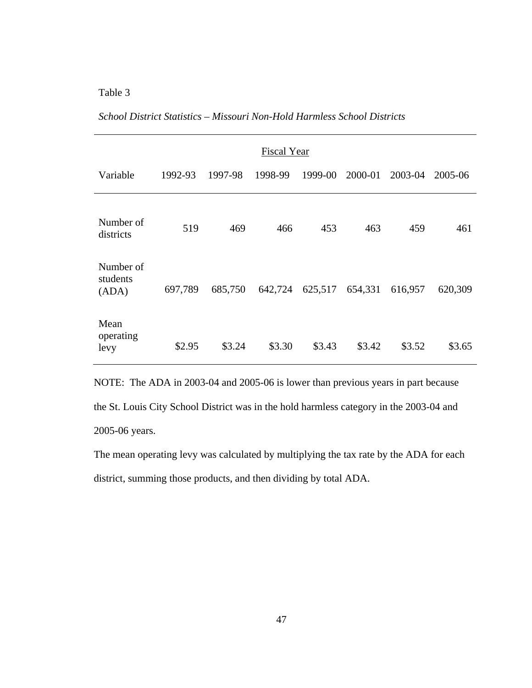# Table 3

| <b>Fiscal Year</b>             |         |         |         |         |         |         |         |
|--------------------------------|---------|---------|---------|---------|---------|---------|---------|
| Variable                       | 1992-93 | 1997-98 | 1998-99 | 1999-00 | 2000-01 | 2003-04 | 2005-06 |
| Number of<br>districts         | 519     | 469     | 466     | 453     | 463     | 459     | 461     |
| Number of<br>students<br>(ADA) | 697,789 | 685,750 | 642,724 | 625,517 | 654,331 | 616,957 | 620,309 |
| Mean<br>operating<br>levy      | \$2.95  | \$3.24  | \$3.30  | \$3.43  | \$3.42  | \$3.52  | \$3.65  |

*School District Statistics – Missouri Non-Hold Harmless School Districts* 

NOTE: The ADA in 2003-04 and 2005-06 is lower than previous years in part because the St. Louis City School District was in the hold harmless category in the 2003-04 and 2005-06 years.

The mean operating levy was calculated by multiplying the tax rate by the ADA for each district, summing those products, and then dividing by total ADA.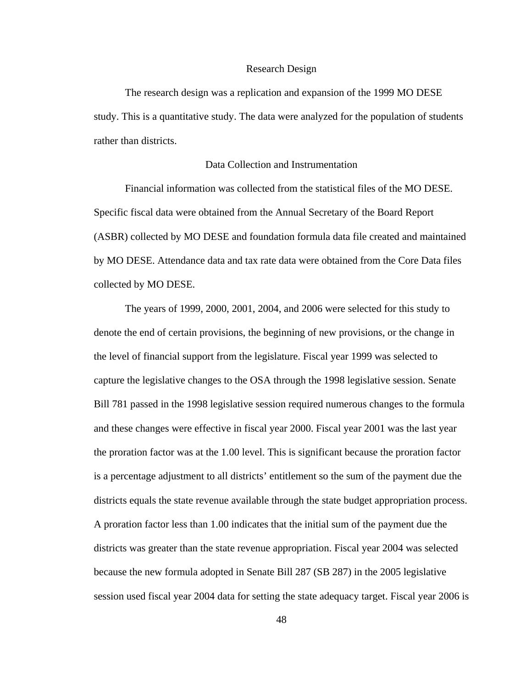#### Research Design

 The research design was a replication and expansion of the 1999 MO DESE study. This is a quantitative study. The data were analyzed for the population of students rather than districts.

#### Data Collection and Instrumentation

Financial information was collected from the statistical files of the MO DESE. Specific fiscal data were obtained from the Annual Secretary of the Board Report (ASBR) collected by MO DESE and foundation formula data file created and maintained by MO DESE. Attendance data and tax rate data were obtained from the Core Data files collected by MO DESE.

The years of 1999, 2000, 2001, 2004, and 2006 were selected for this study to denote the end of certain provisions, the beginning of new provisions, or the change in the level of financial support from the legislature. Fiscal year 1999 was selected to capture the legislative changes to the OSA through the 1998 legislative session. Senate Bill 781 passed in the 1998 legislative session required numerous changes to the formula and these changes were effective in fiscal year 2000. Fiscal year 2001 was the last year the proration factor was at the 1.00 level. This is significant because the proration factor is a percentage adjustment to all districts' entitlement so the sum of the payment due the districts equals the state revenue available through the state budget appropriation process. A proration factor less than 1.00 indicates that the initial sum of the payment due the districts was greater than the state revenue appropriation. Fiscal year 2004 was selected because the new formula adopted in Senate Bill 287 (SB 287) in the 2005 legislative session used fiscal year 2004 data for setting the state adequacy target. Fiscal year 2006 is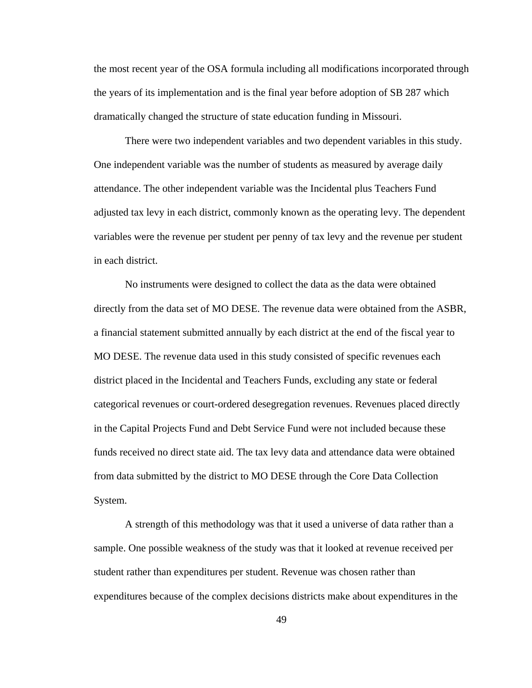the most recent year of the OSA formula including all modifications incorporated through the years of its implementation and is the final year before adoption of SB 287 which dramatically changed the structure of state education funding in Missouri.

There were two independent variables and two dependent variables in this study. One independent variable was the number of students as measured by average daily attendance. The other independent variable was the Incidental plus Teachers Fund adjusted tax levy in each district, commonly known as the operating levy. The dependent variables were the revenue per student per penny of tax levy and the revenue per student in each district.

No instruments were designed to collect the data as the data were obtained directly from the data set of MO DESE. The revenue data were obtained from the ASBR, a financial statement submitted annually by each district at the end of the fiscal year to MO DESE. The revenue data used in this study consisted of specific revenues each district placed in the Incidental and Teachers Funds, excluding any state or federal categorical revenues or court-ordered desegregation revenues. Revenues placed directly in the Capital Projects Fund and Debt Service Fund were not included because these funds received no direct state aid. The tax levy data and attendance data were obtained from data submitted by the district to MO DESE through the Core Data Collection System.

A strength of this methodology was that it used a universe of data rather than a sample. One possible weakness of the study was that it looked at revenue received per student rather than expenditures per student. Revenue was chosen rather than expenditures because of the complex decisions districts make about expenditures in the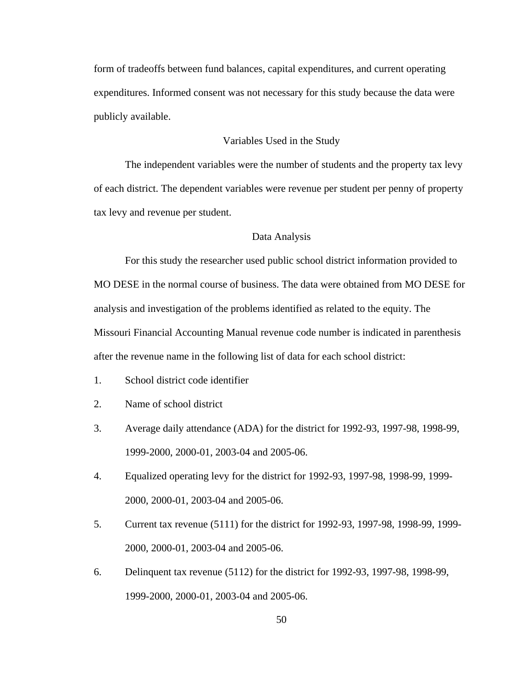form of tradeoffs between fund balances, capital expenditures, and current operating expenditures. Informed consent was not necessary for this study because the data were publicly available.

#### Variables Used in the Study

 The independent variables were the number of students and the property tax levy of each district. The dependent variables were revenue per student per penny of property tax levy and revenue per student.

### Data Analysis

For this study the researcher used public school district information provided to MO DESE in the normal course of business. The data were obtained from MO DESE for analysis and investigation of the problems identified as related to the equity. The Missouri Financial Accounting Manual revenue code number is indicated in parenthesis after the revenue name in the following list of data for each school district:

- 1. School district code identifier
- 2. Name of school district
- 3. Average daily attendance (ADA) for the district for 1992-93, 1997-98, 1998-99, 1999-2000, 2000-01, 2003-04 and 2005-06.
- 4. Equalized operating levy for the district for 1992-93, 1997-98, 1998-99, 1999- 2000, 2000-01, 2003-04 and 2005-06.
- 5. Current tax revenue (5111) for the district for 1992-93, 1997-98, 1998-99, 1999- 2000, 2000-01, 2003-04 and 2005-06.
- 6. Delinquent tax revenue (5112) for the district for 1992-93, 1997-98, 1998-99, 1999-2000, 2000-01, 2003-04 and 2005-06.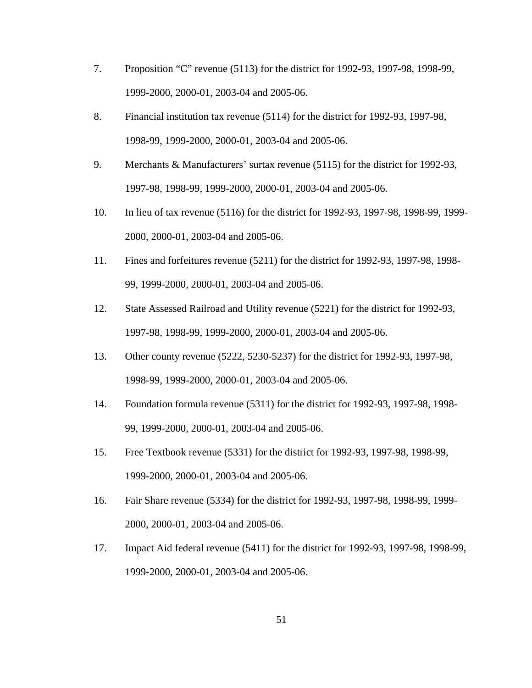- 7. Proposition "C" revenue (5113) for the district for 1992-93, 1997-98, 1998-99, 1999-2000, 2000-01, 2003-04 and 2005-06.
- 8. Financial institution tax revenue (5114) for the district for 1992-93, 1997-98, 1998-99, 1999-2000, 2000-01, 2003-04 and 2005-06.
- 9. Merchants & Manufacturers' surtax revenue (5115) for the district for 1992-93, 1997-98, 1998-99, 1999-2000, 2000-01, 2003-04 and 2005-06.
- 10. In lieu of tax revenue (5116) for the district for 1992-93, 1997-98, 1998-99, 1999- 2000, 2000-01, 2003-04 and 2005-06.
- 11. Fines and forfeitures revenue (5211) for the district for 1992-93, 1997-98, 1998- 99, 1999-2000, 2000-01, 2003-04 and 2005-06.
- 12. State Assessed Railroad and Utility revenue (5221) for the district for 1992-93, 1997-98, 1998-99, 1999-2000, 2000-01, 2003-04 and 2005-06.
- 13. Other county revenue (5222, 5230-5237) for the district for 1992-93, 1997-98, 1998-99, 1999-2000, 2000-01, 2003-04 and 2005-06.
- 14. Foundation formula revenue (5311) for the district for 1992-93, 1997-98, 1998- 99, 1999-2000, 2000-01, 2003-04 and 2005-06.
- 15. Free Textbook revenue (5331) for the district for 1992-93, 1997-98, 1998-99, 1999-2000, 2000-01, 2003-04 and 2005-06.
- 16. Fair Share revenue (5334) for the district for 1992-93, 1997-98, 1998-99, 1999- 2000, 2000-01, 2003-04 and 2005-06.
- 17. Impact Aid federal revenue (5411) for the district for 1992-93, 1997-98, 1998-99, 1999-2000, 2000-01, 2003-04 and 2005-06.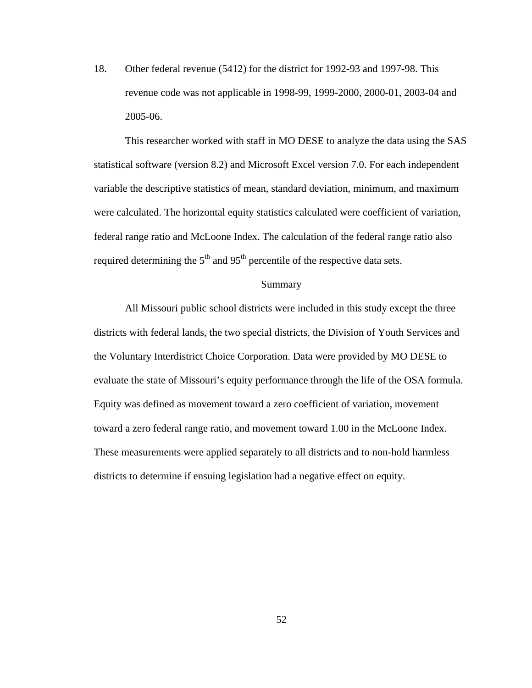18. Other federal revenue (5412) for the district for 1992-93 and 1997-98. This revenue code was not applicable in 1998-99, 1999-2000, 2000-01, 2003-04 and 2005-06.

This researcher worked with staff in MO DESE to analyze the data using the SAS statistical software (version 8.2) and Microsoft Excel version 7.0. For each independent variable the descriptive statistics of mean, standard deviation, minimum, and maximum were calculated. The horizontal equity statistics calculated were coefficient of variation, federal range ratio and McLoone Index. The calculation of the federal range ratio also required determining the  $5<sup>th</sup>$  and  $95<sup>th</sup>$  percentile of the respective data sets.

#### Summary

 All Missouri public school districts were included in this study except the three districts with federal lands, the two special districts, the Division of Youth Services and the Voluntary Interdistrict Choice Corporation. Data were provided by MO DESE to evaluate the state of Missouri's equity performance through the life of the OSA formula. Equity was defined as movement toward a zero coefficient of variation, movement toward a zero federal range ratio, and movement toward 1.00 in the McLoone Index. These measurements were applied separately to all districts and to non-hold harmless districts to determine if ensuing legislation had a negative effect on equity.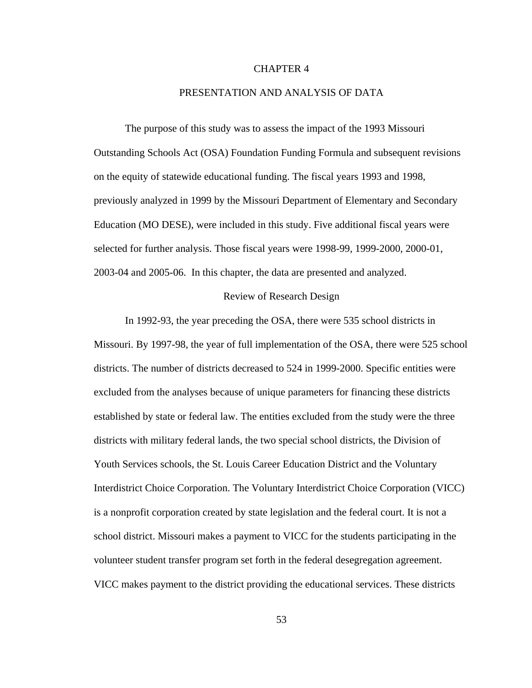#### CHAPTER 4

## PRESENTATION AND ANALYSIS OF DATA

The purpose of this study was to assess the impact of the 1993 Missouri Outstanding Schools Act (OSA) Foundation Funding Formula and subsequent revisions on the equity of statewide educational funding. The fiscal years 1993 and 1998, previously analyzed in 1999 by the Missouri Department of Elementary and Secondary Education (MO DESE), were included in this study. Five additional fiscal years were selected for further analysis. Those fiscal years were 1998-99, 1999-2000, 2000-01, 2003-04 and 2005-06. In this chapter, the data are presented and analyzed.

### Review of Research Design

In 1992-93, the year preceding the OSA, there were 535 school districts in Missouri. By 1997-98, the year of full implementation of the OSA, there were 525 school districts. The number of districts decreased to 524 in 1999-2000. Specific entities were excluded from the analyses because of unique parameters for financing these districts established by state or federal law. The entities excluded from the study were the three districts with military federal lands, the two special school districts, the Division of Youth Services schools, the St. Louis Career Education District and the Voluntary Interdistrict Choice Corporation. The Voluntary Interdistrict Choice Corporation (VICC) is a nonprofit corporation created by state legislation and the federal court. It is not a school district. Missouri makes a payment to VICC for the students participating in the volunteer student transfer program set forth in the federal desegregation agreement. VICC makes payment to the district providing the educational services. These districts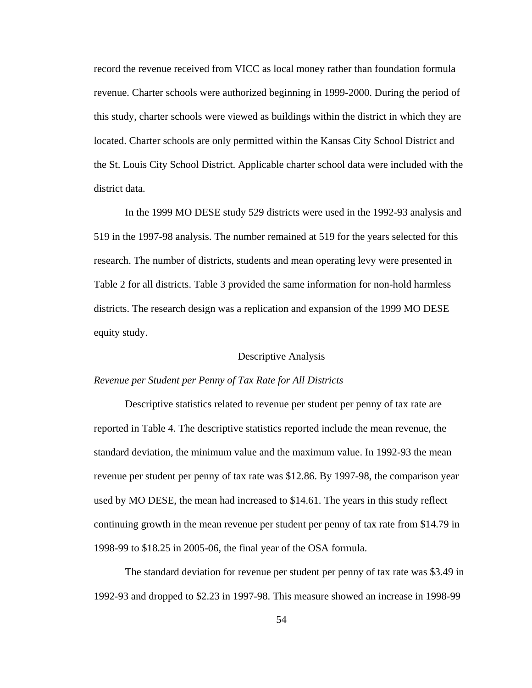record the revenue received from VICC as local money rather than foundation formula revenue. Charter schools were authorized beginning in 1999-2000. During the period of this study, charter schools were viewed as buildings within the district in which they are located. Charter schools are only permitted within the Kansas City School District and the St. Louis City School District. Applicable charter school data were included with the district data.

In the 1999 MO DESE study 529 districts were used in the 1992-93 analysis and 519 in the 1997-98 analysis. The number remained at 519 for the years selected for this research. The number of districts, students and mean operating levy were presented in Table 2 for all districts. Table 3 provided the same information for non-hold harmless districts. The research design was a replication and expansion of the 1999 MO DESE equity study.

### Descriptive Analysis

#### *Revenue per Student per Penny of Tax Rate for All Districts*

 Descriptive statistics related to revenue per student per penny of tax rate are reported in Table 4. The descriptive statistics reported include the mean revenue, the standard deviation, the minimum value and the maximum value. In 1992-93 the mean revenue per student per penny of tax rate was \$12.86. By 1997-98, the comparison year used by MO DESE, the mean had increased to \$14.61. The years in this study reflect continuing growth in the mean revenue per student per penny of tax rate from \$14.79 in 1998-99 to \$18.25 in 2005-06, the final year of the OSA formula.

 The standard deviation for revenue per student per penny of tax rate was \$3.49 in 1992-93 and dropped to \$2.23 in 1997-98. This measure showed an increase in 1998-99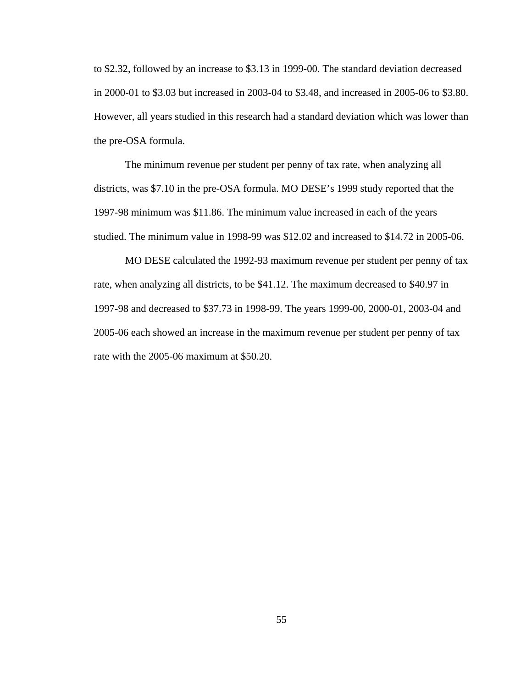to \$2.32, followed by an increase to \$3.13 in 1999-00. The standard deviation decreased in 2000-01 to \$3.03 but increased in 2003-04 to \$3.48, and increased in 2005-06 to \$3.80. However, all years studied in this research had a standard deviation which was lower than the pre-OSA formula.

 The minimum revenue per student per penny of tax rate, when analyzing all districts, was \$7.10 in the pre-OSA formula. MO DESE's 1999 study reported that the 1997-98 minimum was \$11.86. The minimum value increased in each of the years studied. The minimum value in 1998-99 was \$12.02 and increased to \$14.72 in 2005-06.

 MO DESE calculated the 1992-93 maximum revenue per student per penny of tax rate, when analyzing all districts, to be \$41.12. The maximum decreased to \$40.97 in 1997-98 and decreased to \$37.73 in 1998-99. The years 1999-00, 2000-01, 2003-04 and 2005-06 each showed an increase in the maximum revenue per student per penny of tax rate with the 2005-06 maximum at \$50.20.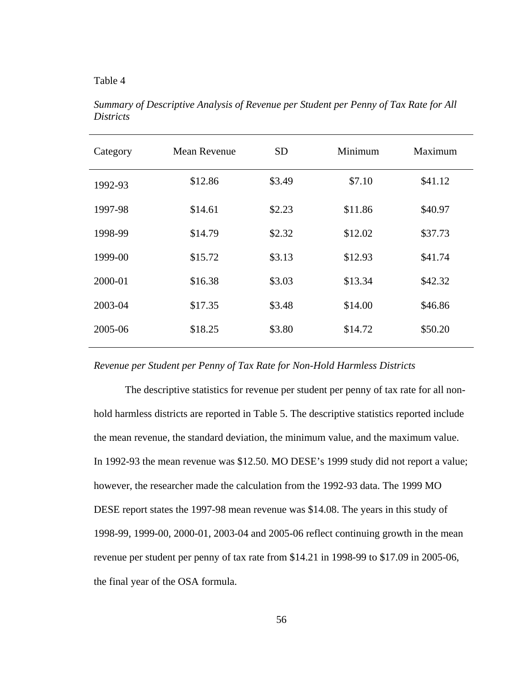### Table 4

| Category | <b>Mean Revenue</b> | <b>SD</b> | Minimum | Maximum |
|----------|---------------------|-----------|---------|---------|
| 1992-93  | \$12.86             | \$3.49    | \$7.10  | \$41.12 |
| 1997-98  | \$14.61             | \$2.23    | \$11.86 | \$40.97 |
| 1998-99  | \$14.79             | \$2.32    | \$12.02 | \$37.73 |
| 1999-00  | \$15.72             | \$3.13    | \$12.93 | \$41.74 |
| 2000-01  | \$16.38             | \$3.03    | \$13.34 | \$42.32 |
| 2003-04  | \$17.35             | \$3.48    | \$14.00 | \$46.86 |
| 2005-06  | \$18.25             | \$3.80    | \$14.72 | \$50.20 |

*Summary of Descriptive Analysis of Revenue per Student per Penny of Tax Rate for All Districts* 

#### *Revenue per Student per Penny of Tax Rate for Non-Hold Harmless Districts*

 The descriptive statistics for revenue per student per penny of tax rate for all nonhold harmless districts are reported in Table 5. The descriptive statistics reported include the mean revenue, the standard deviation, the minimum value, and the maximum value. In 1992-93 the mean revenue was \$12.50. MO DESE's 1999 study did not report a value; however, the researcher made the calculation from the 1992-93 data. The 1999 MO DESE report states the 1997-98 mean revenue was \$14.08. The years in this study of 1998-99, 1999-00, 2000-01, 2003-04 and 2005-06 reflect continuing growth in the mean revenue per student per penny of tax rate from \$14.21 in 1998-99 to \$17.09 in 2005-06, the final year of the OSA formula.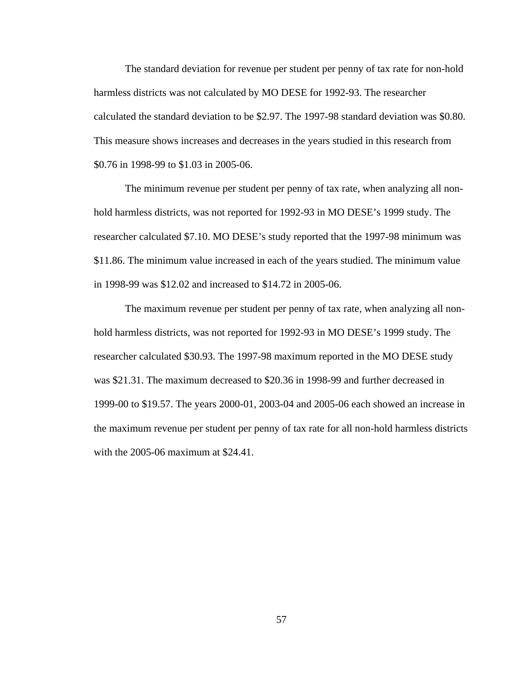The standard deviation for revenue per student per penny of tax rate for non-hold harmless districts was not calculated by MO DESE for 1992-93. The researcher calculated the standard deviation to be \$2.97. The 1997-98 standard deviation was \$0.80. This measure shows increases and decreases in the years studied in this research from \$0.76 in 1998-99 to \$1.03 in 2005-06.

 The minimum revenue per student per penny of tax rate, when analyzing all nonhold harmless districts, was not reported for 1992-93 in MO DESE's 1999 study. The researcher calculated \$7.10. MO DESE's study reported that the 1997-98 minimum was \$11.86. The minimum value increased in each of the years studied. The minimum value in 1998-99 was \$12.02 and increased to \$14.72 in 2005-06.

 The maximum revenue per student per penny of tax rate, when analyzing all nonhold harmless districts, was not reported for 1992-93 in MO DESE's 1999 study. The researcher calculated \$30.93. The 1997-98 maximum reported in the MO DESE study was \$21.31. The maximum decreased to \$20.36 in 1998-99 and further decreased in 1999-00 to \$19.57. The years 2000-01, 2003-04 and 2005-06 each showed an increase in the maximum revenue per student per penny of tax rate for all non-hold harmless districts with the 2005-06 maximum at \$24.41.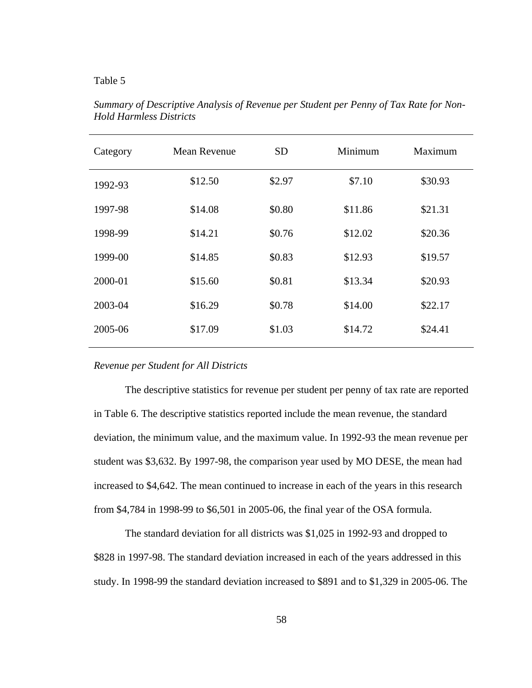## Table 5

| Category | Mean Revenue | <b>SD</b> | Minimum | Maximum |
|----------|--------------|-----------|---------|---------|
| 1992-93  | \$12.50      | \$2.97    | \$7.10  | \$30.93 |
| 1997-98  | \$14.08      | \$0.80    | \$11.86 | \$21.31 |
| 1998-99  | \$14.21      | \$0.76    | \$12.02 | \$20.36 |
| 1999-00  | \$14.85      | \$0.83    | \$12.93 | \$19.57 |
| 2000-01  | \$15.60      | \$0.81    | \$13.34 | \$20.93 |
| 2003-04  | \$16.29      | \$0.78    | \$14.00 | \$22.17 |
| 2005-06  | \$17.09      | \$1.03    | \$14.72 | \$24.41 |
|          |              |           |         |         |

*Summary of Descriptive Analysis of Revenue per Student per Penny of Tax Rate for Non-Hold Harmless Districts* 

#### *Revenue per Student for All Districts*

 The descriptive statistics for revenue per student per penny of tax rate are reported in Table 6. The descriptive statistics reported include the mean revenue, the standard deviation, the minimum value, and the maximum value. In 1992-93 the mean revenue per student was \$3,632. By 1997-98, the comparison year used by MO DESE, the mean had increased to \$4,642. The mean continued to increase in each of the years in this research from \$4,784 in 1998-99 to \$6,501 in 2005-06, the final year of the OSA formula.

 The standard deviation for all districts was \$1,025 in 1992-93 and dropped to \$828 in 1997-98. The standard deviation increased in each of the years addressed in this study. In 1998-99 the standard deviation increased to \$891 and to \$1,329 in 2005-06. The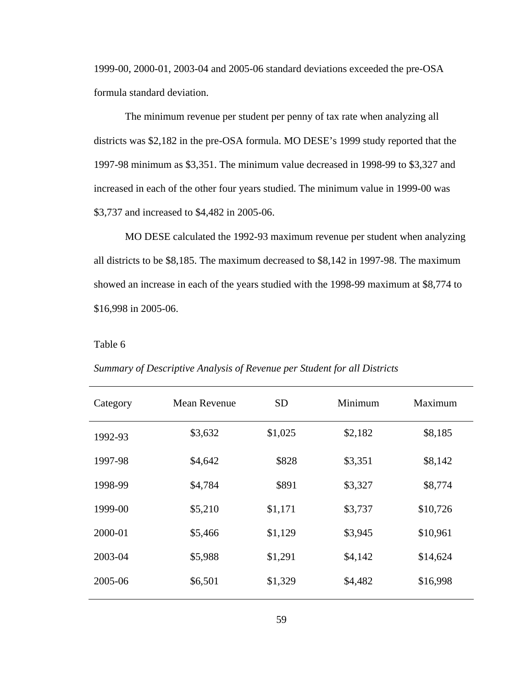1999-00, 2000-01, 2003-04 and 2005-06 standard deviations exceeded the pre-OSA formula standard deviation.

 The minimum revenue per student per penny of tax rate when analyzing all districts was \$2,182 in the pre-OSA formula. MO DESE's 1999 study reported that the 1997-98 minimum as \$3,351. The minimum value decreased in 1998-99 to \$3,327 and increased in each of the other four years studied. The minimum value in 1999-00 was \$3,737 and increased to \$4,482 in 2005-06.

 MO DESE calculated the 1992-93 maximum revenue per student when analyzing all districts to be \$8,185. The maximum decreased to \$8,142 in 1997-98. The maximum showed an increase in each of the years studied with the 1998-99 maximum at \$8,774 to \$16,998 in 2005-06.

## Table 6

| Category | Mean Revenue | <b>SD</b> | Minimum | Maximum  |
|----------|--------------|-----------|---------|----------|
| 1992-93  | \$3,632      | \$1,025   | \$2,182 | \$8,185  |
| 1997-98  | \$4,642      | \$828     | \$3,351 | \$8,142  |
| 1998-99  | \$4,784      | \$891     | \$3,327 | \$8,774  |
| 1999-00  | \$5,210      | \$1,171   | \$3,737 | \$10,726 |
| 2000-01  | \$5,466      | \$1,129   | \$3,945 | \$10,961 |
| 2003-04  | \$5,988      | \$1,291   | \$4,142 | \$14,624 |
| 2005-06  | \$6,501      | \$1,329   | \$4,482 | \$16,998 |

*Summary of Descriptive Analysis of Revenue per Student for all Districts*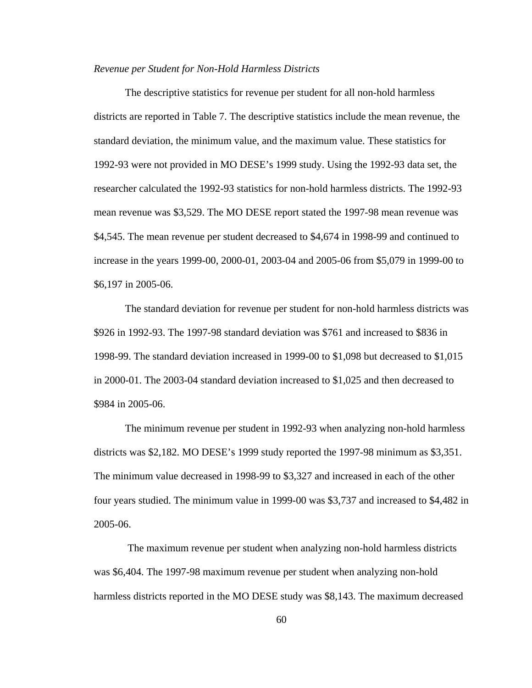#### *Revenue per Student for Non-Hold Harmless Districts*

 The descriptive statistics for revenue per student for all non-hold harmless districts are reported in Table 7. The descriptive statistics include the mean revenue, the standard deviation, the minimum value, and the maximum value. These statistics for 1992-93 were not provided in MO DESE's 1999 study. Using the 1992-93 data set, the researcher calculated the 1992-93 statistics for non-hold harmless districts. The 1992-93 mean revenue was \$3,529. The MO DESE report stated the 1997-98 mean revenue was \$4,545. The mean revenue per student decreased to \$4,674 in 1998-99 and continued to increase in the years 1999-00, 2000-01, 2003-04 and 2005-06 from \$5,079 in 1999-00 to \$6,197 in 2005-06.

 The standard deviation for revenue per student for non-hold harmless districts was \$926 in 1992-93. The 1997-98 standard deviation was \$761 and increased to \$836 in 1998-99. The standard deviation increased in 1999-00 to \$1,098 but decreased to \$1,015 in 2000-01. The 2003-04 standard deviation increased to \$1,025 and then decreased to \$984 in 2005-06.

 The minimum revenue per student in 1992-93 when analyzing non-hold harmless districts was \$2,182. MO DESE's 1999 study reported the 1997-98 minimum as \$3,351. The minimum value decreased in 1998-99 to \$3,327 and increased in each of the other four years studied. The minimum value in 1999-00 was \$3,737 and increased to \$4,482 in 2005-06.

 The maximum revenue per student when analyzing non-hold harmless districts was \$6,404. The 1997-98 maximum revenue per student when analyzing non-hold harmless districts reported in the MO DESE study was \$8,143. The maximum decreased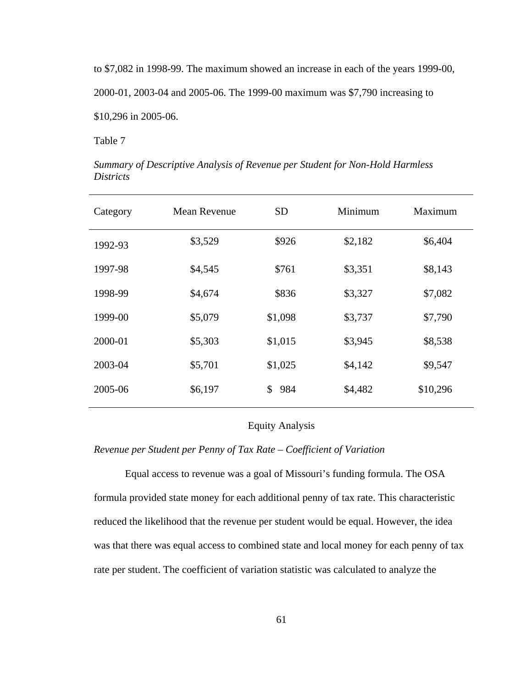to \$7,082 in 1998-99. The maximum showed an increase in each of the years 1999-00,

2000-01, 2003-04 and 2005-06. The 1999-00 maximum was \$7,790 increasing to

\$10,296 in 2005-06.

Table 7

|                  | Summary of Descriptive Analysis of Revenue per Student for Non-Hold Harmless |  |  |  |
|------------------|------------------------------------------------------------------------------|--|--|--|
| <i>Districts</i> |                                                                              |  |  |  |

| Category | <b>Mean Revenue</b> | <b>SD</b> | Minimum | Maximum  |
|----------|---------------------|-----------|---------|----------|
| 1992-93  | \$3,529             | \$926     | \$2,182 | \$6,404  |
| 1997-98  | \$4,545             | \$761     | \$3,351 | \$8,143  |
| 1998-99  | \$4,674             | \$836     | \$3,327 | \$7,082  |
| 1999-00  | \$5,079             | \$1,098   | \$3,737 | \$7,790  |
| 2000-01  | \$5,303             | \$1,015   | \$3,945 | \$8,538  |
| 2003-04  | \$5,701             | \$1,025   | \$4,142 | \$9,547  |
| 2005-06  | \$6,197             | 984<br>\$ | \$4,482 | \$10,296 |
|          |                     |           |         |          |

## Equity Analysis

## *Revenue per Student per Penny of Tax Rate – Coefficient of Variation*

 Equal access to revenue was a goal of Missouri's funding formula. The OSA formula provided state money for each additional penny of tax rate. This characteristic reduced the likelihood that the revenue per student would be equal. However, the idea was that there was equal access to combined state and local money for each penny of tax rate per student. The coefficient of variation statistic was calculated to analyze the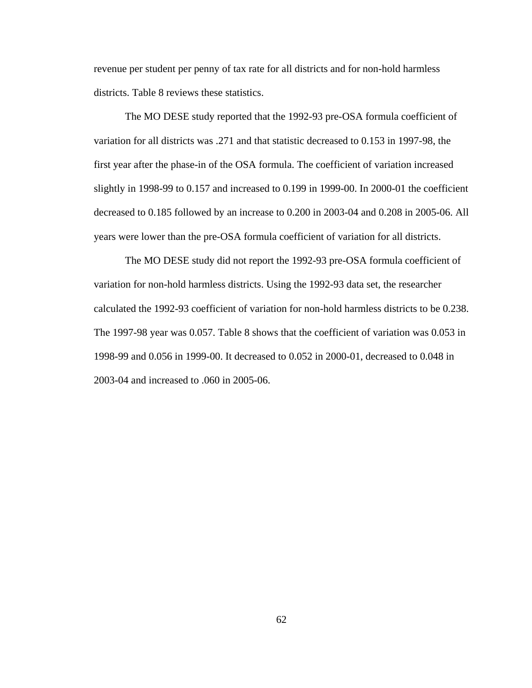revenue per student per penny of tax rate for all districts and for non-hold harmless districts. Table 8 reviews these statistics.

 The MO DESE study reported that the 1992-93 pre-OSA formula coefficient of variation for all districts was .271 and that statistic decreased to 0.153 in 1997-98, the first year after the phase-in of the OSA formula. The coefficient of variation increased slightly in 1998-99 to 0.157 and increased to 0.199 in 1999-00. In 2000-01 the coefficient decreased to 0.185 followed by an increase to 0.200 in 2003-04 and 0.208 in 2005-06. All years were lower than the pre-OSA formula coefficient of variation for all districts.

 The MO DESE study did not report the 1992-93 pre-OSA formula coefficient of variation for non-hold harmless districts. Using the 1992-93 data set, the researcher calculated the 1992-93 coefficient of variation for non-hold harmless districts to be 0.238. The 1997-98 year was 0.057. Table 8 shows that the coefficient of variation was 0.053 in 1998-99 and 0.056 in 1999-00. It decreased to 0.052 in 2000-01, decreased to 0.048 in 2003-04 and increased to .060 in 2005-06.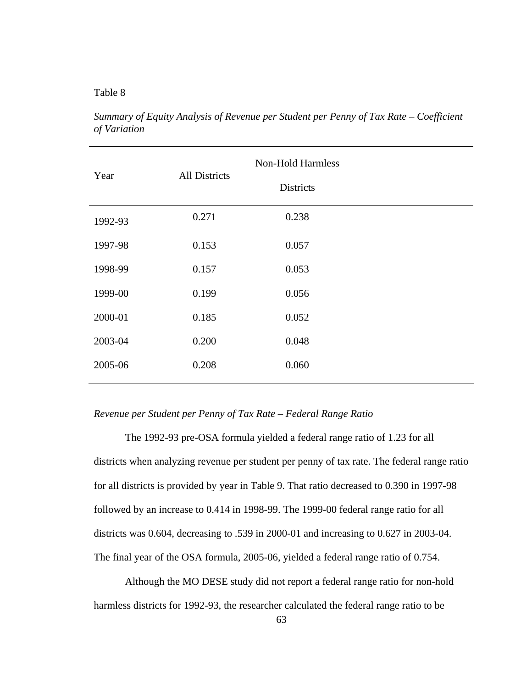## Table 8

*Summary of Equity Analysis of Revenue per Student per Penny of Tax Rate – Coefficient of Variation* 

| Year    | <b>All Districts</b> | <b>Non-Hold Harmless</b><br><b>Districts</b> |  |
|---------|----------------------|----------------------------------------------|--|
| 1992-93 | 0.271                | 0.238                                        |  |
| 1997-98 | 0.153                | 0.057                                        |  |
| 1998-99 | 0.157                | 0.053                                        |  |
| 1999-00 | 0.199                | 0.056                                        |  |
| 2000-01 | 0.185                | 0.052                                        |  |
| 2003-04 | 0.200                | 0.048                                        |  |
| 2005-06 | 0.208                | 0.060                                        |  |

### *Revenue per Student per Penny of Tax Rate – Federal Range Ratio*

 The 1992-93 pre-OSA formula yielded a federal range ratio of 1.23 for all districts when analyzing revenue per student per penny of tax rate. The federal range ratio for all districts is provided by year in Table 9. That ratio decreased to 0.390 in 1997-98 followed by an increase to 0.414 in 1998-99. The 1999-00 federal range ratio for all districts was 0.604, decreasing to .539 in 2000-01 and increasing to 0.627 in 2003-04. The final year of the OSA formula, 2005-06, yielded a federal range ratio of 0.754.

 Although the MO DESE study did not report a federal range ratio for non-hold harmless districts for 1992-93, the researcher calculated the federal range ratio to be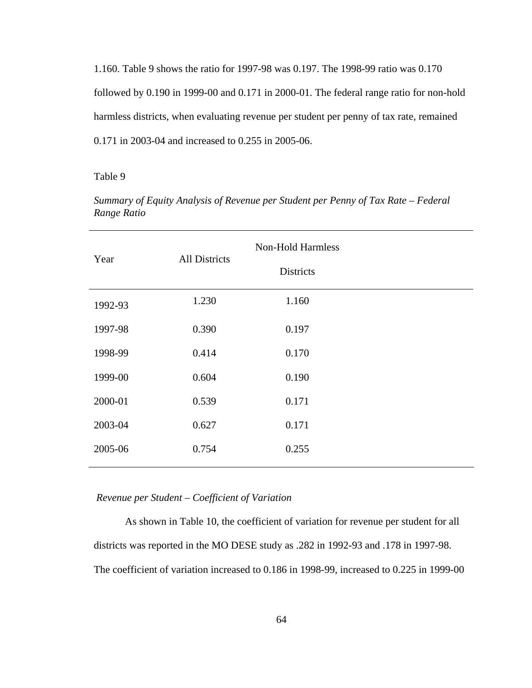1.160. Table 9 shows the ratio for 1997-98 was 0.197. The 1998-99 ratio was 0.170 followed by 0.190 in 1999-00 and 0.171 in 2000-01. The federal range ratio for non-hold harmless districts, when evaluating revenue per student per penny of tax rate, remained 0.171 in 2003-04 and increased to 0.255 in 2005-06.

# Table 9

| Year    | <b>All Districts</b> | <b>Non-Hold Harmless</b><br><b>Districts</b> |  |
|---------|----------------------|----------------------------------------------|--|
| 1992-93 | 1.230                | 1.160                                        |  |
| 1997-98 | 0.390                | 0.197                                        |  |
| 1998-99 | 0.414                | 0.170                                        |  |
| 1999-00 | 0.604                | 0.190                                        |  |
| 2000-01 | 0.539                | 0.171                                        |  |
| 2003-04 | 0.627                | 0.171                                        |  |
| 2005-06 | 0.754                | 0.255                                        |  |
|         |                      |                                              |  |

*Summary of Equity Analysis of Revenue per Student per Penny of Tax Rate – Federal Range Ratio* 

#### *Revenue per Student – Coefficient of Variation*

 As shown in Table 10, the coefficient of variation for revenue per student for all districts was reported in the MO DESE study as .282 in 1992-93 and .178 in 1997-98. The coefficient of variation increased to 0.186 in 1998-99, increased to 0.225 in 1999-00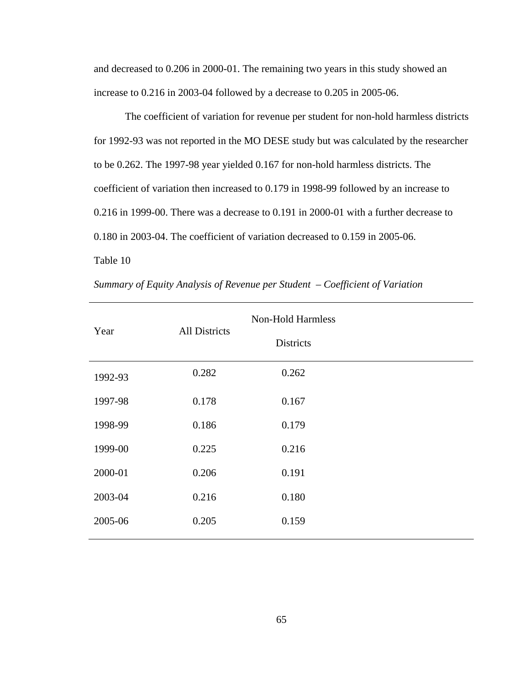and decreased to 0.206 in 2000-01. The remaining two years in this study showed an increase to 0.216 in 2003-04 followed by a decrease to 0.205 in 2005-06.

 The coefficient of variation for revenue per student for non-hold harmless districts for 1992-93 was not reported in the MO DESE study but was calculated by the researcher to be 0.262. The 1997-98 year yielded 0.167 for non-hold harmless districts. The coefficient of variation then increased to 0.179 in 1998-99 followed by an increase to 0.216 in 1999-00. There was a decrease to 0.191 in 2000-01 with a further decrease to 0.180 in 2003-04. The coefficient of variation decreased to 0.159 in 2005-06. Table 10

|         |                      | <b>Non-Hold Harmless</b> |  |
|---------|----------------------|--------------------------|--|
| Year    | <b>All Districts</b> | <b>Districts</b>         |  |
| 1992-93 | 0.282                | 0.262                    |  |
| 1997-98 | 0.178                | 0.167                    |  |
| 1998-99 | 0.186                | 0.179                    |  |
| 1999-00 | 0.225                | 0.216                    |  |
| 2000-01 | 0.206                | 0.191                    |  |
| 2003-04 | 0.216                | 0.180                    |  |
| 2005-06 | 0.205                | 0.159                    |  |
|         |                      |                          |  |

*Summary of Equity Analysis of Revenue per Student – Coefficient of Variation*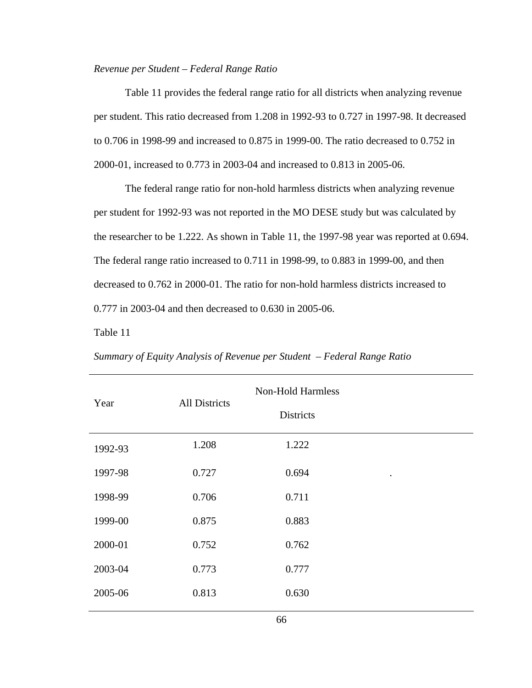# *Revenue per Student – Federal Range Ratio*

 Table 11 provides the federal range ratio for all districts when analyzing revenue per student. This ratio decreased from 1.208 in 1992-93 to 0.727 in 1997-98. It decreased to 0.706 in 1998-99 and increased to 0.875 in 1999-00. The ratio decreased to 0.752 in 2000-01, increased to 0.773 in 2003-04 and increased to 0.813 in 2005-06.

 The federal range ratio for non-hold harmless districts when analyzing revenue per student for 1992-93 was not reported in the MO DESE study but was calculated by the researcher to be 1.222. As shown in Table 11, the 1997-98 year was reported at 0.694. The federal range ratio increased to 0.711 in 1998-99, to 0.883 in 1999-00, and then decreased to 0.762 in 2000-01. The ratio for non-hold harmless districts increased to 0.777 in 2003-04 and then decreased to 0.630 in 2005-06.

Table 11

| Year    | <b>All Districts</b> | <b>Non-Hold Harmless</b><br><b>Districts</b> |           |
|---------|----------------------|----------------------------------------------|-----------|
| 1992-93 | 1.208                | 1.222                                        |           |
| 1997-98 | 0.727                | 0.694                                        | $\bullet$ |
| 1998-99 | 0.706                | 0.711                                        |           |
| 1999-00 | 0.875                | 0.883                                        |           |
| 2000-01 | 0.752                | 0.762                                        |           |
| 2003-04 | 0.773                | 0.777                                        |           |
| 2005-06 | 0.813                | 0.630                                        |           |
|         |                      |                                              |           |

*Summary of Equity Analysis of Revenue per Student – Federal Range Ratio*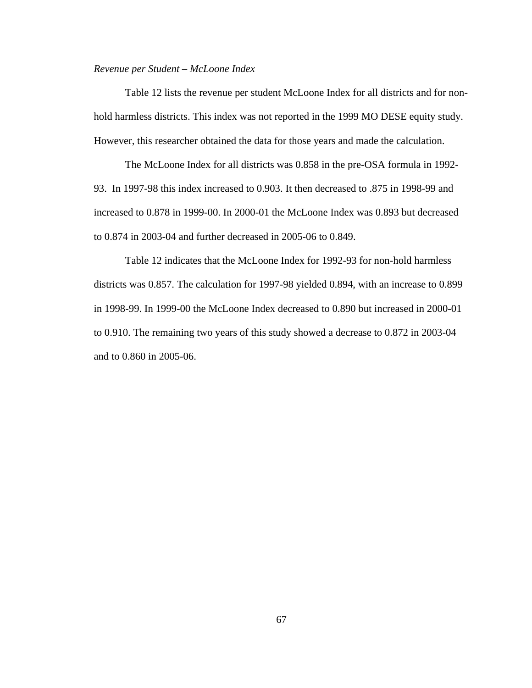### *Revenue per Student – McLoone Index*

 Table 12 lists the revenue per student McLoone Index for all districts and for nonhold harmless districts. This index was not reported in the 1999 MO DESE equity study. However, this researcher obtained the data for those years and made the calculation.

 The McLoone Index for all districts was 0.858 in the pre-OSA formula in 1992- 93. In 1997-98 this index increased to 0.903. It then decreased to .875 in 1998-99 and increased to 0.878 in 1999-00. In 2000-01 the McLoone Index was 0.893 but decreased to 0.874 in 2003-04 and further decreased in 2005-06 to 0.849.

 Table 12 indicates that the McLoone Index for 1992-93 for non-hold harmless districts was 0.857. The calculation for 1997-98 yielded 0.894, with an increase to 0.899 in 1998-99. In 1999-00 the McLoone Index decreased to 0.890 but increased in 2000-01 to 0.910. The remaining two years of this study showed a decrease to 0.872 in 2003-04 and to 0.860 in 2005-06.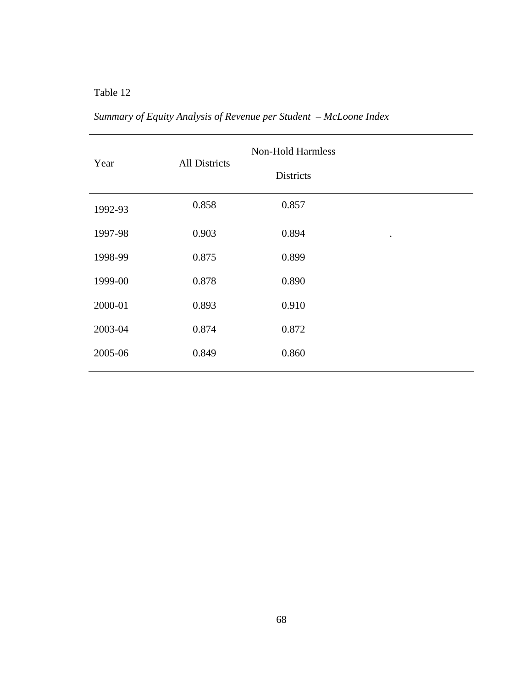# Table 12

| Year    | <b>All Districts</b> | <b>Non-Hold Harmless</b><br><b>Districts</b> |           |
|---------|----------------------|----------------------------------------------|-----------|
| 1992-93 | 0.858                | 0.857                                        |           |
| 1997-98 | 0.903                | 0.894                                        | $\bullet$ |
| 1998-99 | 0.875                | 0.899                                        |           |
| 1999-00 | 0.878                | 0.890                                        |           |
| 2000-01 | 0.893                | 0.910                                        |           |
| 2003-04 | 0.874                | 0.872                                        |           |
| 2005-06 | 0.849                | 0.860                                        |           |

*Summary of Equity Analysis of Revenue per Student – McLoone Index*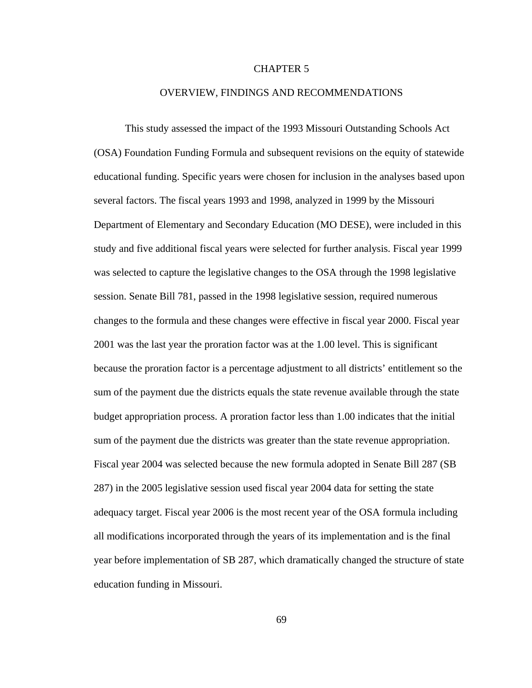#### CHAPTER 5

#### OVERVIEW, FINDINGS AND RECOMMENDATIONS

 This study assessed the impact of the 1993 Missouri Outstanding Schools Act (OSA) Foundation Funding Formula and subsequent revisions on the equity of statewide educational funding. Specific years were chosen for inclusion in the analyses based upon several factors. The fiscal years 1993 and 1998, analyzed in 1999 by the Missouri Department of Elementary and Secondary Education (MO DESE), were included in this study and five additional fiscal years were selected for further analysis. Fiscal year 1999 was selected to capture the legislative changes to the OSA through the 1998 legislative session. Senate Bill 781, passed in the 1998 legislative session, required numerous changes to the formula and these changes were effective in fiscal year 2000. Fiscal year 2001 was the last year the proration factor was at the 1.00 level. This is significant because the proration factor is a percentage adjustment to all districts' entitlement so the sum of the payment due the districts equals the state revenue available through the state budget appropriation process. A proration factor less than 1.00 indicates that the initial sum of the payment due the districts was greater than the state revenue appropriation. Fiscal year 2004 was selected because the new formula adopted in Senate Bill 287 (SB 287) in the 2005 legislative session used fiscal year 2004 data for setting the state adequacy target. Fiscal year 2006 is the most recent year of the OSA formula including all modifications incorporated through the years of its implementation and is the final year before implementation of SB 287, which dramatically changed the structure of state education funding in Missouri.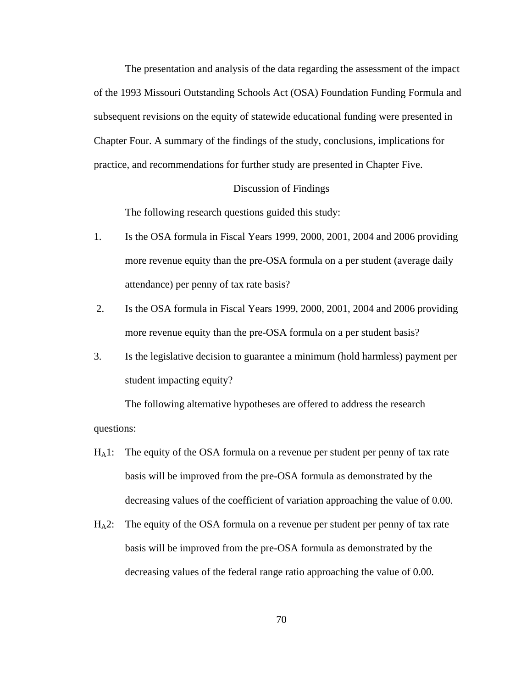The presentation and analysis of the data regarding the assessment of the impact of the 1993 Missouri Outstanding Schools Act (OSA) Foundation Funding Formula and subsequent revisions on the equity of statewide educational funding were presented in Chapter Four. A summary of the findings of the study, conclusions, implications for practice, and recommendations for further study are presented in Chapter Five.

# Discussion of Findings

The following research questions guided this study:

- 1. Is the OSA formula in Fiscal Years 1999, 2000, 2001, 2004 and 2006 providing more revenue equity than the pre-OSA formula on a per student (average daily attendance) per penny of tax rate basis?
- 2. Is the OSA formula in Fiscal Years 1999, 2000, 2001, 2004 and 2006 providing more revenue equity than the pre-OSA formula on a per student basis?
- 3. Is the legislative decision to guarantee a minimum (hold harmless) payment per student impacting equity?

The following alternative hypotheses are offered to address the research questions:

- HA1: The equity of the OSA formula on a revenue per student per penny of tax rate basis will be improved from the pre-OSA formula as demonstrated by the decreasing values of the coefficient of variation approaching the value of 0.00.
- H<sub>A</sub>2: The equity of the OSA formula on a revenue per student per penny of tax rate basis will be improved from the pre-OSA formula as demonstrated by the decreasing values of the federal range ratio approaching the value of 0.00.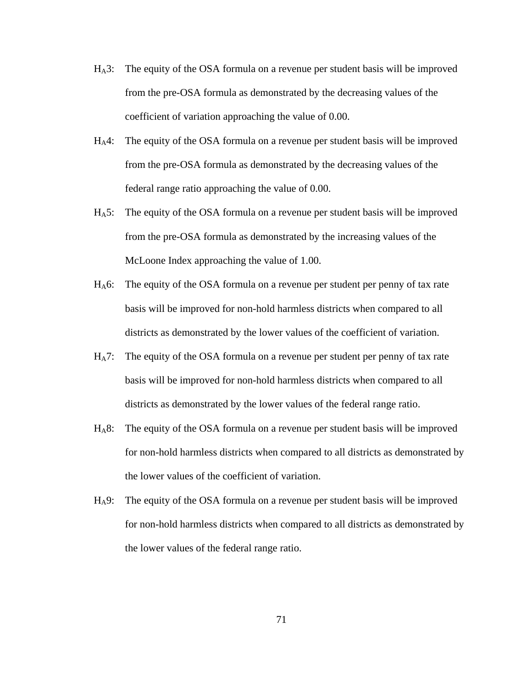- HA3: The equity of the OSA formula on a revenue per student basis will be improved from the pre-OSA formula as demonstrated by the decreasing values of the coefficient of variation approaching the value of 0.00.
- HA4: The equity of the OSA formula on a revenue per student basis will be improved from the pre-OSA formula as demonstrated by the decreasing values of the federal range ratio approaching the value of 0.00.
- HA5: The equity of the OSA formula on a revenue per student basis will be improved from the pre-OSA formula as demonstrated by the increasing values of the McLoone Index approaching the value of 1.00.
- HA6: The equity of the OSA formula on a revenue per student per penny of tax rate basis will be improved for non-hold harmless districts when compared to all districts as demonstrated by the lower values of the coefficient of variation.
- HA7: The equity of the OSA formula on a revenue per student per penny of tax rate basis will be improved for non-hold harmless districts when compared to all districts as demonstrated by the lower values of the federal range ratio.
- HA8: The equity of the OSA formula on a revenue per student basis will be improved for non-hold harmless districts when compared to all districts as demonstrated by the lower values of the coefficient of variation.
- HA9: The equity of the OSA formula on a revenue per student basis will be improved for non-hold harmless districts when compared to all districts as demonstrated by the lower values of the federal range ratio.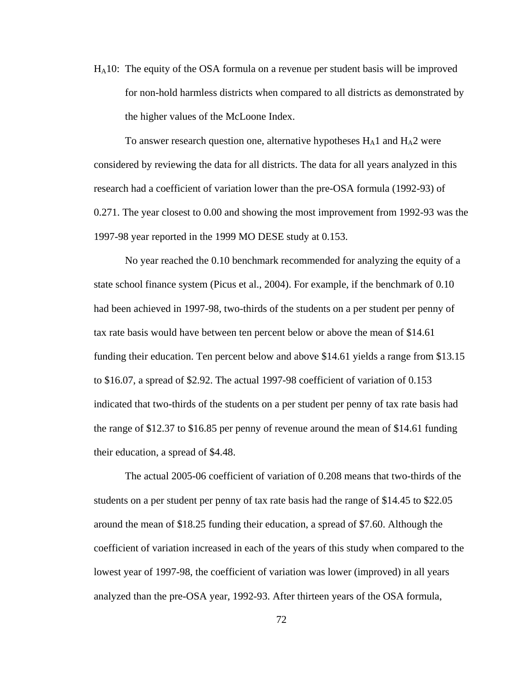HA10: The equity of the OSA formula on a revenue per student basis will be improved for non-hold harmless districts when compared to all districts as demonstrated by the higher values of the McLoone Index.

To answer research question one, alternative hypotheses  $H_A1$  and  $H_A2$  were considered by reviewing the data for all districts. The data for all years analyzed in this research had a coefficient of variation lower than the pre-OSA formula (1992-93) of 0.271. The year closest to 0.00 and showing the most improvement from 1992-93 was the 1997-98 year reported in the 1999 MO DESE study at 0.153.

No year reached the 0.10 benchmark recommended for analyzing the equity of a state school finance system (Picus et al., 2004). For example, if the benchmark of 0.10 had been achieved in 1997-98, two-thirds of the students on a per student per penny of tax rate basis would have between ten percent below or above the mean of \$14.61 funding their education. Ten percent below and above \$14.61 yields a range from \$13.15 to \$16.07, a spread of \$2.92. The actual 1997-98 coefficient of variation of 0.153 indicated that two-thirds of the students on a per student per penny of tax rate basis had the range of \$12.37 to \$16.85 per penny of revenue around the mean of \$14.61 funding their education, a spread of \$4.48.

The actual 2005-06 coefficient of variation of 0.208 means that two-thirds of the students on a per student per penny of tax rate basis had the range of \$14.45 to \$22.05 around the mean of \$18.25 funding their education, a spread of \$7.60. Although the coefficient of variation increased in each of the years of this study when compared to the lowest year of 1997-98, the coefficient of variation was lower (improved) in all years analyzed than the pre-OSA year, 1992-93. After thirteen years of the OSA formula,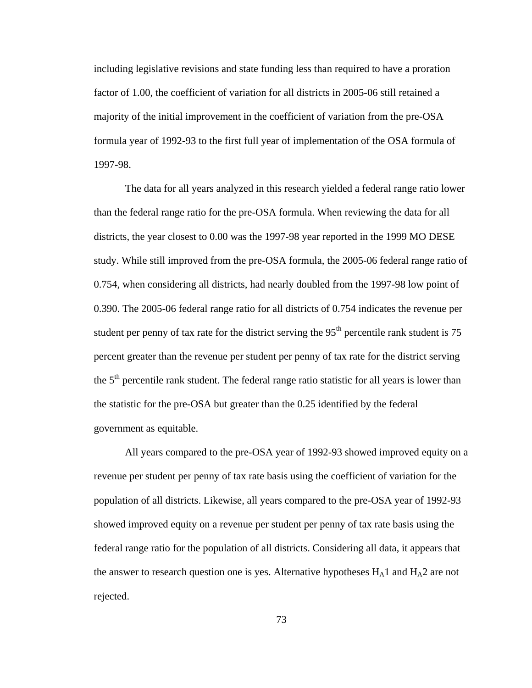including legislative revisions and state funding less than required to have a proration factor of 1.00, the coefficient of variation for all districts in 2005-06 still retained a majority of the initial improvement in the coefficient of variation from the pre-OSA formula year of 1992-93 to the first full year of implementation of the OSA formula of 1997-98.

The data for all years analyzed in this research yielded a federal range ratio lower than the federal range ratio for the pre-OSA formula. When reviewing the data for all districts, the year closest to 0.00 was the 1997-98 year reported in the 1999 MO DESE study. While still improved from the pre-OSA formula, the 2005-06 federal range ratio of 0.754, when considering all districts, had nearly doubled from the 1997-98 low point of 0.390. The 2005-06 federal range ratio for all districts of 0.754 indicates the revenue per student per penny of tax rate for the district serving the  $95<sup>th</sup>$  percentile rank student is 75 percent greater than the revenue per student per penny of tax rate for the district serving the  $5<sup>th</sup>$  percentile rank student. The federal range ratio statistic for all years is lower than the statistic for the pre-OSA but greater than the 0.25 identified by the federal government as equitable.

All years compared to the pre-OSA year of 1992-93 showed improved equity on a revenue per student per penny of tax rate basis using the coefficient of variation for the population of all districts. Likewise, all years compared to the pre-OSA year of 1992-93 showed improved equity on a revenue per student per penny of tax rate basis using the federal range ratio for the population of all districts. Considering all data, it appears that the answer to research question one is yes. Alternative hypotheses  $H_A1$  and  $H_A2$  are not rejected.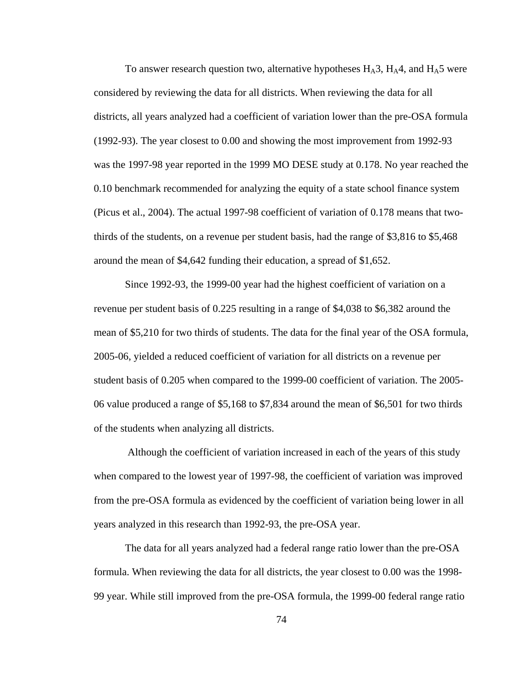To answer research question two, alternative hypotheses  $H_A$ 3,  $H_A$ 4, and  $H_A$ 5 were considered by reviewing the data for all districts. When reviewing the data for all districts, all years analyzed had a coefficient of variation lower than the pre-OSA formula (1992-93). The year closest to 0.00 and showing the most improvement from 1992-93 was the 1997-98 year reported in the 1999 MO DESE study at 0.178. No year reached the 0.10 benchmark recommended for analyzing the equity of a state school finance system (Picus et al., 2004). The actual 1997-98 coefficient of variation of 0.178 means that twothirds of the students, on a revenue per student basis, had the range of \$3,816 to \$5,468 around the mean of \$4,642 funding their education, a spread of \$1,652.

Since 1992-93, the 1999-00 year had the highest coefficient of variation on a revenue per student basis of 0.225 resulting in a range of \$4,038 to \$6,382 around the mean of \$5,210 for two thirds of students. The data for the final year of the OSA formula, 2005-06, yielded a reduced coefficient of variation for all districts on a revenue per student basis of 0.205 when compared to the 1999-00 coefficient of variation. The 2005- 06 value produced a range of \$5,168 to \$7,834 around the mean of \$6,501 for two thirds of the students when analyzing all districts.

 Although the coefficient of variation increased in each of the years of this study when compared to the lowest year of 1997-98, the coefficient of variation was improved from the pre-OSA formula as evidenced by the coefficient of variation being lower in all years analyzed in this research than 1992-93, the pre-OSA year.

The data for all years analyzed had a federal range ratio lower than the pre-OSA formula. When reviewing the data for all districts, the year closest to 0.00 was the 1998- 99 year. While still improved from the pre-OSA formula, the 1999-00 federal range ratio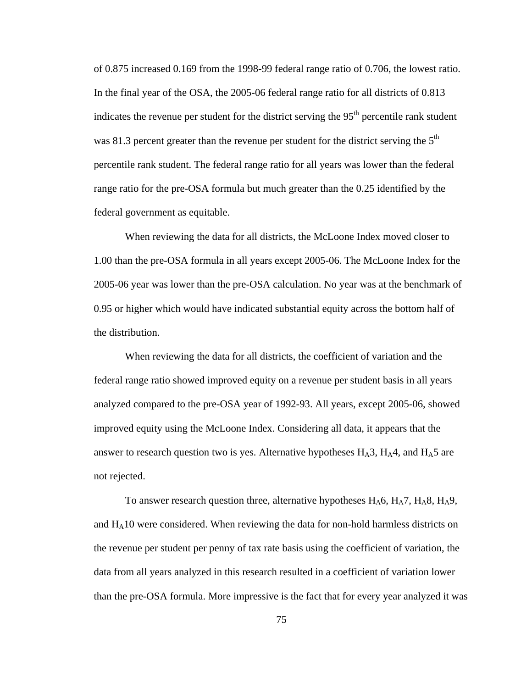of 0.875 increased 0.169 from the 1998-99 federal range ratio of 0.706, the lowest ratio. In the final year of the OSA, the 2005-06 federal range ratio for all districts of 0.813 indicates the revenue per student for the district serving the  $95<sup>th</sup>$  percentile rank student was 81.3 percent greater than the revenue per student for the district serving the  $5<sup>th</sup>$ percentile rank student. The federal range ratio for all years was lower than the federal range ratio for the pre-OSA formula but much greater than the 0.25 identified by the federal government as equitable.

When reviewing the data for all districts, the McLoone Index moved closer to 1.00 than the pre-OSA formula in all years except 2005-06. The McLoone Index for the 2005-06 year was lower than the pre-OSA calculation. No year was at the benchmark of 0.95 or higher which would have indicated substantial equity across the bottom half of the distribution.

When reviewing the data for all districts, the coefficient of variation and the federal range ratio showed improved equity on a revenue per student basis in all years analyzed compared to the pre-OSA year of 1992-93. All years, except 2005-06, showed improved equity using the McLoone Index. Considering all data, it appears that the answer to research question two is yes. Alternative hypotheses  $H_A$ 3,  $H_A$ 4, and  $H_A$ 5 are not rejected.

To answer research question three, alternative hypotheses  $H_A$ 6,  $H_A$ 7,  $H_A$ 8,  $H_A$ 9, and HA10 were considered. When reviewing the data for non-hold harmless districts on the revenue per student per penny of tax rate basis using the coefficient of variation, the data from all years analyzed in this research resulted in a coefficient of variation lower than the pre-OSA formula. More impressive is the fact that for every year analyzed it was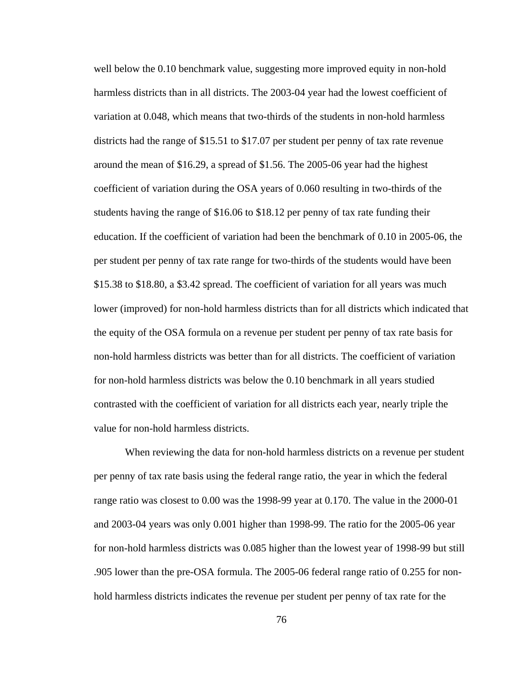well below the 0.10 benchmark value, suggesting more improved equity in non-hold harmless districts than in all districts. The 2003-04 year had the lowest coefficient of variation at 0.048, which means that two-thirds of the students in non-hold harmless districts had the range of \$15.51 to \$17.07 per student per penny of tax rate revenue around the mean of \$16.29, a spread of \$1.56. The 2005-06 year had the highest coefficient of variation during the OSA years of 0.060 resulting in two-thirds of the students having the range of \$16.06 to \$18.12 per penny of tax rate funding their education. If the coefficient of variation had been the benchmark of 0.10 in 2005-06, the per student per penny of tax rate range for two-thirds of the students would have been \$15.38 to \$18.80, a \$3.42 spread. The coefficient of variation for all years was much lower (improved) for non-hold harmless districts than for all districts which indicated that the equity of the OSA formula on a revenue per student per penny of tax rate basis for non-hold harmless districts was better than for all districts. The coefficient of variation for non-hold harmless districts was below the 0.10 benchmark in all years studied contrasted with the coefficient of variation for all districts each year, nearly triple the value for non-hold harmless districts.

When reviewing the data for non-hold harmless districts on a revenue per student per penny of tax rate basis using the federal range ratio, the year in which the federal range ratio was closest to 0.00 was the 1998-99 year at 0.170. The value in the 2000-01 and 2003-04 years was only 0.001 higher than 1998-99. The ratio for the 2005-06 year for non-hold harmless districts was 0.085 higher than the lowest year of 1998-99 but still .905 lower than the pre-OSA formula. The 2005-06 federal range ratio of 0.255 for nonhold harmless districts indicates the revenue per student per penny of tax rate for the

76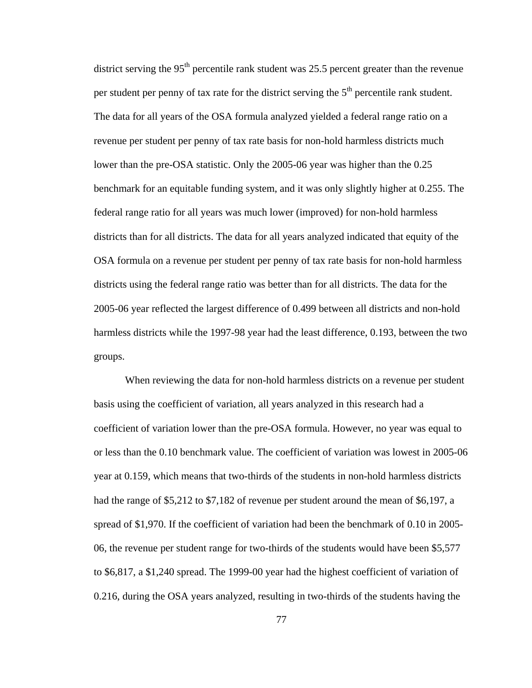district serving the 95<sup>th</sup> percentile rank student was 25.5 percent greater than the revenue per student per penny of tax rate for the district serving the  $5<sup>th</sup>$  percentile rank student. The data for all years of the OSA formula analyzed yielded a federal range ratio on a revenue per student per penny of tax rate basis for non-hold harmless districts much lower than the pre-OSA statistic. Only the 2005-06 year was higher than the 0.25 benchmark for an equitable funding system, and it was only slightly higher at 0.255. The federal range ratio for all years was much lower (improved) for non-hold harmless districts than for all districts. The data for all years analyzed indicated that equity of the OSA formula on a revenue per student per penny of tax rate basis for non-hold harmless districts using the federal range ratio was better than for all districts. The data for the 2005-06 year reflected the largest difference of 0.499 between all districts and non-hold harmless districts while the 1997-98 year had the least difference, 0.193, between the two groups.

When reviewing the data for non-hold harmless districts on a revenue per student basis using the coefficient of variation, all years analyzed in this research had a coefficient of variation lower than the pre-OSA formula. However, no year was equal to or less than the 0.10 benchmark value. The coefficient of variation was lowest in 2005-06 year at 0.159, which means that two-thirds of the students in non-hold harmless districts had the range of \$5,212 to \$7,182 of revenue per student around the mean of \$6,197, a spread of \$1,970. If the coefficient of variation had been the benchmark of 0.10 in 2005- 06, the revenue per student range for two-thirds of the students would have been \$5,577 to \$6,817, a \$1,240 spread. The 1999-00 year had the highest coefficient of variation of 0.216, during the OSA years analyzed, resulting in two-thirds of the students having the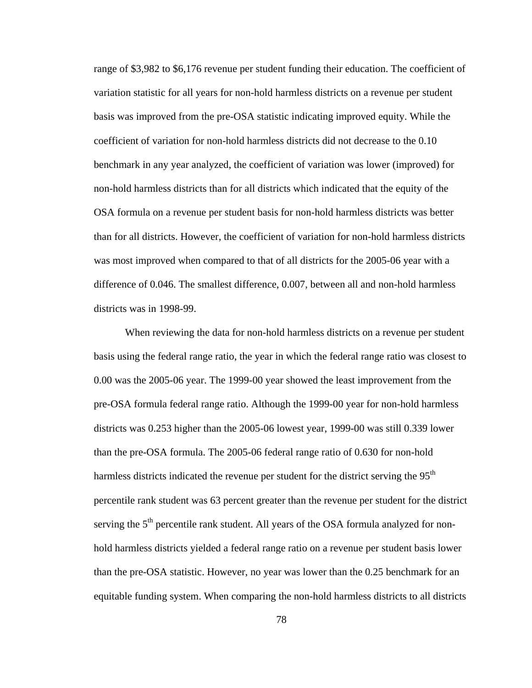range of \$3,982 to \$6,176 revenue per student funding their education. The coefficient of variation statistic for all years for non-hold harmless districts on a revenue per student basis was improved from the pre-OSA statistic indicating improved equity. While the coefficient of variation for non-hold harmless districts did not decrease to the 0.10 benchmark in any year analyzed, the coefficient of variation was lower (improved) for non-hold harmless districts than for all districts which indicated that the equity of the OSA formula on a revenue per student basis for non-hold harmless districts was better than for all districts. However, the coefficient of variation for non-hold harmless districts was most improved when compared to that of all districts for the 2005-06 year with a difference of 0.046. The smallest difference, 0.007, between all and non-hold harmless districts was in 1998-99.

When reviewing the data for non-hold harmless districts on a revenue per student basis using the federal range ratio, the year in which the federal range ratio was closest to 0.00 was the 2005-06 year. The 1999-00 year showed the least improvement from the pre-OSA formula federal range ratio. Although the 1999-00 year for non-hold harmless districts was 0.253 higher than the 2005-06 lowest year, 1999-00 was still 0.339 lower than the pre-OSA formula. The 2005-06 federal range ratio of 0.630 for non-hold harmless districts indicated the revenue per student for the district serving the 95<sup>th</sup> percentile rank student was 63 percent greater than the revenue per student for the district serving the 5<sup>th</sup> percentile rank student. All years of the OSA formula analyzed for nonhold harmless districts yielded a federal range ratio on a revenue per student basis lower than the pre-OSA statistic. However, no year was lower than the 0.25 benchmark for an equitable funding system. When comparing the non-hold harmless districts to all districts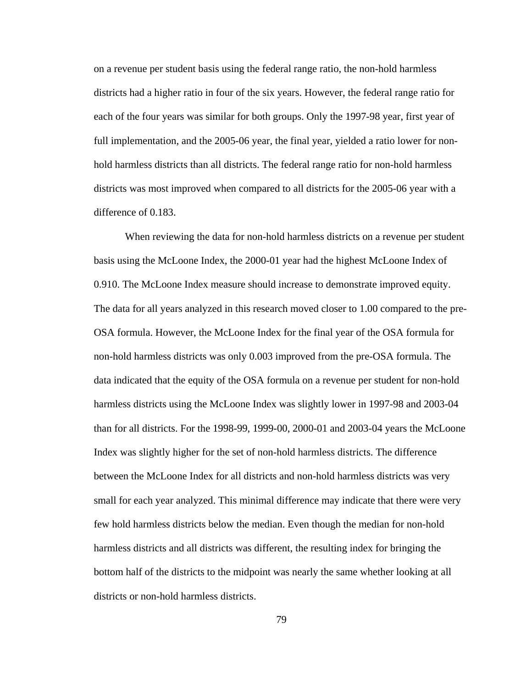on a revenue per student basis using the federal range ratio, the non-hold harmless districts had a higher ratio in four of the six years. However, the federal range ratio for each of the four years was similar for both groups. Only the 1997-98 year, first year of full implementation, and the 2005-06 year, the final year, yielded a ratio lower for nonhold harmless districts than all districts. The federal range ratio for non-hold harmless districts was most improved when compared to all districts for the 2005-06 year with a difference of 0.183.

When reviewing the data for non-hold harmless districts on a revenue per student basis using the McLoone Index, the 2000-01 year had the highest McLoone Index of 0.910. The McLoone Index measure should increase to demonstrate improved equity. The data for all years analyzed in this research moved closer to 1.00 compared to the pre-OSA formula. However, the McLoone Index for the final year of the OSA formula for non-hold harmless districts was only 0.003 improved from the pre-OSA formula. The data indicated that the equity of the OSA formula on a revenue per student for non-hold harmless districts using the McLoone Index was slightly lower in 1997-98 and 2003-04 than for all districts. For the 1998-99, 1999-00, 2000-01 and 2003-04 years the McLoone Index was slightly higher for the set of non-hold harmless districts. The difference between the McLoone Index for all districts and non-hold harmless districts was very small for each year analyzed. This minimal difference may indicate that there were very few hold harmless districts below the median. Even though the median for non-hold harmless districts and all districts was different, the resulting index for bringing the bottom half of the districts to the midpoint was nearly the same whether looking at all districts or non-hold harmless districts.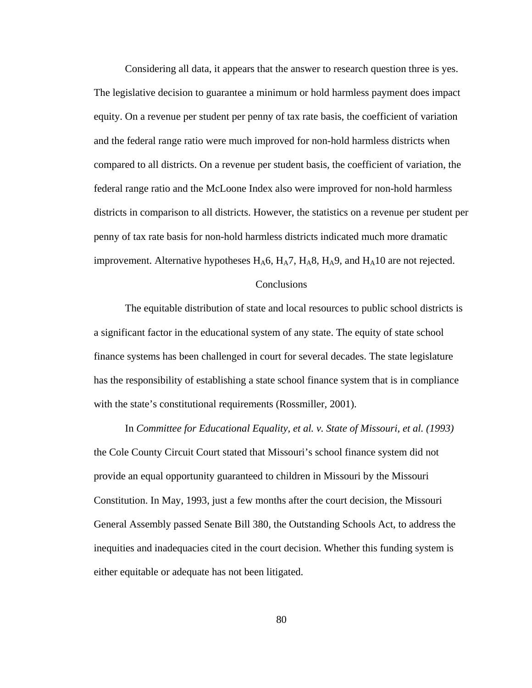Considering all data, it appears that the answer to research question three is yes. The legislative decision to guarantee a minimum or hold harmless payment does impact equity. On a revenue per student per penny of tax rate basis, the coefficient of variation and the federal range ratio were much improved for non-hold harmless districts when compared to all districts. On a revenue per student basis, the coefficient of variation, the federal range ratio and the McLoone Index also were improved for non-hold harmless districts in comparison to all districts. However, the statistics on a revenue per student per penny of tax rate basis for non-hold harmless districts indicated much more dramatic improvement. Alternative hypotheses  $H_A$ 6,  $H_A$ 7,  $H_A$ 8,  $H_A$ 9, and  $H_A$ 10 are not rejected.

#### **Conclusions**

The equitable distribution of state and local resources to public school districts is a significant factor in the educational system of any state. The equity of state school finance systems has been challenged in court for several decades. The state legislature has the responsibility of establishing a state school finance system that is in compliance with the state's constitutional requirements (Rossmiller, 2001).

In *Committee for Educational Equality, et al. v. State of Missouri, et al. (1993)* the Cole County Circuit Court stated that Missouri's school finance system did not provide an equal opportunity guaranteed to children in Missouri by the Missouri Constitution. In May, 1993, just a few months after the court decision, the Missouri General Assembly passed Senate Bill 380, the Outstanding Schools Act, to address the inequities and inadequacies cited in the court decision. Whether this funding system is either equitable or adequate has not been litigated.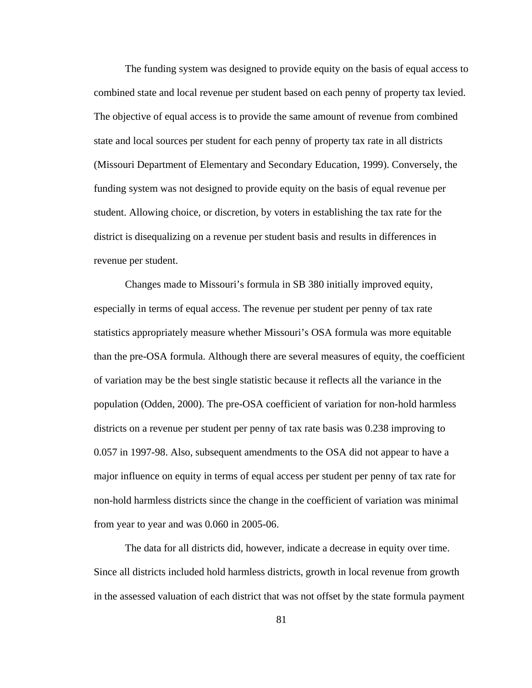The funding system was designed to provide equity on the basis of equal access to combined state and local revenue per student based on each penny of property tax levied. The objective of equal access is to provide the same amount of revenue from combined state and local sources per student for each penny of property tax rate in all districts (Missouri Department of Elementary and Secondary Education, 1999). Conversely, the funding system was not designed to provide equity on the basis of equal revenue per student. Allowing choice, or discretion, by voters in establishing the tax rate for the district is disequalizing on a revenue per student basis and results in differences in revenue per student.

Changes made to Missouri's formula in SB 380 initially improved equity, especially in terms of equal access. The revenue per student per penny of tax rate statistics appropriately measure whether Missouri's OSA formula was more equitable than the pre-OSA formula. Although there are several measures of equity, the coefficient of variation may be the best single statistic because it reflects all the variance in the population (Odden, 2000). The pre-OSA coefficient of variation for non-hold harmless districts on a revenue per student per penny of tax rate basis was 0.238 improving to 0.057 in 1997-98. Also, subsequent amendments to the OSA did not appear to have a major influence on equity in terms of equal access per student per penny of tax rate for non-hold harmless districts since the change in the coefficient of variation was minimal from year to year and was 0.060 in 2005-06.

The data for all districts did, however, indicate a decrease in equity over time. Since all districts included hold harmless districts, growth in local revenue from growth in the assessed valuation of each district that was not offset by the state formula payment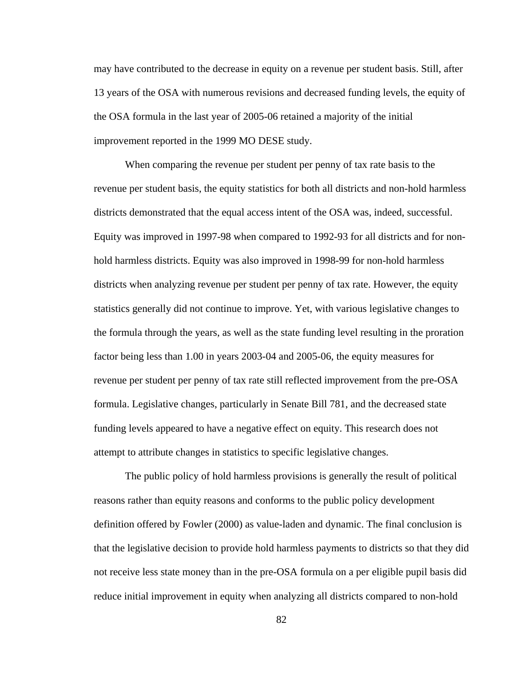may have contributed to the decrease in equity on a revenue per student basis. Still, after 13 years of the OSA with numerous revisions and decreased funding levels, the equity of the OSA formula in the last year of 2005-06 retained a majority of the initial improvement reported in the 1999 MO DESE study.

When comparing the revenue per student per penny of tax rate basis to the revenue per student basis, the equity statistics for both all districts and non-hold harmless districts demonstrated that the equal access intent of the OSA was, indeed, successful. Equity was improved in 1997-98 when compared to 1992-93 for all districts and for nonhold harmless districts. Equity was also improved in 1998-99 for non-hold harmless districts when analyzing revenue per student per penny of tax rate. However, the equity statistics generally did not continue to improve. Yet, with various legislative changes to the formula through the years, as well as the state funding level resulting in the proration factor being less than 1.00 in years 2003-04 and 2005-06, the equity measures for revenue per student per penny of tax rate still reflected improvement from the pre-OSA formula. Legislative changes, particularly in Senate Bill 781, and the decreased state funding levels appeared to have a negative effect on equity. This research does not attempt to attribute changes in statistics to specific legislative changes.

The public policy of hold harmless provisions is generally the result of political reasons rather than equity reasons and conforms to the public policy development definition offered by Fowler (2000) as value-laden and dynamic. The final conclusion is that the legislative decision to provide hold harmless payments to districts so that they did not receive less state money than in the pre-OSA formula on a per eligible pupil basis did reduce initial improvement in equity when analyzing all districts compared to non-hold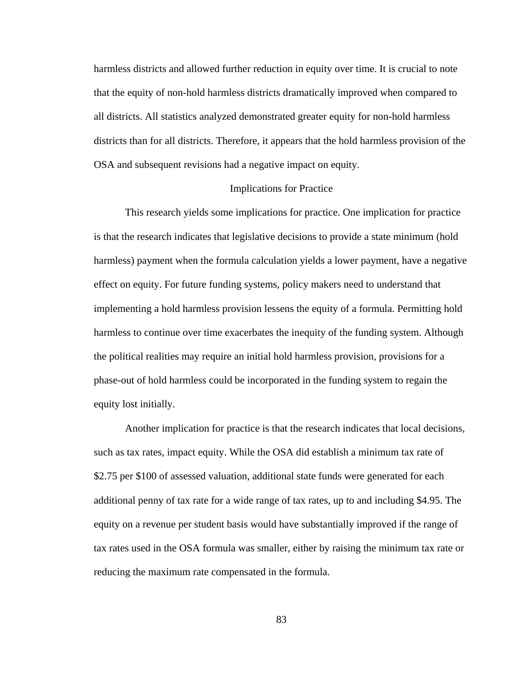harmless districts and allowed further reduction in equity over time. It is crucial to note that the equity of non-hold harmless districts dramatically improved when compared to all districts. All statistics analyzed demonstrated greater equity for non-hold harmless districts than for all districts. Therefore, it appears that the hold harmless provision of the OSA and subsequent revisions had a negative impact on equity.

# Implications for Practice

 This research yields some implications for practice. One implication for practice is that the research indicates that legislative decisions to provide a state minimum (hold harmless) payment when the formula calculation yields a lower payment, have a negative effect on equity. For future funding systems, policy makers need to understand that implementing a hold harmless provision lessens the equity of a formula. Permitting hold harmless to continue over time exacerbates the inequity of the funding system. Although the political realities may require an initial hold harmless provision, provisions for a phase-out of hold harmless could be incorporated in the funding system to regain the equity lost initially.

Another implication for practice is that the research indicates that local decisions, such as tax rates, impact equity. While the OSA did establish a minimum tax rate of \$2.75 per \$100 of assessed valuation, additional state funds were generated for each additional penny of tax rate for a wide range of tax rates, up to and including \$4.95. The equity on a revenue per student basis would have substantially improved if the range of tax rates used in the OSA formula was smaller, either by raising the minimum tax rate or reducing the maximum rate compensated in the formula.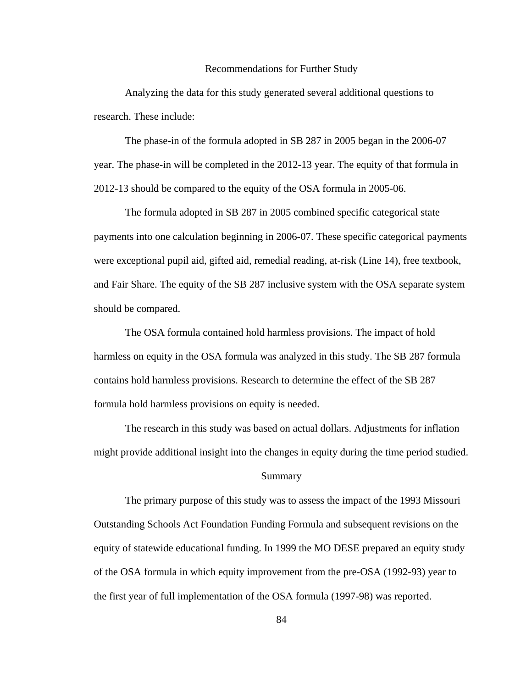#### Recommendations for Further Study

 Analyzing the data for this study generated several additional questions to research. These include:

The phase-in of the formula adopted in SB 287 in 2005 began in the 2006-07 year. The phase-in will be completed in the 2012-13 year. The equity of that formula in 2012-13 should be compared to the equity of the OSA formula in 2005-06.

 The formula adopted in SB 287 in 2005 combined specific categorical state payments into one calculation beginning in 2006-07. These specific categorical payments were exceptional pupil aid, gifted aid, remedial reading, at-risk (Line 14), free textbook, and Fair Share. The equity of the SB 287 inclusive system with the OSA separate system should be compared.

 The OSA formula contained hold harmless provisions. The impact of hold harmless on equity in the OSA formula was analyzed in this study. The SB 287 formula contains hold harmless provisions. Research to determine the effect of the SB 287 formula hold harmless provisions on equity is needed.

 The research in this study was based on actual dollars. Adjustments for inflation might provide additional insight into the changes in equity during the time period studied.

# Summary

The primary purpose of this study was to assess the impact of the 1993 Missouri Outstanding Schools Act Foundation Funding Formula and subsequent revisions on the equity of statewide educational funding. In 1999 the MO DESE prepared an equity study of the OSA formula in which equity improvement from the pre-OSA (1992-93) year to the first year of full implementation of the OSA formula (1997-98) was reported.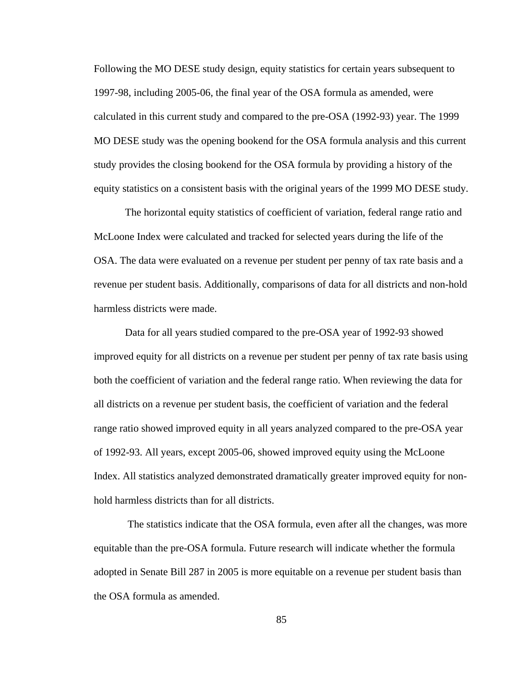Following the MO DESE study design, equity statistics for certain years subsequent to 1997-98, including 2005-06, the final year of the OSA formula as amended, were calculated in this current study and compared to the pre-OSA (1992-93) year. The 1999 MO DESE study was the opening bookend for the OSA formula analysis and this current study provides the closing bookend for the OSA formula by providing a history of the equity statistics on a consistent basis with the original years of the 1999 MO DESE study.

The horizontal equity statistics of coefficient of variation, federal range ratio and McLoone Index were calculated and tracked for selected years during the life of the OSA. The data were evaluated on a revenue per student per penny of tax rate basis and a revenue per student basis. Additionally, comparisons of data for all districts and non-hold harmless districts were made.

Data for all years studied compared to the pre-OSA year of 1992-93 showed improved equity for all districts on a revenue per student per penny of tax rate basis using both the coefficient of variation and the federal range ratio. When reviewing the data for all districts on a revenue per student basis, the coefficient of variation and the federal range ratio showed improved equity in all years analyzed compared to the pre-OSA year of 1992-93. All years, except 2005-06, showed improved equity using the McLoone Index. All statistics analyzed demonstrated dramatically greater improved equity for nonhold harmless districts than for all districts.

 The statistics indicate that the OSA formula, even after all the changes, was more equitable than the pre-OSA formula. Future research will indicate whether the formula adopted in Senate Bill 287 in 2005 is more equitable on a revenue per student basis than the OSA formula as amended.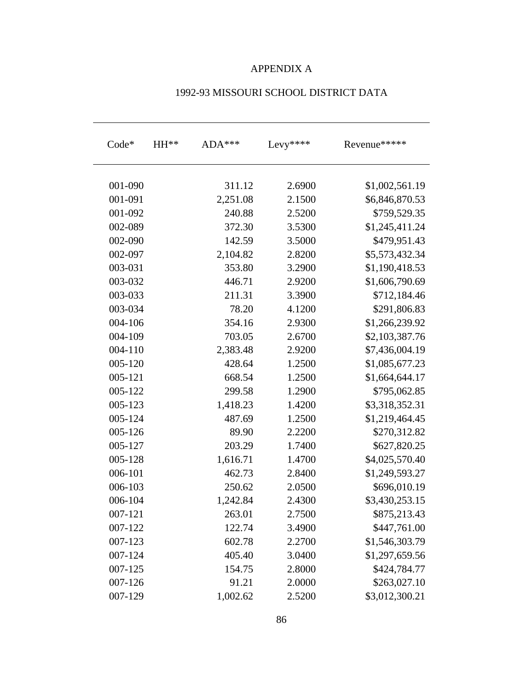# APPENDIX A

| $Code*$     | $HH**$ | $ADA***$ | Levy**** | $Revenue*****$ |
|-------------|--------|----------|----------|----------------|
|             |        |          |          |                |
| 001-090     |        | 311.12   | 2.6900   | \$1,002,561.19 |
| 001-091     |        | 2,251.08 | 2.1500   | \$6,846,870.53 |
| 001-092     |        | 240.88   | 2.5200   | \$759,529.35   |
| 002-089     |        | 372.30   | 3.5300   | \$1,245,411.24 |
| 002-090     |        | 142.59   | 3.5000   | \$479,951.43   |
| 002-097     |        | 2,104.82 | 2.8200   | \$5,573,432.34 |
| 003-031     |        | 353.80   | 3.2900   | \$1,190,418.53 |
| 003-032     |        | 446.71   | 2.9200   | \$1,606,790.69 |
| 003-033     |        | 211.31   | 3.3900   | \$712,184.46   |
| 003-034     |        | 78.20    | 4.1200   | \$291,806.83   |
| 004-106     |        | 354.16   | 2.9300   | \$1,266,239.92 |
| 004-109     |        | 703.05   | 2.6700   | \$2,103,387.76 |
| $004 - 110$ |        | 2,383.48 | 2.9200   | \$7,436,004.19 |
| 005-120     |        | 428.64   | 1.2500   | \$1,085,677.23 |
| 005-121     |        | 668.54   | 1.2500   | \$1,664,644.17 |
| 005-122     |        | 299.58   | 1.2900   | \$795,062.85   |
| 005-123     |        | 1,418.23 | 1.4200   | \$3,318,352.31 |
| 005-124     |        | 487.69   | 1.2500   | \$1,219,464.45 |
| 005-126     |        | 89.90    | 2.2200   | \$270,312.82   |
| 005-127     |        | 203.29   | 1.7400   | \$627,820.25   |
| 005-128     |        | 1,616.71 | 1.4700   | \$4,025,570.40 |
| 006-101     |        | 462.73   | 2.8400   | \$1,249,593.27 |
| 006-103     |        | 250.62   | 2.0500   | \$696,010.19   |
| 006-104     |        | 1,242.84 | 2.4300   | \$3,430,253.15 |
| 007-121     |        | 263.01   | 2.7500   | \$875,213.43   |
| 007-122     |        | 122.74   | 3.4900   | \$447,761.00   |
| 007-123     |        | 602.78   | 2.2700   | \$1,546,303.79 |
| 007-124     |        | 405.40   | 3.0400   | \$1,297,659.56 |
| $007 - 125$ |        | 154.75   | 2.8000   | \$424,784.77   |
| 007-126     |        | 91.21    | 2.0000   | \$263,027.10   |
| 007-129     |        | 1,002.62 | 2.5200   | \$3,012,300.21 |

# 1992-93 MISSOURI SCHOOL DISTRICT DATA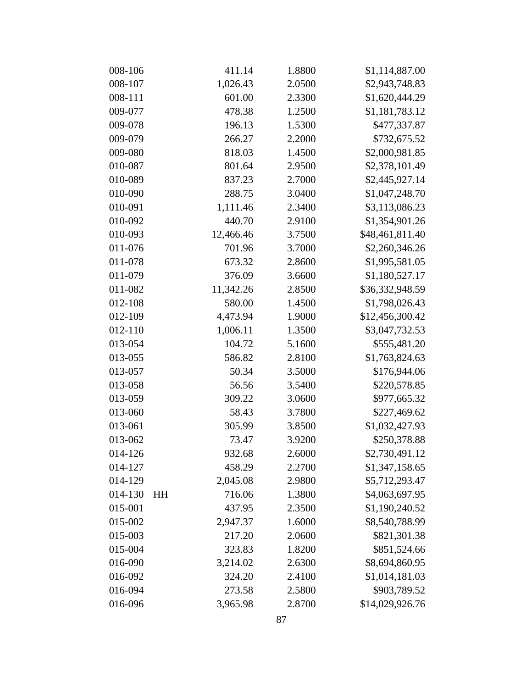| 008-106 |    | 411.14    | 1.8800 | \$1,114,887.00  |
|---------|----|-----------|--------|-----------------|
| 008-107 |    | 1,026.43  | 2.0500 | \$2,943,748.83  |
| 008-111 |    | 601.00    | 2.3300 | \$1,620,444.29  |
| 009-077 |    | 478.38    | 1.2500 | \$1,181,783.12  |
| 009-078 |    | 196.13    | 1.5300 | \$477,337.87    |
| 009-079 |    | 266.27    | 2.2000 | \$732,675.52    |
| 009-080 |    | 818.03    | 1.4500 | \$2,000,981.85  |
| 010-087 |    | 801.64    | 2.9500 | \$2,378,101.49  |
| 010-089 |    | 837.23    | 2.7000 | \$2,445,927.14  |
| 010-090 |    | 288.75    | 3.0400 | \$1,047,248.70  |
| 010-091 |    | 1,111.46  | 2.3400 | \$3,113,086.23  |
| 010-092 |    | 440.70    | 2.9100 | \$1,354,901.26  |
| 010-093 |    | 12,466.46 | 3.7500 | \$48,461,811.40 |
| 011-076 |    | 701.96    | 3.7000 | \$2,260,346.26  |
| 011-078 |    | 673.32    | 2.8600 | \$1,995,581.05  |
| 011-079 |    | 376.09    | 3.6600 | \$1,180,527.17  |
| 011-082 |    | 11,342.26 | 2.8500 | \$36,332,948.59 |
| 012-108 |    | 580.00    | 1.4500 | \$1,798,026.43  |
| 012-109 |    | 4,473.94  | 1.9000 | \$12,456,300.42 |
| 012-110 |    | 1,006.11  | 1.3500 | \$3,047,732.53  |
| 013-054 |    | 104.72    | 5.1600 | \$555,481.20    |
| 013-055 |    | 586.82    | 2.8100 | \$1,763,824.63  |
| 013-057 |    | 50.34     | 3.5000 | \$176,944.06    |
| 013-058 |    | 56.56     | 3.5400 | \$220,578.85    |
| 013-059 |    | 309.22    | 3.0600 | \$977,665.32    |
| 013-060 |    | 58.43     | 3.7800 | \$227,469.62    |
| 013-061 |    | 305.99    | 3.8500 | \$1,032,427.93  |
| 013-062 |    | 73.47     | 3.9200 | \$250,378.88    |
| 014-126 |    | 932.68    | 2.6000 | \$2,730,491.12  |
| 014-127 |    | 458.29    | 2.2700 | \$1,347,158.65  |
| 014-129 |    | 2,045.08  | 2.9800 | \$5,712,293.47  |
| 014-130 | HH | 716.06    | 1.3800 | \$4,063,697.95  |
| 015-001 |    | 437.95    | 2.3500 | \$1,190,240.52  |
| 015-002 |    | 2,947.37  | 1.6000 | \$8,540,788.99  |
| 015-003 |    | 217.20    | 2.0600 | \$821,301.38    |
| 015-004 |    | 323.83    | 1.8200 | \$851,524.66    |
| 016-090 |    | 3,214.02  | 2.6300 | \$8,694,860.95  |
| 016-092 |    | 324.20    | 2.4100 | \$1,014,181.03  |
| 016-094 |    | 273.58    | 2.5800 | \$903,789.52    |
| 016-096 |    | 3,965.98  | 2.8700 | \$14,029,926.76 |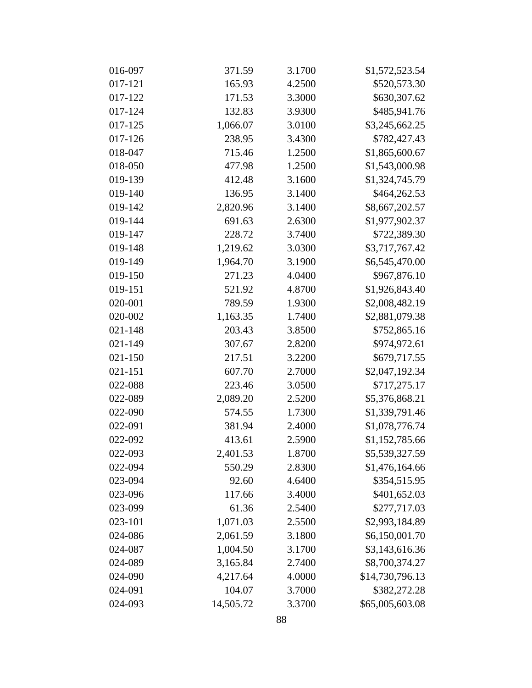| 016-097 | 371.59    | 3.1700 | \$1,572,523.54  |
|---------|-----------|--------|-----------------|
| 017-121 | 165.93    | 4.2500 | \$520,573.30    |
| 017-122 | 171.53    | 3.3000 | \$630,307.62    |
| 017-124 | 132.83    | 3.9300 | \$485,941.76    |
| 017-125 | 1,066.07  | 3.0100 | \$3,245,662.25  |
| 017-126 | 238.95    | 3.4300 | \$782,427.43    |
| 018-047 | 715.46    | 1.2500 | \$1,865,600.67  |
| 018-050 | 477.98    | 1.2500 | \$1,543,000.98  |
| 019-139 | 412.48    | 3.1600 | \$1,324,745.79  |
| 019-140 | 136.95    | 3.1400 | \$464,262.53    |
| 019-142 | 2,820.96  | 3.1400 | \$8,667,202.57  |
| 019-144 | 691.63    | 2.6300 | \$1,977,902.37  |
| 019-147 | 228.72    | 3.7400 | \$722,389.30    |
| 019-148 | 1,219.62  | 3.0300 | \$3,717,767.42  |
| 019-149 | 1,964.70  | 3.1900 | \$6,545,470.00  |
| 019-150 | 271.23    | 4.0400 | \$967,876.10    |
| 019-151 | 521.92    | 4.8700 | \$1,926,843.40  |
| 020-001 | 789.59    | 1.9300 | \$2,008,482.19  |
| 020-002 | 1,163.35  | 1.7400 | \$2,881,079.38  |
| 021-148 | 203.43    | 3.8500 | \$752,865.16    |
| 021-149 | 307.67    | 2.8200 | \$974,972.61    |
| 021-150 | 217.51    | 3.2200 | \$679,717.55    |
| 021-151 | 607.70    | 2.7000 | \$2,047,192.34  |
| 022-088 | 223.46    | 3.0500 | \$717,275.17    |
| 022-089 | 2,089.20  | 2.5200 | \$5,376,868.21  |
| 022-090 | 574.55    | 1.7300 | \$1,339,791.46  |
| 022-091 | 381.94    | 2.4000 | \$1,078,776.74  |
| 022-092 | 413.61    | 2.5900 | \$1,152,785.66  |
| 022-093 | 2,401.53  | 1.8700 | \$5,539,327.59  |
| 022-094 | 550.29    | 2.8300 | \$1,476,164.66  |
| 023-094 | 92.60     | 4.6400 | \$354,515.95    |
| 023-096 | 117.66    | 3.4000 | \$401,652.03    |
| 023-099 | 61.36     | 2.5400 | \$277,717.03    |
| 023-101 | 1,071.03  | 2.5500 | \$2,993,184.89  |
| 024-086 | 2,061.59  | 3.1800 | \$6,150,001.70  |
| 024-087 | 1,004.50  | 3.1700 | \$3,143,616.36  |
| 024-089 | 3,165.84  | 2.7400 | \$8,700,374.27  |
| 024-090 | 4,217.64  | 4.0000 | \$14,730,796.13 |
| 024-091 | 104.07    | 3.7000 | \$382,272.28    |
| 024-093 | 14,505.72 | 3.3700 | \$65,005,603.08 |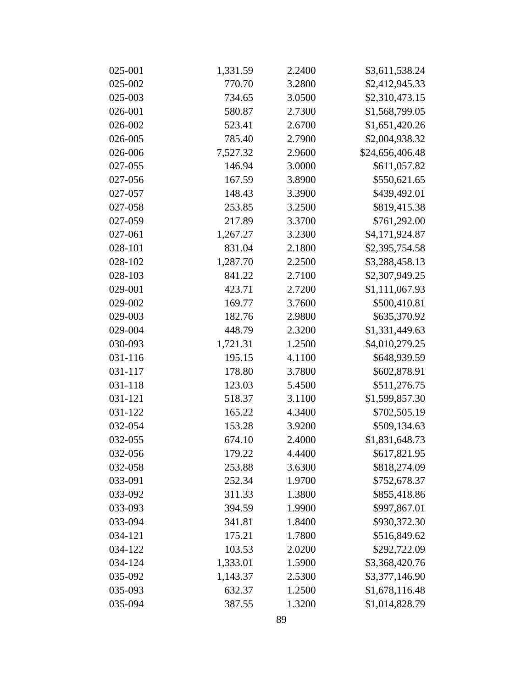| 025-001 | 1,331.59 | 2.2400 | \$3,611,538.24  |
|---------|----------|--------|-----------------|
| 025-002 | 770.70   | 3.2800 | \$2,412,945.33  |
| 025-003 | 734.65   | 3.0500 | \$2,310,473.15  |
| 026-001 | 580.87   | 2.7300 | \$1,568,799.05  |
| 026-002 | 523.41   | 2.6700 | \$1,651,420.26  |
| 026-005 | 785.40   | 2.7900 | \$2,004,938.32  |
| 026-006 | 7,527.32 | 2.9600 | \$24,656,406.48 |
| 027-055 | 146.94   | 3.0000 | \$611,057.82    |
| 027-056 | 167.59   | 3.8900 | \$550,621.65    |
| 027-057 | 148.43   | 3.3900 | \$439,492.01    |
| 027-058 | 253.85   | 3.2500 | \$819,415.38    |
| 027-059 | 217.89   | 3.3700 | \$761,292.00    |
| 027-061 | 1,267.27 | 3.2300 | \$4,171,924.87  |
| 028-101 | 831.04   | 2.1800 | \$2,395,754.58  |
| 028-102 | 1,287.70 | 2.2500 | \$3,288,458.13  |
| 028-103 | 841.22   | 2.7100 | \$2,307,949.25  |
| 029-001 | 423.71   | 2.7200 | \$1,111,067.93  |
| 029-002 | 169.77   | 3.7600 | \$500,410.81    |
| 029-003 | 182.76   | 2.9800 | \$635,370.92    |
| 029-004 | 448.79   | 2.3200 | \$1,331,449.63  |
| 030-093 | 1,721.31 | 1.2500 | \$4,010,279.25  |
| 031-116 | 195.15   | 4.1100 | \$648,939.59    |
| 031-117 | 178.80   | 3.7800 | \$602,878.91    |
| 031-118 | 123.03   | 5.4500 | \$511,276.75    |
| 031-121 | 518.37   | 3.1100 | \$1,599,857.30  |
| 031-122 | 165.22   | 4.3400 | \$702,505.19    |
| 032-054 | 153.28   | 3.9200 | \$509,134.63    |
| 032-055 | 674.10   | 2.4000 | \$1,831,648.73  |
| 032-056 | 179.22   | 4.4400 | \$617,821.95    |
| 032-058 | 253.88   | 3.6300 | \$818,274.09    |
| 033-091 | 252.34   | 1.9700 | \$752,678.37    |
| 033-092 | 311.33   | 1.3800 | \$855,418.86    |
| 033-093 | 394.59   | 1.9900 | \$997,867.01    |
| 033-094 | 341.81   | 1.8400 | \$930,372.30    |
| 034-121 | 175.21   | 1.7800 | \$516,849.62    |
| 034-122 | 103.53   | 2.0200 | \$292,722.09    |
| 034-124 | 1,333.01 | 1.5900 | \$3,368,420.76  |
| 035-092 | 1,143.37 | 2.5300 | \$3,377,146.90  |
| 035-093 | 632.37   | 1.2500 | \$1,678,116.48  |
| 035-094 | 387.55   | 1.3200 | \$1,014,828.79  |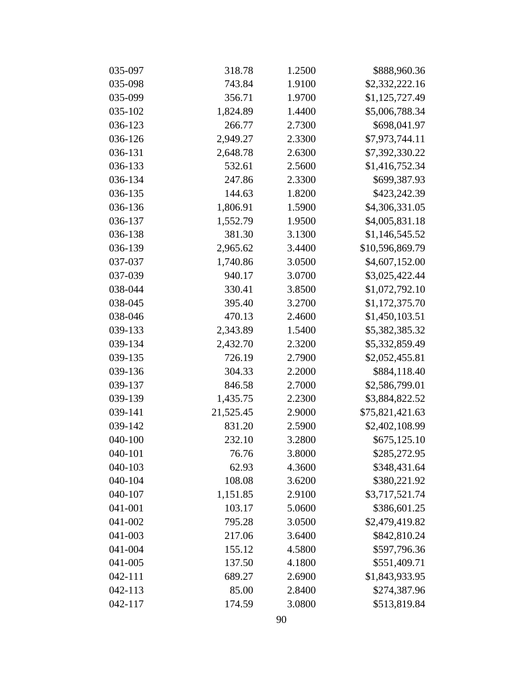| 035-097 | 318.78    | 1.2500 | \$888,960.36    |
|---------|-----------|--------|-----------------|
| 035-098 | 743.84    | 1.9100 | \$2,332,222.16  |
| 035-099 | 356.71    | 1.9700 | \$1,125,727.49  |
| 035-102 | 1,824.89  | 1.4400 | \$5,006,788.34  |
| 036-123 | 266.77    | 2.7300 | \$698,041.97    |
| 036-126 | 2,949.27  | 2.3300 | \$7,973,744.11  |
| 036-131 | 2,648.78  | 2.6300 | \$7,392,330.22  |
| 036-133 | 532.61    | 2.5600 | \$1,416,752.34  |
| 036-134 | 247.86    | 2.3300 | \$699,387.93    |
| 036-135 | 144.63    | 1.8200 | \$423,242.39    |
| 036-136 | 1,806.91  | 1.5900 | \$4,306,331.05  |
| 036-137 | 1,552.79  | 1.9500 | \$4,005,831.18  |
| 036-138 | 381.30    | 3.1300 | \$1,146,545.52  |
| 036-139 | 2,965.62  | 3.4400 | \$10,596,869.79 |
| 037-037 | 1,740.86  | 3.0500 | \$4,607,152.00  |
| 037-039 | 940.17    | 3.0700 | \$3,025,422.44  |
| 038-044 | 330.41    | 3.8500 | \$1,072,792.10  |
| 038-045 | 395.40    | 3.2700 | \$1,172,375.70  |
| 038-046 | 470.13    | 2.4600 | \$1,450,103.51  |
| 039-133 | 2,343.89  | 1.5400 | \$5,382,385.32  |
| 039-134 | 2,432.70  | 2.3200 | \$5,332,859.49  |
| 039-135 | 726.19    | 2.7900 | \$2,052,455.81  |
| 039-136 | 304.33    | 2.2000 | \$884,118.40    |
| 039-137 | 846.58    | 2.7000 | \$2,586,799.01  |
| 039-139 | 1,435.75  | 2.2300 | \$3,884,822.52  |
| 039-141 | 21,525.45 | 2.9000 | \$75,821,421.63 |
| 039-142 | 831.20    | 2.5900 | \$2,402,108.99  |
| 040-100 | 232.10    | 3.2800 | \$675,125.10    |
| 040-101 | 76.76     | 3.8000 | \$285,272.95    |
| 040-103 | 62.93     | 4.3600 | \$348,431.64    |
| 040-104 | 108.08    | 3.6200 | \$380,221.92    |
| 040-107 | 1,151.85  | 2.9100 | \$3,717,521.74  |
| 041-001 | 103.17    | 5.0600 | \$386,601.25    |
| 041-002 | 795.28    | 3.0500 | \$2,479,419.82  |
| 041-003 | 217.06    | 3.6400 | \$842,810.24    |
| 041-004 | 155.12    | 4.5800 | \$597,796.36    |
| 041-005 | 137.50    | 4.1800 | \$551,409.71    |
| 042-111 | 689.27    | 2.6900 | \$1,843,933.95  |
| 042-113 | 85.00     | 2.8400 | \$274,387.96    |
| 042-117 | 174.59    | 3.0800 | \$513,819.84    |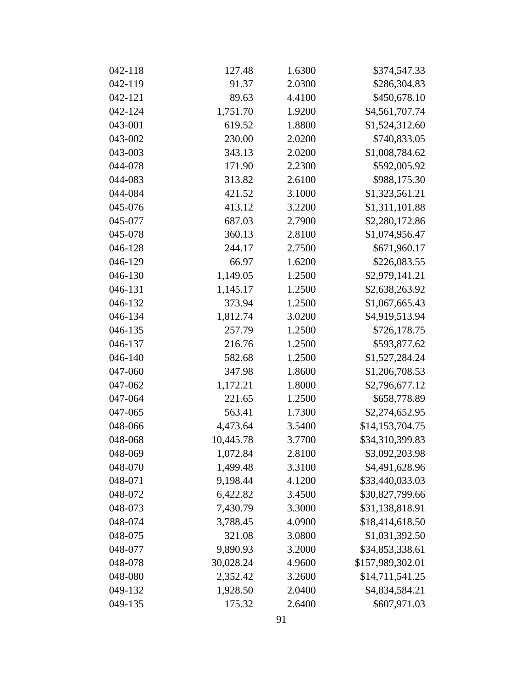| 042-118 | 127.48    | 1.6300 | \$374,547.33     |
|---------|-----------|--------|------------------|
| 042-119 | 91.37     | 2.0300 | \$286,304.83     |
| 042-121 | 89.63     | 4.4100 | \$450,678.10     |
| 042-124 | 1,751.70  | 1.9200 | \$4,561,707.74   |
| 043-001 | 619.52    | 1.8800 | \$1,524,312.60   |
| 043-002 | 230.00    | 2.0200 | \$740,833.05     |
| 043-003 | 343.13    | 2.0200 | \$1,008,784.62   |
| 044-078 | 171.90    | 2.2300 | \$592,005.92     |
| 044-083 | 313.82    | 2.6100 | \$988,175.30     |
| 044-084 | 421.52    | 3.1000 | \$1,323,561.21   |
| 045-076 | 413.12    | 3.2200 | \$1,311,101.88   |
| 045-077 | 687.03    | 2.7900 | \$2,280,172.86   |
| 045-078 | 360.13    | 2.8100 | \$1,074,956.47   |
| 046-128 | 244.17    | 2.7500 | \$671,960.17     |
| 046-129 | 66.97     | 1.6200 | \$226,083.55     |
| 046-130 | 1,149.05  | 1.2500 | \$2,979,141.21   |
| 046-131 | 1,145.17  | 1.2500 | \$2,638,263.92   |
| 046-132 | 373.94    | 1.2500 | \$1,067,665.43   |
| 046-134 | 1,812.74  | 3.0200 | \$4,919,513.94   |
| 046-135 | 257.79    | 1.2500 | \$726,178.75     |
| 046-137 | 216.76    | 1.2500 | \$593,877.62     |
| 046-140 | 582.68    | 1.2500 | \$1,527,284.24   |
| 047-060 | 347.98    | 1.8600 | \$1,206,708.53   |
| 047-062 | 1,172.21  | 1.8000 | \$2,796,677.12   |
| 047-064 | 221.65    | 1.2500 | \$658,778.89     |
| 047-065 | 563.41    | 1.7300 | \$2,274,652.95   |
| 048-066 | 4,473.64  | 3.5400 | \$14,153,704.75  |
| 048-068 | 10,445.78 | 3.7700 | \$34,310,399.83  |
| 048-069 | 1,072.84  | 2.8100 | \$3,092,203.98   |
| 048-070 | 1,499.48  | 3.3100 | \$4,491,628.96   |
| 048-071 | 9,198.44  | 4.1200 | \$33,440,033.03  |
| 048-072 | 6,422.82  | 3.4500 | \$30,827,799.66  |
| 048-073 | 7,430.79  | 3.3000 | \$31,138,818.91  |
| 048-074 | 3,788.45  | 4.0900 | \$18,414,618.50  |
| 048-075 | 321.08    | 3.0800 | \$1,031,392.50   |
| 048-077 | 9,890.93  | 3.2000 | \$34,853,338.61  |
| 048-078 | 30,028.24 | 4.9600 | \$157,989,302.01 |
| 048-080 | 2,352.42  | 3.2600 | \$14,711,541.25  |
| 049-132 | 1,928.50  | 2.0400 | \$4,834,584.21   |
| 049-135 | 175.32    | 2.6400 | \$607,971.03     |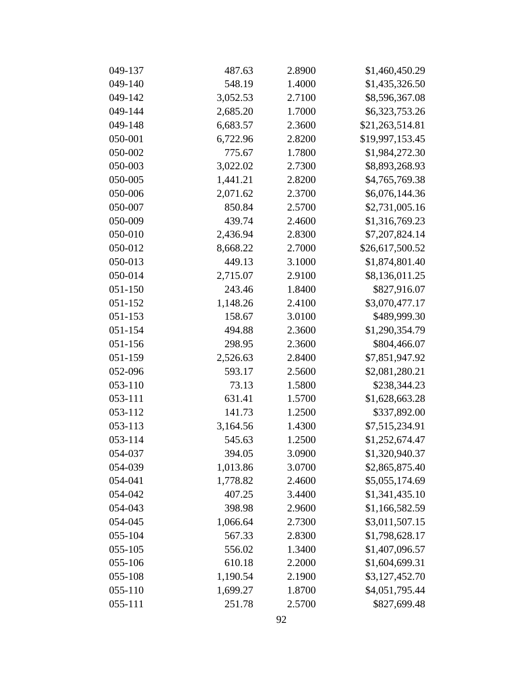| 049-137 | 487.63   | 2.8900 | \$1,460,450.29  |
|---------|----------|--------|-----------------|
| 049-140 | 548.19   | 1.4000 | \$1,435,326.50  |
| 049-142 | 3,052.53 | 2.7100 | \$8,596,367.08  |
| 049-144 | 2,685.20 | 1.7000 | \$6,323,753.26  |
| 049-148 | 6,683.57 | 2.3600 | \$21,263,514.81 |
| 050-001 | 6,722.96 | 2.8200 | \$19,997,153.45 |
| 050-002 | 775.67   | 1.7800 | \$1,984,272.30  |
| 050-003 | 3,022.02 | 2.7300 | \$8,893,268.93  |
| 050-005 | 1,441.21 | 2.8200 | \$4,765,769.38  |
| 050-006 | 2,071.62 | 2.3700 | \$6,076,144.36  |
| 050-007 | 850.84   | 2.5700 | \$2,731,005.16  |
| 050-009 | 439.74   | 2.4600 | \$1,316,769.23  |
| 050-010 | 2,436.94 | 2.8300 | \$7,207,824.14  |
| 050-012 | 8,668.22 | 2.7000 | \$26,617,500.52 |
| 050-013 | 449.13   | 3.1000 | \$1,874,801.40  |
| 050-014 | 2,715.07 | 2.9100 | \$8,136,011.25  |
| 051-150 | 243.46   | 1.8400 | \$827,916.07    |
| 051-152 | 1,148.26 | 2.4100 | \$3,070,477.17  |
| 051-153 | 158.67   | 3.0100 | \$489,999.30    |
| 051-154 | 494.88   | 2.3600 | \$1,290,354.79  |
| 051-156 | 298.95   | 2.3600 | \$804,466.07    |
| 051-159 | 2,526.63 | 2.8400 | \$7,851,947.92  |
| 052-096 | 593.17   | 2.5600 | \$2,081,280.21  |
| 053-110 | 73.13    | 1.5800 | \$238,344.23    |
| 053-111 | 631.41   | 1.5700 | \$1,628,663.28  |
| 053-112 | 141.73   | 1.2500 | \$337,892.00    |
| 053-113 | 3,164.56 | 1.4300 | \$7,515,234.91  |
| 053-114 | 545.63   | 1.2500 | \$1,252,674.47  |
| 054-037 | 394.05   | 3.0900 | \$1,320,940.37  |
| 054-039 | 1,013.86 | 3.0700 | \$2,865,875.40  |
| 054-041 | 1,778.82 | 2.4600 | \$5,055,174.69  |
| 054-042 | 407.25   | 3.4400 | \$1,341,435.10  |
| 054-043 | 398.98   | 2.9600 | \$1,166,582.59  |
| 054-045 | 1,066.64 | 2.7300 | \$3,011,507.15  |
| 055-104 | 567.33   | 2.8300 | \$1,798,628.17  |
| 055-105 | 556.02   | 1.3400 | \$1,407,096.57  |
| 055-106 | 610.18   | 2.2000 | \$1,604,699.31  |
| 055-108 | 1,190.54 | 2.1900 | \$3,127,452.70  |
| 055-110 | 1,699.27 | 1.8700 | \$4,051,795.44  |
| 055-111 | 251.78   | 2.5700 | \$827,699.48    |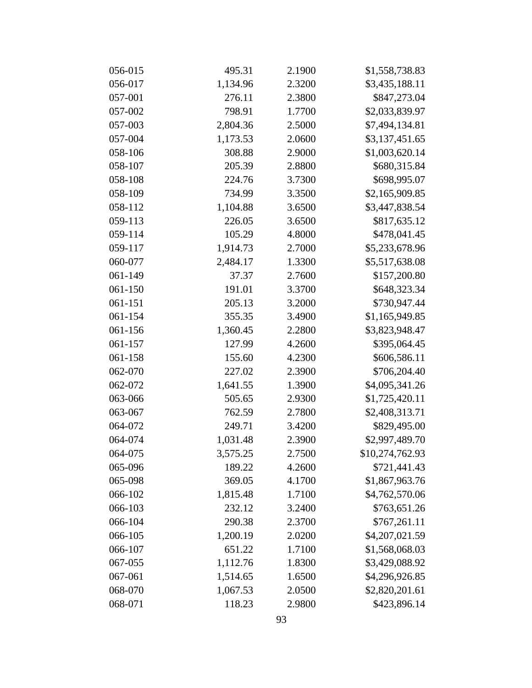| 056-015 | 495.31   | 2.1900 | \$1,558,738.83  |
|---------|----------|--------|-----------------|
| 056-017 | 1,134.96 | 2.3200 | \$3,435,188.11  |
| 057-001 | 276.11   | 2.3800 | \$847,273.04    |
| 057-002 | 798.91   | 1.7700 | \$2,033,839.97  |
| 057-003 | 2,804.36 | 2.5000 | \$7,494,134.81  |
| 057-004 | 1,173.53 | 2.0600 | \$3,137,451.65  |
| 058-106 | 308.88   | 2.9000 | \$1,003,620.14  |
| 058-107 | 205.39   | 2.8800 | \$680,315.84    |
| 058-108 | 224.76   | 3.7300 | \$698,995.07    |
| 058-109 | 734.99   | 3.3500 | \$2,165,909.85  |
| 058-112 | 1,104.88 | 3.6500 | \$3,447,838.54  |
| 059-113 | 226.05   | 3.6500 | \$817,635.12    |
| 059-114 | 105.29   | 4.8000 | \$478,041.45    |
| 059-117 | 1,914.73 | 2.7000 | \$5,233,678.96  |
| 060-077 | 2,484.17 | 1.3300 | \$5,517,638.08  |
| 061-149 | 37.37    | 2.7600 | \$157,200.80    |
| 061-150 | 191.01   | 3.3700 | \$648,323.34    |
| 061-151 | 205.13   | 3.2000 | \$730,947.44    |
| 061-154 | 355.35   | 3.4900 | \$1,165,949.85  |
| 061-156 | 1,360.45 | 2.2800 | \$3,823,948.47  |
| 061-157 | 127.99   | 4.2600 | \$395,064.45    |
| 061-158 | 155.60   | 4.2300 | \$606,586.11    |
| 062-070 | 227.02   | 2.3900 | \$706,204.40    |
| 062-072 | 1,641.55 | 1.3900 | \$4,095,341.26  |
| 063-066 | 505.65   | 2.9300 | \$1,725,420.11  |
| 063-067 | 762.59   | 2.7800 | \$2,408,313.71  |
| 064-072 | 249.71   | 3.4200 | \$829,495.00    |
| 064-074 | 1,031.48 | 2.3900 | \$2,997,489.70  |
| 064-075 | 3,575.25 | 2.7500 | \$10,274,762.93 |
| 065-096 | 189.22   | 4.2600 | \$721,441.43    |
| 065-098 | 369.05   | 4.1700 | \$1,867,963.76  |
| 066-102 | 1,815.48 | 1.7100 | \$4,762,570.06  |
| 066-103 | 232.12   | 3.2400 | \$763,651.26    |
| 066-104 | 290.38   | 2.3700 | \$767,261.11    |
| 066-105 | 1,200.19 | 2.0200 | \$4,207,021.59  |
| 066-107 | 651.22   | 1.7100 | \$1,568,068.03  |
| 067-055 | 1,112.76 | 1.8300 | \$3,429,088.92  |
| 067-061 | 1,514.65 | 1.6500 | \$4,296,926.85  |
| 068-070 | 1,067.53 | 2.0500 | \$2,820,201.61  |
| 068-071 | 118.23   | 2.9800 | \$423,896.14    |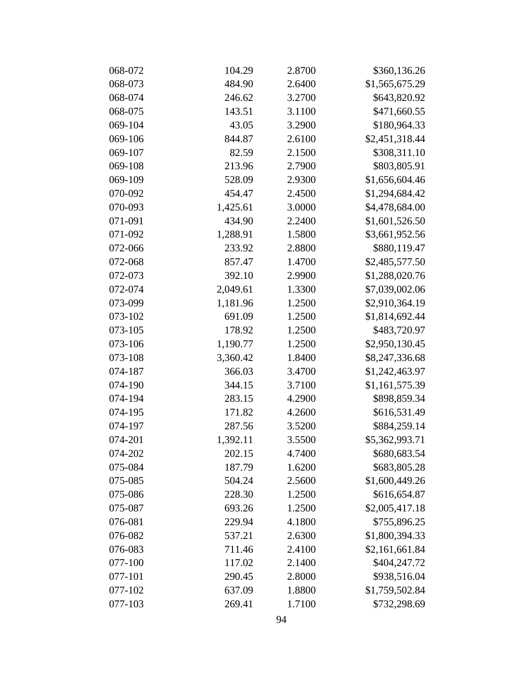| 068-072 | 104.29   | 2.8700 | \$360,136.26   |
|---------|----------|--------|----------------|
| 068-073 | 484.90   | 2.6400 | \$1,565,675.29 |
| 068-074 | 246.62   | 3.2700 | \$643,820.92   |
| 068-075 | 143.51   | 3.1100 | \$471,660.55   |
| 069-104 | 43.05    | 3.2900 | \$180,964.33   |
| 069-106 | 844.87   | 2.6100 | \$2,451,318.44 |
| 069-107 | 82.59    | 2.1500 | \$308,311.10   |
| 069-108 | 213.96   | 2.7900 | \$803,805.91   |
| 069-109 | 528.09   | 2.9300 | \$1,656,604.46 |
| 070-092 | 454.47   | 2.4500 | \$1,294,684.42 |
| 070-093 | 1,425.61 | 3.0000 | \$4,478,684.00 |
| 071-091 | 434.90   | 2.2400 | \$1,601,526.50 |
| 071-092 | 1,288.91 | 1.5800 | \$3,661,952.56 |
| 072-066 | 233.92   | 2.8800 | \$880,119.47   |
| 072-068 | 857.47   | 1.4700 | \$2,485,577.50 |
| 072-073 | 392.10   | 2.9900 | \$1,288,020.76 |
| 072-074 | 2,049.61 | 1.3300 | \$7,039,002.06 |
| 073-099 | 1,181.96 | 1.2500 | \$2,910,364.19 |
| 073-102 | 691.09   | 1.2500 | \$1,814,692.44 |
| 073-105 | 178.92   | 1.2500 | \$483,720.97   |
| 073-106 | 1,190.77 | 1.2500 | \$2,950,130.45 |
| 073-108 | 3,360.42 | 1.8400 | \$8,247,336.68 |
| 074-187 | 366.03   | 3.4700 | \$1,242,463.97 |
| 074-190 | 344.15   | 3.7100 | \$1,161,575.39 |
| 074-194 | 283.15   | 4.2900 | \$898,859.34   |
| 074-195 | 171.82   | 4.2600 | \$616,531.49   |
| 074-197 | 287.56   | 3.5200 | \$884,259.14   |
| 074-201 | 1,392.11 | 3.5500 | \$5,362,993.71 |
| 074-202 | 202.15   | 4.7400 | \$680,683.54   |
| 075-084 | 187.79   | 1.6200 | \$683,805.28   |
| 075-085 | 504.24   | 2.5600 | \$1,600,449.26 |
| 075-086 | 228.30   | 1.2500 | \$616,654.87   |
| 075-087 | 693.26   | 1.2500 | \$2,005,417.18 |
| 076-081 | 229.94   | 4.1800 | \$755,896.25   |
| 076-082 | 537.21   | 2.6300 | \$1,800,394.33 |
| 076-083 | 711.46   | 2.4100 | \$2,161,661.84 |
| 077-100 | 117.02   | 2.1400 | \$404,247.72   |
| 077-101 | 290.45   | 2.8000 | \$938,516.04   |
| 077-102 | 637.09   | 1.8800 | \$1,759,502.84 |
| 077-103 | 269.41   | 1.7100 | \$732,298.69   |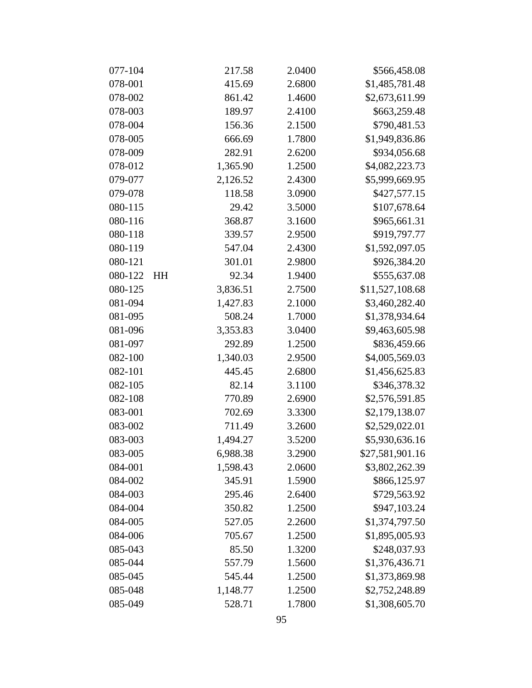| 077-104 |           | 217.58   | 2.0400 | \$566,458.08    |
|---------|-----------|----------|--------|-----------------|
| 078-001 |           | 415.69   | 2.6800 | \$1,485,781.48  |
| 078-002 |           | 861.42   | 1.4600 | \$2,673,611.99  |
| 078-003 |           | 189.97   | 2.4100 | \$663,259.48    |
| 078-004 |           | 156.36   | 2.1500 | \$790,481.53    |
| 078-005 |           | 666.69   | 1.7800 | \$1,949,836.86  |
| 078-009 |           | 282.91   | 2.6200 | \$934,056.68    |
| 078-012 |           | 1,365.90 | 1.2500 | \$4,082,223.73  |
| 079-077 |           | 2,126.52 | 2.4300 | \$5,999,669.95  |
| 079-078 |           | 118.58   | 3.0900 | \$427,577.15    |
| 080-115 |           | 29.42    | 3.5000 | \$107,678.64    |
| 080-116 |           | 368.87   | 3.1600 | \$965,661.31    |
| 080-118 |           | 339.57   | 2.9500 | \$919,797.77    |
| 080-119 |           | 547.04   | 2.4300 | \$1,592,097.05  |
| 080-121 |           | 301.01   | 2.9800 | \$926,384.20    |
| 080-122 | <b>HH</b> | 92.34    | 1.9400 | \$555,637.08    |
| 080-125 |           | 3,836.51 | 2.7500 | \$11,527,108.68 |
| 081-094 |           | 1,427.83 | 2.1000 | \$3,460,282.40  |
| 081-095 |           | 508.24   | 1.7000 | \$1,378,934.64  |
| 081-096 |           | 3,353.83 | 3.0400 | \$9,463,605.98  |
| 081-097 |           | 292.89   | 1.2500 | \$836,459.66    |
| 082-100 |           | 1,340.03 | 2.9500 | \$4,005,569.03  |
| 082-101 |           | 445.45   | 2.6800 | \$1,456,625.83  |
| 082-105 |           | 82.14    | 3.1100 | \$346,378.32    |
| 082-108 |           | 770.89   | 2.6900 | \$2,576,591.85  |
| 083-001 |           | 702.69   | 3.3300 | \$2,179,138.07  |
| 083-002 |           | 711.49   | 3.2600 | \$2,529,022.01  |
| 083-003 |           | 1,494.27 | 3.5200 | \$5,930,636.16  |
| 083-005 |           | 6,988.38 | 3.2900 | \$27,581,901.16 |
| 084-001 |           | 1,598.43 | 2.0600 | \$3,802,262.39  |
| 084-002 |           | 345.91   | 1.5900 | \$866,125.97    |
| 084-003 |           | 295.46   | 2.6400 | \$729,563.92    |
| 084-004 |           | 350.82   | 1.2500 | \$947,103.24    |
| 084-005 |           | 527.05   | 2.2600 | \$1,374,797.50  |
| 084-006 |           | 705.67   | 1.2500 | \$1,895,005.93  |
| 085-043 |           | 85.50    | 1.3200 | \$248,037.93    |
| 085-044 |           | 557.79   | 1.5600 | \$1,376,436.71  |
| 085-045 |           | 545.44   | 1.2500 | \$1,373,869.98  |
| 085-048 |           | 1,148.77 | 1.2500 | \$2,752,248.89  |
| 085-049 |           | 528.71   | 1.7800 | \$1,308,605.70  |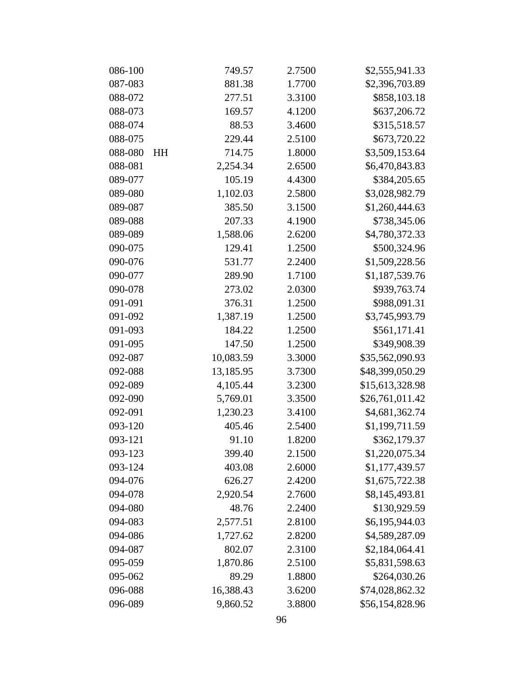| 086-100 |    | 749.57    | 2.7500 | \$2,555,941.33  |
|---------|----|-----------|--------|-----------------|
| 087-083 |    | 881.38    | 1.7700 | \$2,396,703.89  |
| 088-072 |    | 277.51    | 3.3100 | \$858,103.18    |
| 088-073 |    | 169.57    | 4.1200 | \$637,206.72    |
| 088-074 |    | 88.53     | 3.4600 | \$315,518.57    |
| 088-075 |    | 229.44    | 2.5100 | \$673,720.22    |
| 088-080 | HH | 714.75    | 1.8000 | \$3,509,153.64  |
| 088-081 |    | 2,254.34  | 2.6500 | \$6,470,843.83  |
| 089-077 |    | 105.19    | 4.4300 | \$384,205.65    |
| 089-080 |    | 1,102.03  | 2.5800 | \$3,028,982.79  |
| 089-087 |    | 385.50    | 3.1500 | \$1,260,444.63  |
| 089-088 |    | 207.33    | 4.1900 | \$738,345.06    |
| 089-089 |    | 1,588.06  | 2.6200 | \$4,780,372.33  |
| 090-075 |    | 129.41    | 1.2500 | \$500,324.96    |
| 090-076 |    | 531.77    | 2.2400 | \$1,509,228.56  |
| 090-077 |    | 289.90    | 1.7100 | \$1,187,539.76  |
| 090-078 |    | 273.02    | 2.0300 | \$939,763.74    |
| 091-091 |    | 376.31    | 1.2500 | \$988,091.31    |
| 091-092 |    | 1,387.19  | 1.2500 | \$3,745,993.79  |
| 091-093 |    | 184.22    | 1.2500 | \$561,171.41    |
| 091-095 |    | 147.50    | 1.2500 | \$349,908.39    |
| 092-087 |    | 10,083.59 | 3.3000 | \$35,562,090.93 |
| 092-088 |    | 13,185.95 | 3.7300 | \$48,399,050.29 |
| 092-089 |    | 4,105.44  | 3.2300 | \$15,613,328.98 |
| 092-090 |    | 5,769.01  | 3.3500 | \$26,761,011.42 |
| 092-091 |    | 1,230.23  | 3.4100 | \$4,681,362.74  |
| 093-120 |    | 405.46    | 2.5400 | \$1,199,711.59  |
| 093-121 |    | 91.10     | 1.8200 | \$362,179.37    |
| 093-123 |    | 399.40    | 2.1500 | \$1,220,075.34  |
| 093-124 |    | 403.08    | 2.6000 | \$1,177,439.57  |
| 094-076 |    | 626.27    | 2.4200 | \$1,675,722.38  |
| 094-078 |    | 2,920.54  | 2.7600 | \$8,145,493.81  |
| 094-080 |    | 48.76     | 2.2400 | \$130,929.59    |
| 094-083 |    | 2,577.51  | 2.8100 | \$6,195,944.03  |
| 094-086 |    | 1,727.62  | 2.8200 | \$4,589,287.09  |
| 094-087 |    | 802.07    | 2.3100 | \$2,184,064.41  |
| 095-059 |    | 1,870.86  | 2.5100 | \$5,831,598.63  |
| 095-062 |    | 89.29     | 1.8800 | \$264,030.26    |
| 096-088 |    | 16,388.43 | 3.6200 | \$74,028,862.32 |
| 096-089 |    | 9,860.52  | 3.8800 | \$56,154,828.96 |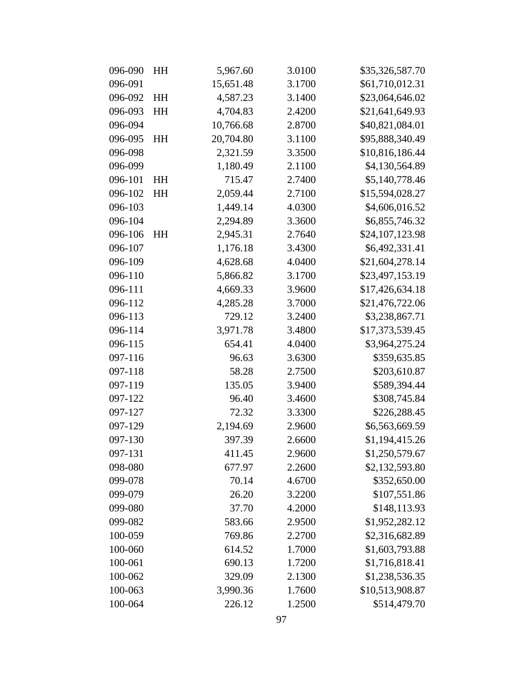| 096-090 | HH | 5,967.60  | 3.0100 | \$35,326,587.70 |
|---------|----|-----------|--------|-----------------|
| 096-091 |    | 15,651.48 | 3.1700 | \$61,710,012.31 |
| 096-092 | HH | 4,587.23  | 3.1400 | \$23,064,646.02 |
| 096-093 | HH | 4,704.83  | 2.4200 | \$21,641,649.93 |
| 096-094 |    | 10,766.68 | 2.8700 | \$40,821,084.01 |
| 096-095 | HH | 20,704.80 | 3.1100 | \$95,888,340.49 |
| 096-098 |    | 2,321.59  | 3.3500 | \$10,816,186.44 |
| 096-099 |    | 1,180.49  | 2.1100 | \$4,130,564.89  |
| 096-101 | HH | 715.47    | 2.7400 | \$5,140,778.46  |
| 096-102 | HH | 2,059.44  | 2.7100 | \$15,594,028.27 |
| 096-103 |    | 1,449.14  | 4.0300 | \$4,606,016.52  |
| 096-104 |    | 2,294.89  | 3.3600 | \$6,855,746.32  |
| 096-106 | HH | 2,945.31  | 2.7640 | \$24,107,123.98 |
| 096-107 |    | 1,176.18  | 3.4300 | \$6,492,331.41  |
| 096-109 |    | 4,628.68  | 4.0400 | \$21,604,278.14 |
| 096-110 |    | 5,866.82  | 3.1700 | \$23,497,153.19 |
| 096-111 |    | 4,669.33  | 3.9600 | \$17,426,634.18 |
| 096-112 |    | 4,285.28  | 3.7000 | \$21,476,722.06 |
| 096-113 |    | 729.12    | 3.2400 | \$3,238,867.71  |
| 096-114 |    | 3,971.78  | 3.4800 | \$17,373,539.45 |
| 096-115 |    | 654.41    | 4.0400 | \$3,964,275.24  |
| 097-116 |    | 96.63     | 3.6300 | \$359,635.85    |
| 097-118 |    | 58.28     | 2.7500 | \$203,610.87    |
| 097-119 |    | 135.05    | 3.9400 | \$589,394.44    |
| 097-122 |    | 96.40     | 3.4600 | \$308,745.84    |
| 097-127 |    | 72.32     | 3.3300 | \$226,288.45    |
| 097-129 |    | 2,194.69  | 2.9600 | \$6,563,669.59  |
| 097-130 |    | 397.39    | 2.6600 | \$1,194,415.26  |
| 097-131 |    | 411.45    | 2.9600 | \$1,250,579.67  |
| 098-080 |    | 677.97    | 2.2600 | \$2,132,593.80  |
| 099-078 |    | 70.14     | 4.6700 | \$352,650.00    |
| 099-079 |    | 26.20     | 3.2200 | \$107,551.86    |
| 099-080 |    | 37.70     | 4.2000 | \$148,113.93    |
| 099-082 |    | 583.66    | 2.9500 | \$1,952,282.12  |
| 100-059 |    | 769.86    | 2.2700 | \$2,316,682.89  |
| 100-060 |    | 614.52    | 1.7000 | \$1,603,793.88  |
| 100-061 |    | 690.13    | 1.7200 | \$1,716,818.41  |
| 100-062 |    | 329.09    | 2.1300 | \$1,238,536.35  |
| 100-063 |    | 3,990.36  | 1.7600 | \$10,513,908.87 |
| 100-064 |    | 226.12    | 1.2500 | \$514,479.70    |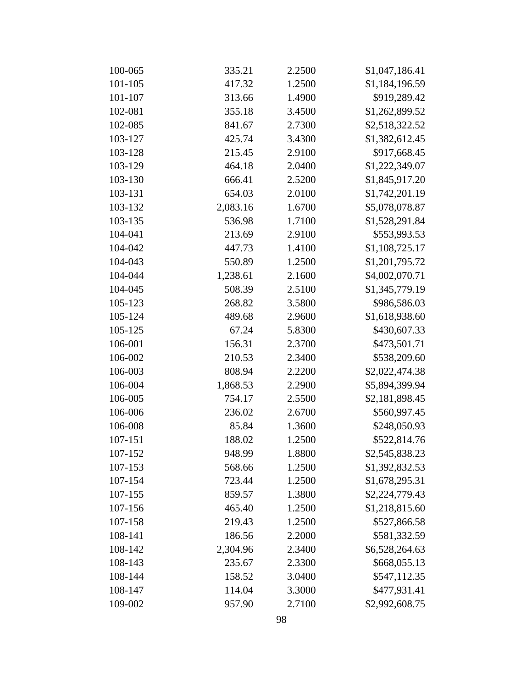| 100-065 | 335.21   | 2.2500 | \$1,047,186.41 |
|---------|----------|--------|----------------|
| 101-105 | 417.32   | 1.2500 | \$1,184,196.59 |
| 101-107 | 313.66   | 1.4900 | \$919,289.42   |
| 102-081 | 355.18   | 3.4500 | \$1,262,899.52 |
| 102-085 | 841.67   | 2.7300 | \$2,518,322.52 |
| 103-127 | 425.74   | 3.4300 | \$1,382,612.45 |
| 103-128 | 215.45   | 2.9100 | \$917,668.45   |
| 103-129 | 464.18   | 2.0400 | \$1,222,349.07 |
| 103-130 | 666.41   | 2.5200 | \$1,845,917.20 |
| 103-131 | 654.03   | 2.0100 | \$1,742,201.19 |
| 103-132 | 2,083.16 | 1.6700 | \$5,078,078.87 |
| 103-135 | 536.98   | 1.7100 | \$1,528,291.84 |
| 104-041 | 213.69   | 2.9100 | \$553,993.53   |
| 104-042 | 447.73   | 1.4100 | \$1,108,725.17 |
| 104-043 | 550.89   | 1.2500 | \$1,201,795.72 |
| 104-044 | 1,238.61 | 2.1600 | \$4,002,070.71 |
| 104-045 | 508.39   | 2.5100 | \$1,345,779.19 |
| 105-123 | 268.82   | 3.5800 | \$986,586.03   |
| 105-124 | 489.68   | 2.9600 | \$1,618,938.60 |
| 105-125 | 67.24    | 5.8300 | \$430,607.33   |
| 106-001 | 156.31   | 2.3700 | \$473,501.71   |
| 106-002 | 210.53   | 2.3400 | \$538,209.60   |
| 106-003 | 808.94   | 2.2200 | \$2,022,474.38 |
| 106-004 | 1,868.53 | 2.2900 | \$5,894,399.94 |
| 106-005 | 754.17   | 2.5500 | \$2,181,898.45 |
| 106-006 | 236.02   | 2.6700 | \$560,997.45   |
| 106-008 | 85.84    | 1.3600 | \$248,050.93   |
| 107-151 | 188.02   | 1.2500 | \$522,814.76   |
| 107-152 | 948.99   | 1.8800 | \$2,545,838.23 |
| 107-153 | 568.66   | 1.2500 | \$1,392,832.53 |
| 107-154 | 723.44   | 1.2500 | \$1,678,295.31 |
| 107-155 | 859.57   | 1.3800 | \$2,224,779.43 |
| 107-156 | 465.40   | 1.2500 | \$1,218,815.60 |
| 107-158 | 219.43   | 1.2500 | \$527,866.58   |
| 108-141 | 186.56   | 2.2000 | \$581,332.59   |
| 108-142 | 2,304.96 | 2.3400 | \$6,528,264.63 |
| 108-143 | 235.67   | 2.3300 | \$668,055.13   |
| 108-144 | 158.52   | 3.0400 | \$547,112.35   |
| 108-147 | 114.04   | 3.3000 | \$477,931.41   |
| 109-002 | 957.90   | 2.7100 | \$2,992,608.75 |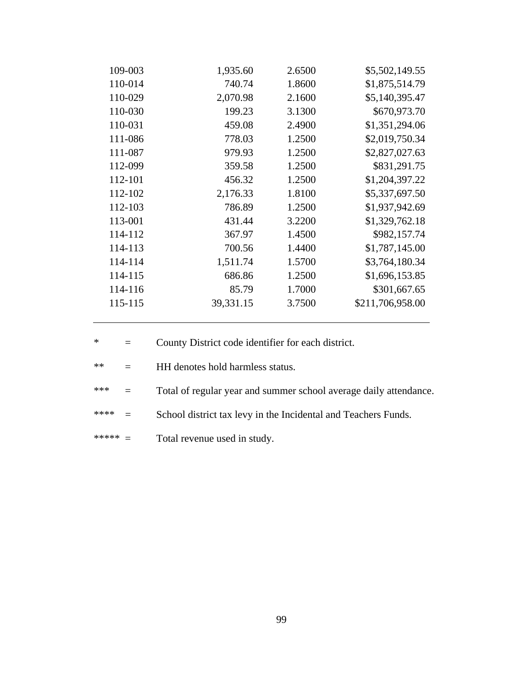| 109-003 | 1,935.60  | 2.6500 | \$5,502,149.55   |
|---------|-----------|--------|------------------|
| 110-014 | 740.74    | 1.8600 | \$1,875,514.79   |
| 110-029 | 2,070.98  | 2.1600 | \$5,140,395.47   |
| 110-030 | 199.23    | 3.1300 | \$670,973.70     |
| 110-031 | 459.08    | 2.4900 | \$1,351,294.06   |
| 111-086 | 778.03    | 1.2500 | \$2,019,750.34   |
| 111-087 | 979.93    | 1.2500 | \$2,827,027.63   |
| 112-099 | 359.58    | 1.2500 | \$831,291.75     |
| 112-101 | 456.32    | 1.2500 | \$1,204,397.22   |
| 112-102 | 2,176.33  | 1.8100 | \$5,337,697.50   |
| 112-103 | 786.89    | 1.2500 | \$1,937,942.69   |
| 113-001 | 431.44    | 3.2200 | \$1,329,762.18   |
| 114-112 | 367.97    | 1.4500 | \$982,157.74     |
| 114-113 | 700.56    | 1.4400 | \$1,787,145.00   |
| 114-114 | 1,511.74  | 1.5700 | \$3,764,180.34   |
| 114-115 | 686.86    | 1.2500 | \$1,696,153.85   |
| 114-116 | 85.79     | 1.7000 | \$301,667.65     |
| 115-115 | 39,331.15 | 3.7500 | \$211,706,958.00 |
|         |           |        |                  |

- \* = County District code identifier for each district.
- \*\* = HH denotes hold harmless status.
- \*\*\* = Total of regular year and summer school average daily attendance.
- \*\*\*\* = School district tax levy in the Incidental and Teachers Funds.
- \*\*\*\*\*  $=$  Total revenue used in study.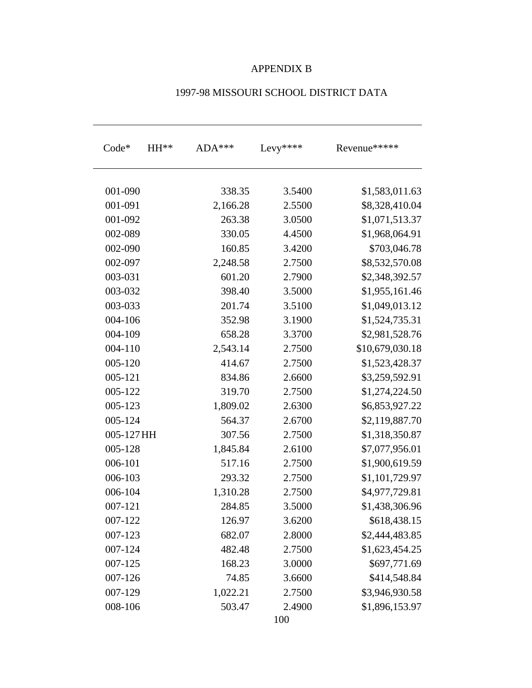# APPENDIX B

| $Code*$     | $HH**$ | $ADA***$ | Levy**** | Revenue*****    |
|-------------|--------|----------|----------|-----------------|
|             |        |          |          |                 |
| 001-090     |        | 338.35   | 3.5400   | \$1,583,011.63  |
| 001-091     |        | 2,166.28 | 2.5500   | \$8,328,410.04  |
| 001-092     |        | 263.38   | 3.0500   | \$1,071,513.37  |
| 002-089     |        | 330.05   | 4.4500   | \$1,968,064.91  |
| 002-090     |        | 160.85   | 3.4200   | \$703,046.78    |
| 002-097     |        | 2,248.58 | 2.7500   | \$8,532,570.08  |
| 003-031     |        | 601.20   | 2.7900   | \$2,348,392.57  |
| 003-032     |        | 398.40   | 3.5000   | \$1,955,161.46  |
| 003-033     |        | 201.74   | 3.5100   | \$1,049,013.12  |
| 004-106     |        | 352.98   | 3.1900   | \$1,524,735.31  |
| 004-109     |        | 658.28   | 3.3700   | \$2,981,528.76  |
| 004-110     |        | 2,543.14 | 2.7500   | \$10,679,030.18 |
| 005-120     |        | 414.67   | 2.7500   | \$1,523,428.37  |
| 005-121     |        | 834.86   | 2.6600   | \$3,259,592.91  |
| 005-122     |        | 319.70   | 2.7500   | \$1,274,224.50  |
| 005-123     |        | 1,809.02 | 2.6300   | \$6,853,927.22  |
| 005-124     |        | 564.37   | 2.6700   | \$2,119,887.70  |
| 005-127 HH  |        | 307.56   | 2.7500   | \$1,318,350.87  |
| 005-128     |        | 1,845.84 | 2.6100   | \$7,077,956.01  |
| 006-101     |        | 517.16   | 2.7500   | \$1,900,619.59  |
| 006-103     |        | 293.32   | 2.7500   | \$1,101,729.97  |
| 006-104     |        | 1,310.28 | 2.7500   | \$4,977,729.81  |
| 007-121     |        | 284.85   | 3.5000   | \$1,438,306.96  |
| 007-122     |        | 126.97   | 3.6200   | \$618,438.15    |
| 007-123     |        | 682.07   | 2.8000   | \$2,444,483.85  |
| 007-124     |        | 482.48   | 2.7500   | \$1,623,454.25  |
| 007-125     |        | 168.23   | 3.0000   | \$697,771.69    |
| $007 - 126$ |        | 74.85    | 3.6600   | \$414,548.84    |
| 007-129     |        | 1,022.21 | 2.7500   | \$3,946,930.58  |
| 008-106     |        | 503.47   | 2.4900   | \$1,896,153.97  |
|             |        |          | 100      |                 |

# 1997-98 MISSOURI SCHOOL DISTRICT DATA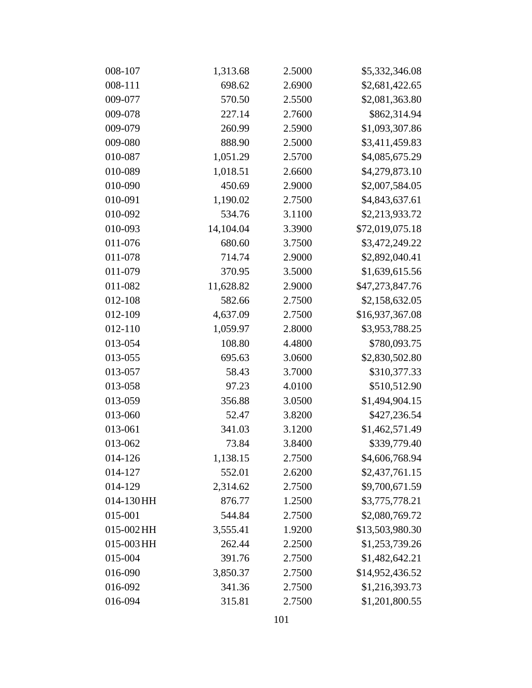| 008-107    | 1,313.68  | 2.5000 | \$5,332,346.08  |
|------------|-----------|--------|-----------------|
| 008-111    | 698.62    | 2.6900 | \$2,681,422.65  |
| 009-077    | 570.50    | 2.5500 | \$2,081,363.80  |
| 009-078    | 227.14    | 2.7600 | \$862,314.94    |
| 009-079    | 260.99    | 2.5900 | \$1,093,307.86  |
| 009-080    | 888.90    | 2.5000 | \$3,411,459.83  |
| 010-087    | 1,051.29  | 2.5700 | \$4,085,675.29  |
| 010-089    | 1,018.51  | 2.6600 | \$4,279,873.10  |
| 010-090    | 450.69    | 2.9000 | \$2,007,584.05  |
| 010-091    | 1,190.02  | 2.7500 | \$4,843,637.61  |
| 010-092    | 534.76    | 3.1100 | \$2,213,933.72  |
| 010-093    | 14,104.04 | 3.3900 | \$72,019,075.18 |
| 011-076    | 680.60    | 3.7500 | \$3,472,249.22  |
| 011-078    | 714.74    | 2.9000 | \$2,892,040.41  |
| 011-079    | 370.95    | 3.5000 | \$1,639,615.56  |
| 011-082    | 11,628.82 | 2.9000 | \$47,273,847.76 |
| 012-108    | 582.66    | 2.7500 | \$2,158,632.05  |
| 012-109    | 4,637.09  | 2.7500 | \$16,937,367.08 |
| 012-110    | 1,059.97  | 2.8000 | \$3,953,788.25  |
| 013-054    | 108.80    | 4.4800 | \$780,093.75    |
| 013-055    | 695.63    | 3.0600 | \$2,830,502.80  |
| 013-057    | 58.43     | 3.7000 | \$310,377.33    |
| 013-058    | 97.23     | 4.0100 | \$510,512.90    |
| 013-059    | 356.88    | 3.0500 | \$1,494,904.15  |
| 013-060    | 52.47     | 3.8200 | \$427,236.54    |
| 013-061    | 341.03    | 3.1200 | \$1,462,571.49  |
| 013-062    | 73.84     | 3.8400 | \$339,779.40    |
| 014-126    | 1,138.15  | 2.7500 | \$4,606,768.94  |
| 014-127    | 552.01    | 2.6200 | \$2,437,761.15  |
| 014-129    | 2,314.62  | 2.7500 | \$9,700,671.59  |
| 014-130 HH | 876.77    | 1.2500 | \$3,775,778.21  |
| 015-001    | 544.84    | 2.7500 | \$2,080,769.72  |
| 015-002 HH | 3,555.41  | 1.9200 | \$13,503,980.30 |
| 015-003 HH | 262.44    | 2.2500 | \$1,253,739.26  |
| 015-004    | 391.76    | 2.7500 | \$1,482,642.21  |
| 016-090    | 3,850.37  | 2.7500 | \$14,952,436.52 |
| 016-092    | 341.36    | 2.7500 | \$1,216,393.73  |
| 016-094    | 315.81    | 2.7500 | \$1,201,800.55  |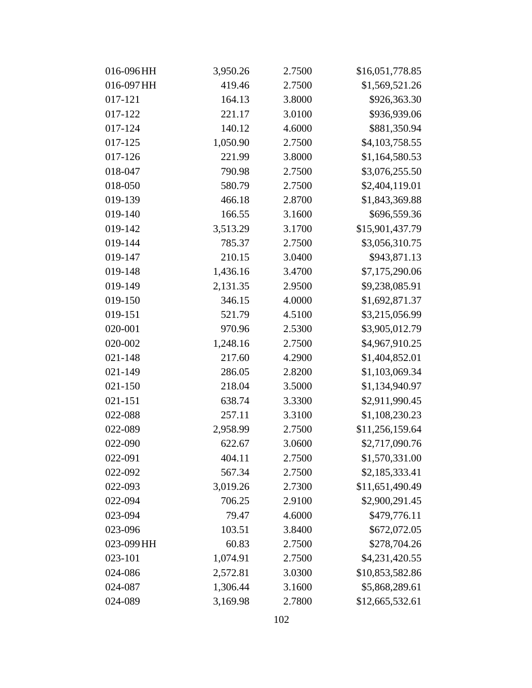| 016-096HH  | 3,950.26 | 2.7500 | \$16,051,778.85 |
|------------|----------|--------|-----------------|
| 016-097 HH | 419.46   | 2.7500 | \$1,569,521.26  |
| 017-121    | 164.13   | 3.8000 | \$926,363.30    |
| 017-122    | 221.17   | 3.0100 | \$936,939.06    |
| 017-124    | 140.12   | 4.6000 | \$881,350.94    |
| 017-125    | 1,050.90 | 2.7500 | \$4,103,758.55  |
| 017-126    | 221.99   | 3.8000 | \$1,164,580.53  |
| 018-047    | 790.98   | 2.7500 | \$3,076,255.50  |
| 018-050    | 580.79   | 2.7500 | \$2,404,119.01  |
| 019-139    | 466.18   | 2.8700 | \$1,843,369.88  |
| 019-140    | 166.55   | 3.1600 | \$696,559.36    |
| 019-142    | 3,513.29 | 3.1700 | \$15,901,437.79 |
| 019-144    | 785.37   | 2.7500 | \$3,056,310.75  |
| 019-147    | 210.15   | 3.0400 | \$943,871.13    |
| 019-148    | 1,436.16 | 3.4700 | \$7,175,290.06  |
| 019-149    | 2,131.35 | 2.9500 | \$9,238,085.91  |
| 019-150    | 346.15   | 4.0000 | \$1,692,871.37  |
| 019-151    | 521.79   | 4.5100 | \$3,215,056.99  |
| 020-001    | 970.96   | 2.5300 | \$3,905,012.79  |
| 020-002    | 1,248.16 | 2.7500 | \$4,967,910.25  |
| 021-148    | 217.60   | 4.2900 | \$1,404,852.01  |
| 021-149    | 286.05   | 2.8200 | \$1,103,069.34  |
| 021-150    | 218.04   | 3.5000 | \$1,134,940.97  |
| 021-151    | 638.74   | 3.3300 | \$2,911,990.45  |
| 022-088    | 257.11   | 3.3100 | \$1,108,230.23  |
| 022-089    | 2,958.99 | 2.7500 | \$11,256,159.64 |
| 022-090    | 622.67   | 3.0600 | \$2,717,090.76  |
| 022-091    | 404.11   | 2.7500 | \$1,570,331.00  |
| 022-092    | 567.34   | 2.7500 | \$2,185,333.41  |
| 022-093    | 3,019.26 | 2.7300 | \$11,651,490.49 |
| 022-094    | 706.25   | 2.9100 | \$2,900,291.45  |
| 023-094    | 79.47    | 4.6000 | \$479,776.11    |
| 023-096    | 103.51   | 3.8400 | \$672,072.05    |
| 023-099 HH | 60.83    | 2.7500 | \$278,704.26    |
| 023-101    | 1,074.91 | 2.7500 | \$4,231,420.55  |
| 024-086    | 2,572.81 | 3.0300 | \$10,853,582.86 |
| 024-087    | 1,306.44 | 3.1600 | \$5,868,289.61  |
| 024-089    | 3,169.98 | 2.7800 | \$12,665,532.61 |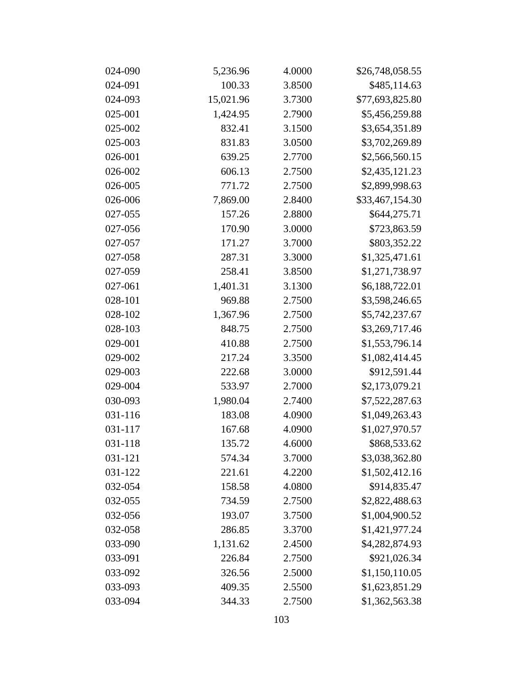| 024-090 | 5,236.96  | 4.0000 | \$26,748,058.55 |
|---------|-----------|--------|-----------------|
| 024-091 | 100.33    | 3.8500 | \$485,114.63    |
| 024-093 | 15,021.96 | 3.7300 | \$77,693,825.80 |
| 025-001 | 1,424.95  | 2.7900 | \$5,456,259.88  |
| 025-002 | 832.41    | 3.1500 | \$3,654,351.89  |
| 025-003 | 831.83    | 3.0500 | \$3,702,269.89  |
| 026-001 | 639.25    | 2.7700 | \$2,566,560.15  |
| 026-002 | 606.13    | 2.7500 | \$2,435,121.23  |
| 026-005 | 771.72    | 2.7500 | \$2,899,998.63  |
| 026-006 | 7,869.00  | 2.8400 | \$33,467,154.30 |
| 027-055 | 157.26    | 2.8800 | \$644,275.71    |
| 027-056 | 170.90    | 3.0000 | \$723,863.59    |
| 027-057 | 171.27    | 3.7000 | \$803,352.22    |
| 027-058 | 287.31    | 3.3000 | \$1,325,471.61  |
| 027-059 | 258.41    | 3.8500 | \$1,271,738.97  |
| 027-061 | 1,401.31  | 3.1300 | \$6,188,722.01  |
| 028-101 | 969.88    | 2.7500 | \$3,598,246.65  |
| 028-102 | 1,367.96  | 2.7500 | \$5,742,237.67  |
| 028-103 | 848.75    | 2.7500 | \$3,269,717.46  |
| 029-001 | 410.88    | 2.7500 | \$1,553,796.14  |
| 029-002 | 217.24    | 3.3500 | \$1,082,414.45  |
| 029-003 | 222.68    | 3.0000 | \$912,591.44    |
| 029-004 | 533.97    | 2.7000 | \$2,173,079.21  |
| 030-093 | 1,980.04  | 2.7400 | \$7,522,287.63  |
| 031-116 | 183.08    | 4.0900 | \$1,049,263.43  |
| 031-117 | 167.68    | 4.0900 | \$1,027,970.57  |
| 031-118 | 135.72    | 4.6000 | \$868,533.62    |
| 031-121 | 574.34    | 3.7000 | \$3,038,362.80  |
| 031-122 | 221.61    | 4.2200 | \$1,502,412.16  |
| 032-054 | 158.58    | 4.0800 | \$914,835.47    |
| 032-055 | 734.59    | 2.7500 | \$2,822,488.63  |
| 032-056 | 193.07    | 3.7500 | \$1,004,900.52  |
| 032-058 | 286.85    | 3.3700 | \$1,421,977.24  |
| 033-090 | 1,131.62  | 2.4500 | \$4,282,874.93  |
| 033-091 | 226.84    | 2.7500 | \$921,026.34    |
| 033-092 | 326.56    | 2.5000 | \$1,150,110.05  |
| 033-093 | 409.35    | 2.5500 | \$1,623,851.29  |
| 033-094 | 344.33    | 2.7500 | \$1,362,563.38  |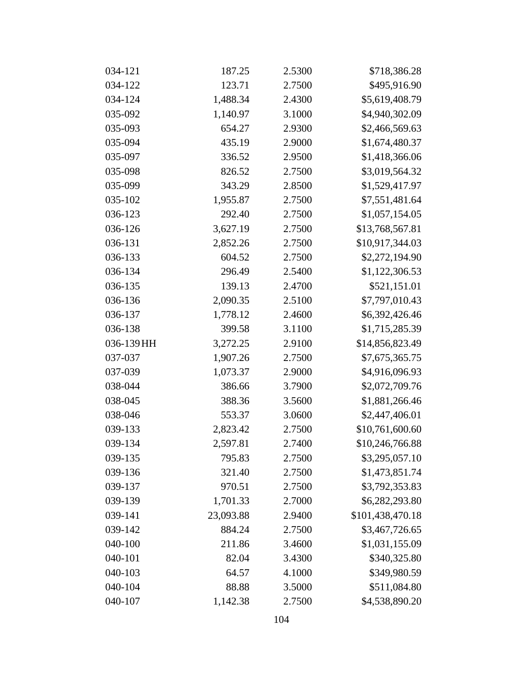| 034-121    | 187.25    | 2.5300 | \$718,386.28     |
|------------|-----------|--------|------------------|
| 034-122    | 123.71    | 2.7500 | \$495,916.90     |
| 034-124    | 1,488.34  | 2.4300 | \$5,619,408.79   |
| 035-092    | 1,140.97  | 3.1000 | \$4,940,302.09   |
| 035-093    | 654.27    | 2.9300 | \$2,466,569.63   |
| 035-094    | 435.19    | 2.9000 | \$1,674,480.37   |
| 035-097    | 336.52    | 2.9500 | \$1,418,366.06   |
| 035-098    | 826.52    | 2.7500 | \$3,019,564.32   |
| 035-099    | 343.29    | 2.8500 | \$1,529,417.97   |
| 035-102    | 1,955.87  | 2.7500 | \$7,551,481.64   |
| 036-123    | 292.40    | 2.7500 | \$1,057,154.05   |
| 036-126    | 3,627.19  | 2.7500 | \$13,768,567.81  |
| 036-131    | 2,852.26  | 2.7500 | \$10,917,344.03  |
| 036-133    | 604.52    | 2.7500 | \$2,272,194.90   |
| 036-134    | 296.49    | 2.5400 | \$1,122,306.53   |
| 036-135    | 139.13    | 2.4700 | \$521,151.01     |
| 036-136    | 2,090.35  | 2.5100 | \$7,797,010.43   |
| 036-137    | 1,778.12  | 2.4600 | \$6,392,426.46   |
| 036-138    | 399.58    | 3.1100 | \$1,715,285.39   |
| 036-139 HH | 3,272.25  | 2.9100 | \$14,856,823.49  |
| 037-037    | 1,907.26  | 2.7500 | \$7,675,365.75   |
| 037-039    | 1,073.37  | 2.9000 | \$4,916,096.93   |
| 038-044    | 386.66    | 3.7900 | \$2,072,709.76   |
| 038-045    | 388.36    | 3.5600 | \$1,881,266.46   |
| 038-046    | 553.37    | 3.0600 | \$2,447,406.01   |
| 039-133    | 2,823.42  | 2.7500 | \$10,761,600.60  |
| 039-134    | 2,597.81  | 2.7400 | \$10,246,766.88  |
| 039-135    | 795.83    | 2.7500 | \$3,295,057.10   |
| 039-136    | 321.40    | 2.7500 | \$1,473,851.74   |
| 039-137    | 970.51    | 2.7500 | \$3,792,353.83   |
| 039-139    | 1,701.33  | 2.7000 | \$6,282,293.80   |
| 039-141    | 23,093.88 | 2.9400 | \$101,438,470.18 |
| 039-142    | 884.24    | 2.7500 | \$3,467,726.65   |
| 040-100    | 211.86    | 3.4600 | \$1,031,155.09   |
| 040-101    | 82.04     | 3.4300 | \$340,325.80     |
| 040-103    | 64.57     | 4.1000 | \$349,980.59     |
| 040-104    | 88.88     | 3.5000 | \$511,084.80     |
| 040-107    | 1,142.38  | 2.7500 | \$4,538,890.20   |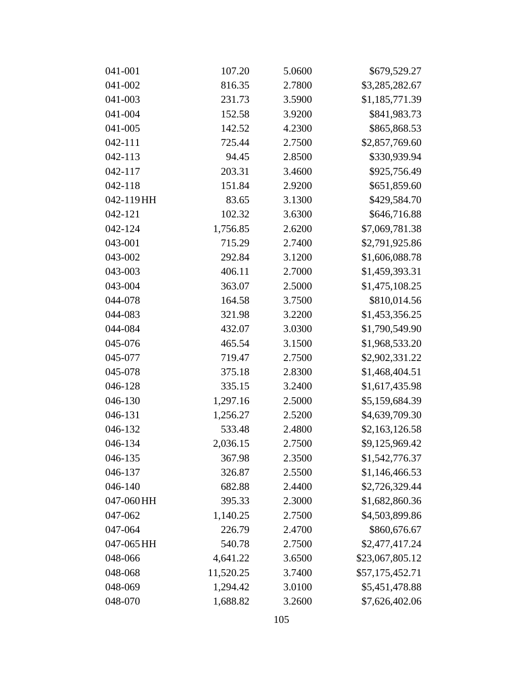| 041-001    | 107.20    | 5.0600 | \$679,529.27    |
|------------|-----------|--------|-----------------|
| 041-002    | 816.35    | 2.7800 | \$3,285,282.67  |
| 041-003    | 231.73    | 3.5900 | \$1,185,771.39  |
| 041-004    | 152.58    | 3.9200 | \$841,983.73    |
| 041-005    | 142.52    | 4.2300 | \$865,868.53    |
| 042-111    | 725.44    | 2.7500 | \$2,857,769.60  |
| 042-113    | 94.45     | 2.8500 | \$330,939.94    |
| 042-117    | 203.31    | 3.4600 | \$925,756.49    |
| 042-118    | 151.84    | 2.9200 | \$651,859.60    |
| 042-119 HH | 83.65     | 3.1300 | \$429,584.70    |
| 042-121    | 102.32    | 3.6300 | \$646,716.88    |
| 042-124    | 1,756.85  | 2.6200 | \$7,069,781.38  |
| 043-001    | 715.29    | 2.7400 | \$2,791,925.86  |
| 043-002    | 292.84    | 3.1200 | \$1,606,088.78  |
| 043-003    | 406.11    | 2.7000 | \$1,459,393.31  |
| 043-004    | 363.07    | 2.5000 | \$1,475,108.25  |
| 044-078    | 164.58    | 3.7500 | \$810,014.56    |
| 044-083    | 321.98    | 3.2200 | \$1,453,356.25  |
| 044-084    | 432.07    | 3.0300 | \$1,790,549.90  |
| 045-076    | 465.54    | 3.1500 | \$1,968,533.20  |
| 045-077    | 719.47    | 2.7500 | \$2,902,331.22  |
| 045-078    | 375.18    | 2.8300 | \$1,468,404.51  |
| 046-128    | 335.15    | 3.2400 | \$1,617,435.98  |
| 046-130    | 1,297.16  | 2.5000 | \$5,159,684.39  |
| 046-131    | 1,256.27  | 2.5200 | \$4,639,709.30  |
| 046-132    | 533.48    | 2.4800 | \$2,163,126.58  |
| 046-134    | 2,036.15  | 2.7500 | \$9,125,969.42  |
| 046-135    | 367.98    | 2.3500 | \$1,542,776.37  |
| 046-137    | 326.87    | 2.5500 | \$1,146,466.53  |
| 046-140    | 682.88    | 2.4400 | \$2,726,329.44  |
| 047-060 HH | 395.33    | 2.3000 | \$1,682,860.36  |
| 047-062    | 1,140.25  | 2.7500 | \$4,503,899.86  |
| 047-064    | 226.79    | 2.4700 | \$860,676.67    |
| 047-065 HH | 540.78    | 2.7500 | \$2,477,417.24  |
| 048-066    | 4,641.22  | 3.6500 | \$23,067,805.12 |
| 048-068    | 11,520.25 | 3.7400 | \$57,175,452.71 |
| 048-069    | 1,294.42  | 3.0100 | \$5,451,478.88  |
| 048-070    | 1,688.82  | 3.2600 | \$7,626,402.06  |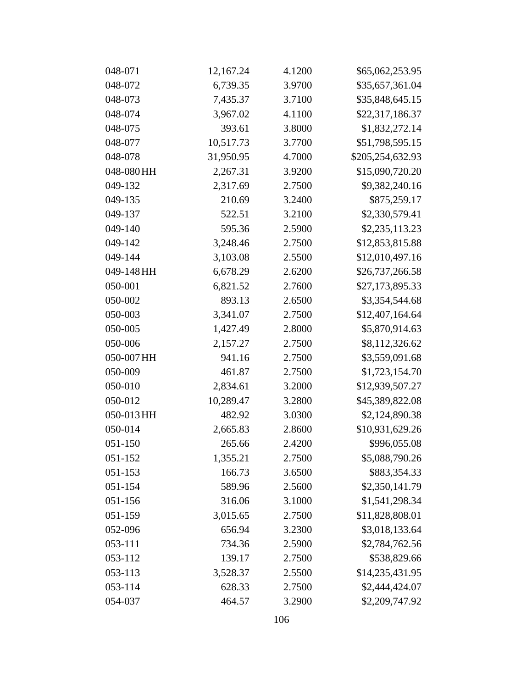| 048-071     | 12,167.24 | 4.1200 | \$65,062,253.95  |
|-------------|-----------|--------|------------------|
| 048-072     | 6,739.35  | 3.9700 | \$35,657,361.04  |
| 048-073     | 7,435.37  | 3.7100 | \$35,848,645.15  |
| 048-074     | 3,967.02  | 4.1100 | \$22,317,186.37  |
| 048-075     | 393.61    | 3.8000 | \$1,832,272.14   |
| 048-077     | 10,517.73 | 3.7700 | \$51,798,595.15  |
| 048-078     | 31,950.95 | 4.7000 | \$205,254,632.93 |
| 048-080 HH  | 2,267.31  | 3.9200 | \$15,090,720.20  |
| 049-132     | 2,317.69  | 2.7500 | \$9,382,240.16   |
| 049-135     | 210.69    | 3.2400 | \$875,259.17     |
| 049-137     | 522.51    | 3.2100 | \$2,330,579.41   |
| 049-140     | 595.36    | 2.5900 | \$2,235,113.23   |
| 049-142     | 3,248.46  | 2.7500 | \$12,853,815.88  |
| 049-144     | 3,103.08  | 2.5500 | \$12,010,497.16  |
| 049-148 HH  | 6,678.29  | 2.6200 | \$26,737,266.58  |
| 050-001     | 6,821.52  | 2.7600 | \$27,173,895.33  |
| 050-002     | 893.13    | 2.6500 | \$3,354,544.68   |
| 050-003     | 3,341.07  | 2.7500 | \$12,407,164.64  |
| 050-005     | 1,427.49  | 2.8000 | \$5,870,914.63   |
| 050-006     | 2,157.27  | 2.7500 | \$8,112,326.62   |
| 050-007 HH  | 941.16    | 2.7500 | \$3,559,091.68   |
| 050-009     | 461.87    | 2.7500 | \$1,723,154.70   |
| 050-010     | 2,834.61  | 3.2000 | \$12,939,507.27  |
| 050-012     | 10,289.47 | 3.2800 | \$45,389,822.08  |
| 050-013 HH  | 482.92    | 3.0300 | \$2,124,890.38   |
| 050-014     | 2,665.83  | 2.8600 | \$10,931,629.26  |
| 051-150     | 265.66    | 2.4200 | \$996,055.08     |
| $051 - 152$ | 1,355.21  | 2.7500 | \$5,088,790.26   |
| 051-153     | 166.73    | 3.6500 | \$883,354.33     |
| 051-154     | 589.96    | 2.5600 | \$2,350,141.79   |
| 051-156     | 316.06    | 3.1000 | \$1,541,298.34   |
| 051-159     | 3,015.65  | 2.7500 | \$11,828,808.01  |
| 052-096     | 656.94    | 3.2300 | \$3,018,133.64   |
| 053-111     | 734.36    | 2.5900 | \$2,784,762.56   |
| 053-112     | 139.17    | 2.7500 | \$538,829.66     |
| 053-113     | 3,528.37  | 2.5500 | \$14,235,431.95  |
| 053-114     | 628.33    | 2.7500 | \$2,444,424.07   |
| 054-037     | 464.57    | 3.2900 | \$2,209,747.92   |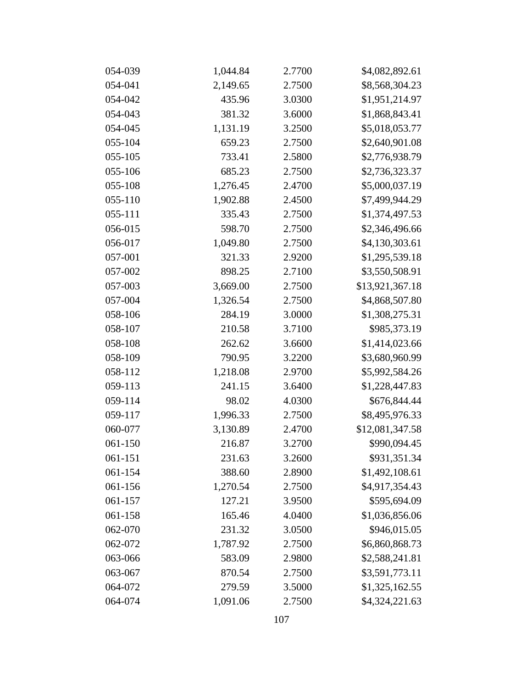| 054-039 | 1,044.84 | 2.7700 | \$4,082,892.61  |
|---------|----------|--------|-----------------|
| 054-041 | 2,149.65 | 2.7500 | \$8,568,304.23  |
| 054-042 | 435.96   | 3.0300 | \$1,951,214.97  |
| 054-043 | 381.32   | 3.6000 | \$1,868,843.41  |
| 054-045 | 1,131.19 | 3.2500 | \$5,018,053.77  |
| 055-104 | 659.23   | 2.7500 | \$2,640,901.08  |
| 055-105 | 733.41   | 2.5800 | \$2,776,938.79  |
| 055-106 | 685.23   | 2.7500 | \$2,736,323.37  |
| 055-108 | 1,276.45 | 2.4700 | \$5,000,037.19  |
| 055-110 | 1,902.88 | 2.4500 | \$7,499,944.29  |
| 055-111 | 335.43   | 2.7500 | \$1,374,497.53  |
| 056-015 | 598.70   | 2.7500 | \$2,346,496.66  |
| 056-017 | 1,049.80 | 2.7500 | \$4,130,303.61  |
| 057-001 | 321.33   | 2.9200 | \$1,295,539.18  |
| 057-002 | 898.25   | 2.7100 | \$3,550,508.91  |
| 057-003 | 3,669.00 | 2.7500 | \$13,921,367.18 |
| 057-004 | 1,326.54 | 2.7500 | \$4,868,507.80  |
| 058-106 | 284.19   | 3.0000 | \$1,308,275.31  |
| 058-107 | 210.58   | 3.7100 | \$985,373.19    |
| 058-108 | 262.62   | 3.6600 | \$1,414,023.66  |
| 058-109 | 790.95   | 3.2200 | \$3,680,960.99  |
| 058-112 | 1,218.08 | 2.9700 | \$5,992,584.26  |
| 059-113 | 241.15   | 3.6400 | \$1,228,447.83  |
| 059-114 | 98.02    | 4.0300 | \$676,844.44    |
| 059-117 | 1,996.33 | 2.7500 | \$8,495,976.33  |
| 060-077 | 3,130.89 | 2.4700 | \$12,081,347.58 |
| 061-150 | 216.87   | 3.2700 | \$990,094.45    |
| 061-151 | 231.63   | 3.2600 | \$931,351.34    |
| 061-154 | 388.60   | 2.8900 | \$1,492,108.61  |
| 061-156 | 1,270.54 | 2.7500 | \$4,917,354.43  |
| 061-157 | 127.21   | 3.9500 | \$595,694.09    |
| 061-158 | 165.46   | 4.0400 | \$1,036,856.06  |
| 062-070 | 231.32   | 3.0500 | \$946,015.05    |
| 062-072 | 1,787.92 | 2.7500 | \$6,860,868.73  |
| 063-066 | 583.09   | 2.9800 | \$2,588,241.81  |
| 063-067 | 870.54   | 2.7500 | \$3,591,773.11  |
| 064-072 | 279.59   | 3.5000 | \$1,325,162.55  |
| 064-074 | 1,091.06 | 2.7500 | \$4,324,221.63  |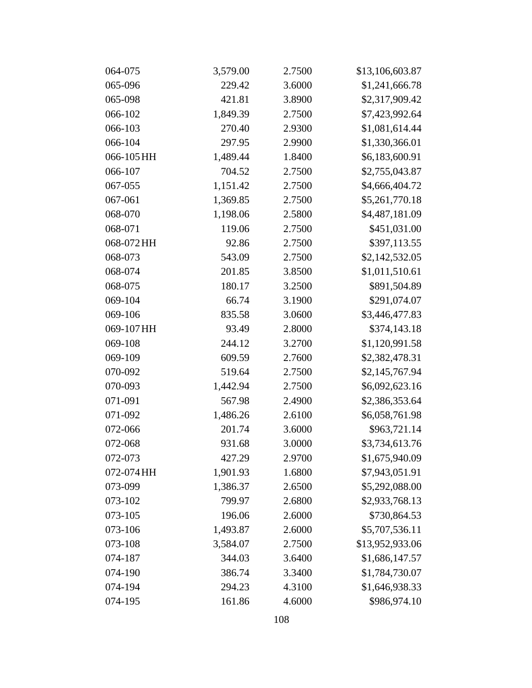| 064-075    | 3,579.00 | 2.7500 | \$13,106,603.87 |
|------------|----------|--------|-----------------|
| 065-096    | 229.42   | 3.6000 | \$1,241,666.78  |
| 065-098    | 421.81   | 3.8900 | \$2,317,909.42  |
| 066-102    | 1,849.39 | 2.7500 | \$7,423,992.64  |
| 066-103    | 270.40   | 2.9300 | \$1,081,614.44  |
| 066-104    | 297.95   | 2.9900 | \$1,330,366.01  |
| 066-105 HH | 1,489.44 | 1.8400 | \$6,183,600.91  |
| 066-107    | 704.52   | 2.7500 | \$2,755,043.87  |
| 067-055    | 1,151.42 | 2.7500 | \$4,666,404.72  |
| 067-061    | 1,369.85 | 2.7500 | \$5,261,770.18  |
| 068-070    | 1,198.06 | 2.5800 | \$4,487,181.09  |
| 068-071    | 119.06   | 2.7500 | \$451,031.00    |
| 068-072 HH | 92.86    | 2.7500 | \$397,113.55    |
| 068-073    | 543.09   | 2.7500 | \$2,142,532.05  |
| 068-074    | 201.85   | 3.8500 | \$1,011,510.61  |
| 068-075    | 180.17   | 3.2500 | \$891,504.89    |
| 069-104    | 66.74    | 3.1900 | \$291,074.07    |
| 069-106    | 835.58   | 3.0600 | \$3,446,477.83  |
| 069-107 HH | 93.49    | 2.8000 | \$374,143.18    |
| 069-108    | 244.12   | 3.2700 | \$1,120,991.58  |
| 069-109    | 609.59   | 2.7600 | \$2,382,478.31  |
| 070-092    | 519.64   | 2.7500 | \$2,145,767.94  |
| 070-093    | 1,442.94 | 2.7500 | \$6,092,623.16  |
| 071-091    | 567.98   | 2.4900 | \$2,386,353.64  |
| 071-092    | 1,486.26 | 2.6100 | \$6,058,761.98  |
| 072-066    | 201.74   | 3.6000 | \$963,721.14    |
| 072-068    | 931.68   | 3.0000 | \$3,734,613.76  |
| 072-073    | 427.29   | 2.9700 | \$1,675,940.09  |
| 072-074 HH | 1,901.93 | 1.6800 | \$7,943,051.91  |
| 073-099    | 1,386.37 | 2.6500 | \$5,292,088.00  |
| 073-102    | 799.97   | 2.6800 | \$2,933,768.13  |
| 073-105    | 196.06   | 2.6000 | \$730,864.53    |
| 073-106    | 1,493.87 | 2.6000 | \$5,707,536.11  |
| 073-108    | 3,584.07 | 2.7500 | \$13,952,933.06 |
| 074-187    | 344.03   | 3.6400 | \$1,686,147.57  |
| 074-190    | 386.74   | 3.3400 | \$1,784,730.07  |
| 074-194    | 294.23   | 4.3100 | \$1,646,938.33  |
| 074-195    | 161.86   | 4.6000 | \$986,974.10    |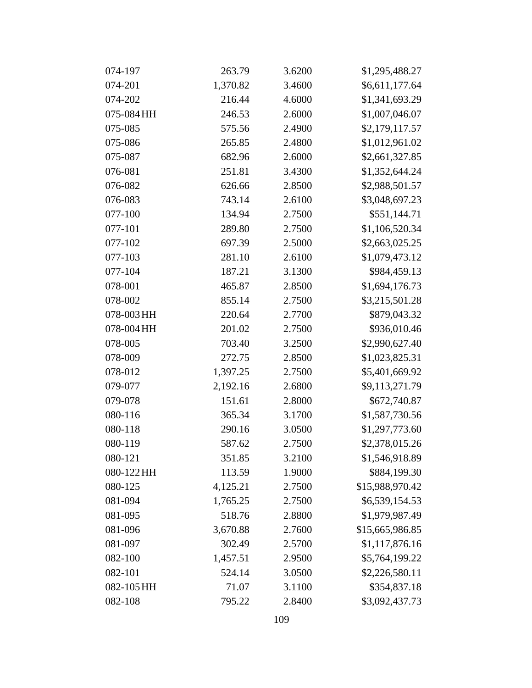| 074-197    | 263.79   | 3.6200 | \$1,295,488.27  |
|------------|----------|--------|-----------------|
| 074-201    | 1,370.82 | 3.4600 | \$6,611,177.64  |
| 074-202    | 216.44   | 4.6000 | \$1,341,693.29  |
| 075-084 HH | 246.53   | 2.6000 | \$1,007,046.07  |
| 075-085    | 575.56   | 2.4900 | \$2,179,117.57  |
| 075-086    | 265.85   | 2.4800 | \$1,012,961.02  |
| 075-087    | 682.96   | 2.6000 | \$2,661,327.85  |
| 076-081    | 251.81   | 3.4300 | \$1,352,644.24  |
| 076-082    | 626.66   | 2.8500 | \$2,988,501.57  |
| 076-083    | 743.14   | 2.6100 | \$3,048,697.23  |
| 077-100    | 134.94   | 2.7500 | \$551,144.71    |
| 077-101    | 289.80   | 2.7500 | \$1,106,520.34  |
| 077-102    | 697.39   | 2.5000 | \$2,663,025.25  |
| 077-103    | 281.10   | 2.6100 | \$1,079,473.12  |
| 077-104    | 187.21   | 3.1300 | \$984,459.13    |
| 078-001    | 465.87   | 2.8500 | \$1,694,176.73  |
| 078-002    | 855.14   | 2.7500 | \$3,215,501.28  |
| 078-003 HH | 220.64   | 2.7700 | \$879,043.32    |
| 078-004 HH | 201.02   | 2.7500 | \$936,010.46    |
| 078-005    | 703.40   | 3.2500 | \$2,990,627.40  |
| 078-009    | 272.75   | 2.8500 | \$1,023,825.31  |
| 078-012    | 1,397.25 | 2.7500 | \$5,401,669.92  |
| 079-077    | 2,192.16 | 2.6800 | \$9,113,271.79  |
| 079-078    | 151.61   | 2.8000 | \$672,740.87    |
| 080-116    | 365.34   | 3.1700 | \$1,587,730.56  |
| 080-118    | 290.16   | 3.0500 | \$1,297,773.60  |
| 080-119    | 587.62   | 2.7500 | \$2,378,015.26  |
| 080-121    | 351.85   | 3.2100 | \$1,546,918.89  |
| 080-122 HH | 113.59   | 1.9000 | \$884,199.30    |
| 080-125    | 4,125.21 | 2.7500 | \$15,988,970.42 |
| 081-094    | 1,765.25 | 2.7500 | \$6,539,154.53  |
| 081-095    | 518.76   | 2.8800 | \$1,979,987.49  |
| 081-096    | 3,670.88 | 2.7600 | \$15,665,986.85 |
| 081-097    | 302.49   | 2.5700 | \$1,117,876.16  |
| 082-100    | 1,457.51 | 2.9500 | \$5,764,199.22  |
| 082-101    | 524.14   | 3.0500 | \$2,226,580.11  |
| 082-105 HH | 71.07    | 3.1100 | \$354,837.18    |
| 082-108    | 795.22   | 2.8400 | \$3,092,437.73  |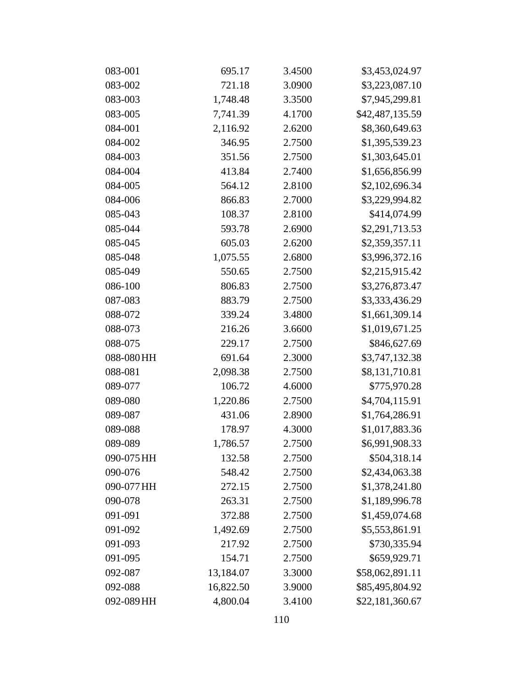| 083-001    | 695.17    | 3.4500 | \$3,453,024.97  |
|------------|-----------|--------|-----------------|
| 083-002    | 721.18    | 3.0900 | \$3,223,087.10  |
| 083-003    | 1,748.48  | 3.3500 | \$7,945,299.81  |
| 083-005    | 7,741.39  | 4.1700 | \$42,487,135.59 |
| 084-001    | 2,116.92  | 2.6200 | \$8,360,649.63  |
| 084-002    | 346.95    | 2.7500 | \$1,395,539.23  |
| 084-003    | 351.56    | 2.7500 | \$1,303,645.01  |
| 084-004    | 413.84    | 2.7400 | \$1,656,856.99  |
| 084-005    | 564.12    | 2.8100 | \$2,102,696.34  |
| 084-006    | 866.83    | 2.7000 | \$3,229,994.82  |
| 085-043    | 108.37    | 2.8100 | \$414,074.99    |
| 085-044    | 593.78    | 2.6900 | \$2,291,713.53  |
| 085-045    | 605.03    | 2.6200 | \$2,359,357.11  |
| 085-048    | 1,075.55  | 2.6800 | \$3,996,372.16  |
| 085-049    | 550.65    | 2.7500 | \$2,215,915.42  |
| 086-100    | 806.83    | 2.7500 | \$3,276,873.47  |
| 087-083    | 883.79    | 2.7500 | \$3,333,436.29  |
| 088-072    | 339.24    | 3.4800 | \$1,661,309.14  |
| 088-073    | 216.26    | 3.6600 | \$1,019,671.25  |
| 088-075    | 229.17    | 2.7500 | \$846,627.69    |
| 088-080 HH | 691.64    | 2.3000 | \$3,747,132.38  |
| 088-081    | 2,098.38  | 2.7500 | \$8,131,710.81  |
| 089-077    | 106.72    | 4.6000 | \$775,970.28    |
| 089-080    | 1,220.86  | 2.7500 | \$4,704,115.91  |
| 089-087    | 431.06    | 2.8900 | \$1,764,286.91  |
| 089-088    | 178.97    | 4.3000 | \$1,017,883.36  |
| 089-089    | 1,786.57  | 2.7500 | \$6,991,908.33  |
| 090-075 HH | 132.58    | 2.7500 | \$504,318.14    |
| 090-076    | 548.42    | 2.7500 | \$2,434,063.38  |
| 090-077 HH | 272.15    | 2.7500 | \$1,378,241.80  |
| 090-078    | 263.31    | 2.7500 | \$1,189,996.78  |
| 091-091    | 372.88    | 2.7500 | \$1,459,074.68  |
| 091-092    | 1,492.69  | 2.7500 | \$5,553,861.91  |
| 091-093    | 217.92    | 2.7500 | \$730,335.94    |
| 091-095    | 154.71    | 2.7500 | \$659,929.71    |
| 092-087    | 13,184.07 | 3.3000 | \$58,062,891.11 |
| 092-088    | 16,822.50 | 3.9000 | \$85,495,804.92 |
| 092-089 HH | 4,800.04  | 3.4100 | \$22,181,360.67 |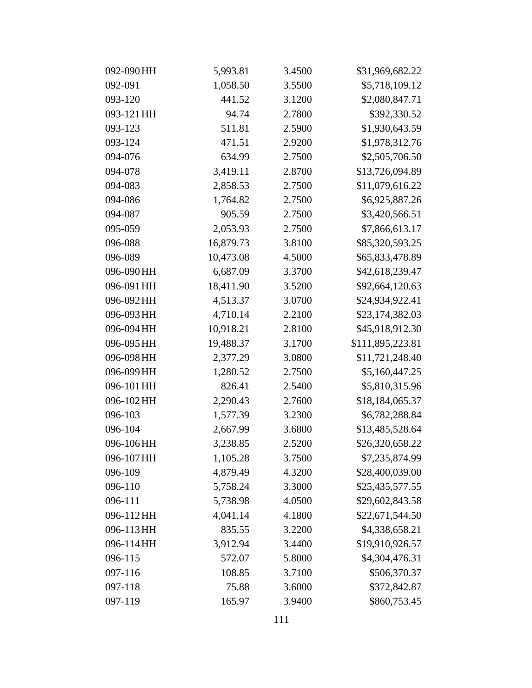| 092-090 HH | 5,993.81  | 3.4500 | \$31,969,682.22  |
|------------|-----------|--------|------------------|
| 092-091    | 1,058.50  | 3.5500 | \$5,718,109.12   |
| 093-120    | 441.52    | 3.1200 | \$2,080,847.71   |
| 093-121 HH | 94.74     | 2.7800 | \$392,330.52     |
| 093-123    | 511.81    | 2.5900 | \$1,930,643.59   |
| 093-124    | 471.51    | 2.9200 | \$1,978,312.76   |
| 094-076    | 634.99    | 2.7500 | \$2,505,706.50   |
| 094-078    | 3,419.11  | 2.8700 | \$13,726,094.89  |
| 094-083    | 2,858.53  | 2.7500 | \$11,079,616.22  |
| 094-086    | 1,764.82  | 2.7500 | \$6,925,887.26   |
| 094-087    | 905.59    | 2.7500 | \$3,420,566.51   |
| 095-059    | 2,053.93  | 2.7500 | \$7,866,613.17   |
| 096-088    | 16,879.73 | 3.8100 | \$85,320,593.25  |
| 096-089    | 10,473.08 | 4.5000 | \$65,833,478.89  |
| 096-090 HH | 6,687.09  | 3.3700 | \$42,618,239.47  |
| 096-091 HH | 18,411.90 | 3.5200 | \$92,664,120.63  |
| 096-092 HH | 4,513.37  | 3.0700 | \$24,934,922.41  |
| 096-093 HH | 4,710.14  | 2.2100 | \$23,174,382.03  |
| 096-094 HH | 10,918.21 | 2.8100 | \$45,918,912.30  |
| 096-095 HH | 19,488.37 | 3.1700 | \$111,895,223.81 |
| 096-098 HH | 2,377.29  | 3.0800 | \$11,721,248.40  |
| 096-099 HH | 1,280.52  | 2.7500 | \$5,160,447.25   |
| 096-101 HH | 826.41    | 2.5400 | \$5,810,315.96   |
| 096-102 HH | 2,290.43  | 2.7600 | \$18,184,065.37  |
| 096-103    | 1,577.39  | 3.2300 | \$6,782,288.84   |
| 096-104    | 2,667.99  | 3.6800 | \$13,485,528.64  |
| 096-106HH  | 3,238.85  | 2.5200 | \$26,320,658.22  |
| 096-107 HH | 1,105.28  | 3.7500 | \$7,235,874.99   |
| 096-109    | 4,879.49  | 4.3200 | \$28,400,039.00  |
| 096-110    | 5,758.24  | 3.3000 | \$25,435,577.55  |
| 096-111    | 5,738.98  | 4.0500 | \$29,602,843.58  |
| 096-112HH  | 4,041.14  | 4.1800 | \$22,671,544.50  |
| 096-113 HH | 835.55    | 3.2200 | \$4,338,658.21   |
| 096-114 HH | 3,912.94  | 3.4400 | \$19,910,926.57  |
| 096-115    | 572.07    | 5.8000 | \$4,304,476.31   |
| 097-116    | 108.85    | 3.7100 | \$506,370.37     |
| 097-118    | 75.88     | 3.6000 | \$372,842.87     |
| 097-119    | 165.97    | 3.9400 | \$860,753.45     |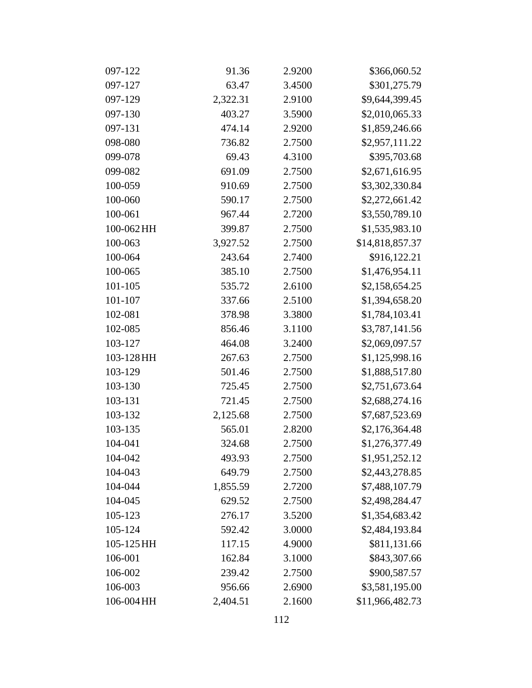| 097-122    | 91.36    | 2.9200 | \$366,060.52    |
|------------|----------|--------|-----------------|
| 097-127    | 63.47    | 3.4500 | \$301,275.79    |
| 097-129    | 2,322.31 | 2.9100 | \$9,644,399.45  |
| 097-130    | 403.27   | 3.5900 | \$2,010,065.33  |
| 097-131    | 474.14   | 2.9200 | \$1,859,246.66  |
| 098-080    | 736.82   | 2.7500 | \$2,957,111.22  |
| 099-078    | 69.43    | 4.3100 | \$395,703.68    |
| 099-082    | 691.09   | 2.7500 | \$2,671,616.95  |
| 100-059    | 910.69   | 2.7500 | \$3,302,330.84  |
| 100-060    | 590.17   | 2.7500 | \$2,272,661.42  |
| 100-061    | 967.44   | 2.7200 | \$3,550,789.10  |
| 100-062 HH | 399.87   | 2.7500 | \$1,535,983.10  |
| 100-063    | 3,927.52 | 2.7500 | \$14,818,857.37 |
| 100-064    | 243.64   | 2.7400 | \$916,122.21    |
| 100-065    | 385.10   | 2.7500 | \$1,476,954.11  |
| 101-105    | 535.72   | 2.6100 | \$2,158,654.25  |
| 101-107    | 337.66   | 2.5100 | \$1,394,658.20  |
| 102-081    | 378.98   | 3.3800 | \$1,784,103.41  |
| 102-085    | 856.46   | 3.1100 | \$3,787,141.56  |
| 103-127    | 464.08   | 3.2400 | \$2,069,097.57  |
| 103-128 HH | 267.63   | 2.7500 | \$1,125,998.16  |
| 103-129    | 501.46   | 2.7500 | \$1,888,517.80  |
| 103-130    | 725.45   | 2.7500 | \$2,751,673.64  |
| 103-131    | 721.45   | 2.7500 | \$2,688,274.16  |
| 103-132    | 2,125.68 | 2.7500 | \$7,687,523.69  |
| 103-135    | 565.01   | 2.8200 | \$2,176,364.48  |
| 104-041    | 324.68   | 2.7500 | \$1,276,377.49  |
| 104-042    | 493.93   | 2.7500 | \$1,951,252.12  |
| 104-043    | 649.79   | 2.7500 | \$2,443,278.85  |
| 104-044    | 1,855.59 | 2.7200 | \$7,488,107.79  |
| 104-045    | 629.52   | 2.7500 | \$2,498,284.47  |
| 105-123    | 276.17   | 3.5200 | \$1,354,683.42  |
| 105-124    | 592.42   | 3.0000 | \$2,484,193.84  |
| 105-125 HH | 117.15   | 4.9000 | \$811,131.66    |
| 106-001    | 162.84   | 3.1000 | \$843,307.66    |
| 106-002    | 239.42   | 2.7500 | \$900,587.57    |
| 106-003    | 956.66   | 2.6900 | \$3,581,195.00  |
| 106-004 HH | 2,404.51 | 2.1600 | \$11,966,482.73 |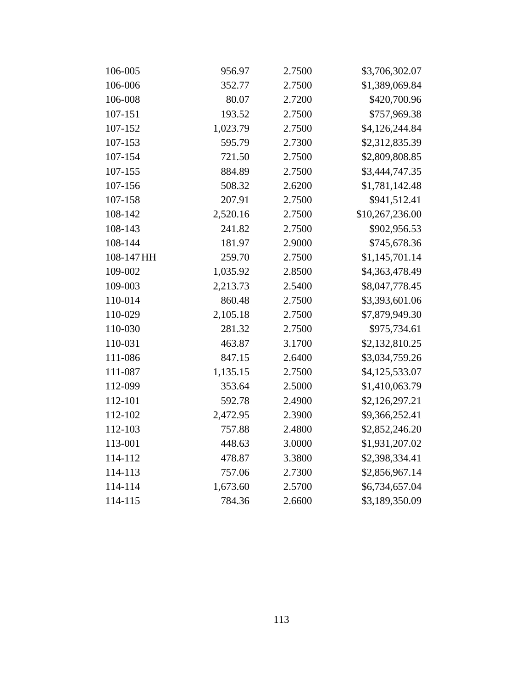| 106-005    | 956.97   | 2.7500 | \$3,706,302.07  |
|------------|----------|--------|-----------------|
| 106-006    | 352.77   | 2.7500 | \$1,389,069.84  |
| 106-008    | 80.07    | 2.7200 | \$420,700.96    |
| 107-151    | 193.52   | 2.7500 | \$757,969.38    |
| 107-152    | 1,023.79 | 2.7500 | \$4,126,244.84  |
| 107-153    | 595.79   | 2.7300 | \$2,312,835.39  |
| 107-154    | 721.50   | 2.7500 | \$2,809,808.85  |
| 107-155    | 884.89   | 2.7500 | \$3,444,747.35  |
| 107-156    | 508.32   | 2.6200 | \$1,781,142.48  |
| 107-158    | 207.91   | 2.7500 | \$941,512.41    |
| 108-142    | 2,520.16 | 2.7500 | \$10,267,236.00 |
| 108-143    | 241.82   | 2.7500 | \$902,956.53    |
| 108-144    | 181.97   | 2.9000 | \$745,678.36    |
| 108-147 HH | 259.70   | 2.7500 | \$1,145,701.14  |
| 109-002    | 1,035.92 | 2.8500 | \$4,363,478.49  |
| 109-003    | 2,213.73 | 2.5400 | \$8,047,778.45  |
| 110-014    | 860.48   | 2.7500 | \$3,393,601.06  |
| 110-029    | 2,105.18 | 2.7500 | \$7,879,949.30  |
| 110-030    | 281.32   | 2.7500 | \$975,734.61    |
| 110-031    | 463.87   | 3.1700 | \$2,132,810.25  |
| 111-086    | 847.15   | 2.6400 | \$3,034,759.26  |
| 111-087    | 1,135.15 | 2.7500 | \$4,125,533.07  |
| 112-099    | 353.64   | 2.5000 | \$1,410,063.79  |
| 112-101    | 592.78   | 2.4900 | \$2,126,297.21  |
| 112-102    | 2,472.95 | 2.3900 | \$9,366,252.41  |
| 112-103    | 757.88   | 2.4800 | \$2,852,246.20  |
| 113-001    | 448.63   | 3.0000 | \$1,931,207.02  |
| 114-112    | 478.87   | 3.3800 | \$2,398,334.41  |
| 114-113    | 757.06   | 2.7300 | \$2,856,967.14  |
| 114-114    | 1,673.60 | 2.5700 | \$6,734,657.04  |
| 114-115    | 784.36   | 2.6600 | \$3,189,350.09  |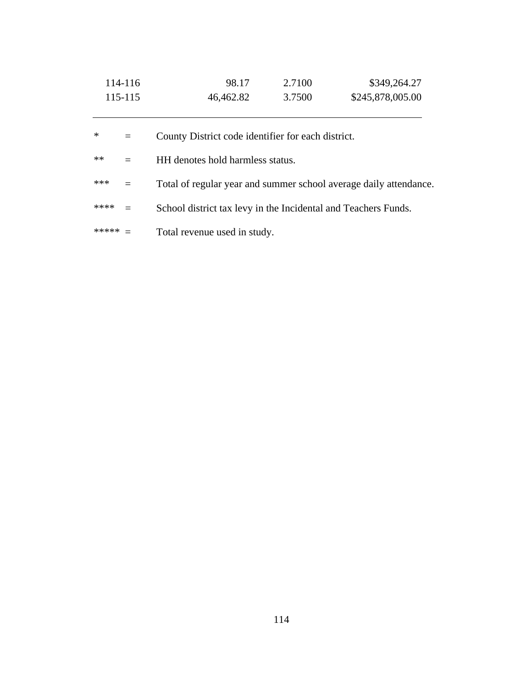| 114-116 | 98.17     | 2.7100 | \$349,264.27     |
|---------|-----------|--------|------------------|
| 115-115 | 46,462.82 | 3.7500 | \$245,878,005.00 |

|  | County District code identifier for each district. |
|--|----------------------------------------------------|
|--|----------------------------------------------------|

| **<br>HH denotes hold harmless status. |  |
|----------------------------------------|--|
|----------------------------------------|--|

| *** |  |  |  | Total of regular year and summer school average daily attendance. |  |
|-----|--|--|--|-------------------------------------------------------------------|--|
|-----|--|--|--|-------------------------------------------------------------------|--|

- \*\*\*\* = School district tax levy in the Incidental and Teachers Funds.
- \*\*\*\*\* = Total revenue used in study.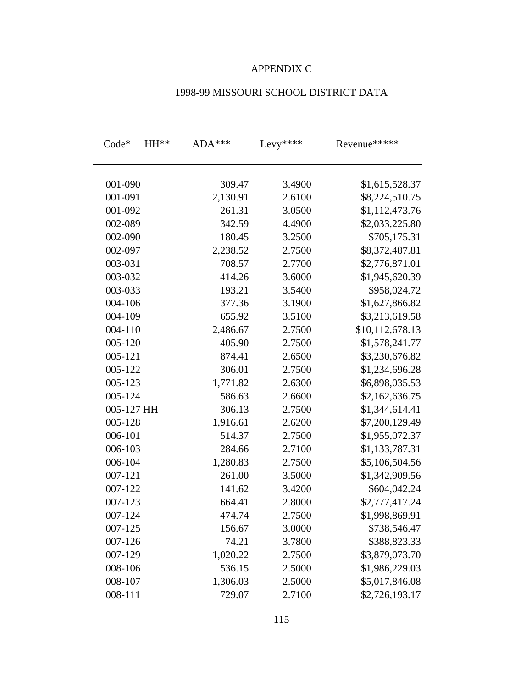# APPENDIX C

| $Code*$<br>$HH**$ | $ADA***$ | Levy**** | Revenue*****    |
|-------------------|----------|----------|-----------------|
| 001-090           | 309.47   | 3.4900   | \$1,615,528.37  |
| 001-091           | 2,130.91 | 2.6100   | \$8,224,510.75  |
| 001-092           | 261.31   | 3.0500   | \$1,112,473.76  |
| 002-089           | 342.59   | 4.4900   | \$2,033,225.80  |
| 002-090           | 180.45   | 3.2500   | \$705,175.31    |
| 002-097           | 2,238.52 | 2.7500   | \$8,372,487.81  |
| 003-031           | 708.57   | 2.7700   | \$2,776,871.01  |
| 003-032           | 414.26   | 3.6000   | \$1,945,620.39  |
| 003-033           | 193.21   | 3.5400   | \$958,024.72    |
| 004-106           | 377.36   | 3.1900   | \$1,627,866.82  |
| 004-109           | 655.92   | 3.5100   | \$3,213,619.58  |
| 004-110           | 2,486.67 | 2.7500   | \$10,112,678.13 |
| 005-120           | 405.90   | 2.7500   | \$1,578,241.77  |
| 005-121           | 874.41   | 2.6500   | \$3,230,676.82  |
| 005-122           | 306.01   | 2.7500   | \$1,234,696.28  |
| 005-123           | 1,771.82 | 2.6300   | \$6,898,035.53  |
| 005-124           | 586.63   | 2.6600   | \$2,162,636.75  |
| 005-127 HH        | 306.13   | 2.7500   | \$1,344,614.41  |
| 005-128           | 1,916.61 | 2.6200   | \$7,200,129.49  |
| 006-101           | 514.37   | 2.7500   | \$1,955,072.37  |
| 006-103           | 284.66   | 2.7100   | \$1,133,787.31  |
| 006-104           | 1,280.83 | 2.7500   | \$5,106,504.56  |
| 007-121           | 261.00   | 3.5000   | \$1,342,909.56  |
| 007-122           | 141.62   | 3.4200   | \$604,042.24    |
| 007-123           | 664.41   | 2.8000   | \$2,777,417.24  |
| 007-124           | 474.74   | 2.7500   | \$1,998,869.91  |
| 007-125           | 156.67   | 3.0000   | \$738,546.47    |
| 007-126           | 74.21    | 3.7800   | \$388,823.33    |
| 007-129           | 1,020.22 | 2.7500   | \$3,879,073.70  |
| 008-106           | 536.15   | 2.5000   | \$1,986,229.03  |
| 008-107           | 1,306.03 | 2.5000   | \$5,017,846.08  |
| 008-111           | 729.07   | 2.7100   | \$2,726,193.17  |

# 1998-99 MISSOURI SCHOOL DISTRICT DATA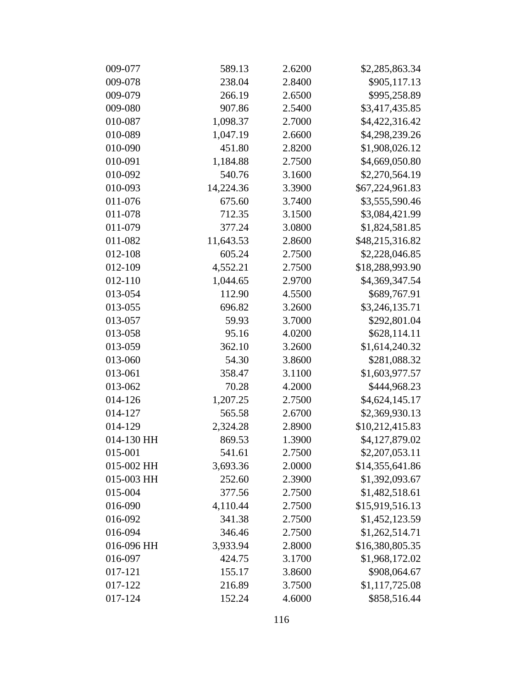| 009-077    | 589.13    | 2.6200 | \$2,285,863.34  |
|------------|-----------|--------|-----------------|
| 009-078    | 238.04    | 2.8400 | \$905,117.13    |
| 009-079    | 266.19    | 2.6500 | \$995,258.89    |
| 009-080    | 907.86    | 2.5400 | \$3,417,435.85  |
| 010-087    | 1,098.37  | 2.7000 | \$4,422,316.42  |
| 010-089    | 1,047.19  | 2.6600 | \$4,298,239.26  |
| 010-090    | 451.80    | 2.8200 | \$1,908,026.12  |
| 010-091    | 1,184.88  | 2.7500 | \$4,669,050.80  |
| 010-092    | 540.76    | 3.1600 | \$2,270,564.19  |
| 010-093    | 14,224.36 | 3.3900 | \$67,224,961.83 |
| 011-076    | 675.60    | 3.7400 | \$3,555,590.46  |
| 011-078    | 712.35    | 3.1500 | \$3,084,421.99  |
| 011-079    | 377.24    | 3.0800 | \$1,824,581.85  |
| 011-082    | 11,643.53 | 2.8600 | \$48,215,316.82 |
| 012-108    | 605.24    | 2.7500 | \$2,228,046.85  |
| 012-109    | 4,552.21  | 2.7500 | \$18,288,993.90 |
| 012-110    | 1,044.65  | 2.9700 | \$4,369,347.54  |
| 013-054    | 112.90    | 4.5500 | \$689,767.91    |
| 013-055    | 696.82    | 3.2600 | \$3,246,135.71  |
| 013-057    | 59.93     | 3.7000 | \$292,801.04    |
| 013-058    | 95.16     | 4.0200 | \$628,114.11    |
| 013-059    | 362.10    | 3.2600 | \$1,614,240.32  |
| 013-060    | 54.30     | 3.8600 | \$281,088.32    |
| 013-061    | 358.47    | 3.1100 | \$1,603,977.57  |
| 013-062    | 70.28     | 4.2000 | \$444,968.23    |
| 014-126    | 1,207.25  | 2.7500 | \$4,624,145.17  |
| 014-127    | 565.58    | 2.6700 | \$2,369,930.13  |
| 014-129    | 2,324.28  | 2.8900 | \$10,212,415.83 |
| 014-130 HH | 869.53    | 1.3900 | \$4,127,879.02  |
| 015-001    | 541.61    | 2.7500 | \$2,207,053.11  |
| 015-002 HH | 3,693.36  | 2.0000 | \$14,355,641.86 |
| 015-003 HH | 252.60    | 2.3900 | \$1,392,093.67  |
| 015-004    | 377.56    | 2.7500 | \$1,482,518.61  |
| 016-090    | 4,110.44  | 2.7500 | \$15,919,516.13 |
| 016-092    | 341.38    | 2.7500 | \$1,452,123.59  |
| 016-094    | 346.46    | 2.7500 | \$1,262,514.71  |
| 016-096 HH | 3,933.94  | 2.8000 | \$16,380,805.35 |
| 016-097    | 424.75    | 3.1700 | \$1,968,172.02  |
| 017-121    | 155.17    | 3.8600 | \$908,064.67    |
| 017-122    | 216.89    | 3.7500 | \$1,117,725.08  |
| 017-124    | 152.24    | 4.6000 | \$858,516.44    |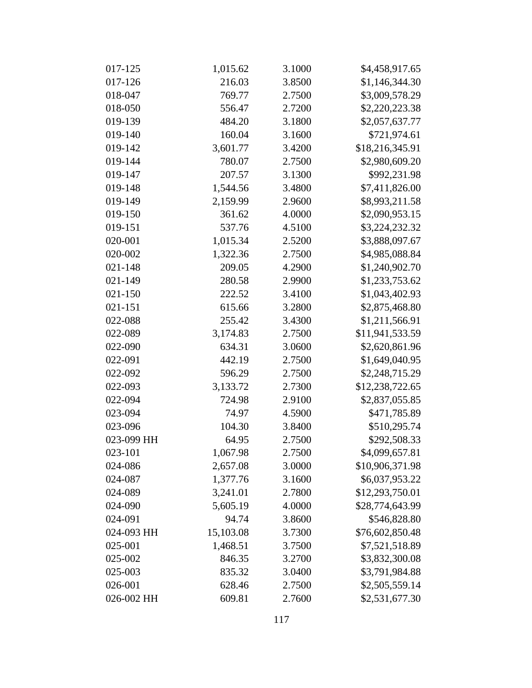| 017-125    | 1,015.62  | 3.1000 | \$4,458,917.65  |
|------------|-----------|--------|-----------------|
| 017-126    | 216.03    | 3.8500 | \$1,146,344.30  |
| 018-047    | 769.77    | 2.7500 | \$3,009,578.29  |
| 018-050    | 556.47    | 2.7200 | \$2,220,223.38  |
| 019-139    | 484.20    | 3.1800 | \$2,057,637.77  |
| 019-140    | 160.04    | 3.1600 | \$721,974.61    |
| 019-142    | 3,601.77  | 3.4200 | \$18,216,345.91 |
| 019-144    | 780.07    | 2.7500 | \$2,980,609.20  |
| 019-147    | 207.57    | 3.1300 | \$992,231.98    |
| 019-148    | 1,544.56  | 3.4800 | \$7,411,826.00  |
| 019-149    | 2,159.99  | 2.9600 | \$8,993,211.58  |
| 019-150    | 361.62    | 4.0000 | \$2,090,953.15  |
| 019-151    | 537.76    | 4.5100 | \$3,224,232.32  |
| 020-001    | 1,015.34  | 2.5200 | \$3,888,097.67  |
| 020-002    | 1,322.36  | 2.7500 | \$4,985,088.84  |
| 021-148    | 209.05    | 4.2900 | \$1,240,902.70  |
| 021-149    | 280.58    | 2.9900 | \$1,233,753.62  |
| 021-150    | 222.52    | 3.4100 | \$1,043,402.93  |
| 021-151    | 615.66    | 3.2800 | \$2,875,468.80  |
| 022-088    | 255.42    | 3.4300 | \$1,211,566.91  |
| 022-089    | 3,174.83  | 2.7500 | \$11,941,533.59 |
| 022-090    | 634.31    | 3.0600 | \$2,620,861.96  |
| 022-091    | 442.19    | 2.7500 | \$1,649,040.95  |
| 022-092    | 596.29    | 2.7500 | \$2,248,715.29  |
| 022-093    | 3,133.72  | 2.7300 | \$12,238,722.65 |
| 022-094    | 724.98    | 2.9100 | \$2,837,055.85  |
| 023-094    | 74.97     | 4.5900 | \$471,785.89    |
| 023-096    | 104.30    | 3.8400 | \$510,295.74    |
| 023-099 HH | 64.95     | 2.7500 | \$292,508.33    |
| 023-101    | 1,067.98  | 2.7500 | \$4,099,657.81  |
| 024-086    | 2,657.08  | 3.0000 | \$10,906,371.98 |
| 024-087    | 1,377.76  | 3.1600 | \$6,037,953.22  |
| 024-089    | 3,241.01  | 2.7800 | \$12,293,750.01 |
| 024-090    | 5,605.19  | 4.0000 | \$28,774,643.99 |
| 024-091    | 94.74     | 3.8600 | \$546,828.80    |
| 024-093 HH | 15,103.08 | 3.7300 | \$76,602,850.48 |
| 025-001    | 1,468.51  | 3.7500 | \$7,521,518.89  |
| 025-002    | 846.35    | 3.2700 | \$3,832,300.08  |
| 025-003    | 835.32    | 3.0400 | \$3,791,984.88  |
| 026-001    | 628.46    | 2.7500 | \$2,505,559.14  |
| 026-002 HH | 609.81    | 2.7600 | \$2,531,677.30  |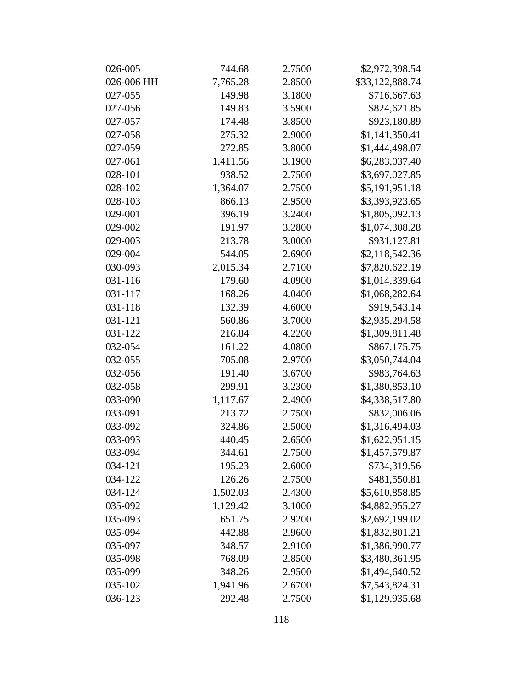| 026-005    | 744.68   | 2.7500 | \$2,972,398.54  |
|------------|----------|--------|-----------------|
| 026-006 HH | 7,765.28 | 2.8500 | \$33,122,888.74 |
| 027-055    | 149.98   | 3.1800 | \$716,667.63    |
| 027-056    | 149.83   | 3.5900 | \$824,621.85    |
| 027-057    | 174.48   | 3.8500 | \$923,180.89    |
| 027-058    | 275.32   | 2.9000 | \$1,141,350.41  |
| 027-059    | 272.85   | 3.8000 | \$1,444,498.07  |
| 027-061    | 1,411.56 | 3.1900 | \$6,283,037.40  |
| 028-101    | 938.52   | 2.7500 | \$3,697,027.85  |
| 028-102    | 1,364.07 | 2.7500 | \$5,191,951.18  |
| 028-103    | 866.13   | 2.9500 | \$3,393,923.65  |
| 029-001    | 396.19   | 3.2400 | \$1,805,092.13  |
| 029-002    | 191.97   | 3.2800 | \$1,074,308.28  |
| 029-003    | 213.78   | 3.0000 | \$931,127.81    |
| 029-004    | 544.05   | 2.6900 | \$2,118,542.36  |
| 030-093    | 2,015.34 | 2.7100 | \$7,820,622.19  |
| 031-116    | 179.60   | 4.0900 | \$1,014,339.64  |
| 031-117    | 168.26   | 4.0400 | \$1,068,282.64  |
| 031-118    | 132.39   | 4.6000 | \$919,543.14    |
| 031-121    | 560.86   | 3.7000 | \$2,935,294.58  |
| 031-122    | 216.84   | 4.2200 | \$1,309,811.48  |
| 032-054    | 161.22   | 4.0800 | \$867,175.75    |
| 032-055    | 705.08   | 2.9700 | \$3,050,744.04  |
| 032-056    | 191.40   | 3.6700 | \$983,764.63    |
| 032-058    | 299.91   | 3.2300 | \$1,380,853.10  |
| 033-090    | 1,117.67 | 2.4900 | \$4,338,517.80  |
| 033-091    | 213.72   | 2.7500 | \$832,006.06    |
| 033-092    | 324.86   | 2.5000 | \$1,316,494.03  |
| 033-093    | 440.45   | 2.6500 | \$1,622,951.15  |
| 033-094    | 344.61   | 2.7500 | \$1,457,579.87  |
| 034-121    | 195.23   | 2.6000 | \$734,319.56    |
| 034-122    | 126.26   | 2.7500 | \$481,550.81    |
| 034-124    | 1,502.03 | 2.4300 | \$5,610,858.85  |
| 035-092    | 1,129.42 | 3.1000 | \$4,882,955.27  |
| 035-093    | 651.75   | 2.9200 | \$2,692,199.02  |
| 035-094    | 442.88   | 2.9600 | \$1,832,801.21  |
| 035-097    | 348.57   | 2.9100 | \$1,386,990.77  |
| 035-098    | 768.09   | 2.8500 | \$3,480,361.95  |
| 035-099    | 348.26   | 2.9500 | \$1,494,640.52  |
| 035-102    | 1,941.96 | 2.6700 | \$7,543,824.31  |
| 036-123    | 292.48   | 2.7500 | \$1,129,935.68  |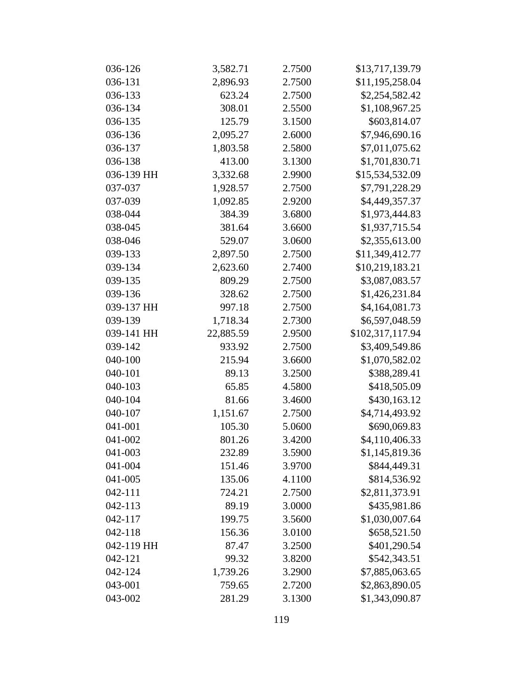| 036-126    | 3,582.71  | 2.7500 | \$13,717,139.79  |
|------------|-----------|--------|------------------|
| 036-131    | 2,896.93  | 2.7500 | \$11,195,258.04  |
| 036-133    | 623.24    | 2.7500 | \$2,254,582.42   |
| 036-134    | 308.01    | 2.5500 | \$1,108,967.25   |
| 036-135    | 125.79    | 3.1500 | \$603,814.07     |
| 036-136    | 2,095.27  | 2.6000 | \$7,946,690.16   |
| 036-137    | 1,803.58  | 2.5800 | \$7,011,075.62   |
| 036-138    | 413.00    | 3.1300 | \$1,701,830.71   |
| 036-139 HH | 3,332.68  | 2.9900 | \$15,534,532.09  |
| 037-037    | 1,928.57  | 2.7500 | \$7,791,228.29   |
| 037-039    | 1,092.85  | 2.9200 | \$4,449,357.37   |
| 038-044    | 384.39    | 3.6800 | \$1,973,444.83   |
| 038-045    | 381.64    | 3.6600 | \$1,937,715.54   |
| 038-046    | 529.07    | 3.0600 | \$2,355,613.00   |
| 039-133    | 2,897.50  | 2.7500 | \$11,349,412.77  |
| 039-134    | 2,623.60  | 2.7400 | \$10,219,183.21  |
| 039-135    | 809.29    | 2.7500 | \$3,087,083.57   |
| 039-136    | 328.62    | 2.7500 | \$1,426,231.84   |
| 039-137 HH | 997.18    | 2.7500 | \$4,164,081.73   |
| 039-139    | 1,718.34  | 2.7300 | \$6,597,048.59   |
| 039-141 HH | 22,885.59 | 2.9500 | \$102,317,117.94 |
| 039-142    | 933.92    | 2.7500 | \$3,409,549.86   |
| 040-100    | 215.94    | 3.6600 | \$1,070,582.02   |
| 040-101    | 89.13     | 3.2500 | \$388,289.41     |
| 040-103    | 65.85     | 4.5800 | \$418,505.09     |
| 040-104    | 81.66     | 3.4600 | \$430,163.12     |
| 040-107    | 1,151.67  | 2.7500 | \$4,714,493.92   |
| 041-001    | 105.30    | 5.0600 | \$690,069.83     |
| 041-002    | 801.26    | 3.4200 | \$4,110,406.33   |
| 041-003    | 232.89    | 3.5900 | \$1,145,819.36   |
| 041-004    | 151.46    | 3.9700 | \$844,449.31     |
| 041-005    | 135.06    | 4.1100 | \$814,536.92     |
| 042-111    | 724.21    | 2.7500 | \$2,811,373.91   |
| 042-113    | 89.19     | 3.0000 | \$435,981.86     |
| 042-117    | 199.75    | 3.5600 | \$1,030,007.64   |
| 042-118    | 156.36    | 3.0100 | \$658,521.50     |
| 042-119 HH | 87.47     | 3.2500 | \$401,290.54     |
| 042-121    | 99.32     | 3.8200 | \$542,343.51     |
| 042-124    | 1,739.26  | 3.2900 | \$7,885,063.65   |
| 043-001    | 759.65    | 2.7200 | \$2,863,890.05   |
| 043-002    | 281.29    | 3.1300 | \$1,343,090.87   |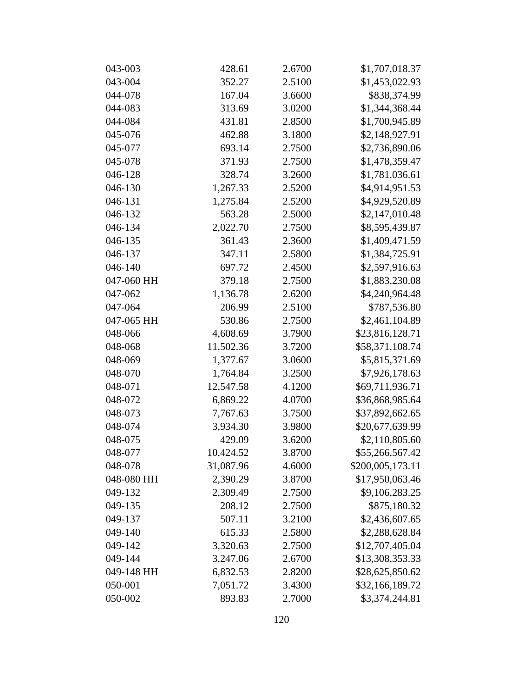| 043-003    | 428.61    | 2.6700 | \$1,707,018.37   |
|------------|-----------|--------|------------------|
| 043-004    | 352.27    | 2.5100 | \$1,453,022.93   |
| 044-078    | 167.04    | 3.6600 | \$838,374.99     |
| 044-083    | 313.69    | 3.0200 | \$1,344,368.44   |
| 044-084    | 431.81    | 2.8500 | \$1,700,945.89   |
| 045-076    | 462.88    | 3.1800 | \$2,148,927.91   |
| 045-077    | 693.14    | 2.7500 | \$2,736,890.06   |
| 045-078    | 371.93    | 2.7500 | \$1,478,359.47   |
| 046-128    | 328.74    | 3.2600 | \$1,781,036.61   |
| 046-130    | 1,267.33  | 2.5200 | \$4,914,951.53   |
| 046-131    | 1,275.84  | 2.5200 | \$4,929,520.89   |
| 046-132    | 563.28    | 2.5000 | \$2,147,010.48   |
| 046-134    | 2,022.70  | 2.7500 | \$8,595,439.87   |
| 046-135    | 361.43    | 2.3600 | \$1,409,471.59   |
| 046-137    | 347.11    | 2.5800 | \$1,384,725.91   |
| 046-140    | 697.72    | 2.4500 | \$2,597,916.63   |
| 047-060 HH | 379.18    | 2.7500 | \$1,883,230.08   |
| 047-062    | 1,136.78  | 2.6200 | \$4,240,964.48   |
| 047-064    | 206.99    | 2.5100 | \$787,536.80     |
| 047-065 HH | 530.86    | 2.7500 | \$2,461,104.89   |
| 048-066    | 4,608.69  | 3.7900 | \$23,816,128.71  |
| 048-068    | 11,502.36 | 3.7200 | \$58,371,108.74  |
| 048-069    | 1,377.67  | 3.0600 | \$5,815,371.69   |
| 048-070    | 1,764.84  | 3.2500 | \$7,926,178.63   |
| 048-071    | 12,547.58 | 4.1200 | \$69,711,936.71  |
| 048-072    | 6,869.22  | 4.0700 | \$36,868,985.64  |
| 048-073    | 7,767.63  | 3.7500 | \$37,892,662.65  |
| 048-074    | 3,934.30  | 3.9800 | \$20,677,639.99  |
| 048-075    | 429.09    | 3.6200 | \$2,110,805.60   |
| 048-077    | 10,424.52 | 3.8700 | \$55,266,567.42  |
| 048-078    | 31,087.96 | 4.6000 | \$200,005,173.11 |
| 048-080 HH | 2,390.29  | 3.8700 | \$17,950,063.46  |
| 049-132    | 2,309.49  | 2.7500 | \$9,106,283.25   |
| 049-135    | 208.12    | 2.7500 | \$875,180.32     |
| 049-137    | 507.11    | 3.2100 | \$2,436,607.65   |
| 049-140    | 615.33    | 2.5800 | \$2,288,628.84   |
| 049-142    | 3,320.63  | 2.7500 | \$12,707,405.04  |
| 049-144    | 3,247.06  | 2.6700 | \$13,308,353.33  |
| 049-148 HH | 6,832.53  | 2.8200 | \$28,625,850.62  |
| 050-001    | 7,051.72  | 3.4300 | \$32,166,189.72  |
| 050-002    | 893.83    | 2.7000 | \$3,374,244.81   |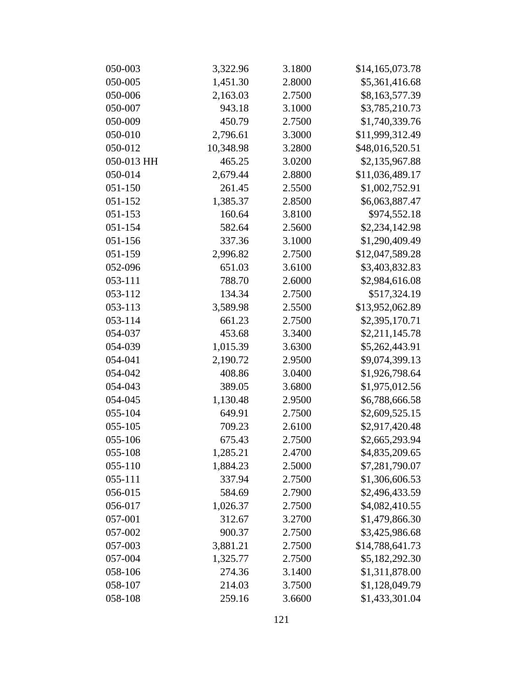| 050-003    | 3,322.96  | 3.1800 | \$14,165,073.78 |
|------------|-----------|--------|-----------------|
| 050-005    | 1,451.30  | 2.8000 | \$5,361,416.68  |
| 050-006    | 2,163.03  | 2.7500 | \$8,163,577.39  |
| 050-007    | 943.18    | 3.1000 | \$3,785,210.73  |
| 050-009    | 450.79    | 2.7500 | \$1,740,339.76  |
| 050-010    | 2,796.61  | 3.3000 | \$11,999,312.49 |
| 050-012    | 10,348.98 | 3.2800 | \$48,016,520.51 |
| 050-013 HH | 465.25    | 3.0200 | \$2,135,967.88  |
| 050-014    | 2,679.44  | 2.8800 | \$11,036,489.17 |
| 051-150    | 261.45    | 2.5500 | \$1,002,752.91  |
| 051-152    | 1,385.37  | 2.8500 | \$6,063,887.47  |
| 051-153    | 160.64    | 3.8100 | \$974,552.18    |
| 051-154    | 582.64    | 2.5600 | \$2,234,142.98  |
| 051-156    | 337.36    | 3.1000 | \$1,290,409.49  |
| 051-159    | 2,996.82  | 2.7500 | \$12,047,589.28 |
| 052-096    | 651.03    | 3.6100 | \$3,403,832.83  |
| 053-111    | 788.70    | 2.6000 | \$2,984,616.08  |
| 053-112    | 134.34    | 2.7500 | \$517,324.19    |
| 053-113    | 3,589.98  | 2.5500 | \$13,952,062.89 |
| 053-114    | 661.23    | 2.7500 | \$2,395,170.71  |
| 054-037    | 453.68    | 3.3400 | \$2,211,145.78  |
| 054-039    | 1,015.39  | 3.6300 | \$5,262,443.91  |
| 054-041    | 2,190.72  | 2.9500 | \$9,074,399.13  |
| 054-042    | 408.86    | 3.0400 | \$1,926,798.64  |
| 054-043    | 389.05    | 3.6800 | \$1,975,012.56  |
| 054-045    | 1,130.48  | 2.9500 | \$6,788,666.58  |
| 055-104    | 649.91    | 2.7500 | \$2,609,525.15  |
| 055-105    | 709.23    | 2.6100 | \$2,917,420.48  |
| 055-106    | 675.43    | 2.7500 | \$2,665,293.94  |
| 055-108    | 1,285.21  | 2.4700 | \$4,835,209.65  |
| 055-110    | 1,884.23  | 2.5000 | \$7,281,790.07  |
| 055-111    | 337.94    | 2.7500 | \$1,306,606.53  |
| 056-015    | 584.69    | 2.7900 | \$2,496,433.59  |
| 056-017    | 1,026.37  | 2.7500 | \$4,082,410.55  |
| 057-001    | 312.67    | 3.2700 | \$1,479,866.30  |
| 057-002    | 900.37    | 2.7500 | \$3,425,986.68  |
| 057-003    | 3,881.21  | 2.7500 | \$14,788,641.73 |
| 057-004    | 1,325.77  | 2.7500 | \$5,182,292.30  |
| 058-106    | 274.36    | 3.1400 | \$1,311,878.00  |
| 058-107    | 214.03    | 3.7500 | \$1,128,049.79  |
| 058-108    | 259.16    | 3.6600 | \$1,433,301.04  |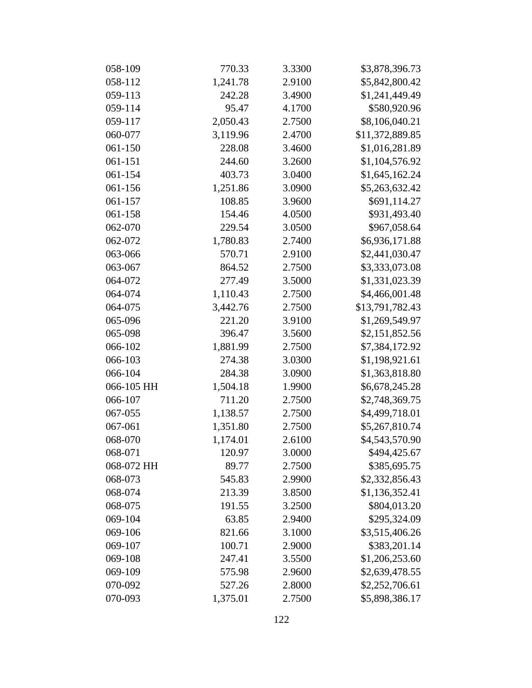| 058-109    | 770.33   | 3.3300 | \$3,878,396.73  |
|------------|----------|--------|-----------------|
| 058-112    | 1,241.78 | 2.9100 | \$5,842,800.42  |
| 059-113    | 242.28   | 3.4900 | \$1,241,449.49  |
| 059-114    | 95.47    | 4.1700 | \$580,920.96    |
| 059-117    | 2,050.43 | 2.7500 | \$8,106,040.21  |
| 060-077    | 3,119.96 | 2.4700 | \$11,372,889.85 |
| 061-150    | 228.08   | 3.4600 | \$1,016,281.89  |
| 061-151    | 244.60   | 3.2600 | \$1,104,576.92  |
| 061-154    | 403.73   | 3.0400 | \$1,645,162.24  |
| 061-156    | 1,251.86 | 3.0900 | \$5,263,632.42  |
| 061-157    | 108.85   | 3.9600 | \$691,114.27    |
| 061-158    | 154.46   | 4.0500 | \$931,493.40    |
| 062-070    | 229.54   | 3.0500 | \$967,058.64    |
| 062-072    | 1,780.83 | 2.7400 | \$6,936,171.88  |
| 063-066    | 570.71   | 2.9100 | \$2,441,030.47  |
| 063-067    | 864.52   | 2.7500 | \$3,333,073.08  |
| 064-072    | 277.49   | 3.5000 | \$1,331,023.39  |
| 064-074    | 1,110.43 | 2.7500 | \$4,466,001.48  |
| 064-075    | 3,442.76 | 2.7500 | \$13,791,782.43 |
| 065-096    | 221.20   | 3.9100 | \$1,269,549.97  |
| 065-098    | 396.47   | 3.5600 | \$2,151,852.56  |
| 066-102    | 1,881.99 | 2.7500 | \$7,384,172.92  |
| 066-103    | 274.38   | 3.0300 | \$1,198,921.61  |
| 066-104    | 284.38   | 3.0900 | \$1,363,818.80  |
| 066-105 HH | 1,504.18 | 1.9900 | \$6,678,245.28  |
| 066-107    | 711.20   | 2.7500 | \$2,748,369.75  |
| 067-055    | 1,138.57 | 2.7500 | \$4,499,718.01  |
| 067-061    | 1,351.80 | 2.7500 | \$5,267,810.74  |
| 068-070    | 1,174.01 | 2.6100 | \$4,543,570.90  |
| 068-071    | 120.97   | 3.0000 | \$494,425.67    |
| 068-072 HH | 89.77    | 2.7500 | \$385,695.75    |
| 068-073    | 545.83   | 2.9900 | \$2,332,856.43  |
| 068-074    | 213.39   | 3.8500 | \$1,136,352.41  |
| 068-075    | 191.55   | 3.2500 | \$804,013.20    |
| 069-104    | 63.85    | 2.9400 | \$295,324.09    |
| 069-106    | 821.66   | 3.1000 | \$3,515,406.26  |
| 069-107    | 100.71   | 2.9000 | \$383,201.14    |
| 069-108    | 247.41   | 3.5500 | \$1,206,253.60  |
| 069-109    | 575.98   | 2.9600 | \$2,639,478.55  |
| 070-092    | 527.26   | 2.8000 | \$2,252,706.61  |
| 070-093    | 1,375.01 | 2.7500 | \$5,898,386.17  |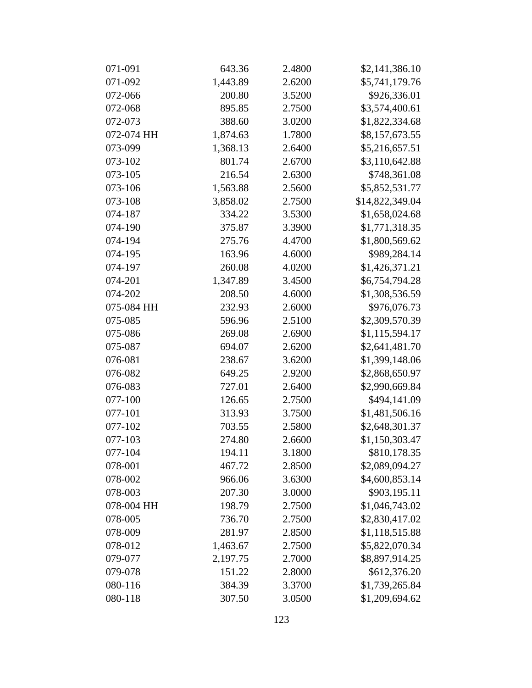| 071-091    | 643.36   | 2.4800 | \$2,141,386.10  |
|------------|----------|--------|-----------------|
| 071-092    | 1,443.89 | 2.6200 | \$5,741,179.76  |
| 072-066    | 200.80   | 3.5200 | \$926,336.01    |
| 072-068    | 895.85   | 2.7500 | \$3,574,400.61  |
| 072-073    | 388.60   | 3.0200 | \$1,822,334.68  |
| 072-074 HH | 1,874.63 | 1.7800 | \$8,157,673.55  |
| 073-099    | 1,368.13 | 2.6400 | \$5,216,657.51  |
| 073-102    | 801.74   | 2.6700 | \$3,110,642.88  |
| 073-105    | 216.54   | 2.6300 | \$748,361.08    |
| 073-106    | 1,563.88 | 2.5600 | \$5,852,531.77  |
| 073-108    | 3,858.02 | 2.7500 | \$14,822,349.04 |
| 074-187    | 334.22   | 3.5300 | \$1,658,024.68  |
| 074-190    | 375.87   | 3.3900 | \$1,771,318.35  |
| 074-194    | 275.76   | 4.4700 | \$1,800,569.62  |
| 074-195    | 163.96   | 4.6000 | \$989,284.14    |
| 074-197    | 260.08   | 4.0200 | \$1,426,371.21  |
| 074-201    | 1,347.89 | 3.4500 | \$6,754,794.28  |
| 074-202    | 208.50   | 4.6000 | \$1,308,536.59  |
| 075-084 HH | 232.93   | 2.6000 | \$976,076.73    |
| 075-085    | 596.96   | 2.5100 | \$2,309,570.39  |
| 075-086    | 269.08   | 2.6900 | \$1,115,594.17  |
| 075-087    | 694.07   | 2.6200 | \$2,641,481.70  |
| 076-081    | 238.67   | 3.6200 | \$1,399,148.06  |
| 076-082    | 649.25   | 2.9200 | \$2,868,650.97  |
| 076-083    | 727.01   | 2.6400 | \$2,990,669.84  |
| 077-100    | 126.65   | 2.7500 | \$494,141.09    |
| 077-101    | 313.93   | 3.7500 | \$1,481,506.16  |
| 077-102    | 703.55   | 2.5800 | \$2,648,301.37  |
| 077-103    | 274.80   | 2.6600 | \$1,150,303.47  |
| 077-104    | 194.11   | 3.1800 | \$810,178.35    |
| 078-001    | 467.72   | 2.8500 | \$2,089,094.27  |
| 078-002    | 966.06   | 3.6300 | \$4,600,853.14  |
| 078-003    | 207.30   | 3.0000 | \$903,195.11    |
| 078-004 HH | 198.79   | 2.7500 | \$1,046,743.02  |
| 078-005    | 736.70   | 2.7500 | \$2,830,417.02  |
| 078-009    | 281.97   | 2.8500 | \$1,118,515.88  |
| 078-012    | 1,463.67 | 2.7500 | \$5,822,070.34  |
| 079-077    | 2,197.75 | 2.7000 | \$8,897,914.25  |
| 079-078    | 151.22   | 2.8000 | \$612,376.20    |
| 080-116    | 384.39   | 3.3700 | \$1,739,265.84  |
| 080-118    | 307.50   | 3.0500 | \$1,209,694.62  |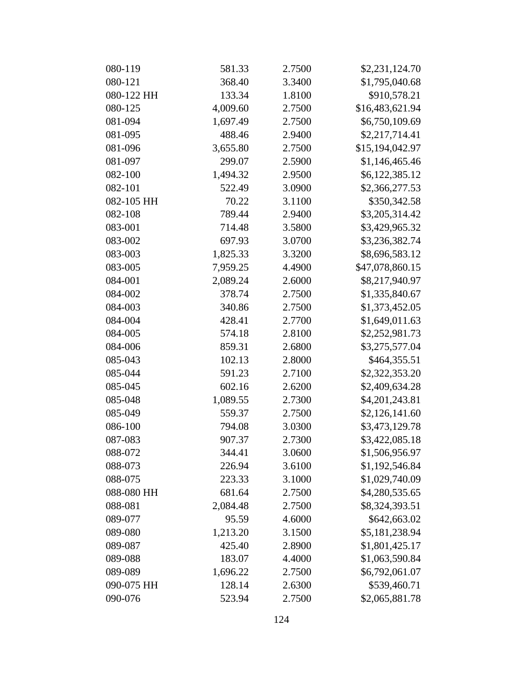| 080-119    | 581.33   | 2.7500 | \$2,231,124.70  |
|------------|----------|--------|-----------------|
| 080-121    | 368.40   | 3.3400 | \$1,795,040.68  |
| 080-122 HH | 133.34   | 1.8100 | \$910,578.21    |
| 080-125    | 4,009.60 | 2.7500 | \$16,483,621.94 |
| 081-094    | 1,697.49 | 2.7500 | \$6,750,109.69  |
| 081-095    | 488.46   | 2.9400 | \$2,217,714.41  |
| 081-096    | 3,655.80 | 2.7500 | \$15,194,042.97 |
| 081-097    | 299.07   | 2.5900 | \$1,146,465.46  |
| 082-100    | 1,494.32 | 2.9500 | \$6,122,385.12  |
| 082-101    | 522.49   | 3.0900 | \$2,366,277.53  |
| 082-105 HH | 70.22    | 3.1100 | \$350,342.58    |
| 082-108    | 789.44   | 2.9400 | \$3,205,314.42  |
| 083-001    | 714.48   | 3.5800 | \$3,429,965.32  |
| 083-002    | 697.93   | 3.0700 | \$3,236,382.74  |
| 083-003    | 1,825.33 | 3.3200 | \$8,696,583.12  |
| 083-005    | 7,959.25 | 4.4900 | \$47,078,860.15 |
| 084-001    | 2,089.24 | 2.6000 | \$8,217,940.97  |
| 084-002    | 378.74   | 2.7500 | \$1,335,840.67  |
| 084-003    | 340.86   | 2.7500 | \$1,373,452.05  |
| 084-004    | 428.41   | 2.7700 | \$1,649,011.63  |
| 084-005    | 574.18   | 2.8100 | \$2,252,981.73  |
| 084-006    | 859.31   | 2.6800 | \$3,275,577.04  |
| 085-043    | 102.13   | 2.8000 | \$464,355.51    |
| 085-044    | 591.23   | 2.7100 | \$2,322,353.20  |
| 085-045    | 602.16   | 2.6200 | \$2,409,634.28  |
| 085-048    | 1,089.55 | 2.7300 | \$4,201,243.81  |
| 085-049    | 559.37   | 2.7500 | \$2,126,141.60  |
| 086-100    | 794.08   | 3.0300 | \$3,473,129.78  |
| 087-083    | 907.37   | 2.7300 | \$3,422,085.18  |
| 088-072    | 344.41   | 3.0600 | \$1,506,956.97  |
| 088-073    | 226.94   | 3.6100 | \$1,192,546.84  |
| 088-075    | 223.33   | 3.1000 | \$1,029,740.09  |
| 088-080 HH | 681.64   | 2.7500 | \$4,280,535.65  |
| 088-081    | 2,084.48 | 2.7500 | \$8,324,393.51  |
| 089-077    | 95.59    | 4.6000 | \$642,663.02    |
| 089-080    | 1,213.20 | 3.1500 | \$5,181,238.94  |
| 089-087    | 425.40   | 2.8900 | \$1,801,425.17  |
| 089-088    | 183.07   | 4.4000 | \$1,063,590.84  |
| 089-089    | 1,696.22 | 2.7500 | \$6,792,061.07  |
| 090-075 HH | 128.14   | 2.6300 | \$539,460.71    |
| 090-076    | 523.94   | 2.7500 | \$2,065,881.78  |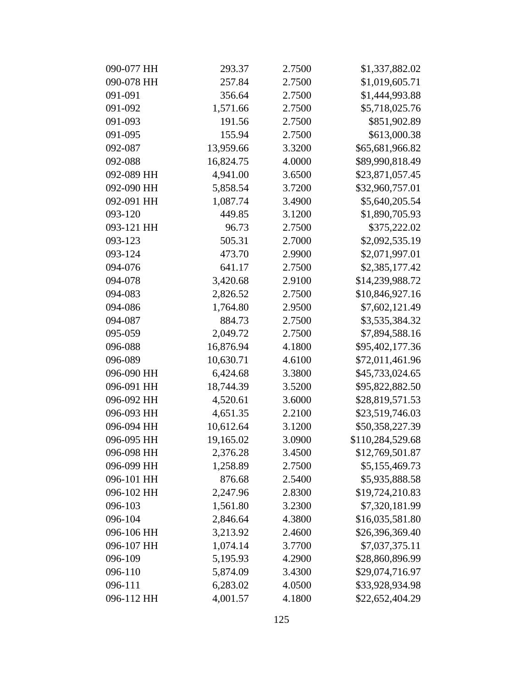| 090-077 HH | 293.37    | 2.7500 | \$1,337,882.02   |
|------------|-----------|--------|------------------|
| 090-078 HH | 257.84    | 2.7500 | \$1,019,605.71   |
| 091-091    | 356.64    | 2.7500 | \$1,444,993.88   |
| 091-092    | 1,571.66  | 2.7500 | \$5,718,025.76   |
| 091-093    | 191.56    | 2.7500 | \$851,902.89     |
| 091-095    | 155.94    | 2.7500 | \$613,000.38     |
| 092-087    | 13,959.66 | 3.3200 | \$65,681,966.82  |
| 092-088    | 16,824.75 | 4.0000 | \$89,990,818.49  |
| 092-089 HH | 4,941.00  | 3.6500 | \$23,871,057.45  |
| 092-090 HH | 5,858.54  | 3.7200 | \$32,960,757.01  |
| 092-091 HH | 1,087.74  | 3.4900 | \$5,640,205.54   |
| 093-120    | 449.85    | 3.1200 | \$1,890,705.93   |
| 093-121 HH | 96.73     | 2.7500 | \$375,222.02     |
| 093-123    | 505.31    | 2.7000 | \$2,092,535.19   |
| 093-124    | 473.70    | 2.9900 | \$2,071,997.01   |
| 094-076    | 641.17    | 2.7500 | \$2,385,177.42   |
| 094-078    | 3,420.68  | 2.9100 | \$14,239,988.72  |
| 094-083    | 2,826.52  | 2.7500 | \$10,846,927.16  |
| 094-086    | 1,764.80  | 2.9500 | \$7,602,121.49   |
| 094-087    | 884.73    | 2.7500 | \$3,535,384.32   |
| 095-059    | 2,049.72  | 2.7500 | \$7,894,588.16   |
| 096-088    | 16,876.94 | 4.1800 | \$95,402,177.36  |
| 096-089    | 10,630.71 | 4.6100 | \$72,011,461.96  |
| 096-090 HH | 6,424.68  | 3.3800 | \$45,733,024.65  |
| 096-091 HH | 18,744.39 | 3.5200 | \$95,822,882.50  |
| 096-092 HH | 4,520.61  | 3.6000 | \$28,819,571.53  |
| 096-093 HH | 4,651.35  | 2.2100 | \$23,519,746.03  |
| 096-094 HH | 10,612.64 | 3.1200 | \$50,358,227.39  |
| 096-095 HH | 19,165.02 | 3.0900 | \$110,284,529.68 |
| 096-098 HH | 2,376.28  | 3.4500 | \$12,769,501.87  |
| 096-099 HH | 1,258.89  | 2.7500 | \$5,155,469.73   |
| 096-101 HH | 876.68    | 2.5400 | \$5,935,888.58   |
| 096-102 HH | 2,247.96  | 2.8300 | \$19,724,210.83  |
| 096-103    | 1,561.80  | 3.2300 | \$7,320,181.99   |
| 096-104    | 2,846.64  | 4.3800 | \$16,035,581.80  |
| 096-106 HH | 3,213.92  | 2.4600 | \$26,396,369.40  |
| 096-107 HH | 1,074.14  | 3.7700 | \$7,037,375.11   |
| 096-109    | 5,195.93  | 4.2900 | \$28,860,896.99  |
| 096-110    | 5,874.09  | 3.4300 | \$29,074,716.97  |
| 096-111    | 6,283.02  | 4.0500 | \$33,928,934.98  |
| 096-112 HH | 4,001.57  | 4.1800 | \$22,652,404.29  |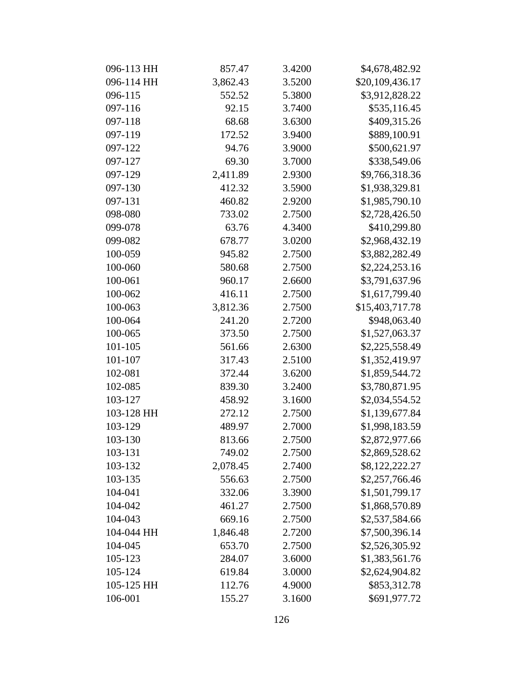| 096-113 HH | 857.47   | 3.4200 | \$4,678,482.92  |
|------------|----------|--------|-----------------|
| 096-114 HH | 3,862.43 | 3.5200 | \$20,109,436.17 |
| 096-115    | 552.52   | 5.3800 | \$3,912,828.22  |
| 097-116    | 92.15    | 3.7400 | \$535,116.45    |
| 097-118    | 68.68    | 3.6300 | \$409,315.26    |
| 097-119    | 172.52   | 3.9400 | \$889,100.91    |
| 097-122    | 94.76    | 3.9000 | \$500,621.97    |
| 097-127    | 69.30    | 3.7000 | \$338,549.06    |
| 097-129    | 2,411.89 | 2.9300 | \$9,766,318.36  |
| 097-130    | 412.32   | 3.5900 | \$1,938,329.81  |
| 097-131    | 460.82   | 2.9200 | \$1,985,790.10  |
| 098-080    | 733.02   | 2.7500 | \$2,728,426.50  |
| 099-078    | 63.76    | 4.3400 | \$410,299.80    |
| 099-082    | 678.77   | 3.0200 | \$2,968,432.19  |
| 100-059    | 945.82   | 2.7500 | \$3,882,282.49  |
| 100-060    | 580.68   | 2.7500 | \$2,224,253.16  |
| 100-061    | 960.17   | 2.6600 | \$3,791,637.96  |
| 100-062    | 416.11   | 2.7500 | \$1,617,799.40  |
| 100-063    | 3,812.36 | 2.7500 | \$15,403,717.78 |
| 100-064    | 241.20   | 2.7200 | \$948,063.40    |
| 100-065    | 373.50   | 2.7500 | \$1,527,063.37  |
| 101-105    | 561.66   | 2.6300 | \$2,225,558.49  |
| 101-107    | 317.43   | 2.5100 | \$1,352,419.97  |
| 102-081    | 372.44   | 3.6200 | \$1,859,544.72  |
| 102-085    | 839.30   | 3.2400 | \$3,780,871.95  |
| 103-127    | 458.92   | 3.1600 | \$2,034,554.52  |
| 103-128 HH | 272.12   | 2.7500 | \$1,139,677.84  |
| 103-129    | 489.97   | 2.7000 | \$1,998,183.59  |
| 103-130    | 813.66   | 2.7500 | \$2,872,977.66  |
| 103-131    | 749.02   | 2.7500 | \$2,869,528.62  |
| 103-132    | 2,078.45 | 2.7400 | \$8,122,222.27  |
| 103-135    | 556.63   | 2.7500 | \$2,257,766.46  |
| 104-041    | 332.06   | 3.3900 | \$1,501,799.17  |
| 104-042    | 461.27   | 2.7500 | \$1,868,570.89  |
| 104-043    | 669.16   | 2.7500 | \$2,537,584.66  |
| 104-044 HH | 1,846.48 | 2.7200 | \$7,500,396.14  |
| 104-045    | 653.70   | 2.7500 | \$2,526,305.92  |
| 105-123    | 284.07   | 3.6000 | \$1,383,561.76  |
| 105-124    | 619.84   | 3.0000 | \$2,624,904.82  |
| 105-125 HH | 112.76   | 4.9000 | \$853,312.78    |
| 106-001    | 155.27   | 3.1600 | \$691,977.72    |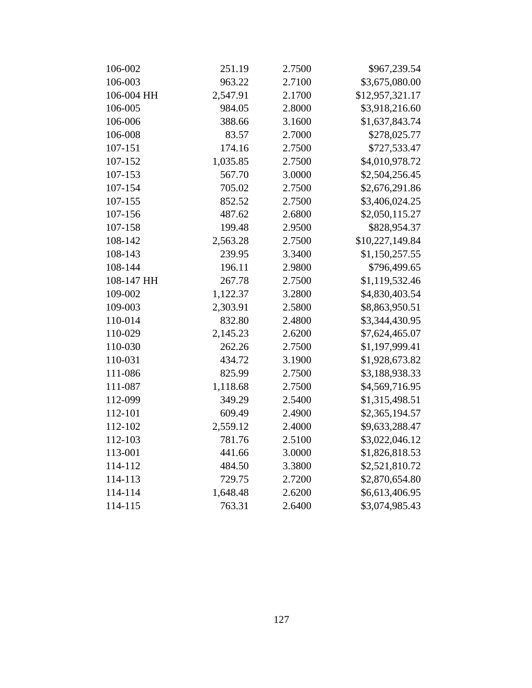| 106-002    | 251.19   | 2.7500 | \$967,239.54    |
|------------|----------|--------|-----------------|
| 106-003    | 963.22   | 2.7100 | \$3,675,080.00  |
| 106-004 HH | 2,547.91 | 2.1700 | \$12,957,321.17 |
| 106-005    | 984.05   | 2.8000 | \$3,918,216.60  |
| 106-006    | 388.66   | 3.1600 | \$1,637,843.74  |
| 106-008    | 83.57    | 2.7000 | \$278,025.77    |
| 107-151    | 174.16   | 2.7500 | \$727,533.47    |
| 107-152    | 1,035.85 | 2.7500 | \$4,010,978.72  |
| 107-153    | 567.70   | 3.0000 | \$2,504,256.45  |
| 107-154    | 705.02   | 2.7500 | \$2,676,291.86  |
| 107-155    | 852.52   | 2.7500 | \$3,406,024.25  |
| 107-156    | 487.62   | 2.6800 | \$2,050,115.27  |
| 107-158    | 199.48   | 2.9500 | \$828,954.37    |
| 108-142    | 2,563.28 | 2.7500 | \$10,227,149.84 |
| 108-143    | 239.95   | 3.3400 | \$1,150,257.55  |
| 108-144    | 196.11   | 2.9800 | \$796,499.65    |
| 108-147 HH | 267.78   | 2.7500 | \$1,119,532.46  |
| 109-002    | 1,122.37 | 3.2800 | \$4,830,403.54  |
| 109-003    | 2,303.91 | 2.5800 | \$8,863,950.51  |
| 110-014    | 832.80   | 2.4800 | \$3,344,430.95  |
| 110-029    | 2,145.23 | 2.6200 | \$7,624,465.07  |
| 110-030    | 262.26   | 2.7500 | \$1,197,999.41  |
| 110-031    | 434.72   | 3.1900 | \$1,928,673.82  |
| 111-086    | 825.99   | 2.7500 | \$3,188,938.33  |
| 111-087    | 1,118.68 | 2.7500 | \$4,569,716.95  |
| 112-099    | 349.29   | 2.5400 | \$1,315,498.51  |
| 112-101    | 609.49   | 2.4900 | \$2,365,194.57  |
| 112-102    | 2,559.12 | 2.4000 | \$9,633,288.47  |
| 112-103    | 781.76   | 2.5100 | \$3,022,046.12  |
| 113-001    | 441.66   | 3.0000 | \$1,826,818.53  |
| 114-112    | 484.50   | 3.3800 | \$2,521,810.72  |
| 114-113    | 729.75   | 2.7200 | \$2,870,654.80  |
| 114-114    | 1,648.48 | 2.6200 | \$6,613,406.95  |
| 114-115    | 763.31   | 2.6400 | \$3,074,985.43  |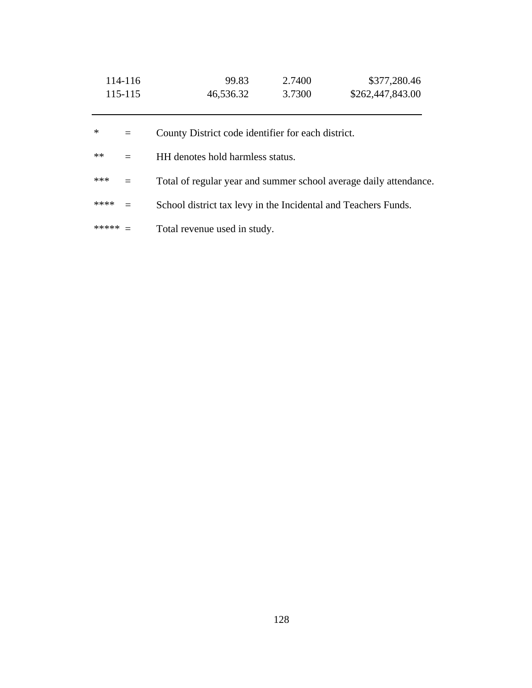| 114-116 | 99.83     | 2.7400 | \$377,280.46     |
|---------|-----------|--------|------------------|
| 115-115 | 46,536.32 | 3.7300 | \$262,447,843.00 |

| $\ast$ | $=$                                                                                                                                                                                                                                                                                                                          | County District code identifier for each district.                |
|--------|------------------------------------------------------------------------------------------------------------------------------------------------------------------------------------------------------------------------------------------------------------------------------------------------------------------------------|-------------------------------------------------------------------|
| $**$   | $=$                                                                                                                                                                                                                                                                                                                          | HH denotes hold harmless status.                                  |
| ***    | $=$                                                                                                                                                                                                                                                                                                                          | Total of regular year and summer school average daily attendance. |
| ****   | $\hspace{0.1cm}$ $\hspace{0.1cm}$ $\hspace{0.1cm}$ $\hspace{0.1cm}$ $\hspace{0.1cm}$ $\hspace{0.1cm}$ $\hspace{0.1cm}$ $\hspace{0.1cm}$ $\hspace{0.1cm}$ $\hspace{0.1cm}$ $\hspace{0.1cm}$ $\hspace{0.1cm}$ $\hspace{0.1cm}$ $\hspace{0.1cm}$ $\hspace{0.1cm}$ $\hspace{0.1cm}$ $\hspace{0.1cm}$ $\hspace{0.1cm}$ $\hspace{$ | School district tax levy in the Incidental and Teachers Funds.    |
| *****  |                                                                                                                                                                                                                                                                                                                              | Total revenue used in study.                                      |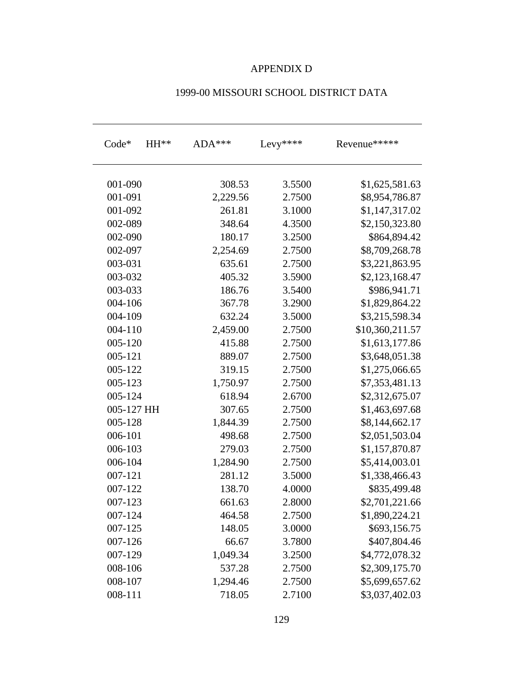## APPENDIX D

| $Code*$     | HH** | $ADA***$ | Levy**** | Revenue*****    |
|-------------|------|----------|----------|-----------------|
| 001-090     |      | 308.53   | 3.5500   | \$1,625,581.63  |
| 001-091     |      | 2,229.56 | 2.7500   | \$8,954,786.87  |
| 001-092     |      | 261.81   | 3.1000   | \$1,147,317.02  |
| 002-089     |      | 348.64   | 4.3500   | \$2,150,323.80  |
| 002-090     |      | 180.17   | 3.2500   | \$864,894.42    |
| 002-097     |      | 2,254.69 | 2.7500   | \$8,709,268.78  |
| 003-031     |      | 635.61   | 2.7500   | \$3,221,863.95  |
| 003-032     |      | 405.32   | 3.5900   | \$2,123,168.47  |
| 003-033     |      | 186.76   | 3.5400   | \$986,941.71    |
| 004-106     |      | 367.78   | 3.2900   | \$1,829,864.22  |
| 004-109     |      | 632.24   | 3.5000   | \$3,215,598.34  |
| $004 - 110$ |      | 2,459.00 | 2.7500   | \$10,360,211.57 |
| 005-120     |      | 415.88   | 2.7500   | \$1,613,177.86  |
| 005-121     |      | 889.07   | 2.7500   | \$3,648,051.38  |
| 005-122     |      | 319.15   | 2.7500   | \$1,275,066.65  |
| 005-123     |      | 1,750.97 | 2.7500   | \$7,353,481.13  |
| 005-124     |      | 618.94   | 2.6700   | \$2,312,675.07  |
| 005-127 HH  |      | 307.65   | 2.7500   | \$1,463,697.68  |
| 005-128     |      | 1,844.39 | 2.7500   | \$8,144,662.17  |
| 006-101     |      | 498.68   | 2.7500   | \$2,051,503.04  |
| 006-103     |      | 279.03   | 2.7500   | \$1,157,870.87  |
| 006-104     |      | 1,284.90 | 2.7500   | \$5,414,003.01  |
| 007-121     |      | 281.12   | 3.5000   | \$1,338,466.43  |
| 007-122     |      | 138.70   | 4.0000   | \$835,499.48    |
| 007-123     |      | 661.63   | 2.8000   | \$2,701,221.66  |
| 007-124     |      | 464.58   | 2.7500   | \$1,890,224.21  |
| 007-125     |      | 148.05   | 3.0000   | \$693,156.75    |
| 007-126     |      | 66.67    | 3.7800   | \$407,804.46    |
| 007-129     |      | 1,049.34 | 3.2500   | \$4,772,078.32  |
| 008-106     |      | 537.28   | 2.7500   | \$2,309,175.70  |
| 008-107     |      | 1,294.46 | 2.7500   | \$5,699,657.62  |
| 008-111     |      | 718.05   | 2.7100   | \$3,037,402.03  |

# 1999-00 MISSOURI SCHOOL DISTRICT DATA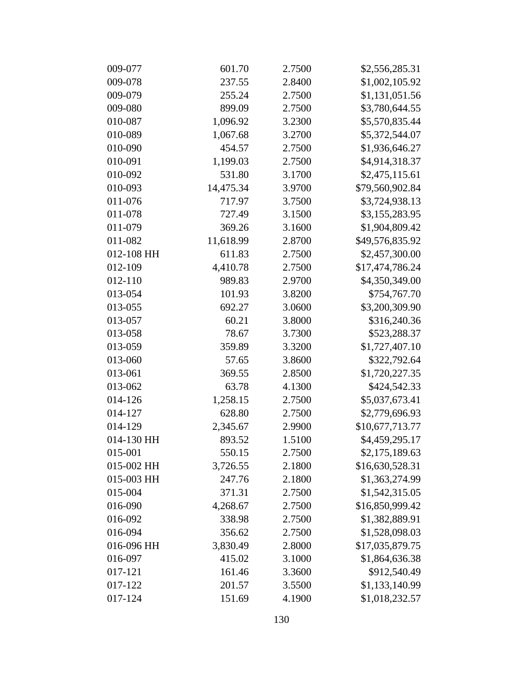| 009-077    | 601.70    | 2.7500 | \$2,556,285.31  |
|------------|-----------|--------|-----------------|
| 009-078    | 237.55    | 2.8400 | \$1,002,105.92  |
| 009-079    | 255.24    | 2.7500 | \$1,131,051.56  |
| 009-080    | 899.09    | 2.7500 | \$3,780,644.55  |
| 010-087    | 1,096.92  | 3.2300 | \$5,570,835.44  |
| 010-089    | 1,067.68  | 3.2700 | \$5,372,544.07  |
| 010-090    | 454.57    | 2.7500 | \$1,936,646.27  |
| 010-091    | 1,199.03  | 2.7500 | \$4,914,318.37  |
| 010-092    | 531.80    | 3.1700 | \$2,475,115.61  |
| 010-093    | 14,475.34 | 3.9700 | \$79,560,902.84 |
| 011-076    | 717.97    | 3.7500 | \$3,724,938.13  |
| 011-078    | 727.49    | 3.1500 | \$3,155,283.95  |
| 011-079    | 369.26    | 3.1600 | \$1,904,809.42  |
| 011-082    | 11,618.99 | 2.8700 | \$49,576,835.92 |
| 012-108 HH | 611.83    | 2.7500 | \$2,457,300.00  |
| 012-109    | 4,410.78  | 2.7500 | \$17,474,786.24 |
| 012-110    | 989.83    | 2.9700 | \$4,350,349.00  |
| 013-054    | 101.93    | 3.8200 | \$754,767.70    |
| 013-055    | 692.27    | 3.0600 | \$3,200,309.90  |
| 013-057    | 60.21     | 3.8000 | \$316,240.36    |
| 013-058    | 78.67     | 3.7300 | \$523,288.37    |
| 013-059    | 359.89    | 3.3200 | \$1,727,407.10  |
| 013-060    | 57.65     | 3.8600 | \$322,792.64    |
| 013-061    | 369.55    | 2.8500 | \$1,720,227.35  |
| 013-062    | 63.78     | 4.1300 | \$424,542.33    |
| 014-126    | 1,258.15  | 2.7500 | \$5,037,673.41  |
| 014-127    | 628.80    | 2.7500 | \$2,779,696.93  |
| 014-129    | 2,345.67  | 2.9900 | \$10,677,713.77 |
| 014-130 HH | 893.52    | 1.5100 | \$4,459,295.17  |
| 015-001    | 550.15    | 2.7500 | \$2,175,189.63  |
| 015-002 HH | 3,726.55  | 2.1800 | \$16,630,528.31 |
| 015-003 HH | 247.76    | 2.1800 | \$1,363,274.99  |
| 015-004    | 371.31    | 2.7500 | \$1,542,315.05  |
| 016-090    | 4,268.67  | 2.7500 | \$16,850,999.42 |
| 016-092    | 338.98    | 2.7500 | \$1,382,889.91  |
| 016-094    | 356.62    | 2.7500 | \$1,528,098.03  |
| 016-096 HH | 3,830.49  | 2.8000 | \$17,035,879.75 |
| 016-097    | 415.02    | 3.1000 | \$1,864,636.38  |
| 017-121    | 161.46    | 3.3600 | \$912,540.49    |
| 017-122    | 201.57    | 3.5500 | \$1,133,140.99  |
| 017-124    | 151.69    | 4.1900 | \$1,018,232.57  |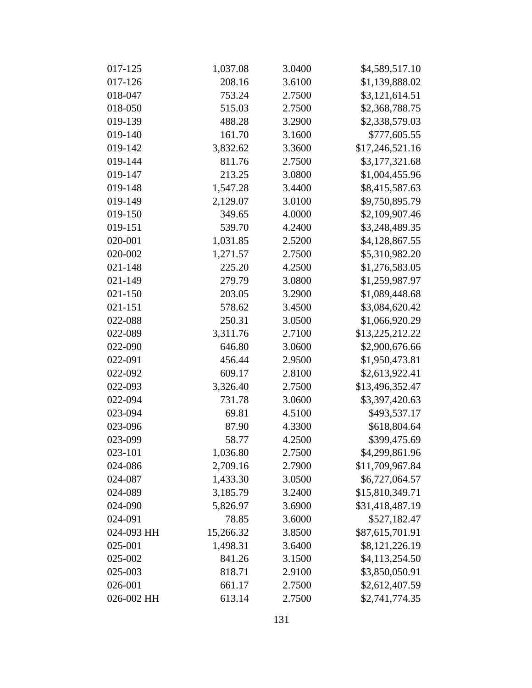| 017-125    | 1,037.08  | 3.0400 | \$4,589,517.10  |
|------------|-----------|--------|-----------------|
| 017-126    | 208.16    | 3.6100 | \$1,139,888.02  |
| 018-047    | 753.24    | 2.7500 | \$3,121,614.51  |
| 018-050    | 515.03    | 2.7500 | \$2,368,788.75  |
| 019-139    | 488.28    | 3.2900 | \$2,338,579.03  |
| 019-140    | 161.70    | 3.1600 | \$777,605.55    |
| 019-142    | 3,832.62  | 3.3600 | \$17,246,521.16 |
| 019-144    | 811.76    | 2.7500 | \$3,177,321.68  |
| 019-147    | 213.25    | 3.0800 | \$1,004,455.96  |
| 019-148    | 1,547.28  | 3.4400 | \$8,415,587.63  |
| 019-149    | 2,129.07  | 3.0100 | \$9,750,895.79  |
| 019-150    | 349.65    | 4.0000 | \$2,109,907.46  |
| 019-151    | 539.70    | 4.2400 | \$3,248,489.35  |
| 020-001    | 1,031.85  | 2.5200 | \$4,128,867.55  |
| 020-002    | 1,271.57  | 2.7500 | \$5,310,982.20  |
| 021-148    | 225.20    | 4.2500 | \$1,276,583.05  |
| 021-149    | 279.79    | 3.0800 | \$1,259,987.97  |
| 021-150    | 203.05    | 3.2900 | \$1,089,448.68  |
| 021-151    | 578.62    | 3.4500 | \$3,084,620.42  |
| 022-088    | 250.31    | 3.0500 | \$1,066,920.29  |
| 022-089    | 3,311.76  | 2.7100 | \$13,225,212.22 |
| 022-090    | 646.80    | 3.0600 | \$2,900,676.66  |
| 022-091    | 456.44    | 2.9500 | \$1,950,473.81  |
| 022-092    | 609.17    | 2.8100 | \$2,613,922.41  |
| 022-093    | 3,326.40  | 2.7500 | \$13,496,352.47 |
| 022-094    | 731.78    | 3.0600 | \$3,397,420.63  |
| 023-094    | 69.81     | 4.5100 | \$493,537.17    |
| 023-096    | 87.90     | 4.3300 | \$618,804.64    |
| 023-099    | 58.77     | 4.2500 | \$399,475.69    |
| 023-101    | 1,036.80  | 2.7500 | \$4,299,861.96  |
| 024-086    | 2,709.16  | 2.7900 | \$11,709,967.84 |
| 024-087    | 1,433.30  | 3.0500 | \$6,727,064.57  |
| 024-089    | 3,185.79  | 3.2400 | \$15,810,349.71 |
| 024-090    | 5,826.97  | 3.6900 | \$31,418,487.19 |
| 024-091    | 78.85     | 3.6000 | \$527,182.47    |
| 024-093 HH | 15,266.32 | 3.8500 | \$87,615,701.91 |
| 025-001    | 1,498.31  | 3.6400 | \$8,121,226.19  |
| 025-002    | 841.26    | 3.1500 | \$4,113,254.50  |
| 025-003    | 818.71    | 2.9100 | \$3,850,050.91  |
| 026-001    | 661.17    | 2.7500 | \$2,612,407.59  |
| 026-002 HH | 613.14    | 2.7500 | \$2,741,774.35  |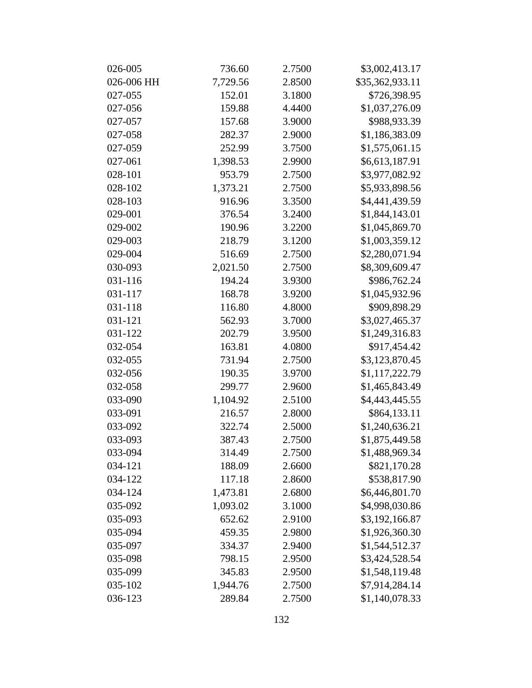| 026-005    | 736.60   | 2.7500 | \$3,002,413.17  |
|------------|----------|--------|-----------------|
| 026-006 HH | 7,729.56 | 2.8500 | \$35,362,933.11 |
| 027-055    | 152.01   | 3.1800 | \$726,398.95    |
| 027-056    | 159.88   | 4.4400 | \$1,037,276.09  |
| 027-057    | 157.68   | 3.9000 | \$988,933.39    |
| 027-058    | 282.37   | 2.9000 | \$1,186,383.09  |
| 027-059    | 252.99   | 3.7500 | \$1,575,061.15  |
| 027-061    | 1,398.53 | 2.9900 | \$6,613,187.91  |
| 028-101    | 953.79   | 2.7500 | \$3,977,082.92  |
| 028-102    | 1,373.21 | 2.7500 | \$5,933,898.56  |
| 028-103    | 916.96   | 3.3500 | \$4,441,439.59  |
| 029-001    | 376.54   | 3.2400 | \$1,844,143.01  |
| 029-002    | 190.96   | 3.2200 | \$1,045,869.70  |
| 029-003    | 218.79   | 3.1200 | \$1,003,359.12  |
| 029-004    | 516.69   | 2.7500 | \$2,280,071.94  |
| 030-093    | 2,021.50 | 2.7500 | \$8,309,609.47  |
| 031-116    | 194.24   | 3.9300 | \$986,762.24    |
| 031-117    | 168.78   | 3.9200 | \$1,045,932.96  |
| 031-118    | 116.80   | 4.8000 | \$909,898.29    |
| 031-121    | 562.93   | 3.7000 | \$3,027,465.37  |
| 031-122    | 202.79   | 3.9500 | \$1,249,316.83  |
| 032-054    | 163.81   | 4.0800 | \$917,454.42    |
| 032-055    | 731.94   | 2.7500 | \$3,123,870.45  |
| 032-056    | 190.35   | 3.9700 | \$1,117,222.79  |
| 032-058    | 299.77   | 2.9600 | \$1,465,843.49  |
| 033-090    | 1,104.92 | 2.5100 | \$4,443,445.55  |
| 033-091    | 216.57   | 2.8000 | \$864,133.11    |
| 033-092    | 322.74   | 2.5000 | \$1,240,636.21  |
| 033-093    | 387.43   | 2.7500 | \$1,875,449.58  |
| 033-094    | 314.49   | 2.7500 | \$1,488,969.34  |
| 034-121    | 188.09   | 2.6600 | \$821,170.28    |
| 034-122    | 117.18   | 2.8600 | \$538,817.90    |
| 034-124    | 1,473.81 | 2.6800 | \$6,446,801.70  |
| 035-092    | 1,093.02 | 3.1000 | \$4,998,030.86  |
| 035-093    | 652.62   | 2.9100 | \$3,192,166.87  |
| 035-094    | 459.35   | 2.9800 | \$1,926,360.30  |
| 035-097    | 334.37   | 2.9400 | \$1,544,512.37  |
| 035-098    | 798.15   | 2.9500 | \$3,424,528.54  |
| 035-099    | 345.83   | 2.9500 | \$1,548,119.48  |
| 035-102    | 1,944.76 | 2.7500 | \$7,914,284.14  |
| 036-123    | 289.84   | 2.7500 | \$1,140,078.33  |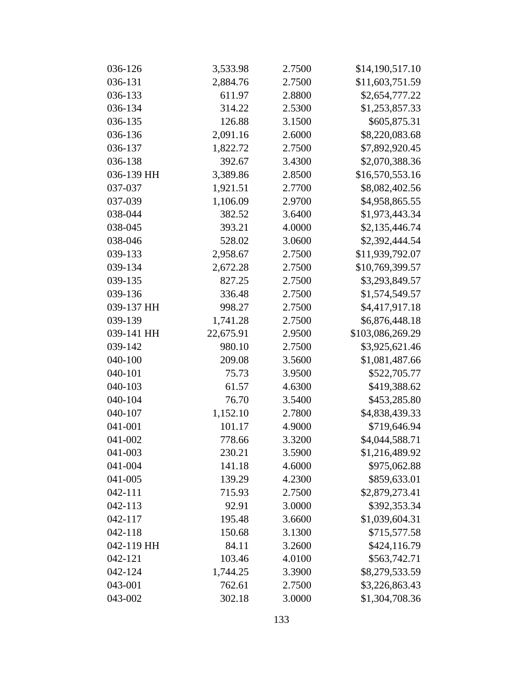| 036-126    | 3,533.98  | 2.7500 | \$14,190,517.10  |
|------------|-----------|--------|------------------|
| 036-131    | 2,884.76  | 2.7500 | \$11,603,751.59  |
| 036-133    | 611.97    | 2.8800 | \$2,654,777.22   |
| 036-134    | 314.22    | 2.5300 | \$1,253,857.33   |
| 036-135    | 126.88    | 3.1500 | \$605,875.31     |
| 036-136    | 2,091.16  | 2.6000 | \$8,220,083.68   |
| 036-137    | 1,822.72  | 2.7500 | \$7,892,920.45   |
| 036-138    | 392.67    | 3.4300 | \$2,070,388.36   |
| 036-139 HH | 3,389.86  | 2.8500 | \$16,570,553.16  |
| 037-037    | 1,921.51  | 2.7700 | \$8,082,402.56   |
| 037-039    | 1,106.09  | 2.9700 | \$4,958,865.55   |
| 038-044    | 382.52    | 3.6400 | \$1,973,443.34   |
| 038-045    | 393.21    | 4.0000 | \$2,135,446.74   |
| 038-046    | 528.02    | 3.0600 | \$2,392,444.54   |
| 039-133    | 2,958.67  | 2.7500 | \$11,939,792.07  |
| 039-134    | 2,672.28  | 2.7500 | \$10,769,399.57  |
| 039-135    | 827.25    | 2.7500 | \$3,293,849.57   |
| 039-136    | 336.48    | 2.7500 | \$1,574,549.57   |
| 039-137 HH | 998.27    | 2.7500 | \$4,417,917.18   |
| 039-139    | 1,741.28  | 2.7500 | \$6,876,448.18   |
| 039-141 HH | 22,675.91 | 2.9500 | \$103,086,269.29 |
| 039-142    | 980.10    | 2.7500 | \$3,925,621.46   |
| 040-100    | 209.08    | 3.5600 | \$1,081,487.66   |
| 040-101    | 75.73     | 3.9500 | \$522,705.77     |
| 040-103    | 61.57     | 4.6300 | \$419,388.62     |
| 040-104    | 76.70     | 3.5400 | \$453,285.80     |
| 040-107    | 1,152.10  | 2.7800 | \$4,838,439.33   |
| 041-001    | 101.17    | 4.9000 | \$719,646.94     |
| 041-002    | 778.66    | 3.3200 | \$4,044,588.71   |
| 041-003    | 230.21    | 3.5900 | \$1,216,489.92   |
| 041-004    | 141.18    | 4.6000 | \$975,062.88     |
| 041-005    | 139.29    | 4.2300 | \$859,633.01     |
| 042-111    | 715.93    | 2.7500 | \$2,879,273.41   |
| 042-113    | 92.91     | 3.0000 | \$392,353.34     |
| 042-117    | 195.48    | 3.6600 | \$1,039,604.31   |
| 042-118    | 150.68    | 3.1300 | \$715,577.58     |
| 042-119 HH | 84.11     | 3.2600 | \$424,116.79     |
| 042-121    | 103.46    | 4.0100 | \$563,742.71     |
| 042-124    | 1,744.25  | 3.3900 | \$8,279,533.59   |
| 043-001    | 762.61    | 2.7500 | \$3,226,863.43   |
| 043-002    | 302.18    | 3.0000 | \$1,304,708.36   |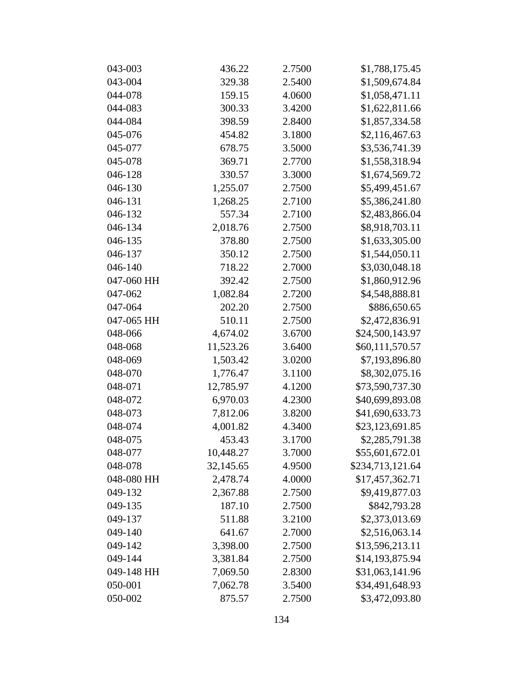| 043-003    | 436.22    | 2.7500 | \$1,788,175.45   |
|------------|-----------|--------|------------------|
| 043-004    | 329.38    | 2.5400 | \$1,509,674.84   |
| 044-078    | 159.15    | 4.0600 | \$1,058,471.11   |
| 044-083    | 300.33    | 3.4200 | \$1,622,811.66   |
| 044-084    | 398.59    | 2.8400 | \$1,857,334.58   |
| 045-076    | 454.82    | 3.1800 | \$2,116,467.63   |
| 045-077    | 678.75    | 3.5000 | \$3,536,741.39   |
| 045-078    | 369.71    | 2.7700 | \$1,558,318.94   |
| 046-128    | 330.57    | 3.3000 | \$1,674,569.72   |
| 046-130    | 1,255.07  | 2.7500 | \$5,499,451.67   |
| 046-131    | 1,268.25  | 2.7100 | \$5,386,241.80   |
| 046-132    | 557.34    | 2.7100 | \$2,483,866.04   |
| 046-134    | 2,018.76  | 2.7500 | \$8,918,703.11   |
| 046-135    | 378.80    | 2.7500 | \$1,633,305.00   |
| 046-137    | 350.12    | 2.7500 | \$1,544,050.11   |
| 046-140    | 718.22    | 2.7000 | \$3,030,048.18   |
| 047-060 HH | 392.42    | 2.7500 | \$1,860,912.96   |
| 047-062    | 1,082.84  | 2.7200 | \$4,548,888.81   |
| 047-064    | 202.20    | 2.7500 | \$886,650.65     |
| 047-065 HH | 510.11    | 2.7500 | \$2,472,836.91   |
| 048-066    | 4,674.02  | 3.6700 | \$24,500,143.97  |
| 048-068    | 11,523.26 | 3.6400 | \$60,111,570.57  |
| 048-069    | 1,503.42  | 3.0200 | \$7,193,896.80   |
| 048-070    | 1,776.47  | 3.1100 | \$8,302,075.16   |
| 048-071    | 12,785.97 | 4.1200 | \$73,590,737.30  |
| 048-072    | 6,970.03  | 4.2300 | \$40,699,893.08  |
| 048-073    | 7,812.06  | 3.8200 | \$41,690,633.73  |
| 048-074    | 4,001.82  | 4.3400 | \$23,123,691.85  |
| 048-075    | 453.43    | 3.1700 | \$2,285,791.38   |
| 048-077    | 10,448.27 | 3.7000 | \$55,601,672.01  |
| 048-078    | 32,145.65 | 4.9500 | \$234,713,121.64 |
| 048-080 HH | 2,478.74  | 4.0000 | \$17,457,362.71  |
| 049-132    | 2,367.88  | 2.7500 | \$9,419,877.03   |
| 049-135    | 187.10    | 2.7500 | \$842,793.28     |
| 049-137    | 511.88    | 3.2100 | \$2,373,013.69   |
| 049-140    | 641.67    | 2.7000 | \$2,516,063.14   |
| 049-142    | 3,398.00  | 2.7500 | \$13,596,213.11  |
| 049-144    | 3,381.84  | 2.7500 | \$14,193,875.94  |
| 049-148 HH | 7,069.50  | 2.8300 | \$31,063,141.96  |
| 050-001    | 7,062.78  | 3.5400 | \$34,491,648.93  |
| 050-002    | 875.57    | 2.7500 | \$3,472,093.80   |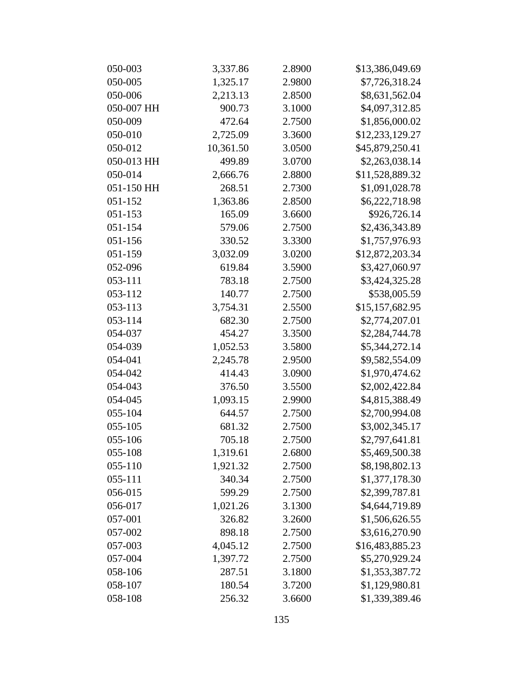| 050-003    | 3,337.86  | 2.8900 | \$13,386,049.69 |
|------------|-----------|--------|-----------------|
| 050-005    | 1,325.17  | 2.9800 | \$7,726,318.24  |
| 050-006    | 2,213.13  | 2.8500 | \$8,631,562.04  |
| 050-007 HH | 900.73    | 3.1000 | \$4,097,312.85  |
| 050-009    | 472.64    | 2.7500 | \$1,856,000.02  |
| 050-010    | 2,725.09  | 3.3600 | \$12,233,129.27 |
| 050-012    | 10,361.50 | 3.0500 | \$45,879,250.41 |
| 050-013 HH | 499.89    | 3.0700 | \$2,263,038.14  |
| 050-014    | 2,666.76  | 2.8800 | \$11,528,889.32 |
| 051-150 HH | 268.51    | 2.7300 | \$1,091,028.78  |
| 051-152    | 1,363.86  | 2.8500 | \$6,222,718.98  |
| 051-153    | 165.09    | 3.6600 | \$926,726.14    |
| 051-154    | 579.06    | 2.7500 | \$2,436,343.89  |
| 051-156    | 330.52    | 3.3300 | \$1,757,976.93  |
| 051-159    | 3,032.09  | 3.0200 | \$12,872,203.34 |
| 052-096    | 619.84    | 3.5900 | \$3,427,060.97  |
| 053-111    | 783.18    | 2.7500 | \$3,424,325.28  |
| 053-112    | 140.77    | 2.7500 | \$538,005.59    |
| 053-113    | 3,754.31  | 2.5500 | \$15,157,682.95 |
| 053-114    | 682.30    | 2.7500 | \$2,774,207.01  |
| 054-037    | 454.27    | 3.3500 | \$2,284,744.78  |
| 054-039    | 1,052.53  | 3.5800 | \$5,344,272.14  |
| 054-041    | 2,245.78  | 2.9500 | \$9,582,554.09  |
| 054-042    | 414.43    | 3.0900 | \$1,970,474.62  |
| 054-043    | 376.50    | 3.5500 | \$2,002,422.84  |
| 054-045    | 1,093.15  | 2.9900 | \$4,815,388.49  |
| 055-104    | 644.57    | 2.7500 | \$2,700,994.08  |
| 055-105    | 681.32    | 2.7500 | \$3,002,345.17  |
| 055-106    | 705.18    | 2.7500 | \$2,797,641.81  |
| 055-108    | 1,319.61  | 2.6800 | \$5,469,500.38  |
| 055-110    | 1,921.32  | 2.7500 | \$8,198,802.13  |
| 055-111    | 340.34    | 2.7500 | \$1,377,178.30  |
| 056-015    | 599.29    | 2.7500 | \$2,399,787.81  |
| 056-017    | 1,021.26  | 3.1300 | \$4,644,719.89  |
| 057-001    | 326.82    | 3.2600 | \$1,506,626.55  |
| 057-002    | 898.18    | 2.7500 | \$3,616,270.90  |
| 057-003    | 4,045.12  | 2.7500 | \$16,483,885.23 |
| 057-004    | 1,397.72  | 2.7500 | \$5,270,929.24  |
| 058-106    | 287.51    | 3.1800 | \$1,353,387.72  |
| 058-107    | 180.54    | 3.7200 | \$1,129,980.81  |
| 058-108    | 256.32    | 3.6600 | \$1,339,389.46  |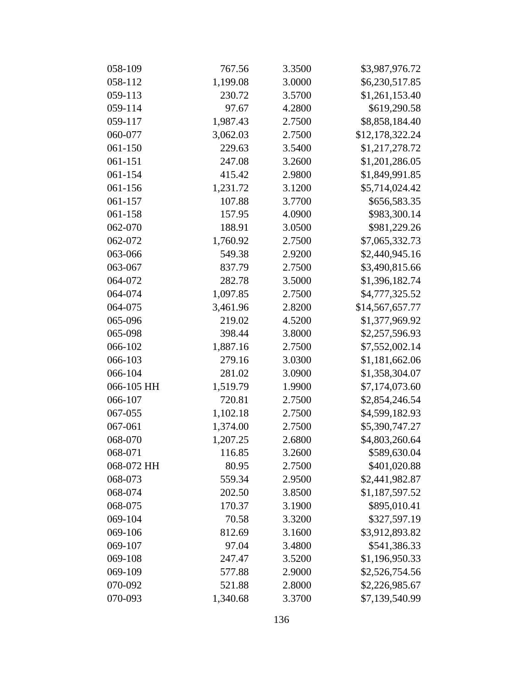| 058-109    | 767.56   | 3.3500 | \$3,987,976.72  |
|------------|----------|--------|-----------------|
| 058-112    | 1,199.08 | 3.0000 | \$6,230,517.85  |
| 059-113    | 230.72   | 3.5700 | \$1,261,153.40  |
| 059-114    | 97.67    | 4.2800 | \$619,290.58    |
| 059-117    | 1,987.43 | 2.7500 | \$8,858,184.40  |
| 060-077    | 3,062.03 | 2.7500 | \$12,178,322.24 |
| 061-150    | 229.63   | 3.5400 | \$1,217,278.72  |
| 061-151    | 247.08   | 3.2600 | \$1,201,286.05  |
| 061-154    | 415.42   | 2.9800 | \$1,849,991.85  |
| 061-156    | 1,231.72 | 3.1200 | \$5,714,024.42  |
| 061-157    | 107.88   | 3.7700 | \$656,583.35    |
| 061-158    | 157.95   | 4.0900 | \$983,300.14    |
| 062-070    | 188.91   | 3.0500 | \$981,229.26    |
| 062-072    | 1,760.92 | 2.7500 | \$7,065,332.73  |
| 063-066    | 549.38   | 2.9200 | \$2,440,945.16  |
| 063-067    | 837.79   | 2.7500 | \$3,490,815.66  |
| 064-072    | 282.78   | 3.5000 | \$1,396,182.74  |
| 064-074    | 1,097.85 | 2.7500 | \$4,777,325.52  |
| 064-075    | 3,461.96 | 2.8200 | \$14,567,657.77 |
| 065-096    | 219.02   | 4.5200 | \$1,377,969.92  |
| 065-098    | 398.44   | 3.8000 | \$2,257,596.93  |
| 066-102    | 1,887.16 | 2.7500 | \$7,552,002.14  |
| 066-103    | 279.16   | 3.0300 | \$1,181,662.06  |
| 066-104    | 281.02   | 3.0900 | \$1,358,304.07  |
| 066-105 HH | 1,519.79 | 1.9900 | \$7,174,073.60  |
| 066-107    | 720.81   | 2.7500 | \$2,854,246.54  |
| 067-055    | 1,102.18 | 2.7500 | \$4,599,182.93  |
| 067-061    | 1,374.00 | 2.7500 | \$5,390,747.27  |
| 068-070    | 1,207.25 | 2.6800 | \$4,803,260.64  |
| 068-071    | 116.85   | 3.2600 | \$589,630.04    |
| 068-072 HH | 80.95    | 2.7500 | \$401,020.88    |
| 068-073    | 559.34   | 2.9500 | \$2,441,982.87  |
| 068-074    | 202.50   | 3.8500 | \$1,187,597.52  |
| 068-075    | 170.37   | 3.1900 | \$895,010.41    |
| 069-104    | 70.58    | 3.3200 | \$327,597.19    |
| 069-106    | 812.69   | 3.1600 | \$3,912,893.82  |
| 069-107    | 97.04    | 3.4800 | \$541,386.33    |
| 069-108    | 247.47   | 3.5200 | \$1,196,950.33  |
| 069-109    | 577.88   | 2.9000 | \$2,526,754.56  |
| 070-092    | 521.88   | 2.8000 | \$2,226,985.67  |
| 070-093    | 1,340.68 | 3.3700 | \$7,139,540.99  |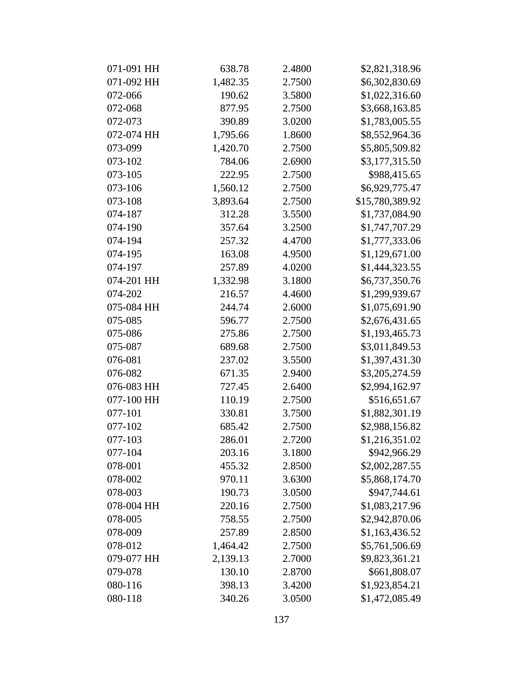| 071-091 HH | 638.78   | 2.4800 | \$2,821,318.96  |
|------------|----------|--------|-----------------|
| 071-092 HH | 1,482.35 | 2.7500 | \$6,302,830.69  |
| 072-066    | 190.62   | 3.5800 | \$1,022,316.60  |
| 072-068    | 877.95   | 2.7500 | \$3,668,163.85  |
| 072-073    | 390.89   | 3.0200 | \$1,783,005.55  |
| 072-074 HH | 1,795.66 | 1.8600 | \$8,552,964.36  |
| 073-099    | 1,420.70 | 2.7500 | \$5,805,509.82  |
| 073-102    | 784.06   | 2.6900 | \$3,177,315.50  |
| 073-105    | 222.95   | 2.7500 | \$988,415.65    |
| 073-106    | 1,560.12 | 2.7500 | \$6,929,775.47  |
| 073-108    | 3,893.64 | 2.7500 | \$15,780,389.92 |
| 074-187    | 312.28   | 3.5500 | \$1,737,084.90  |
| 074-190    | 357.64   | 3.2500 | \$1,747,707.29  |
| 074-194    | 257.32   | 4.4700 | \$1,777,333.06  |
| 074-195    | 163.08   | 4.9500 | \$1,129,671.00  |
| 074-197    | 257.89   | 4.0200 | \$1,444,323.55  |
| 074-201 HH | 1,332.98 | 3.1800 | \$6,737,350.76  |
| 074-202    | 216.57   | 4.4600 | \$1,299,939.67  |
| 075-084 HH | 244.74   | 2.6000 | \$1,075,691.90  |
| 075-085    | 596.77   | 2.7500 | \$2,676,431.65  |
| 075-086    | 275.86   | 2.7500 | \$1,193,465.73  |
| 075-087    | 689.68   | 2.7500 | \$3,011,849.53  |
| 076-081    | 237.02   | 3.5500 | \$1,397,431.30  |
| 076-082    | 671.35   | 2.9400 | \$3,205,274.59  |
| 076-083 HH | 727.45   | 2.6400 | \$2,994,162.97  |
| 077-100 HH | 110.19   | 2.7500 | \$516,651.67    |
| 077-101    | 330.81   | 3.7500 | \$1,882,301.19  |
| 077-102    | 685.42   | 2.7500 | \$2,988,156.82  |
| 077-103    | 286.01   | 2.7200 | \$1,216,351.02  |
| 077-104    | 203.16   | 3.1800 | \$942,966.29    |
| 078-001    | 455.32   | 2.8500 | \$2,002,287.55  |
| 078-002    | 970.11   | 3.6300 | \$5,868,174.70  |
| 078-003    | 190.73   | 3.0500 | \$947,744.61    |
| 078-004 HH | 220.16   | 2.7500 | \$1,083,217.96  |
| 078-005    | 758.55   | 2.7500 | \$2,942,870.06  |
| 078-009    | 257.89   | 2.8500 | \$1,163,436.52  |
| 078-012    | 1,464.42 | 2.7500 | \$5,761,506.69  |
| 079-077 HH | 2,139.13 | 2.7000 | \$9,823,361.21  |
| 079-078    | 130.10   | 2.8700 | \$661,808.07    |
| 080-116    | 398.13   | 3.4200 | \$1,923,854.21  |
| 080-118    | 340.26   | 3.0500 | \$1,472,085.49  |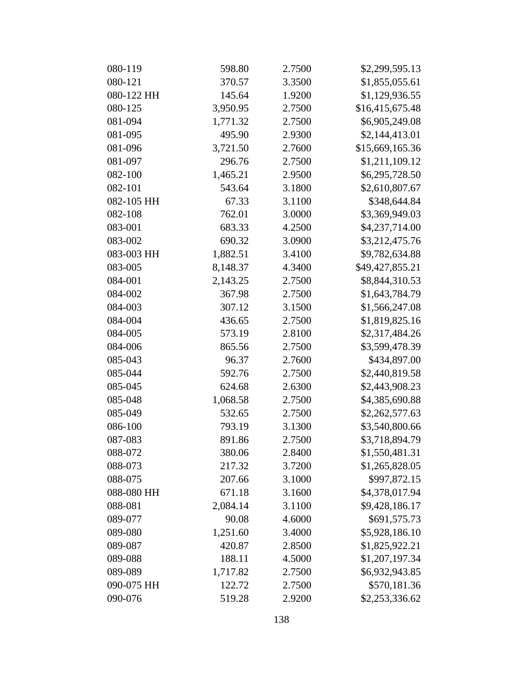| 080-119    | 598.80   | 2.7500 | \$2,299,595.13  |
|------------|----------|--------|-----------------|
| 080-121    | 370.57   | 3.3500 | \$1,855,055.61  |
| 080-122 HH | 145.64   | 1.9200 | \$1,129,936.55  |
| 080-125    | 3,950.95 | 2.7500 | \$16,415,675.48 |
| 081-094    | 1,771.32 | 2.7500 | \$6,905,249.08  |
| 081-095    | 495.90   | 2.9300 | \$2,144,413.01  |
| 081-096    | 3,721.50 | 2.7600 | \$15,669,165.36 |
| 081-097    | 296.76   | 2.7500 | \$1,211,109.12  |
| 082-100    | 1,465.21 | 2.9500 | \$6,295,728.50  |
| 082-101    | 543.64   | 3.1800 | \$2,610,807.67  |
| 082-105 HH | 67.33    | 3.1100 | \$348,644.84    |
| 082-108    | 762.01   | 3.0000 | \$3,369,949.03  |
| 083-001    | 683.33   | 4.2500 | \$4,237,714.00  |
| 083-002    | 690.32   | 3.0900 | \$3,212,475.76  |
| 083-003 HH | 1,882.51 | 3.4100 | \$9,782,634.88  |
| 083-005    | 8,148.37 | 4.3400 | \$49,427,855.21 |
| 084-001    | 2,143.25 | 2.7500 | \$8,844,310.53  |
| 084-002    | 367.98   | 2.7500 | \$1,643,784.79  |
| 084-003    | 307.12   | 3.1500 | \$1,566,247.08  |
| 084-004    | 436.65   | 2.7500 | \$1,819,825.16  |
| 084-005    | 573.19   | 2.8100 | \$2,317,484.26  |
| 084-006    | 865.56   | 2.7500 | \$3,599,478.39  |
| 085-043    | 96.37    | 2.7600 | \$434,897.00    |
| 085-044    | 592.76   | 2.7500 | \$2,440,819.58  |
| 085-045    | 624.68   | 2.6300 | \$2,443,908.23  |
| 085-048    | 1,068.58 | 2.7500 | \$4,385,690.88  |
| 085-049    | 532.65   | 2.7500 | \$2,262,577.63  |
| 086-100    | 793.19   | 3.1300 | \$3,540,800.66  |
| 087-083    | 891.86   | 2.7500 | \$3,718,894.79  |
| 088-072    | 380.06   | 2.8400 | \$1,550,481.31  |
| 088-073    | 217.32   | 3.7200 | \$1,265,828.05  |
| 088-075    | 207.66   | 3.1000 | \$997,872.15    |
| 088-080 HH | 671.18   | 3.1600 | \$4,378,017.94  |
| 088-081    | 2,084.14 | 3.1100 | \$9,428,186.17  |
| 089-077    | 90.08    | 4.6000 | \$691,575.73    |
| 089-080    | 1,251.60 | 3.4000 | \$5,928,186.10  |
| 089-087    | 420.87   | 2.8500 | \$1,825,922.21  |
| 089-088    | 188.11   | 4.5000 | \$1,207,197.34  |
| 089-089    | 1,717.82 | 2.7500 | \$6,932,943.85  |
| 090-075 HH | 122.72   | 2.7500 | \$570,181.36    |
| 090-076    | 519.28   | 2.9200 | \$2,253,336.62  |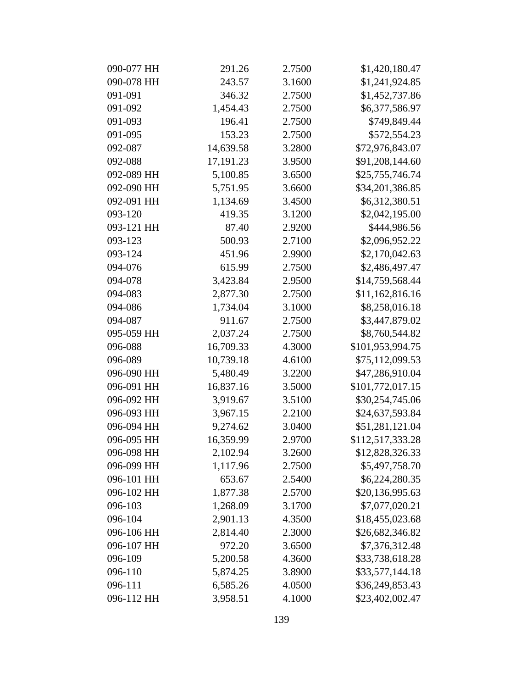| 090-077 HH | 291.26    | 2.7500 | \$1,420,180.47   |
|------------|-----------|--------|------------------|
| 090-078 HH | 243.57    | 3.1600 | \$1,241,924.85   |
| 091-091    | 346.32    | 2.7500 | \$1,452,737.86   |
| 091-092    | 1,454.43  | 2.7500 | \$6,377,586.97   |
| 091-093    | 196.41    | 2.7500 | \$749,849.44     |
| 091-095    | 153.23    | 2.7500 | \$572,554.23     |
| 092-087    | 14,639.58 | 3.2800 | \$72,976,843.07  |
| 092-088    | 17,191.23 | 3.9500 | \$91,208,144.60  |
| 092-089 HH | 5,100.85  | 3.6500 | \$25,755,746.74  |
| 092-090 HH | 5,751.95  | 3.6600 | \$34,201,386.85  |
| 092-091 HH | 1,134.69  | 3.4500 | \$6,312,380.51   |
| 093-120    | 419.35    | 3.1200 | \$2,042,195.00   |
| 093-121 HH | 87.40     | 2.9200 | \$444,986.56     |
| 093-123    | 500.93    | 2.7100 | \$2,096,952.22   |
| 093-124    | 451.96    | 2.9900 | \$2,170,042.63   |
| 094-076    | 615.99    | 2.7500 | \$2,486,497.47   |
| 094-078    | 3,423.84  | 2.9500 | \$14,759,568.44  |
| 094-083    | 2,877.30  | 2.7500 | \$11,162,816.16  |
| 094-086    | 1,734.04  | 3.1000 | \$8,258,016.18   |
| 094-087    | 911.67    | 2.7500 | \$3,447,879.02   |
| 095-059 HH | 2,037.24  | 2.7500 | \$8,760,544.82   |
| 096-088    | 16,709.33 | 4.3000 | \$101,953,994.75 |
| 096-089    | 10,739.18 | 4.6100 | \$75,112,099.53  |
| 096-090 HH | 5,480.49  | 3.2200 | \$47,286,910.04  |
| 096-091 HH | 16,837.16 | 3.5000 | \$101,772,017.15 |
| 096-092 HH | 3,919.67  | 3.5100 | \$30,254,745.06  |
| 096-093 HH | 3,967.15  | 2.2100 | \$24,637,593.84  |
| 096-094 HH | 9,274.62  | 3.0400 | \$51,281,121.04  |
| 096-095 HH | 16,359.99 | 2.9700 | \$112,517,333.28 |
| 096-098 HH | 2,102.94  | 3.2600 | \$12,828,326.33  |
| 096-099 HH | 1,117.96  | 2.7500 | \$5,497,758.70   |
| 096-101 HH | 653.67    | 2.5400 | \$6,224,280.35   |
| 096-102 HH | 1,877.38  | 2.5700 | \$20,136,995.63  |
| 096-103    | 1,268.09  | 3.1700 | \$7,077,020.21   |
| 096-104    | 2,901.13  | 4.3500 | \$18,455,023.68  |
| 096-106 HH | 2,814.40  | 2.3000 | \$26,682,346.82  |
| 096-107 HH | 972.20    | 3.6500 | \$7,376,312.48   |
| 096-109    | 5,200.58  | 4.3600 | \$33,738,618.28  |
| 096-110    | 5,874.25  | 3.8900 | \$33,577,144.18  |
| 096-111    | 6,585.26  | 4.0500 | \$36,249,853.43  |
| 096-112 HH | 3,958.51  | 4.1000 | \$23,402,002.47  |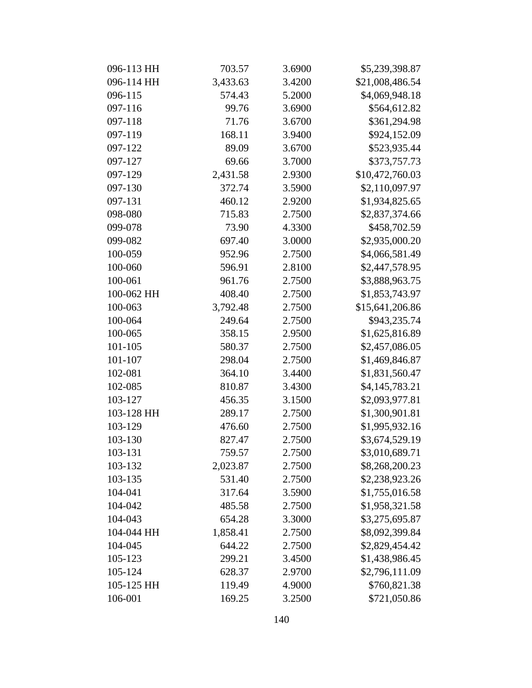| 096-113 HH | 703.57   | 3.6900 | \$5,239,398.87  |
|------------|----------|--------|-----------------|
| 096-114 HH | 3,433.63 | 3.4200 | \$21,008,486.54 |
| 096-115    | 574.43   | 5.2000 | \$4,069,948.18  |
| 097-116    | 99.76    | 3.6900 | \$564,612.82    |
| 097-118    | 71.76    | 3.6700 | \$361,294.98    |
| 097-119    | 168.11   | 3.9400 | \$924,152.09    |
| 097-122    | 89.09    | 3.6700 | \$523,935.44    |
| 097-127    | 69.66    | 3.7000 | \$373,757.73    |
| 097-129    | 2,431.58 | 2.9300 | \$10,472,760.03 |
| 097-130    | 372.74   | 3.5900 | \$2,110,097.97  |
| 097-131    | 460.12   | 2.9200 | \$1,934,825.65  |
| 098-080    | 715.83   | 2.7500 | \$2,837,374.66  |
| 099-078    | 73.90    | 4.3300 | \$458,702.59    |
| 099-082    | 697.40   | 3.0000 | \$2,935,000.20  |
| 100-059    | 952.96   | 2.7500 | \$4,066,581.49  |
| 100-060    | 596.91   | 2.8100 | \$2,447,578.95  |
| 100-061    | 961.76   | 2.7500 | \$3,888,963.75  |
| 100-062 HH | 408.40   | 2.7500 | \$1,853,743.97  |
| 100-063    | 3,792.48 | 2.7500 | \$15,641,206.86 |
| 100-064    | 249.64   | 2.7500 | \$943,235.74    |
| 100-065    | 358.15   | 2.9500 | \$1,625,816.89  |
| 101-105    | 580.37   | 2.7500 | \$2,457,086.05  |
| 101-107    | 298.04   | 2.7500 | \$1,469,846.87  |
| 102-081    | 364.10   | 3.4400 | \$1,831,560.47  |
| 102-085    | 810.87   | 3.4300 | \$4,145,783.21  |
| 103-127    | 456.35   | 3.1500 | \$2,093,977.81  |
| 103-128 HH | 289.17   | 2.7500 | \$1,300,901.81  |
| 103-129    | 476.60   | 2.7500 | \$1,995,932.16  |
| 103-130    | 827.47   | 2.7500 | \$3,674,529.19  |
| 103-131    | 759.57   | 2.7500 | \$3,010,689.71  |
| 103-132    | 2,023.87 | 2.7500 | \$8,268,200.23  |
| 103-135    | 531.40   | 2.7500 | \$2,238,923.26  |
| 104-041    | 317.64   | 3.5900 | \$1,755,016.58  |
| 104-042    | 485.58   | 2.7500 | \$1,958,321.58  |
| 104-043    | 654.28   | 3.3000 | \$3,275,695.87  |
| 104-044 HH | 1,858.41 | 2.7500 | \$8,092,399.84  |
| 104-045    | 644.22   | 2.7500 | \$2,829,454.42  |
| 105-123    | 299.21   | 3.4500 | \$1,438,986.45  |
| 105-124    | 628.37   | 2.9700 | \$2,796,111.09  |
| 105-125 HH | 119.49   | 4.9000 | \$760,821.38    |
| 106-001    | 169.25   | 3.2500 | \$721,050.86    |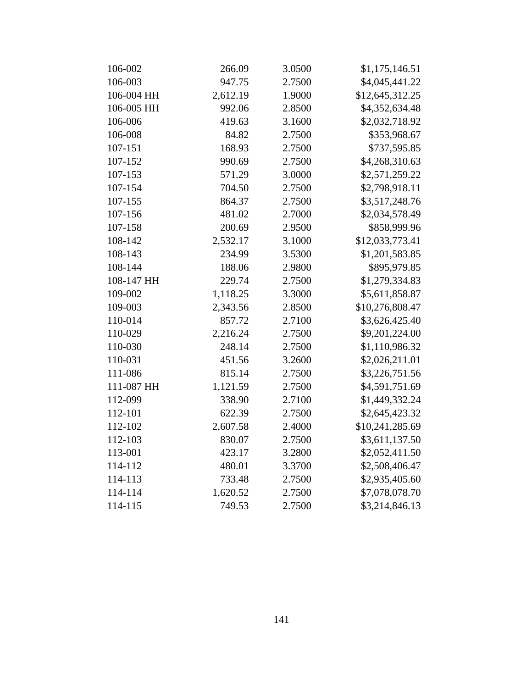| 106-002    | 266.09   | 3.0500 | \$1,175,146.51  |
|------------|----------|--------|-----------------|
| 106-003    | 947.75   | 2.7500 | \$4,045,441.22  |
| 106-004 HH | 2,612.19 | 1.9000 | \$12,645,312.25 |
| 106-005 HH | 992.06   | 2.8500 | \$4,352,634.48  |
| 106-006    | 419.63   | 3.1600 | \$2,032,718.92  |
| 106-008    | 84.82    | 2.7500 | \$353,968.67    |
| 107-151    | 168.93   | 2.7500 | \$737,595.85    |
| 107-152    | 990.69   | 2.7500 | \$4,268,310.63  |
| 107-153    | 571.29   | 3.0000 | \$2,571,259.22  |
| 107-154    | 704.50   | 2.7500 | \$2,798,918.11  |
| 107-155    | 864.37   | 2.7500 | \$3,517,248.76  |
| 107-156    | 481.02   | 2.7000 | \$2,034,578.49  |
| 107-158    | 200.69   | 2.9500 | \$858,999.96    |
| 108-142    | 2,532.17 | 3.1000 | \$12,033,773.41 |
| 108-143    | 234.99   | 3.5300 | \$1,201,583.85  |
| 108-144    | 188.06   | 2.9800 | \$895,979.85    |
| 108-147 HH | 229.74   | 2.7500 | \$1,279,334.83  |
| 109-002    | 1,118.25 | 3.3000 | \$5,611,858.87  |
| 109-003    | 2,343.56 | 2.8500 | \$10,276,808.47 |
| 110-014    | 857.72   | 2.7100 | \$3,626,425.40  |
| 110-029    | 2,216.24 | 2.7500 | \$9,201,224.00  |
| 110-030    | 248.14   | 2.7500 | \$1,110,986.32  |
| 110-031    | 451.56   | 3.2600 | \$2,026,211.01  |
| 111-086    | 815.14   | 2.7500 | \$3,226,751.56  |
| 111-087 HH | 1,121.59 | 2.7500 | \$4,591,751.69  |
| 112-099    | 338.90   | 2.7100 | \$1,449,332.24  |
| 112-101    | 622.39   | 2.7500 | \$2,645,423.32  |
| 112-102    | 2,607.58 | 2.4000 | \$10,241,285.69 |
| 112-103    | 830.07   | 2.7500 | \$3,611,137.50  |
| 113-001    | 423.17   | 3.2800 | \$2,052,411.50  |
| 114-112    | 480.01   | 3.3700 | \$2,508,406.47  |
| 114-113    | 733.48   | 2.7500 | \$2,935,405.60  |
| 114-114    | 1,620.52 | 2.7500 | \$7,078,078.70  |
| 114-115    | 749.53   | 2.7500 | \$3,214,846.13  |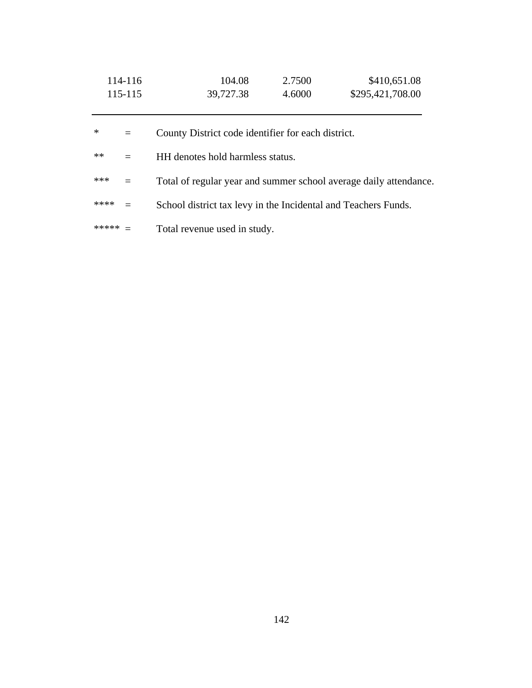| 114-116 | 104.08    | 2.7500 | \$410,651.08     |
|---------|-----------|--------|------------------|
| 115-115 | 39,727.38 | 4.6000 | \$295,421,708.00 |

| $\ast$ | $=$                      | County District code identifier for each district.                |
|--------|--------------------------|-------------------------------------------------------------------|
| $**$   | $=$                      | HH denotes hold harmless status.                                  |
| ***    | $\equiv$                 | Total of regular year and summer school average daily attendance. |
| ****   | $\overline{\phantom{0}}$ | School district tax levy in the Incidental and Teachers Funds.    |
|        |                          | Total revenue used in study.                                      |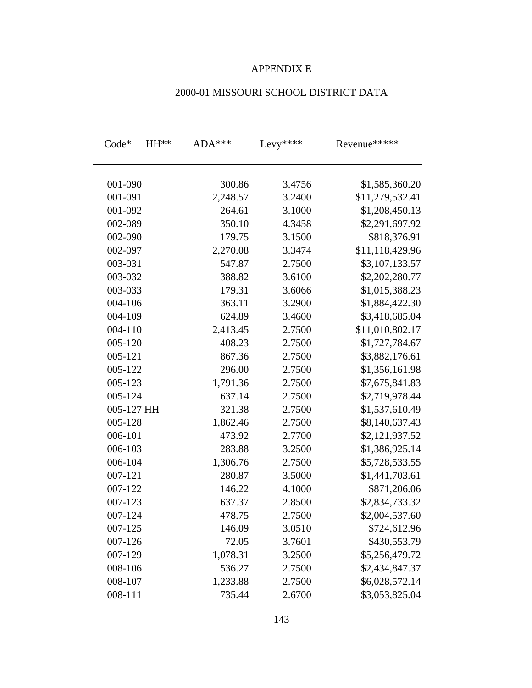### APPENDIX E

| $Code*$     | $HH**$ | $ADA***$ | Levy**** | Revenue*****    |
|-------------|--------|----------|----------|-----------------|
| 001-090     |        | 300.86   | 3.4756   | \$1,585,360.20  |
| 001-091     |        | 2,248.57 | 3.2400   | \$11,279,532.41 |
| 001-092     |        | 264.61   | 3.1000   | \$1,208,450.13  |
| 002-089     |        | 350.10   | 4.3458   | \$2,291,697.92  |
| 002-090     |        | 179.75   | 3.1500   | \$818,376.91    |
| 002-097     |        | 2,270.08 | 3.3474   | \$11,118,429.96 |
| 003-031     |        | 547.87   | 2.7500   | \$3,107,133.57  |
| 003-032     |        | 388.82   | 3.6100   | \$2,202,280.77  |
| 003-033     |        | 179.31   | 3.6066   | \$1,015,388.23  |
| 004-106     |        | 363.11   | 3.2900   | \$1,884,422.30  |
| 004-109     |        | 624.89   | 3.4600   | \$3,418,685.04  |
| $004 - 110$ |        | 2,413.45 | 2.7500   | \$11,010,802.17 |
| 005-120     |        | 408.23   | 2.7500   | \$1,727,784.67  |
| 005-121     |        | 867.36   | 2.7500   | \$3,882,176.61  |
| 005-122     |        | 296.00   | 2.7500   | \$1,356,161.98  |
| 005-123     |        | 1,791.36 | 2.7500   | \$7,675,841.83  |
| 005-124     |        | 637.14   | 2.7500   | \$2,719,978.44  |
| 005-127 HH  |        | 321.38   | 2.7500   | \$1,537,610.49  |
| 005-128     |        | 1,862.46 | 2.7500   | \$8,140,637.43  |
| 006-101     |        | 473.92   | 2.7700   | \$2,121,937.52  |
| 006-103     |        | 283.88   | 3.2500   | \$1,386,925.14  |
| 006-104     |        | 1,306.76 | 2.7500   | \$5,728,533.55  |
| 007-121     |        | 280.87   | 3.5000   | \$1,441,703.61  |
| 007-122     |        | 146.22   | 4.1000   | \$871,206.06    |
| 007-123     |        | 637.37   | 2.8500   | \$2,834,733.32  |
| 007-124     |        | 478.75   | 2.7500   | \$2,004,537.60  |
| 007-125     |        | 146.09   | 3.0510   | \$724,612.96    |
| 007-126     |        | 72.05    | 3.7601   | \$430,553.79    |
| 007-129     |        | 1,078.31 | 3.2500   | \$5,256,479.72  |
| 008-106     |        | 536.27   | 2.7500   | \$2,434,847.37  |
| 008-107     |        | 1,233.88 | 2.7500   | \$6,028,572.14  |
| 008-111     |        | 735.44   | 2.6700   | \$3,053,825.04  |

# 2000-01 MISSOURI SCHOOL DISTRICT DATA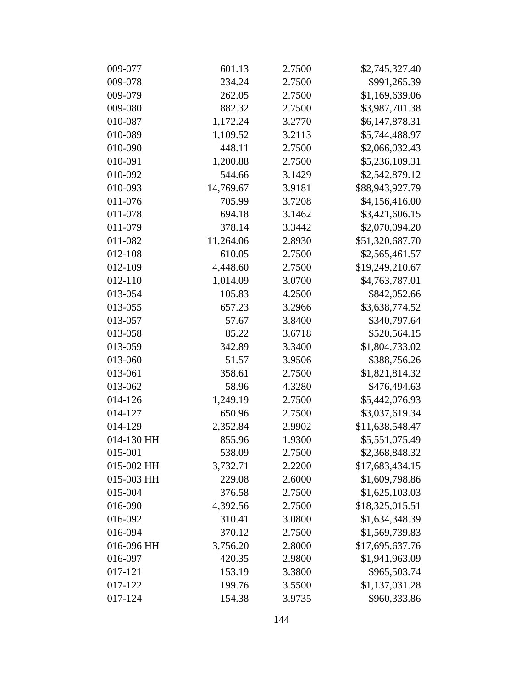| 009-077    | 601.13    | 2.7500 | \$2,745,327.40  |
|------------|-----------|--------|-----------------|
| 009-078    | 234.24    | 2.7500 | \$991,265.39    |
| 009-079    | 262.05    | 2.7500 | \$1,169,639.06  |
| 009-080    | 882.32    | 2.7500 | \$3,987,701.38  |
| 010-087    | 1,172.24  | 3.2770 | \$6,147,878.31  |
| 010-089    | 1,109.52  | 3.2113 | \$5,744,488.97  |
| 010-090    | 448.11    | 2.7500 | \$2,066,032.43  |
| 010-091    | 1,200.88  | 2.7500 | \$5,236,109.31  |
| 010-092    | 544.66    | 3.1429 | \$2,542,879.12  |
| 010-093    | 14,769.67 | 3.9181 | \$88,943,927.79 |
| 011-076    | 705.99    | 3.7208 | \$4,156,416.00  |
| 011-078    | 694.18    | 3.1462 | \$3,421,606.15  |
| 011-079    | 378.14    | 3.3442 | \$2,070,094.20  |
| 011-082    | 11,264.06 | 2.8930 | \$51,320,687.70 |
| 012-108    | 610.05    | 2.7500 | \$2,565,461.57  |
| 012-109    | 4,448.60  | 2.7500 | \$19,249,210.67 |
| 012-110    | 1,014.09  | 3.0700 | \$4,763,787.01  |
| 013-054    | 105.83    | 4.2500 | \$842,052.66    |
| 013-055    | 657.23    | 3.2966 | \$3,638,774.52  |
| 013-057    | 57.67     | 3.8400 | \$340,797.64    |
| 013-058    | 85.22     | 3.6718 | \$520,564.15    |
| 013-059    | 342.89    | 3.3400 | \$1,804,733.02  |
| 013-060    | 51.57     | 3.9506 | \$388,756.26    |
| 013-061    | 358.61    | 2.7500 | \$1,821,814.32  |
| 013-062    | 58.96     | 4.3280 | \$476,494.63    |
| 014-126    | 1,249.19  | 2.7500 | \$5,442,076.93  |
| 014-127    | 650.96    | 2.7500 | \$3,037,619.34  |
| 014-129    | 2,352.84  | 2.9902 | \$11,638,548.47 |
| 014-130 HH | 855.96    | 1.9300 | \$5,551,075.49  |
| 015-001    | 538.09    | 2.7500 | \$2,368,848.32  |
| 015-002 HH | 3,732.71  | 2.2200 | \$17,683,434.15 |
| 015-003 HH | 229.08    | 2.6000 | \$1,609,798.86  |
| 015-004    | 376.58    | 2.7500 | \$1,625,103.03  |
| 016-090    | 4,392.56  | 2.7500 | \$18,325,015.51 |
| 016-092    | 310.41    | 3.0800 | \$1,634,348.39  |
| 016-094    | 370.12    | 2.7500 | \$1,569,739.83  |
| 016-096 HH | 3,756.20  | 2.8000 | \$17,695,637.76 |
| 016-097    | 420.35    | 2.9800 | \$1,941,963.09  |
| 017-121    | 153.19    | 3.3800 | \$965,503.74    |
| 017-122    | 199.76    | 3.5500 | \$1,137,031.28  |
| 017-124    | 154.38    | 3.9735 | \$960,333.86    |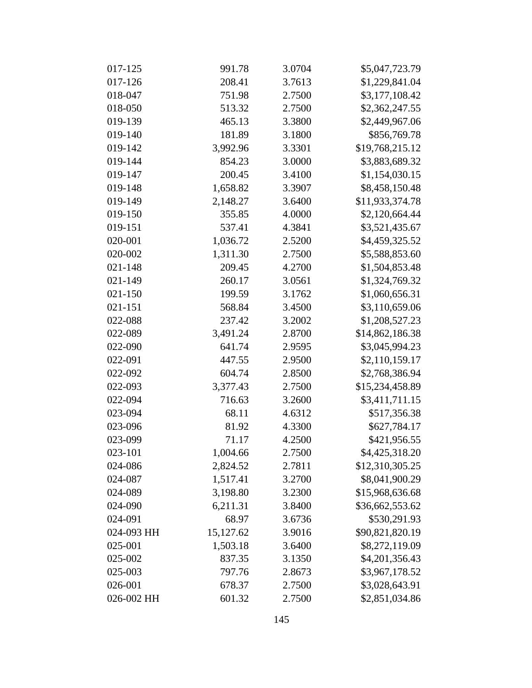| 017-125    | 991.78    | 3.0704 | \$5,047,723.79  |
|------------|-----------|--------|-----------------|
| 017-126    | 208.41    | 3.7613 | \$1,229,841.04  |
| 018-047    | 751.98    | 2.7500 | \$3,177,108.42  |
| 018-050    | 513.32    | 2.7500 | \$2,362,247.55  |
| 019-139    | 465.13    | 3.3800 | \$2,449,967.06  |
| 019-140    | 181.89    | 3.1800 | \$856,769.78    |
| 019-142    | 3,992.96  | 3.3301 | \$19,768,215.12 |
| 019-144    | 854.23    | 3.0000 | \$3,883,689.32  |
| 019-147    | 200.45    | 3.4100 | \$1,154,030.15  |
| 019-148    | 1,658.82  | 3.3907 | \$8,458,150.48  |
| 019-149    | 2,148.27  | 3.6400 | \$11,933,374.78 |
| 019-150    | 355.85    | 4.0000 | \$2,120,664.44  |
| 019-151    | 537.41    | 4.3841 | \$3,521,435.67  |
| 020-001    | 1,036.72  | 2.5200 | \$4,459,325.52  |
| 020-002    | 1,311.30  | 2.7500 | \$5,588,853.60  |
| 021-148    | 209.45    | 4.2700 | \$1,504,853.48  |
| 021-149    | 260.17    | 3.0561 | \$1,324,769.32  |
| 021-150    | 199.59    | 3.1762 | \$1,060,656.31  |
| 021-151    | 568.84    | 3.4500 | \$3,110,659.06  |
| 022-088    | 237.42    | 3.2002 | \$1,208,527.23  |
| 022-089    | 3,491.24  | 2.8700 | \$14,862,186.38 |
| 022-090    | 641.74    | 2.9595 | \$3,045,994.23  |
| 022-091    | 447.55    | 2.9500 | \$2,110,159.17  |
| 022-092    | 604.74    | 2.8500 | \$2,768,386.94  |
| 022-093    | 3,377.43  | 2.7500 | \$15,234,458.89 |
| 022-094    | 716.63    | 3.2600 | \$3,411,711.15  |
| 023-094    | 68.11     | 4.6312 | \$517,356.38    |
| 023-096    | 81.92     | 4.3300 | \$627,784.17    |
| 023-099    | 71.17     | 4.2500 | \$421,956.55    |
| 023-101    | 1,004.66  | 2.7500 | \$4,425,318.20  |
| 024-086    | 2,824.52  | 2.7811 | \$12,310,305.25 |
| 024-087    | 1,517.41  | 3.2700 | \$8,041,900.29  |
| 024-089    | 3,198.80  | 3.2300 | \$15,968,636.68 |
| 024-090    | 6,211.31  | 3.8400 | \$36,662,553.62 |
| 024-091    | 68.97     | 3.6736 | \$530,291.93    |
| 024-093 HH | 15,127.62 | 3.9016 | \$90,821,820.19 |
| 025-001    | 1,503.18  | 3.6400 | \$8,272,119.09  |
| 025-002    | 837.35    | 3.1350 | \$4,201,356.43  |
| 025-003    | 797.76    | 2.8673 | \$3,967,178.52  |
| 026-001    | 678.37    | 2.7500 | \$3,028,643.91  |
| 026-002 HH | 601.32    | 2.7500 | \$2,851,034.86  |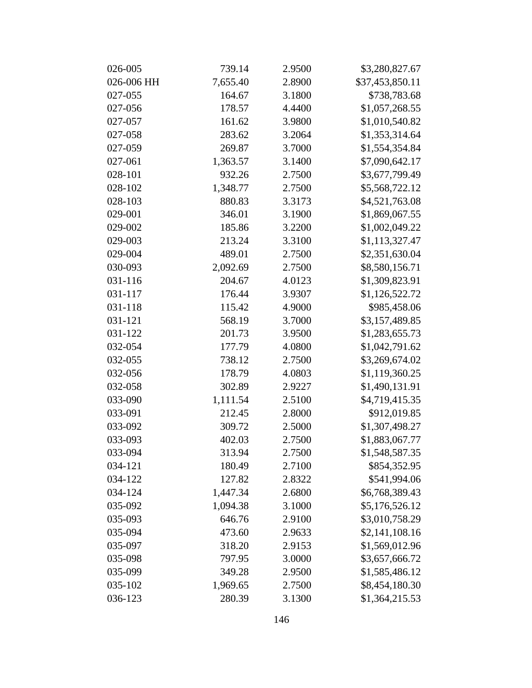| 026-005    | 739.14   | 2.9500 | \$3,280,827.67  |
|------------|----------|--------|-----------------|
| 026-006 HH | 7,655.40 | 2.8900 | \$37,453,850.11 |
| 027-055    | 164.67   | 3.1800 | \$738,783.68    |
| 027-056    | 178.57   | 4.4400 | \$1,057,268.55  |
| 027-057    | 161.62   | 3.9800 | \$1,010,540.82  |
| 027-058    | 283.62   | 3.2064 | \$1,353,314.64  |
| 027-059    | 269.87   | 3.7000 | \$1,554,354.84  |
| 027-061    | 1,363.57 | 3.1400 | \$7,090,642.17  |
| 028-101    | 932.26   | 2.7500 | \$3,677,799.49  |
| 028-102    | 1,348.77 | 2.7500 | \$5,568,722.12  |
| 028-103    | 880.83   | 3.3173 | \$4,521,763.08  |
| 029-001    | 346.01   | 3.1900 | \$1,869,067.55  |
| 029-002    | 185.86   | 3.2200 | \$1,002,049.22  |
| 029-003    | 213.24   | 3.3100 | \$1,113,327.47  |
| 029-004    | 489.01   | 2.7500 | \$2,351,630.04  |
| 030-093    | 2,092.69 | 2.7500 | \$8,580,156.71  |
| 031-116    | 204.67   | 4.0123 | \$1,309,823.91  |
| 031-117    | 176.44   | 3.9307 | \$1,126,522.72  |
| 031-118    | 115.42   | 4.9000 | \$985,458.06    |
| 031-121    | 568.19   | 3.7000 | \$3,157,489.85  |
| 031-122    | 201.73   | 3.9500 | \$1,283,655.73  |
| 032-054    | 177.79   | 4.0800 | \$1,042,791.62  |
| 032-055    | 738.12   | 2.7500 | \$3,269,674.02  |
| 032-056    | 178.79   | 4.0803 | \$1,119,360.25  |
| 032-058    | 302.89   | 2.9227 | \$1,490,131.91  |
| 033-090    | 1,111.54 | 2.5100 | \$4,719,415.35  |
| 033-091    | 212.45   | 2.8000 | \$912,019.85    |
| 033-092    | 309.72   | 2.5000 | \$1,307,498.27  |
| 033-093    | 402.03   | 2.7500 | \$1,883,067.77  |
| 033-094    | 313.94   | 2.7500 | \$1,548,587.35  |
| 034-121    | 180.49   | 2.7100 | \$854,352.95    |
| 034-122    | 127.82   | 2.8322 | \$541,994.06    |
| 034-124    | 1,447.34 | 2.6800 | \$6,768,389.43  |
| 035-092    | 1,094.38 | 3.1000 | \$5,176,526.12  |
| 035-093    | 646.76   | 2.9100 | \$3,010,758.29  |
| 035-094    | 473.60   | 2.9633 | \$2,141,108.16  |
| 035-097    | 318.20   | 2.9153 | \$1,569,012.96  |
| 035-098    | 797.95   | 3.0000 | \$3,657,666.72  |
| 035-099    | 349.28   | 2.9500 | \$1,585,486.12  |
| 035-102    | 1,969.65 | 2.7500 | \$8,454,180.30  |
| 036-123    | 280.39   | 3.1300 | \$1,364,215.53  |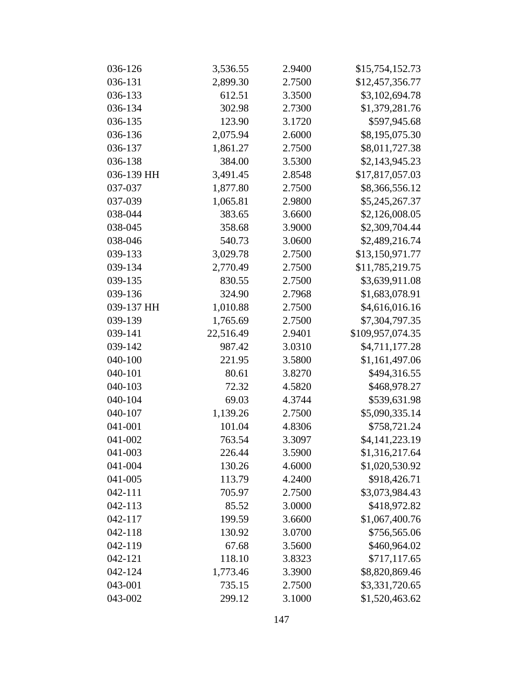| 036-126    | 3,536.55  | 2.9400 | \$15,754,152.73  |
|------------|-----------|--------|------------------|
| 036-131    | 2,899.30  | 2.7500 | \$12,457,356.77  |
| 036-133    | 612.51    | 3.3500 | \$3,102,694.78   |
| 036-134    | 302.98    | 2.7300 | \$1,379,281.76   |
| 036-135    | 123.90    | 3.1720 | \$597,945.68     |
| 036-136    | 2,075.94  | 2.6000 | \$8,195,075.30   |
| 036-137    | 1,861.27  | 2.7500 | \$8,011,727.38   |
| 036-138    | 384.00    | 3.5300 | \$2,143,945.23   |
| 036-139 HH | 3,491.45  | 2.8548 | \$17,817,057.03  |
| 037-037    | 1,877.80  | 2.7500 | \$8,366,556.12   |
| 037-039    | 1,065.81  | 2.9800 | \$5,245,267.37   |
| 038-044    | 383.65    | 3.6600 | \$2,126,008.05   |
| 038-045    | 358.68    | 3.9000 | \$2,309,704.44   |
| 038-046    | 540.73    | 3.0600 | \$2,489,216.74   |
| 039-133    | 3,029.78  | 2.7500 | \$13,150,971.77  |
| 039-134    | 2,770.49  | 2.7500 | \$11,785,219.75  |
| 039-135    | 830.55    | 2.7500 | \$3,639,911.08   |
| 039-136    | 324.90    | 2.7968 | \$1,683,078.91   |
| 039-137 HH | 1,010.88  | 2.7500 | \$4,616,016.16   |
| 039-139    | 1,765.69  | 2.7500 | \$7,304,797.35   |
| 039-141    | 22,516.49 | 2.9401 | \$109,957,074.35 |
| 039-142    | 987.42    | 3.0310 | \$4,711,177.28   |
| 040-100    | 221.95    | 3.5800 | \$1,161,497.06   |
| 040-101    | 80.61     | 3.8270 | \$494,316.55     |
| 040-103    | 72.32     | 4.5820 | \$468,978.27     |
| 040-104    | 69.03     | 4.3744 | \$539,631.98     |
| 040-107    | 1,139.26  | 2.7500 | \$5,090,335.14   |
| 041-001    | 101.04    | 4.8306 | \$758,721.24     |
| 041-002    | 763.54    | 3.3097 | \$4,141,223.19   |
| 041-003    | 226.44    | 3.5900 | \$1,316,217.64   |
| 041-004    | 130.26    | 4.6000 | \$1,020,530.92   |
| 041-005    | 113.79    | 4.2400 | \$918,426.71     |
| 042-111    | 705.97    | 2.7500 | \$3,073,984.43   |
| 042-113    | 85.52     | 3.0000 | \$418,972.82     |
| 042-117    | 199.59    | 3.6600 | \$1,067,400.76   |
| 042-118    | 130.92    | 3.0700 | \$756,565.06     |
| 042-119    | 67.68     | 3.5600 | \$460,964.02     |
| 042-121    | 118.10    | 3.8323 | \$717,117.65     |
| 042-124    | 1,773.46  | 3.3900 | \$8,820,869.46   |
| 043-001    | 735.15    | 2.7500 | \$3,331,720.65   |
| 043-002    | 299.12    | 3.1000 | \$1,520,463.62   |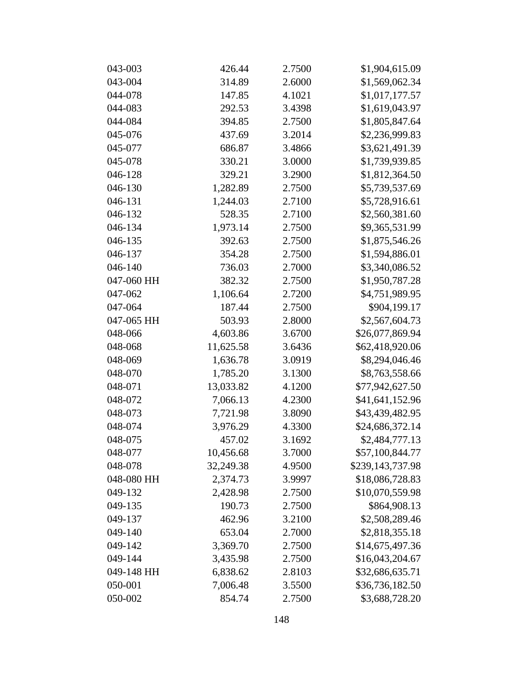| 043-003    | 426.44    | 2.7500 | \$1,904,615.09   |
|------------|-----------|--------|------------------|
| 043-004    | 314.89    | 2.6000 | \$1,569,062.34   |
| 044-078    | 147.85    | 4.1021 | \$1,017,177.57   |
| 044-083    | 292.53    | 3.4398 | \$1,619,043.97   |
| 044-084    | 394.85    | 2.7500 | \$1,805,847.64   |
| 045-076    | 437.69    | 3.2014 | \$2,236,999.83   |
| 045-077    | 686.87    | 3.4866 | \$3,621,491.39   |
| 045-078    | 330.21    | 3.0000 | \$1,739,939.85   |
| 046-128    | 329.21    | 3.2900 | \$1,812,364.50   |
| 046-130    | 1,282.89  | 2.7500 | \$5,739,537.69   |
| 046-131    | 1,244.03  | 2.7100 | \$5,728,916.61   |
| 046-132    | 528.35    | 2.7100 | \$2,560,381.60   |
| 046-134    | 1,973.14  | 2.7500 | \$9,365,531.99   |
| 046-135    | 392.63    | 2.7500 | \$1,875,546.26   |
| 046-137    | 354.28    | 2.7500 | \$1,594,886.01   |
| 046-140    | 736.03    | 2.7000 | \$3,340,086.52   |
| 047-060 HH | 382.32    | 2.7500 | \$1,950,787.28   |
| 047-062    | 1,106.64  | 2.7200 | \$4,751,989.95   |
| 047-064    | 187.44    | 2.7500 | \$904,199.17     |
| 047-065 HH | 503.93    | 2.8000 | \$2,567,604.73   |
| 048-066    | 4,603.86  | 3.6700 | \$26,077,869.94  |
| 048-068    | 11,625.58 | 3.6436 | \$62,418,920.06  |
| 048-069    | 1,636.78  | 3.0919 | \$8,294,046.46   |
| 048-070    | 1,785.20  | 3.1300 | \$8,763,558.66   |
| 048-071    | 13,033.82 | 4.1200 | \$77,942,627.50  |
| 048-072    | 7,066.13  | 4.2300 | \$41,641,152.96  |
| 048-073    | 7,721.98  | 3.8090 | \$43,439,482.95  |
| 048-074    | 3,976.29  | 4.3300 | \$24,686,372.14  |
| 048-075    | 457.02    | 3.1692 | \$2,484,777.13   |
| 048-077    | 10,456.68 | 3.7000 | \$57,100,844.77  |
| 048-078    | 32,249.38 | 4.9500 | \$239,143,737.98 |
| 048-080 HH | 2,374.73  | 3.9997 | \$18,086,728.83  |
| 049-132    | 2,428.98  | 2.7500 | \$10,070,559.98  |
| 049-135    | 190.73    | 2.7500 | \$864,908.13     |
| 049-137    | 462.96    | 3.2100 | \$2,508,289.46   |
| 049-140    | 653.04    | 2.7000 | \$2,818,355.18   |
| 049-142    | 3,369.70  | 2.7500 | \$14,675,497.36  |
| 049-144    | 3,435.98  | 2.7500 | \$16,043,204.67  |
| 049-148 HH | 6,838.62  | 2.8103 | \$32,686,635.71  |
| 050-001    | 7,006.48  | 3.5500 | \$36,736,182.50  |
| 050-002    | 854.74    | 2.7500 | \$3,688,728.20   |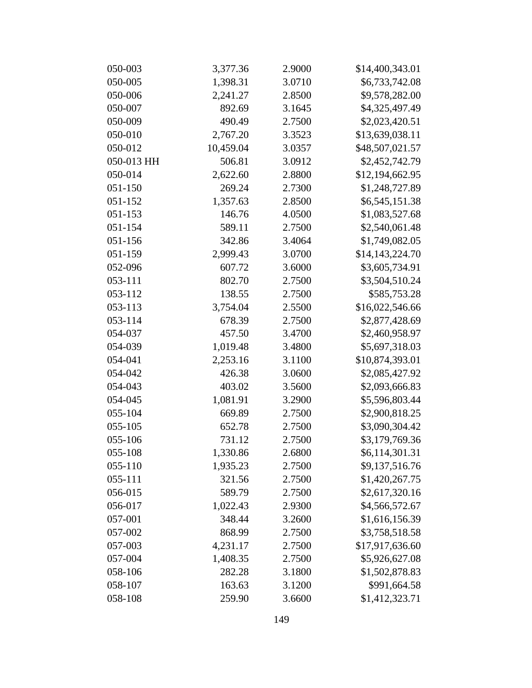| 050-003    | 3,377.36  | 2.9000 | \$14,400,343.01 |
|------------|-----------|--------|-----------------|
| 050-005    | 1,398.31  | 3.0710 | \$6,733,742.08  |
| 050-006    | 2,241.27  | 2.8500 | \$9,578,282.00  |
| 050-007    | 892.69    | 3.1645 | \$4,325,497.49  |
| 050-009    | 490.49    | 2.7500 | \$2,023,420.51  |
| 050-010    | 2,767.20  | 3.3523 | \$13,639,038.11 |
| 050-012    | 10,459.04 | 3.0357 | \$48,507,021.57 |
| 050-013 HH | 506.81    | 3.0912 | \$2,452,742.79  |
| 050-014    | 2,622.60  | 2.8800 | \$12,194,662.95 |
| 051-150    | 269.24    | 2.7300 | \$1,248,727.89  |
| 051-152    | 1,357.63  | 2.8500 | \$6,545,151.38  |
| 051-153    | 146.76    | 4.0500 | \$1,083,527.68  |
| 051-154    | 589.11    | 2.7500 | \$2,540,061.48  |
| 051-156    | 342.86    | 3.4064 | \$1,749,082.05  |
| 051-159    | 2,999.43  | 3.0700 | \$14,143,224.70 |
| 052-096    | 607.72    | 3.6000 | \$3,605,734.91  |
| 053-111    | 802.70    | 2.7500 | \$3,504,510.24  |
| 053-112    | 138.55    | 2.7500 | \$585,753.28    |
| 053-113    | 3,754.04  | 2.5500 | \$16,022,546.66 |
| 053-114    | 678.39    | 2.7500 | \$2,877,428.69  |
| 054-037    | 457.50    | 3.4700 | \$2,460,958.97  |
| 054-039    | 1,019.48  | 3.4800 | \$5,697,318.03  |
| 054-041    | 2,253.16  | 3.1100 | \$10,874,393.01 |
| 054-042    | 426.38    | 3.0600 | \$2,085,427.92  |
| 054-043    | 403.02    | 3.5600 | \$2,093,666.83  |
| 054-045    | 1,081.91  | 3.2900 | \$5,596,803.44  |
| 055-104    | 669.89    | 2.7500 | \$2,900,818.25  |
| 055-105    | 652.78    | 2.7500 | \$3,090,304.42  |
| 055-106    | 731.12    | 2.7500 | \$3,179,769.36  |
| 055-108    | 1,330.86  | 2.6800 | \$6,114,301.31  |
| 055-110    | 1,935.23  | 2.7500 | \$9,137,516.76  |
| 055-111    | 321.56    | 2.7500 | \$1,420,267.75  |
| 056-015    | 589.79    | 2.7500 | \$2,617,320.16  |
| 056-017    | 1,022.43  | 2.9300 | \$4,566,572.67  |
| 057-001    | 348.44    | 3.2600 | \$1,616,156.39  |
| 057-002    | 868.99    | 2.7500 | \$3,758,518.58  |
| 057-003    | 4,231.17  | 2.7500 | \$17,917,636.60 |
| 057-004    | 1,408.35  | 2.7500 | \$5,926,627.08  |
| 058-106    | 282.28    | 3.1800 | \$1,502,878.83  |
| 058-107    | 163.63    | 3.1200 | \$991,664.58    |
| 058-108    | 259.90    | 3.6600 | \$1,412,323.71  |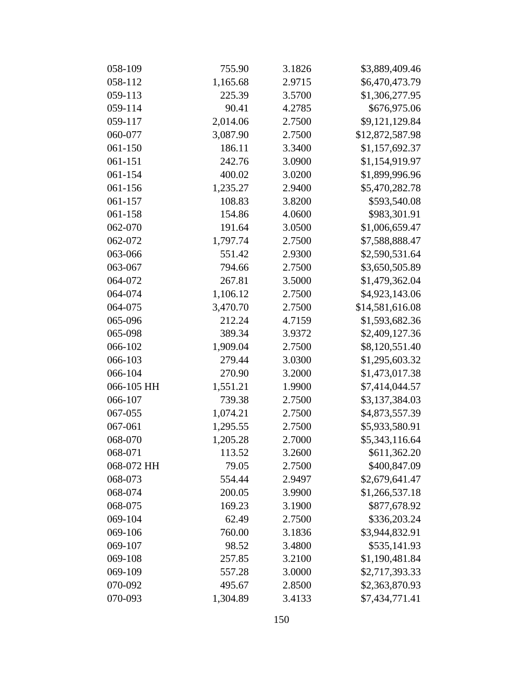| 058-109    | 755.90   | 3.1826 | \$3,889,409.46  |
|------------|----------|--------|-----------------|
| 058-112    | 1,165.68 | 2.9715 | \$6,470,473.79  |
| 059-113    | 225.39   | 3.5700 | \$1,306,277.95  |
| 059-114    | 90.41    | 4.2785 | \$676,975.06    |
| 059-117    | 2,014.06 | 2.7500 | \$9,121,129.84  |
| 060-077    | 3,087.90 | 2.7500 | \$12,872,587.98 |
| 061-150    | 186.11   | 3.3400 | \$1,157,692.37  |
| 061-151    | 242.76   | 3.0900 | \$1,154,919.97  |
| 061-154    | 400.02   | 3.0200 | \$1,899,996.96  |
| 061-156    | 1,235.27 | 2.9400 | \$5,470,282.78  |
| 061-157    | 108.83   | 3.8200 | \$593,540.08    |
| 061-158    | 154.86   | 4.0600 | \$983,301.91    |
| 062-070    | 191.64   | 3.0500 | \$1,006,659.47  |
| 062-072    | 1,797.74 | 2.7500 | \$7,588,888.47  |
| 063-066    | 551.42   | 2.9300 | \$2,590,531.64  |
| 063-067    | 794.66   | 2.7500 | \$3,650,505.89  |
| 064-072    | 267.81   | 3.5000 | \$1,479,362.04  |
| 064-074    | 1,106.12 | 2.7500 | \$4,923,143.06  |
| 064-075    | 3,470.70 | 2.7500 | \$14,581,616.08 |
| 065-096    | 212.24   | 4.7159 | \$1,593,682.36  |
| 065-098    | 389.34   | 3.9372 | \$2,409,127.36  |
| 066-102    | 1,909.04 | 2.7500 | \$8,120,551.40  |
| 066-103    | 279.44   | 3.0300 | \$1,295,603.32  |
| 066-104    | 270.90   | 3.2000 | \$1,473,017.38  |
| 066-105 HH | 1,551.21 | 1.9900 | \$7,414,044.57  |
| 066-107    | 739.38   | 2.7500 | \$3,137,384.03  |
| 067-055    | 1,074.21 | 2.7500 | \$4,873,557.39  |
| 067-061    | 1,295.55 | 2.7500 | \$5,933,580.91  |
| 068-070    | 1,205.28 | 2.7000 | \$5,343,116.64  |
| 068-071    | 113.52   | 3.2600 | \$611,362.20    |
| 068-072 HH | 79.05    | 2.7500 | \$400,847.09    |
| 068-073    | 554.44   | 2.9497 | \$2,679,641.47  |
| 068-074    | 200.05   | 3.9900 | \$1,266,537.18  |
| 068-075    | 169.23   | 3.1900 | \$877,678.92    |
| 069-104    | 62.49    | 2.7500 | \$336,203.24    |
| 069-106    | 760.00   | 3.1836 | \$3,944,832.91  |
| 069-107    | 98.52    | 3.4800 | \$535,141.93    |
| 069-108    | 257.85   | 3.2100 | \$1,190,481.84  |
| 069-109    | 557.28   | 3.0000 | \$2,717,393.33  |
| 070-092    | 495.67   | 2.8500 | \$2,363,870.93  |
| 070-093    | 1,304.89 | 3.4133 | \$7,434,771.41  |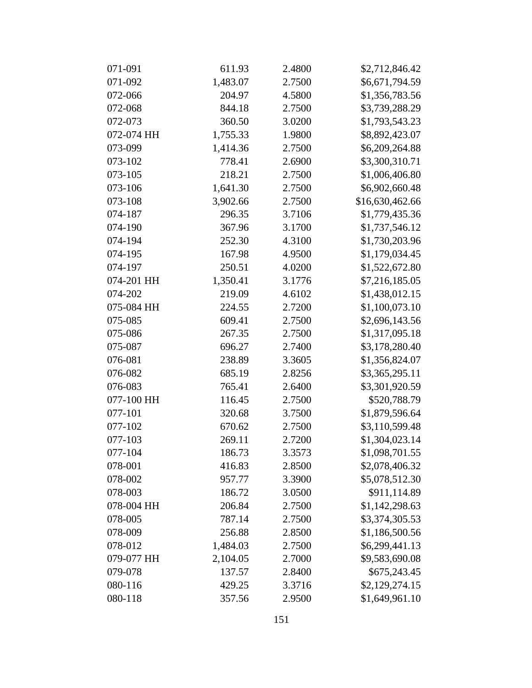| 071-091    | 611.93   | 2.4800 | \$2,712,846.42  |
|------------|----------|--------|-----------------|
| 071-092    | 1,483.07 | 2.7500 | \$6,671,794.59  |
| 072-066    | 204.97   | 4.5800 | \$1,356,783.56  |
| 072-068    | 844.18   | 2.7500 | \$3,739,288.29  |
| 072-073    | 360.50   | 3.0200 | \$1,793,543.23  |
| 072-074 HH | 1,755.33 | 1.9800 | \$8,892,423.07  |
| 073-099    | 1,414.36 | 2.7500 | \$6,209,264.88  |
| 073-102    | 778.41   | 2.6900 | \$3,300,310.71  |
| 073-105    | 218.21   | 2.7500 | \$1,006,406.80  |
| 073-106    | 1,641.30 | 2.7500 | \$6,902,660.48  |
| 073-108    | 3,902.66 | 2.7500 | \$16,630,462.66 |
| 074-187    | 296.35   | 3.7106 | \$1,779,435.36  |
| 074-190    | 367.96   | 3.1700 | \$1,737,546.12  |
| 074-194    | 252.30   | 4.3100 | \$1,730,203.96  |
| 074-195    | 167.98   | 4.9500 | \$1,179,034.45  |
| 074-197    | 250.51   | 4.0200 | \$1,522,672.80  |
| 074-201 HH | 1,350.41 | 3.1776 | \$7,216,185.05  |
| 074-202    | 219.09   | 4.6102 | \$1,438,012.15  |
| 075-084 HH | 224.55   | 2.7200 | \$1,100,073.10  |
| 075-085    | 609.41   | 2.7500 | \$2,696,143.56  |
| 075-086    | 267.35   | 2.7500 | \$1,317,095.18  |
| 075-087    | 696.27   | 2.7400 | \$3,178,280.40  |
| 076-081    | 238.89   | 3.3605 | \$1,356,824.07  |
| 076-082    | 685.19   | 2.8256 | \$3,365,295.11  |
| 076-083    | 765.41   | 2.6400 | \$3,301,920.59  |
| 077-100 HH | 116.45   | 2.7500 | \$520,788.79    |
| 077-101    | 320.68   | 3.7500 | \$1,879,596.64  |
| 077-102    | 670.62   | 2.7500 | \$3,110,599.48  |
| 077-103    | 269.11   | 2.7200 | \$1,304,023.14  |
| 077-104    | 186.73   | 3.3573 | \$1,098,701.55  |
| 078-001    | 416.83   | 2.8500 | \$2,078,406.32  |
| 078-002    | 957.77   | 3.3900 | \$5,078,512.30  |
| 078-003    | 186.72   | 3.0500 | \$911,114.89    |
| 078-004 HH | 206.84   | 2.7500 | \$1,142,298.63  |
| 078-005    | 787.14   | 2.7500 | \$3,374,305.53  |
| 078-009    | 256.88   | 2.8500 | \$1,186,500.56  |
| 078-012    | 1,484.03 | 2.7500 | \$6,299,441.13  |
| 079-077 HH | 2,104.05 | 2.7000 | \$9,583,690.08  |
| 079-078    | 137.57   | 2.8400 | \$675,243.45    |
| 080-116    | 429.25   | 3.3716 | \$2,129,274.15  |
| 080-118    | 357.56   | 2.9500 | \$1,649,961.10  |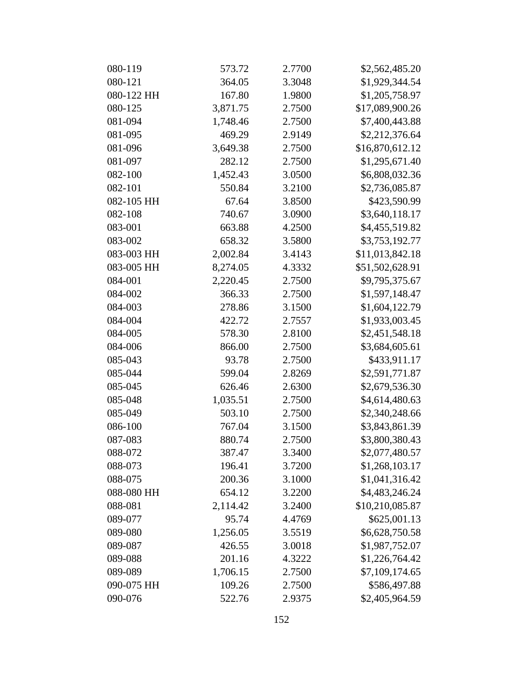| 080-119    | 573.72   | 2.7700 | \$2,562,485.20  |
|------------|----------|--------|-----------------|
| 080-121    | 364.05   | 3.3048 | \$1,929,344.54  |
| 080-122 HH | 167.80   | 1.9800 | \$1,205,758.97  |
| 080-125    | 3,871.75 | 2.7500 | \$17,089,900.26 |
| 081-094    | 1,748.46 | 2.7500 | \$7,400,443.88  |
| 081-095    | 469.29   | 2.9149 | \$2,212,376.64  |
| 081-096    | 3,649.38 | 2.7500 | \$16,870,612.12 |
| 081-097    | 282.12   | 2.7500 | \$1,295,671.40  |
| 082-100    | 1,452.43 | 3.0500 | \$6,808,032.36  |
| 082-101    | 550.84   | 3.2100 | \$2,736,085.87  |
| 082-105 HH | 67.64    | 3.8500 | \$423,590.99    |
| 082-108    | 740.67   | 3.0900 | \$3,640,118.17  |
| 083-001    | 663.88   | 4.2500 | \$4,455,519.82  |
| 083-002    | 658.32   | 3.5800 | \$3,753,192.77  |
| 083-003 HH | 2,002.84 | 3.4143 | \$11,013,842.18 |
| 083-005 HH | 8,274.05 | 4.3332 | \$51,502,628.91 |
| 084-001    | 2,220.45 | 2.7500 | \$9,795,375.67  |
| 084-002    | 366.33   | 2.7500 | \$1,597,148.47  |
| 084-003    | 278.86   | 3.1500 | \$1,604,122.79  |
| 084-004    | 422.72   | 2.7557 | \$1,933,003.45  |
| 084-005    | 578.30   | 2.8100 | \$2,451,548.18  |
| 084-006    | 866.00   | 2.7500 | \$3,684,605.61  |
| 085-043    | 93.78    | 2.7500 | \$433,911.17    |
| 085-044    | 599.04   | 2.8269 | \$2,591,771.87  |
| 085-045    | 626.46   | 2.6300 | \$2,679,536.30  |
| 085-048    | 1,035.51 | 2.7500 | \$4,614,480.63  |
| 085-049    | 503.10   | 2.7500 | \$2,340,248.66  |
| 086-100    | 767.04   | 3.1500 | \$3,843,861.39  |
| 087-083    | 880.74   | 2.7500 | \$3,800,380.43  |
| 088-072    | 387.47   | 3.3400 | \$2,077,480.57  |
| 088-073    | 196.41   | 3.7200 | \$1,268,103.17  |
| 088-075    | 200.36   | 3.1000 | \$1,041,316.42  |
| 088-080 HH | 654.12   | 3.2200 | \$4,483,246.24  |
| 088-081    | 2,114.42 | 3.2400 | \$10,210,085.87 |
| 089-077    | 95.74    | 4.4769 | \$625,001.13    |
| 089-080    | 1,256.05 | 3.5519 | \$6,628,750.58  |
| 089-087    | 426.55   | 3.0018 | \$1,987,752.07  |
| 089-088    | 201.16   | 4.3222 | \$1,226,764.42  |
| 089-089    | 1,706.15 | 2.7500 | \$7,109,174.65  |
| 090-075 HH | 109.26   | 2.7500 | \$586,497.88    |
| 090-076    | 522.76   | 2.9375 | \$2,405,964.59  |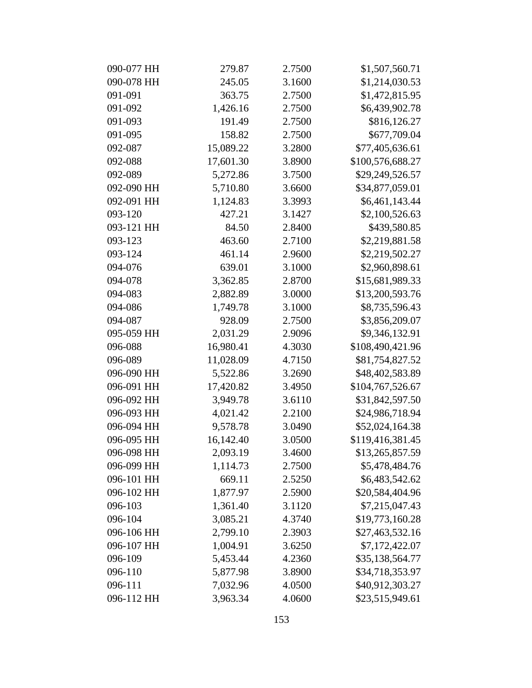| 090-077 HH | 279.87    | 2.7500 | \$1,507,560.71   |
|------------|-----------|--------|------------------|
| 090-078 HH | 245.05    | 3.1600 | \$1,214,030.53   |
| 091-091    | 363.75    | 2.7500 | \$1,472,815.95   |
| 091-092    | 1,426.16  | 2.7500 | \$6,439,902.78   |
| 091-093    | 191.49    | 2.7500 | \$816,126.27     |
| 091-095    | 158.82    | 2.7500 | \$677,709.04     |
| 092-087    | 15,089.22 | 3.2800 | \$77,405,636.61  |
| 092-088    | 17,601.30 | 3.8900 | \$100,576,688.27 |
| 092-089    | 5,272.86  | 3.7500 | \$29,249,526.57  |
| 092-090 HH | 5,710.80  | 3.6600 | \$34,877,059.01  |
| 092-091 HH | 1,124.83  | 3.3993 | \$6,461,143.44   |
| 093-120    | 427.21    | 3.1427 | \$2,100,526.63   |
| 093-121 HH | 84.50     | 2.8400 | \$439,580.85     |
| 093-123    | 463.60    | 2.7100 | \$2,219,881.58   |
| 093-124    | 461.14    | 2.9600 | \$2,219,502.27   |
| 094-076    | 639.01    | 3.1000 | \$2,960,898.61   |
| 094-078    | 3,362.85  | 2.8700 | \$15,681,989.33  |
| 094-083    | 2,882.89  | 3.0000 | \$13,200,593.76  |
| 094-086    | 1,749.78  | 3.1000 | \$8,735,596.43   |
| 094-087    | 928.09    | 2.7500 | \$3,856,209.07   |
| 095-059 HH | 2,031.29  | 2.9096 | \$9,346,132.91   |
| 096-088    | 16,980.41 | 4.3030 | \$108,490,421.96 |
| 096-089    | 11,028.09 | 4.7150 | \$81,754,827.52  |
| 096-090 HH | 5,522.86  | 3.2690 | \$48,402,583.89  |
| 096-091 HH | 17,420.82 | 3.4950 | \$104,767,526.67 |
| 096-092 HH | 3,949.78  | 3.6110 | \$31,842,597.50  |
| 096-093 HH | 4,021.42  | 2.2100 | \$24,986,718.94  |
| 096-094 HH | 9,578.78  | 3.0490 | \$52,024,164.38  |
| 096-095 HH | 16,142.40 | 3.0500 | \$119,416,381.45 |
| 096-098 HH | 2,093.19  | 3.4600 | \$13,265,857.59  |
| 096-099 HH | 1,114.73  | 2.7500 | \$5,478,484.76   |
| 096-101 HH | 669.11    | 2.5250 | \$6,483,542.62   |
| 096-102 HH | 1,877.97  | 2.5900 | \$20,584,404.96  |
| 096-103    | 1,361.40  | 3.1120 | \$7,215,047.43   |
| 096-104    | 3,085.21  | 4.3740 | \$19,773,160.28  |
| 096-106 HH | 2,799.10  | 2.3903 | \$27,463,532.16  |
| 096-107 HH | 1,004.91  | 3.6250 | \$7,172,422.07   |
| 096-109    | 5,453.44  | 4.2360 | \$35,138,564.77  |
| 096-110    | 5,877.98  | 3.8900 | \$34,718,353.97  |
| 096-111    | 7,032.96  | 4.0500 | \$40,912,303.27  |
| 096-112 HH | 3,963.34  | 4.0600 | \$23,515,949.61  |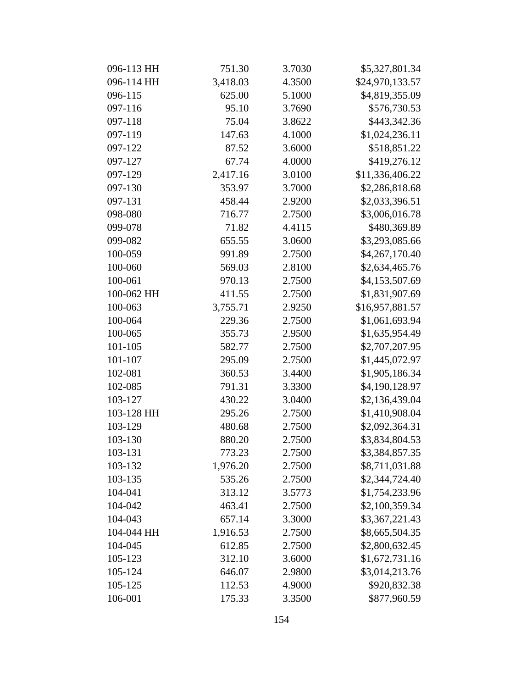| 096-113 HH | 751.30   | 3.7030 | \$5,327,801.34  |
|------------|----------|--------|-----------------|
| 096-114 HH | 3,418.03 | 4.3500 | \$24,970,133.57 |
| 096-115    | 625.00   | 5.1000 | \$4,819,355.09  |
| 097-116    | 95.10    | 3.7690 | \$576,730.53    |
| 097-118    | 75.04    | 3.8622 | \$443,342.36    |
| 097-119    | 147.63   | 4.1000 | \$1,024,236.11  |
| 097-122    | 87.52    | 3.6000 | \$518,851.22    |
| 097-127    | 67.74    | 4.0000 | \$419,276.12    |
| 097-129    | 2,417.16 | 3.0100 | \$11,336,406.22 |
| 097-130    | 353.97   | 3.7000 | \$2,286,818.68  |
| 097-131    | 458.44   | 2.9200 | \$2,033,396.51  |
| 098-080    | 716.77   | 2.7500 | \$3,006,016.78  |
| 099-078    | 71.82    | 4.4115 | \$480,369.89    |
| 099-082    | 655.55   | 3.0600 | \$3,293,085.66  |
| 100-059    | 991.89   | 2.7500 | \$4,267,170.40  |
| 100-060    | 569.03   | 2.8100 | \$2,634,465.76  |
| 100-061    | 970.13   | 2.7500 | \$4,153,507.69  |
| 100-062 HH | 411.55   | 2.7500 | \$1,831,907.69  |
| 100-063    | 3,755.71 | 2.9250 | \$16,957,881.57 |
| 100-064    | 229.36   | 2.7500 | \$1,061,693.94  |
| 100-065    | 355.73   | 2.9500 | \$1,635,954.49  |
| 101-105    | 582.77   | 2.7500 | \$2,707,207.95  |
| 101-107    | 295.09   | 2.7500 | \$1,445,072.97  |
| 102-081    | 360.53   | 3.4400 | \$1,905,186.34  |
| 102-085    | 791.31   | 3.3300 | \$4,190,128.97  |
| 103-127    | 430.22   | 3.0400 | \$2,136,439.04  |
| 103-128 HH | 295.26   | 2.7500 | \$1,410,908.04  |
| 103-129    | 480.68   | 2.7500 | \$2,092,364.31  |
| 103-130    | 880.20   | 2.7500 | \$3,834,804.53  |
| 103-131    | 773.23   | 2.7500 | \$3,384,857.35  |
| 103-132    | 1,976.20 | 2.7500 | \$8,711,031.88  |
| 103-135    | 535.26   | 2.7500 | \$2,344,724.40  |
| 104-041    | 313.12   | 3.5773 | \$1,754,233.96  |
| 104-042    | 463.41   | 2.7500 | \$2,100,359.34  |
| 104-043    | 657.14   | 3.3000 | \$3,367,221.43  |
| 104-044 HH | 1,916.53 | 2.7500 | \$8,665,504.35  |
| 104-045    | 612.85   | 2.7500 | \$2,800,632.45  |
| 105-123    | 312.10   | 3.6000 | \$1,672,731.16  |
| 105-124    | 646.07   | 2.9800 | \$3,014,213.76  |
| 105-125    | 112.53   | 4.9000 | \$920,832.38    |
| 106-001    | 175.33   | 3.3500 | \$877,960.59    |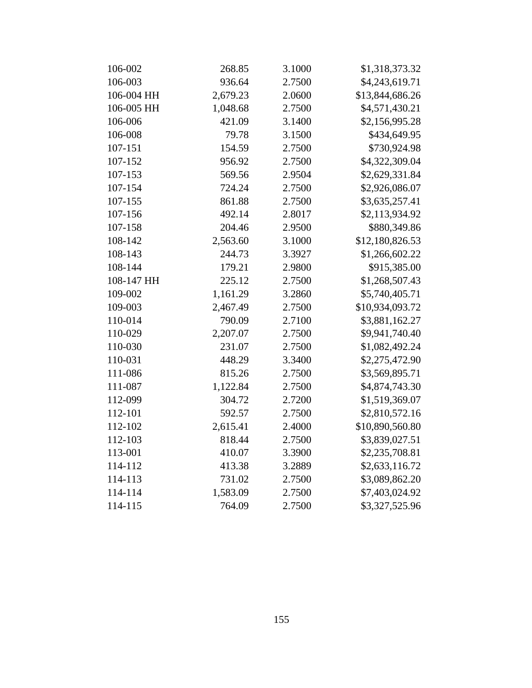| 106-002    | 268.85   | 3.1000 | \$1,318,373.32  |
|------------|----------|--------|-----------------|
| 106-003    | 936.64   | 2.7500 | \$4,243,619.71  |
| 106-004 HH | 2,679.23 | 2.0600 | \$13,844,686.26 |
| 106-005 HH | 1,048.68 | 2.7500 | \$4,571,430.21  |
| 106-006    | 421.09   | 3.1400 | \$2,156,995.28  |
| 106-008    | 79.78    | 3.1500 | \$434,649.95    |
| 107-151    | 154.59   | 2.7500 | \$730,924.98    |
| 107-152    | 956.92   | 2.7500 | \$4,322,309.04  |
| 107-153    | 569.56   | 2.9504 | \$2,629,331.84  |
| 107-154    | 724.24   | 2.7500 | \$2,926,086.07  |
| 107-155    | 861.88   | 2.7500 | \$3,635,257.41  |
| 107-156    | 492.14   | 2.8017 | \$2,113,934.92  |
| 107-158    | 204.46   | 2.9500 | \$880,349.86    |
| 108-142    | 2,563.60 | 3.1000 | \$12,180,826.53 |
| 108-143    | 244.73   | 3.3927 | \$1,266,602.22  |
| 108-144    | 179.21   | 2.9800 | \$915,385.00    |
| 108-147 HH | 225.12   | 2.7500 | \$1,268,507.43  |
| 109-002    | 1,161.29 | 3.2860 | \$5,740,405.71  |
| 109-003    | 2,467.49 | 2.7500 | \$10,934,093.72 |
| 110-014    | 790.09   | 2.7100 | \$3,881,162.27  |
| 110-029    | 2,207.07 | 2.7500 | \$9,941,740.40  |
| 110-030    | 231.07   | 2.7500 | \$1,082,492.24  |
| 110-031    | 448.29   | 3.3400 | \$2,275,472.90  |
| 111-086    | 815.26   | 2.7500 | \$3,569,895.71  |
| 111-087    | 1,122.84 | 2.7500 | \$4,874,743.30  |
| 112-099    | 304.72   | 2.7200 | \$1,519,369.07  |
| 112-101    | 592.57   | 2.7500 | \$2,810,572.16  |
| 112-102    | 2,615.41 | 2.4000 | \$10,890,560.80 |
| 112-103    | 818.44   | 2.7500 | \$3,839,027.51  |
| 113-001    | 410.07   | 3.3900 | \$2,235,708.81  |
| 114-112    | 413.38   | 3.2889 | \$2,633,116.72  |
| 114-113    | 731.02   | 2.7500 | \$3,089,862.20  |
| 114-114    | 1,583.09 | 2.7500 | \$7,403,024.92  |
| 114-115    | 764.09   | 2.7500 | \$3,327,525.96  |
|            |          |        |                 |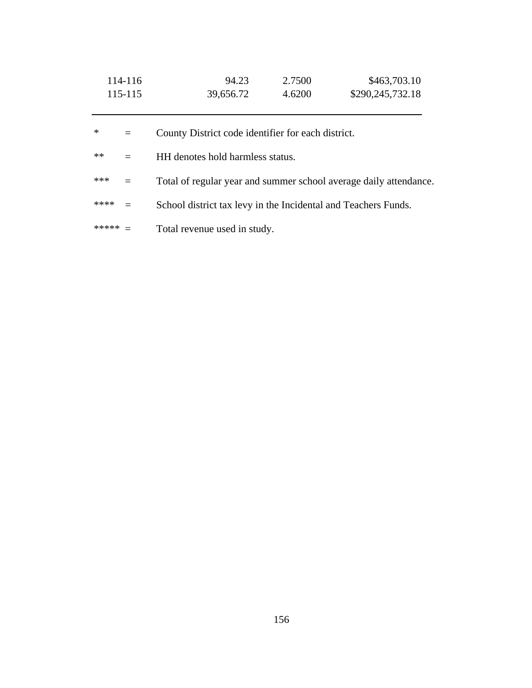| 114-116 | 94.23     | 2.7500 | \$463,703.10     |
|---------|-----------|--------|------------------|
| 115-115 | 39,656.72 | 4.6200 | \$290,245,732.18 |

| $\ast$ | $=$      | County District code identifier for each district.                |
|--------|----------|-------------------------------------------------------------------|
| $**$   | $=$      | HH denotes hold harmless status.                                  |
| ***    | $\equiv$ | Total of regular year and summer school average daily attendance. |
| ****   | $\sim$   | School district tax levy in the Incidental and Teachers Funds.    |
| *****  |          | Total revenue used in study.                                      |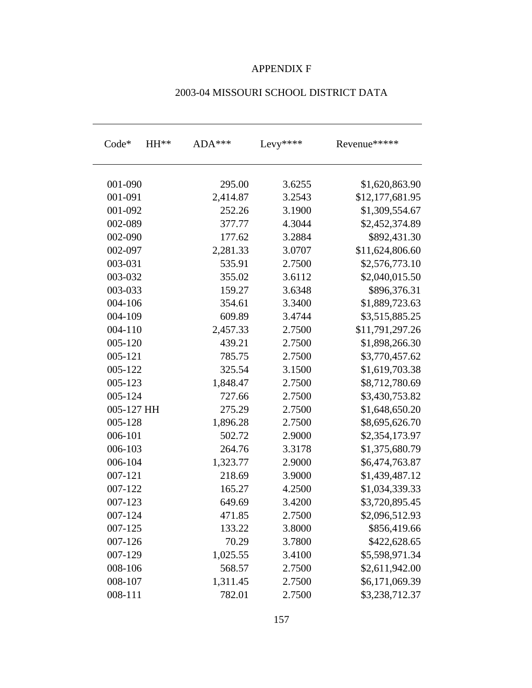### APPENDIX F

| $Code*$     | $HH**$ | $ADA***$ | Levy**** | Revenue*****    |
|-------------|--------|----------|----------|-----------------|
| 001-090     |        | 295.00   | 3.6255   | \$1,620,863.90  |
| 001-091     |        | 2,414.87 | 3.2543   | \$12,177,681.95 |
| 001-092     |        | 252.26   | 3.1900   | \$1,309,554.67  |
| 002-089     |        | 377.77   | 4.3044   | \$2,452,374.89  |
| 002-090     |        | 177.62   | 3.2884   | \$892,431.30    |
| 002-097     |        | 2,281.33 | 3.0707   | \$11,624,806.60 |
| 003-031     |        | 535.91   | 2.7500   | \$2,576,773.10  |
| 003-032     |        | 355.02   | 3.6112   | \$2,040,015.50  |
| 003-033     |        | 159.27   | 3.6348   | \$896,376.31    |
| 004-106     |        | 354.61   | 3.3400   | \$1,889,723.63  |
| 004-109     |        | 609.89   | 3.4744   | \$3,515,885.25  |
| $004 - 110$ |        | 2,457.33 | 2.7500   | \$11,791,297.26 |
| 005-120     |        | 439.21   | 2.7500   | \$1,898,266.30  |
| 005-121     |        | 785.75   | 2.7500   | \$3,770,457.62  |
| 005-122     |        | 325.54   | 3.1500   | \$1,619,703.38  |
| 005-123     |        | 1,848.47 | 2.7500   | \$8,712,780.69  |
| 005-124     |        | 727.66   | 2.7500   | \$3,430,753.82  |
| 005-127 HH  |        | 275.29   | 2.7500   | \$1,648,650.20  |
| 005-128     |        | 1,896.28 | 2.7500   | \$8,695,626.70  |
| 006-101     |        | 502.72   | 2.9000   | \$2,354,173.97  |
| 006-103     |        | 264.76   | 3.3178   | \$1,375,680.79  |
| 006-104     |        | 1,323.77 | 2.9000   | \$6,474,763.87  |
| 007-121     |        | 218.69   | 3.9000   | \$1,439,487.12  |
| 007-122     |        | 165.27   | 4.2500   | \$1,034,339.33  |
| 007-123     |        | 649.69   | 3.4200   | \$3,720,895.45  |
| 007-124     |        | 471.85   | 2.7500   | \$2,096,512.93  |
| 007-125     |        | 133.22   | 3.8000   | \$856,419.66    |
| 007-126     |        | 70.29    | 3.7800   | \$422,628.65    |
| 007-129     |        | 1,025.55 | 3.4100   | \$5,598,971.34  |
| 008-106     |        | 568.57   | 2.7500   | \$2,611,942.00  |
| 008-107     |        | 1,311.45 | 2.7500   | \$6,171,069.39  |
| 008-111     |        | 782.01   | 2.7500   | \$3,238,712.37  |

# 2003-04 MISSOURI SCHOOL DISTRICT DATA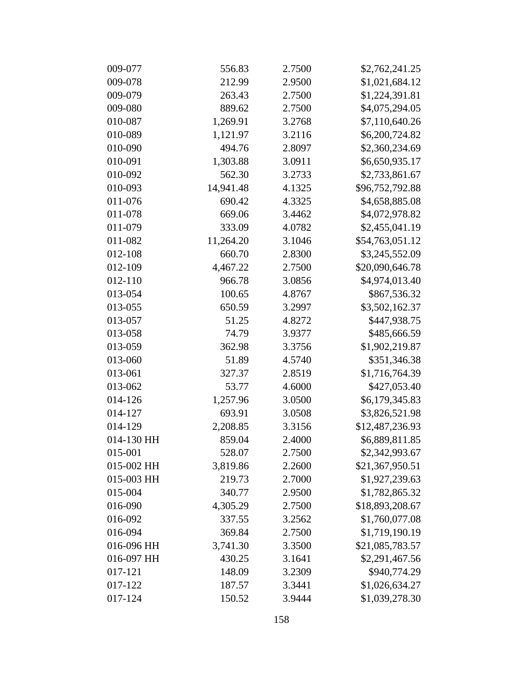| 009-077    | 556.83    | 2.7500 | \$2,762,241.25  |
|------------|-----------|--------|-----------------|
| 009-078    | 212.99    | 2.9500 | \$1,021,684.12  |
| 009-079    | 263.43    | 2.7500 | \$1,224,391.81  |
| 009-080    | 889.62    | 2.7500 | \$4,075,294.05  |
| 010-087    | 1,269.91  | 3.2768 | \$7,110,640.26  |
| 010-089    | 1,121.97  | 3.2116 | \$6,200,724.82  |
| 010-090    | 494.76    | 2.8097 | \$2,360,234.69  |
| 010-091    | 1,303.88  | 3.0911 | \$6,650,935.17  |
| 010-092    | 562.30    | 3.2733 | \$2,733,861.67  |
| 010-093    | 14,941.48 | 4.1325 | \$96,752,792.88 |
| 011-076    | 690.42    | 4.3325 | \$4,658,885.08  |
| 011-078    | 669.06    | 3.4462 | \$4,072,978.82  |
| 011-079    | 333.09    | 4.0782 | \$2,455,041.19  |
| 011-082    | 11,264.20 | 3.1046 | \$54,763,051.12 |
| 012-108    | 660.70    | 2.8300 | \$3,245,552.09  |
| 012-109    | 4,467.22  | 2.7500 | \$20,090,646.78 |
| 012-110    | 966.78    | 3.0856 | \$4,974,013.40  |
| 013-054    | 100.65    | 4.8767 | \$867,536.32    |
| 013-055    | 650.59    | 3.2997 | \$3,502,162.37  |
| 013-057    | 51.25     | 4.8272 | \$447,938.75    |
| 013-058    | 74.79     | 3.9377 | \$485,666.59    |
| 013-059    | 362.98    | 3.3756 | \$1,902,219.87  |
| 013-060    | 51.89     | 4.5740 | \$351,346.38    |
| 013-061    | 327.37    | 2.8519 | \$1,716,764.39  |
| 013-062    | 53.77     | 4.6000 | \$427,053.40    |
| 014-126    | 1,257.96  | 3.0500 | \$6,179,345.83  |
| 014-127    | 693.91    | 3.0508 | \$3,826,521.98  |
| 014-129    | 2,208.85  | 3.3156 | \$12,487,236.93 |
| 014-130 HH | 859.04    | 2.4000 | \$6,889,811.85  |
| 015-001    | 528.07    | 2.7500 | \$2,342,993.67  |
| 015-002 HH | 3,819.86  | 2.2600 | \$21,367,950.51 |
| 015-003 HH | 219.73    | 2.7000 | \$1,927,239.63  |
| 015-004    | 340.77    | 2.9500 | \$1,782,865.32  |
| 016-090    | 4,305.29  | 2.7500 | \$18,893,208.67 |
| 016-092    | 337.55    | 3.2562 | \$1,760,077.08  |
| 016-094    | 369.84    | 2.7500 | \$1,719,190.19  |
| 016-096 HH | 3,741.30  | 3.3500 | \$21,085,783.57 |
| 016-097 HH | 430.25    | 3.1641 | \$2,291,467.56  |
| 017-121    | 148.09    | 3.2309 | \$940,774.29    |
| 017-122    | 187.57    | 3.3441 | \$1,026,634.27  |
| 017-124    | 150.52    | 3.9444 | \$1,039,278.30  |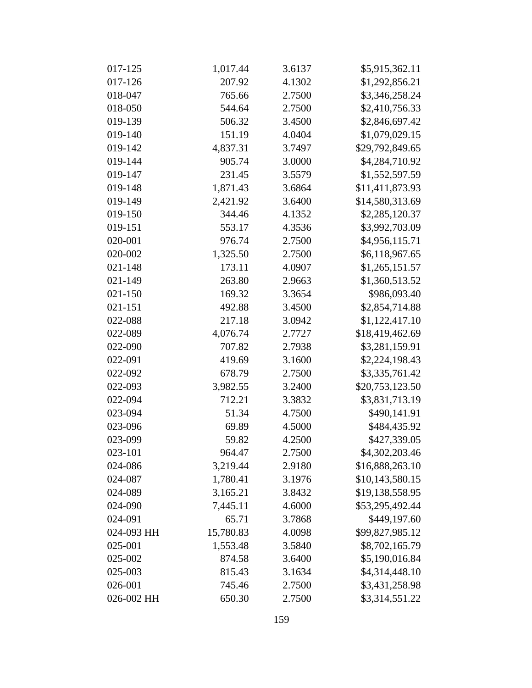| 017-125    | 1,017.44  | 3.6137 | \$5,915,362.11  |
|------------|-----------|--------|-----------------|
| 017-126    | 207.92    | 4.1302 | \$1,292,856.21  |
| 018-047    | 765.66    | 2.7500 | \$3,346,258.24  |
| 018-050    | 544.64    | 2.7500 | \$2,410,756.33  |
| 019-139    | 506.32    | 3.4500 | \$2,846,697.42  |
| 019-140    | 151.19    | 4.0404 | \$1,079,029.15  |
| 019-142    | 4,837.31  | 3.7497 | \$29,792,849.65 |
| 019-144    | 905.74    | 3.0000 | \$4,284,710.92  |
| 019-147    | 231.45    | 3.5579 | \$1,552,597.59  |
| 019-148    | 1,871.43  | 3.6864 | \$11,411,873.93 |
| 019-149    | 2,421.92  | 3.6400 | \$14,580,313.69 |
| 019-150    | 344.46    | 4.1352 | \$2,285,120.37  |
| 019-151    | 553.17    | 4.3536 | \$3,992,703.09  |
| 020-001    | 976.74    | 2.7500 | \$4,956,115.71  |
| 020-002    | 1,325.50  | 2.7500 | \$6,118,967.65  |
| 021-148    | 173.11    | 4.0907 | \$1,265,151.57  |
| 021-149    | 263.80    | 2.9663 | \$1,360,513.52  |
| 021-150    | 169.32    | 3.3654 | \$986,093.40    |
| 021-151    | 492.88    | 3.4500 | \$2,854,714.88  |
| 022-088    | 217.18    | 3.0942 | \$1,122,417.10  |
| 022-089    | 4,076.74  | 2.7727 | \$18,419,462.69 |
| 022-090    | 707.82    | 2.7938 | \$3,281,159.91  |
| 022-091    | 419.69    | 3.1600 | \$2,224,198.43  |
| 022-092    | 678.79    | 2.7500 | \$3,335,761.42  |
| 022-093    | 3,982.55  | 3.2400 | \$20,753,123.50 |
| 022-094    | 712.21    | 3.3832 | \$3,831,713.19  |
| 023-094    | 51.34     | 4.7500 | \$490,141.91    |
| 023-096    | 69.89     | 4.5000 | \$484,435.92    |
| 023-099    | 59.82     | 4.2500 | \$427,339.05    |
| 023-101    | 964.47    | 2.7500 | \$4,302,203.46  |
| 024-086    | 3,219.44  | 2.9180 | \$16,888,263.10 |
| 024-087    | 1,780.41  | 3.1976 | \$10,143,580.15 |
| 024-089    | 3,165.21  | 3.8432 | \$19,138,558.95 |
| 024-090    | 7,445.11  | 4.6000 | \$53,295,492.44 |
| 024-091    | 65.71     | 3.7868 | \$449,197.60    |
| 024-093 HH | 15,780.83 | 4.0098 | \$99,827,985.12 |
| 025-001    | 1,553.48  | 3.5840 | \$8,702,165.79  |
| 025-002    | 874.58    | 3.6400 | \$5,190,016.84  |
| 025-003    | 815.43    | 3.1634 | \$4,314,448.10  |
| 026-001    | 745.46    | 2.7500 | \$3,431,258.98  |
| 026-002 HH | 650.30    | 2.7500 | \$3,314,551.22  |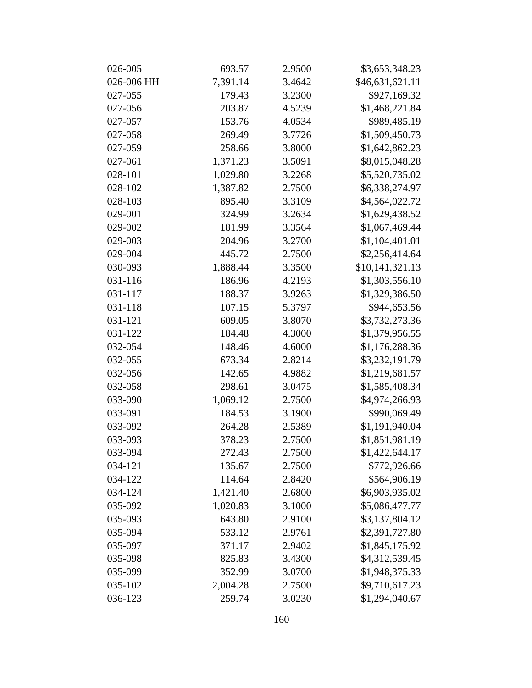| 026-005    | 693.57   | 2.9500 | \$3,653,348.23  |
|------------|----------|--------|-----------------|
| 026-006 HH | 7,391.14 | 3.4642 | \$46,631,621.11 |
| 027-055    | 179.43   | 3.2300 | \$927,169.32    |
| 027-056    | 203.87   | 4.5239 | \$1,468,221.84  |
| 027-057    | 153.76   | 4.0534 | \$989,485.19    |
| 027-058    | 269.49   | 3.7726 | \$1,509,450.73  |
| 027-059    | 258.66   | 3.8000 | \$1,642,862.23  |
| 027-061    | 1,371.23 | 3.5091 | \$8,015,048.28  |
| 028-101    | 1,029.80 | 3.2268 | \$5,520,735.02  |
| 028-102    | 1,387.82 | 2.7500 | \$6,338,274.97  |
| 028-103    | 895.40   | 3.3109 | \$4,564,022.72  |
| 029-001    | 324.99   | 3.2634 | \$1,629,438.52  |
| 029-002    | 181.99   | 3.3564 | \$1,067,469.44  |
| 029-003    | 204.96   | 3.2700 | \$1,104,401.01  |
| 029-004    | 445.72   | 2.7500 | \$2,256,414.64  |
| 030-093    | 1,888.44 | 3.3500 | \$10,141,321.13 |
| 031-116    | 186.96   | 4.2193 | \$1,303,556.10  |
| 031-117    | 188.37   | 3.9263 | \$1,329,386.50  |
| 031-118    | 107.15   | 5.3797 | \$944,653.56    |
| 031-121    | 609.05   | 3.8070 | \$3,732,273.36  |
| 031-122    | 184.48   | 4.3000 | \$1,379,956.55  |
| 032-054    | 148.46   | 4.6000 | \$1,176,288.36  |
| 032-055    | 673.34   | 2.8214 | \$3,232,191.79  |
| 032-056    | 142.65   | 4.9882 | \$1,219,681.57  |
| 032-058    | 298.61   | 3.0475 | \$1,585,408.34  |
| 033-090    | 1,069.12 | 2.7500 | \$4,974,266.93  |
| 033-091    | 184.53   | 3.1900 | \$990,069.49    |
| 033-092    | 264.28   | 2.5389 | \$1,191,940.04  |
| 033-093    | 378.23   | 2.7500 | \$1,851,981.19  |
| 033-094    | 272.43   | 2.7500 | \$1,422,644.17  |
| 034-121    | 135.67   | 2.7500 | \$772,926.66    |
| 034-122    | 114.64   | 2.8420 | \$564,906.19    |
| 034-124    | 1,421.40 | 2.6800 | \$6,903,935.02  |
| 035-092    | 1,020.83 | 3.1000 | \$5,086,477.77  |
| 035-093    | 643.80   | 2.9100 | \$3,137,804.12  |
| 035-094    | 533.12   | 2.9761 | \$2,391,727.80  |
| 035-097    | 371.17   | 2.9402 | \$1,845,175.92  |
| 035-098    | 825.83   | 3.4300 | \$4,312,539.45  |
| 035-099    | 352.99   | 3.0700 | \$1,948,375.33  |
| 035-102    | 2,004.28 | 2.7500 | \$9,710,617.23  |
| 036-123    | 259.74   | 3.0230 | \$1,294,040.67  |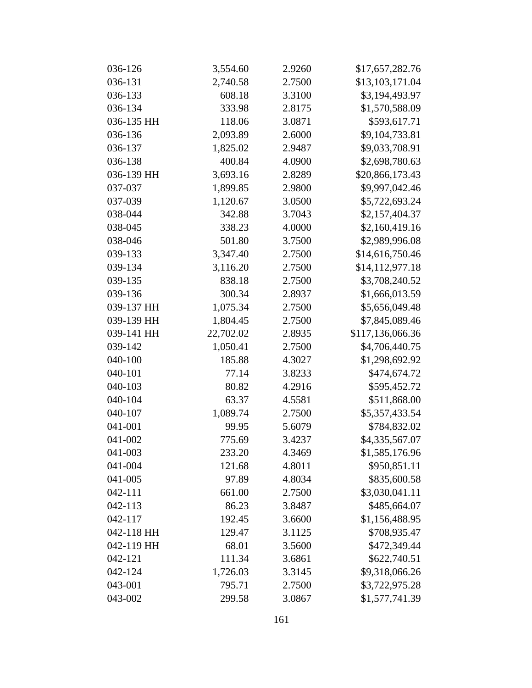| 036-126    | 3,554.60  | 2.9260 | \$17,657,282.76  |
|------------|-----------|--------|------------------|
| 036-131    | 2,740.58  | 2.7500 | \$13,103,171.04  |
| 036-133    | 608.18    | 3.3100 | \$3,194,493.97   |
| 036-134    | 333.98    | 2.8175 | \$1,570,588.09   |
| 036-135 HH | 118.06    | 3.0871 | \$593,617.71     |
| 036-136    | 2,093.89  | 2.6000 | \$9,104,733.81   |
| 036-137    | 1,825.02  | 2.9487 | \$9,033,708.91   |
| 036-138    | 400.84    | 4.0900 | \$2,698,780.63   |
| 036-139 HH | 3,693.16  | 2.8289 | \$20,866,173.43  |
| 037-037    | 1,899.85  | 2.9800 | \$9,997,042.46   |
| 037-039    | 1,120.67  | 3.0500 | \$5,722,693.24   |
| 038-044    | 342.88    | 3.7043 | \$2,157,404.37   |
| 038-045    | 338.23    | 4.0000 | \$2,160,419.16   |
| 038-046    | 501.80    | 3.7500 | \$2,989,996.08   |
| 039-133    | 3,347.40  | 2.7500 | \$14,616,750.46  |
| 039-134    | 3,116.20  | 2.7500 | \$14,112,977.18  |
| 039-135    | 838.18    | 2.7500 | \$3,708,240.52   |
| 039-136    | 300.34    | 2.8937 | \$1,666,013.59   |
| 039-137 HH | 1,075.34  | 2.7500 | \$5,656,049.48   |
| 039-139 HH | 1,804.45  | 2.7500 | \$7,845,089.46   |
| 039-141 HH | 22,702.02 | 2.8935 | \$117,136,066.36 |
| 039-142    | 1,050.41  | 2.7500 | \$4,706,440.75   |
| 040-100    | 185.88    | 4.3027 | \$1,298,692.92   |
| 040-101    | 77.14     | 3.8233 | \$474,674.72     |
| 040-103    | 80.82     | 4.2916 | \$595,452.72     |
| 040-104    | 63.37     | 4.5581 | \$511,868.00     |
| 040-107    | 1,089.74  | 2.7500 | \$5,357,433.54   |
| 041-001    | 99.95     | 5.6079 | \$784,832.02     |
| 041-002    | 775.69    | 3.4237 | \$4,335,567.07   |
| 041-003    | 233.20    | 4.3469 | \$1,585,176.96   |
| 041-004    | 121.68    | 4.8011 | \$950,851.11     |
| 041-005    | 97.89     | 4.8034 | \$835,600.58     |
| 042-111    | 661.00    | 2.7500 | \$3,030,041.11   |
| 042-113    | 86.23     | 3.8487 | \$485,664.07     |
| 042-117    | 192.45    | 3.6600 | \$1,156,488.95   |
| 042-118 HH | 129.47    | 3.1125 | \$708,935.47     |
| 042-119 HH | 68.01     | 3.5600 | \$472,349.44     |
| 042-121    | 111.34    | 3.6861 | \$622,740.51     |
| 042-124    | 1,726.03  | 3.3145 | \$9,318,066.26   |
| 043-001    | 795.71    | 2.7500 | \$3,722,975.28   |
| 043-002    | 299.58    | 3.0867 | \$1,577,741.39   |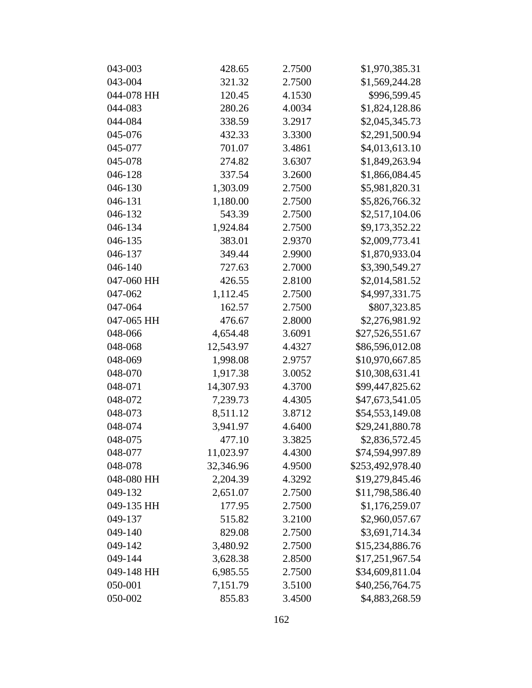| 043-003    | 428.65    | 2.7500 | \$1,970,385.31   |
|------------|-----------|--------|------------------|
| 043-004    | 321.32    | 2.7500 | \$1,569,244.28   |
| 044-078 HH | 120.45    | 4.1530 | \$996,599.45     |
| 044-083    | 280.26    | 4.0034 | \$1,824,128.86   |
| 044-084    | 338.59    | 3.2917 | \$2,045,345.73   |
| 045-076    | 432.33    | 3.3300 | \$2,291,500.94   |
| 045-077    | 701.07    | 3.4861 | \$4,013,613.10   |
| 045-078    | 274.82    | 3.6307 | \$1,849,263.94   |
| 046-128    | 337.54    | 3.2600 | \$1,866,084.45   |
| 046-130    | 1,303.09  | 2.7500 | \$5,981,820.31   |
| 046-131    | 1,180.00  | 2.7500 | \$5,826,766.32   |
| 046-132    | 543.39    | 2.7500 | \$2,517,104.06   |
| 046-134    | 1,924.84  | 2.7500 | \$9,173,352.22   |
| 046-135    | 383.01    | 2.9370 | \$2,009,773.41   |
| 046-137    | 349.44    | 2.9900 | \$1,870,933.04   |
| 046-140    | 727.63    | 2.7000 | \$3,390,549.27   |
| 047-060 HH | 426.55    | 2.8100 | \$2,014,581.52   |
| 047-062    | 1,112.45  | 2.7500 | \$4,997,331.75   |
| 047-064    | 162.57    | 2.7500 | \$807,323.85     |
| 047-065 HH | 476.67    | 2.8000 | \$2,276,981.92   |
| 048-066    | 4,654.48  | 3.6091 | \$27,526,551.67  |
| 048-068    | 12,543.97 | 4.4327 | \$86,596,012.08  |
| 048-069    | 1,998.08  | 2.9757 | \$10,970,667.85  |
| 048-070    | 1,917.38  | 3.0052 | \$10,308,631.41  |
| 048-071    | 14,307.93 | 4.3700 | \$99,447,825.62  |
| 048-072    | 7,239.73  | 4.4305 | \$47,673,541.05  |
| 048-073    | 8,511.12  | 3.8712 | \$54,553,149.08  |
| 048-074    | 3,941.97  | 4.6400 | \$29,241,880.78  |
| 048-075    | 477.10    | 3.3825 | \$2,836,572.45   |
| 048-077    | 11,023.97 | 4.4300 | \$74,594,997.89  |
| 048-078    | 32,346.96 | 4.9500 | \$253,492,978.40 |
| 048-080 HH | 2,204.39  | 4.3292 | \$19,279,845.46  |
| 049-132    | 2,651.07  | 2.7500 | \$11,798,586.40  |
| 049-135 HH | 177.95    | 2.7500 | \$1,176,259.07   |
| 049-137    | 515.82    | 3.2100 | \$2,960,057.67   |
| 049-140    | 829.08    | 2.7500 | \$3,691,714.34   |
| 049-142    | 3,480.92  | 2.7500 | \$15,234,886.76  |
| 049-144    | 3,628.38  | 2.8500 | \$17,251,967.54  |
| 049-148 HH | 6,985.55  | 2.7500 | \$34,609,811.04  |
| 050-001    | 7,151.79  | 3.5100 | \$40,256,764.75  |
| 050-002    | 855.83    | 3.4500 | \$4,883,268.59   |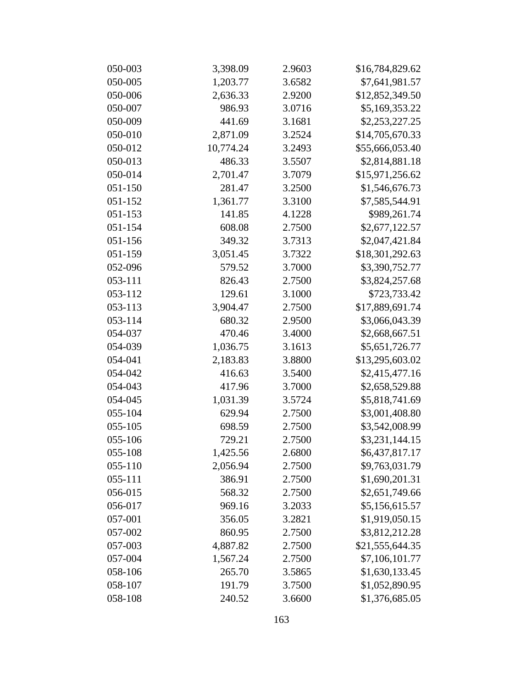| 050-003 | 3,398.09  | 2.9603 | \$16,784,829.62 |
|---------|-----------|--------|-----------------|
| 050-005 | 1,203.77  | 3.6582 | \$7,641,981.57  |
| 050-006 | 2,636.33  | 2.9200 | \$12,852,349.50 |
| 050-007 | 986.93    | 3.0716 | \$5,169,353.22  |
| 050-009 | 441.69    | 3.1681 | \$2,253,227.25  |
| 050-010 | 2,871.09  | 3.2524 | \$14,705,670.33 |
| 050-012 | 10,774.24 | 3.2493 | \$55,666,053.40 |
| 050-013 | 486.33    | 3.5507 | \$2,814,881.18  |
| 050-014 | 2,701.47  | 3.7079 | \$15,971,256.62 |
| 051-150 | 281.47    | 3.2500 | \$1,546,676.73  |
| 051-152 | 1,361.77  | 3.3100 | \$7,585,544.91  |
| 051-153 | 141.85    | 4.1228 | \$989,261.74    |
| 051-154 | 608.08    | 2.7500 | \$2,677,122.57  |
| 051-156 | 349.32    | 3.7313 | \$2,047,421.84  |
| 051-159 | 3,051.45  | 3.7322 | \$18,301,292.63 |
| 052-096 | 579.52    | 3.7000 | \$3,390,752.77  |
| 053-111 | 826.43    | 2.7500 | \$3,824,257.68  |
| 053-112 | 129.61    | 3.1000 | \$723,733.42    |
| 053-113 | 3,904.47  | 2.7500 | \$17,889,691.74 |
| 053-114 | 680.32    | 2.9500 | \$3,066,043.39  |
| 054-037 | 470.46    | 3.4000 | \$2,668,667.51  |
| 054-039 | 1,036.75  | 3.1613 | \$5,651,726.77  |
| 054-041 | 2,183.83  | 3.8800 | \$13,295,603.02 |
| 054-042 | 416.63    | 3.5400 | \$2,415,477.16  |
| 054-043 | 417.96    | 3.7000 | \$2,658,529.88  |
| 054-045 | 1,031.39  | 3.5724 | \$5,818,741.69  |
| 055-104 | 629.94    | 2.7500 | \$3,001,408.80  |
| 055-105 | 698.59    | 2.7500 | \$3,542,008.99  |
| 055-106 | 729.21    | 2.7500 | \$3,231,144.15  |
| 055-108 | 1,425.56  | 2.6800 | \$6,437,817.17  |
| 055-110 | 2,056.94  | 2.7500 | \$9,763,031.79  |
| 055-111 | 386.91    | 2.7500 | \$1,690,201.31  |
| 056-015 | 568.32    | 2.7500 | \$2,651,749.66  |
| 056-017 | 969.16    | 3.2033 | \$5,156,615.57  |
| 057-001 | 356.05    | 3.2821 | \$1,919,050.15  |
| 057-002 | 860.95    | 2.7500 | \$3,812,212.28  |
| 057-003 | 4,887.82  | 2.7500 | \$21,555,644.35 |
| 057-004 | 1,567.24  | 2.7500 | \$7,106,101.77  |
| 058-106 | 265.70    | 3.5865 | \$1,630,133.45  |
| 058-107 | 191.79    | 3.7500 | \$1,052,890.95  |
| 058-108 | 240.52    | 3.6600 | \$1,376,685.05  |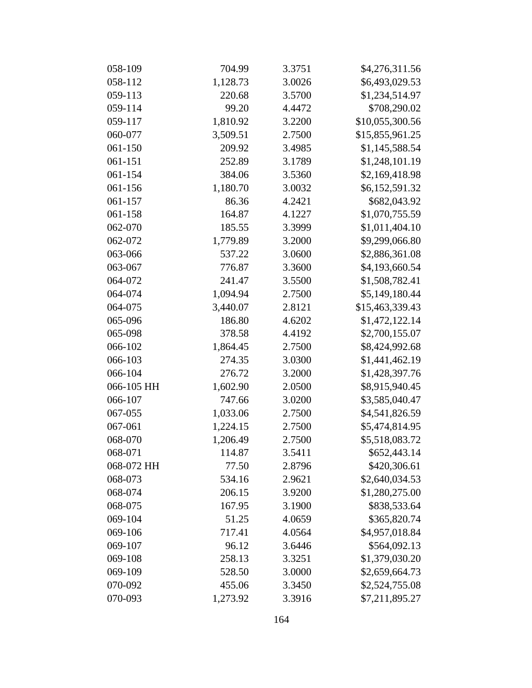| 058-109    | 704.99   | 3.3751 | \$4,276,311.56  |
|------------|----------|--------|-----------------|
| 058-112    | 1,128.73 | 3.0026 | \$6,493,029.53  |
| 059-113    | 220.68   | 3.5700 | \$1,234,514.97  |
| 059-114    | 99.20    | 4.4472 | \$708,290.02    |
| 059-117    | 1,810.92 | 3.2200 | \$10,055,300.56 |
| 060-077    | 3,509.51 | 2.7500 | \$15,855,961.25 |
| 061-150    | 209.92   | 3.4985 | \$1,145,588.54  |
| 061-151    | 252.89   | 3.1789 | \$1,248,101.19  |
| 061-154    | 384.06   | 3.5360 | \$2,169,418.98  |
| 061-156    | 1,180.70 | 3.0032 | \$6,152,591.32  |
| 061-157    | 86.36    | 4.2421 | \$682,043.92    |
| 061-158    | 164.87   | 4.1227 | \$1,070,755.59  |
| 062-070    | 185.55   | 3.3999 | \$1,011,404.10  |
| 062-072    | 1,779.89 | 3.2000 | \$9,299,066.80  |
| 063-066    | 537.22   | 3.0600 | \$2,886,361.08  |
| 063-067    | 776.87   | 3.3600 | \$4,193,660.54  |
| 064-072    | 241.47   | 3.5500 | \$1,508,782.41  |
| 064-074    | 1,094.94 | 2.7500 | \$5,149,180.44  |
| 064-075    | 3,440.07 | 2.8121 | \$15,463,339.43 |
| 065-096    | 186.80   | 4.6202 | \$1,472,122.14  |
| 065-098    | 378.58   | 4.4192 | \$2,700,155.07  |
| 066-102    | 1,864.45 | 2.7500 | \$8,424,992.68  |
| 066-103    | 274.35   | 3.0300 | \$1,441,462.19  |
| 066-104    | 276.72   | 3.2000 | \$1,428,397.76  |
| 066-105 HH | 1,602.90 | 2.0500 | \$8,915,940.45  |
| 066-107    | 747.66   | 3.0200 | \$3,585,040.47  |
| 067-055    | 1,033.06 | 2.7500 | \$4,541,826.59  |
| 067-061    | 1,224.15 | 2.7500 | \$5,474,814.95  |
| 068-070    | 1,206.49 | 2.7500 | \$5,518,083.72  |
| 068-071    | 114.87   | 3.5411 | \$652,443.14    |
| 068-072 HH | 77.50    | 2.8796 | \$420,306.61    |
| 068-073    | 534.16   | 2.9621 | \$2,640,034.53  |
| 068-074    | 206.15   | 3.9200 | \$1,280,275.00  |
| 068-075    | 167.95   | 3.1900 | \$838,533.64    |
| 069-104    | 51.25    | 4.0659 | \$365,820.74    |
| 069-106    | 717.41   | 4.0564 | \$4,957,018.84  |
| 069-107    | 96.12    | 3.6446 | \$564,092.13    |
| 069-108    | 258.13   | 3.3251 | \$1,379,030.20  |
| 069-109    | 528.50   | 3.0000 | \$2,659,664.73  |
| 070-092    | 455.06   | 3.3450 | \$2,524,755.08  |
| 070-093    | 1,273.92 | 3.3916 | \$7,211,895.27  |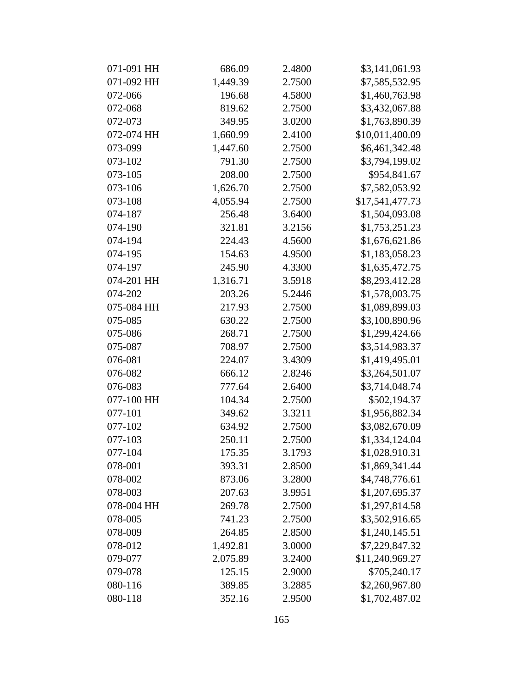| 071-091 HH | 686.09   | 2.4800 | \$3,141,061.93  |
|------------|----------|--------|-----------------|
| 071-092 HH | 1,449.39 | 2.7500 | \$7,585,532.95  |
| 072-066    | 196.68   | 4.5800 | \$1,460,763.98  |
| 072-068    | 819.62   | 2.7500 | \$3,432,067.88  |
| 072-073    | 349.95   | 3.0200 | \$1,763,890.39  |
| 072-074 HH | 1,660.99 | 2.4100 | \$10,011,400.09 |
| 073-099    | 1,447.60 | 2.7500 | \$6,461,342.48  |
| 073-102    | 791.30   | 2.7500 | \$3,794,199.02  |
| 073-105    | 208.00   | 2.7500 | \$954,841.67    |
| 073-106    | 1,626.70 | 2.7500 | \$7,582,053.92  |
| 073-108    | 4,055.94 | 2.7500 | \$17,541,477.73 |
| 074-187    | 256.48   | 3.6400 | \$1,504,093.08  |
| 074-190    | 321.81   | 3.2156 | \$1,753,251.23  |
| 074-194    | 224.43   | 4.5600 | \$1,676,621.86  |
| 074-195    | 154.63   | 4.9500 | \$1,183,058.23  |
| 074-197    | 245.90   | 4.3300 | \$1,635,472.75  |
| 074-201 HH | 1,316.71 | 3.5918 | \$8,293,412.28  |
| 074-202    | 203.26   | 5.2446 | \$1,578,003.75  |
| 075-084 HH | 217.93   | 2.7500 | \$1,089,899.03  |
| 075-085    | 630.22   | 2.7500 | \$3,100,890.96  |
| 075-086    | 268.71   | 2.7500 | \$1,299,424.66  |
| 075-087    | 708.97   | 2.7500 | \$3,514,983.37  |
| 076-081    | 224.07   | 3.4309 | \$1,419,495.01  |
| 076-082    | 666.12   | 2.8246 | \$3,264,501.07  |
| 076-083    | 777.64   | 2.6400 | \$3,714,048.74  |
| 077-100 HH | 104.34   | 2.7500 | \$502,194.37    |
| 077-101    | 349.62   | 3.3211 | \$1,956,882.34  |
| 077-102    | 634.92   | 2.7500 | \$3,082,670.09  |
| 077-103    | 250.11   | 2.7500 | \$1,334,124.04  |
| 077-104    | 175.35   | 3.1793 | \$1,028,910.31  |
| 078-001    | 393.31   | 2.8500 | \$1,869,341.44  |
| 078-002    | 873.06   | 3.2800 | \$4,748,776.61  |
| 078-003    | 207.63   | 3.9951 | \$1,207,695.37  |
| 078-004 HH | 269.78   | 2.7500 | \$1,297,814.58  |
| 078-005    | 741.23   | 2.7500 | \$3,502,916.65  |
| 078-009    | 264.85   | 2.8500 | \$1,240,145.51  |
| 078-012    | 1,492.81 | 3.0000 | \$7,229,847.32  |
| 079-077    | 2,075.89 | 3.2400 | \$11,240,969.27 |
| 079-078    | 125.15   | 2.9000 | \$705,240.17    |
| 080-116    | 389.85   | 3.2885 | \$2,260,967.80  |
| 080-118    | 352.16   | 2.9500 | \$1,702,487.02  |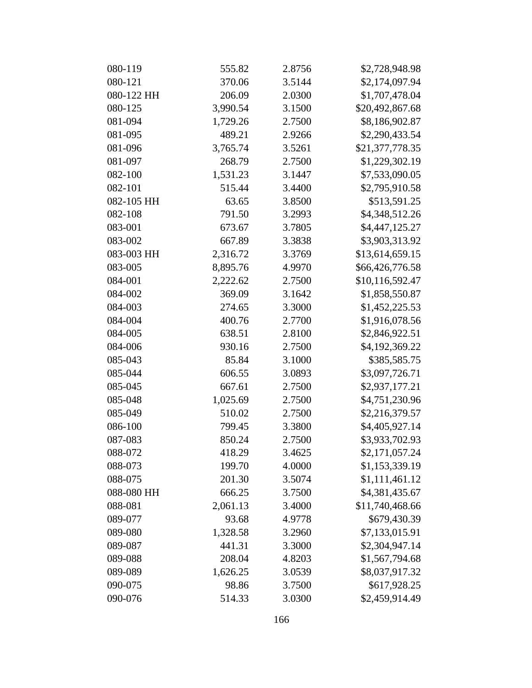| 080-119    | 555.82   | 2.8756 | \$2,728,948.98  |
|------------|----------|--------|-----------------|
| 080-121    | 370.06   | 3.5144 | \$2,174,097.94  |
| 080-122 HH | 206.09   | 2.0300 | \$1,707,478.04  |
| 080-125    | 3,990.54 | 3.1500 | \$20,492,867.68 |
| 081-094    | 1,729.26 | 2.7500 | \$8,186,902.87  |
| 081-095    | 489.21   | 2.9266 | \$2,290,433.54  |
| 081-096    | 3,765.74 | 3.5261 | \$21,377,778.35 |
| 081-097    | 268.79   | 2.7500 | \$1,229,302.19  |
| 082-100    | 1,531.23 | 3.1447 | \$7,533,090.05  |
| 082-101    | 515.44   | 3.4400 | \$2,795,910.58  |
| 082-105 HH | 63.65    | 3.8500 | \$513,591.25    |
| 082-108    | 791.50   | 3.2993 | \$4,348,512.26  |
| 083-001    | 673.67   | 3.7805 | \$4,447,125.27  |
| 083-002    | 667.89   | 3.3838 | \$3,903,313.92  |
| 083-003 HH | 2,316.72 | 3.3769 | \$13,614,659.15 |
| 083-005    | 8,895.76 | 4.9970 | \$66,426,776.58 |
| 084-001    | 2,222.62 | 2.7500 | \$10,116,592.47 |
| 084-002    | 369.09   | 3.1642 | \$1,858,550.87  |
| 084-003    | 274.65   | 3.3000 | \$1,452,225.53  |
| 084-004    | 400.76   | 2.7700 | \$1,916,078.56  |
| 084-005    | 638.51   | 2.8100 | \$2,846,922.51  |
| 084-006    | 930.16   | 2.7500 | \$4,192,369.22  |
| 085-043    | 85.84    | 3.1000 | \$385,585.75    |
| 085-044    | 606.55   | 3.0893 | \$3,097,726.71  |
| 085-045    | 667.61   | 2.7500 | \$2,937,177.21  |
| 085-048    | 1,025.69 | 2.7500 | \$4,751,230.96  |
| 085-049    | 510.02   | 2.7500 | \$2,216,379.57  |
| 086-100    | 799.45   | 3.3800 | \$4,405,927.14  |
| 087-083    | 850.24   | 2.7500 | \$3,933,702.93  |
| 088-072    | 418.29   | 3.4625 | \$2,171,057.24  |
| 088-073    | 199.70   | 4.0000 | \$1,153,339.19  |
| 088-075    | 201.30   | 3.5074 | \$1,111,461.12  |
| 088-080 HH | 666.25   | 3.7500 | \$4,381,435.67  |
| 088-081    | 2,061.13 | 3.4000 | \$11,740,468.66 |
| 089-077    | 93.68    | 4.9778 | \$679,430.39    |
| 089-080    | 1,328.58 | 3.2960 | \$7,133,015.91  |
| 089-087    | 441.31   | 3.3000 | \$2,304,947.14  |
| 089-088    | 208.04   | 4.8203 | \$1,567,794.68  |
| 089-089    | 1,626.25 | 3.0539 | \$8,037,917.32  |
| 090-075    | 98.86    | 3.7500 | \$617,928.25    |
| 090-076    | 514.33   | 3.0300 | \$2,459,914.49  |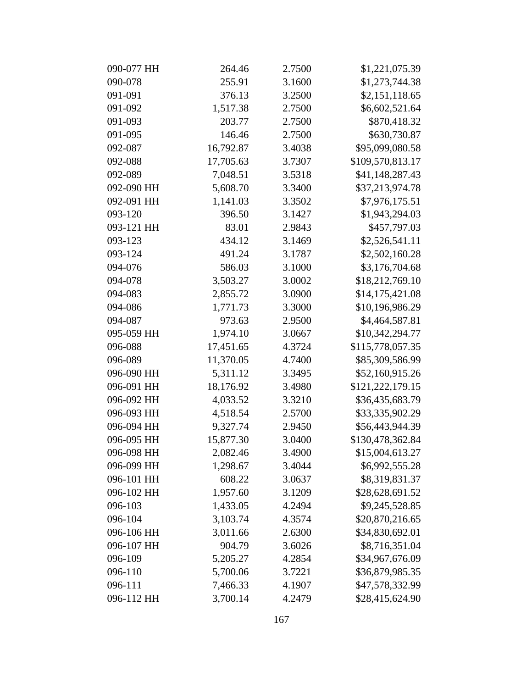| 090-077 HH | 264.46    | 2.7500 | \$1,221,075.39   |
|------------|-----------|--------|------------------|
| 090-078    | 255.91    | 3.1600 | \$1,273,744.38   |
| 091-091    | 376.13    | 3.2500 | \$2,151,118.65   |
| 091-092    | 1,517.38  | 2.7500 | \$6,602,521.64   |
| 091-093    | 203.77    | 2.7500 | \$870,418.32     |
| 091-095    | 146.46    | 2.7500 | \$630,730.87     |
| 092-087    | 16,792.87 | 3.4038 | \$95,099,080.58  |
| 092-088    | 17,705.63 | 3.7307 | \$109,570,813.17 |
| 092-089    | 7,048.51  | 3.5318 | \$41,148,287.43  |
| 092-090 HH | 5,608.70  | 3.3400 | \$37,213,974.78  |
| 092-091 HH | 1,141.03  | 3.3502 | \$7,976,175.51   |
| 093-120    | 396.50    | 3.1427 | \$1,943,294.03   |
| 093-121 HH | 83.01     | 2.9843 | \$457,797.03     |
| 093-123    | 434.12    | 3.1469 | \$2,526,541.11   |
| 093-124    | 491.24    | 3.1787 | \$2,502,160.28   |
| 094-076    | 586.03    | 3.1000 | \$3,176,704.68   |
| 094-078    | 3,503.27  | 3.0002 | \$18,212,769.10  |
| 094-083    | 2,855.72  | 3.0900 | \$14,175,421.08  |
| 094-086    | 1,771.73  | 3.3000 | \$10,196,986.29  |
| 094-087    | 973.63    | 2.9500 | \$4,464,587.81   |
| 095-059 HH | 1,974.10  | 3.0667 | \$10,342,294.77  |
| 096-088    | 17,451.65 | 4.3724 | \$115,778,057.35 |
| 096-089    | 11,370.05 | 4.7400 | \$85,309,586.99  |
| 096-090 HH | 5,311.12  | 3.3495 | \$52,160,915.26  |
| 096-091 HH | 18,176.92 | 3.4980 | \$121,222,179.15 |
| 096-092 HH | 4,033.52  | 3.3210 | \$36,435,683.79  |
| 096-093 HH | 4,518.54  | 2.5700 | \$33,335,902.29  |
| 096-094 HH | 9,327.74  | 2.9450 | \$56,443,944.39  |
| 096-095 HH | 15,877.30 | 3.0400 | \$130,478,362.84 |
| 096-098 HH | 2,082.46  | 3.4900 | \$15,004,613.27  |
| 096-099 HH | 1,298.67  | 3.4044 | \$6,992,555.28   |
| 096-101 HH | 608.22    | 3.0637 | \$8,319,831.37   |
| 096-102 HH | 1,957.60  | 3.1209 | \$28,628,691.52  |
| 096-103    | 1,433.05  | 4.2494 | \$9,245,528.85   |
| 096-104    | 3,103.74  | 4.3574 | \$20,870,216.65  |
| 096-106 HH | 3,011.66  | 2.6300 | \$34,830,692.01  |
| 096-107 HH | 904.79    | 3.6026 | \$8,716,351.04   |
| 096-109    | 5,205.27  | 4.2854 | \$34,967,676.09  |
| 096-110    | 5,700.06  | 3.7221 | \$36,879,985.35  |
| 096-111    | 7,466.33  | 4.1907 | \$47,578,332.99  |
| 096-112 HH | 3,700.14  | 4.2479 | \$28,415,624.90  |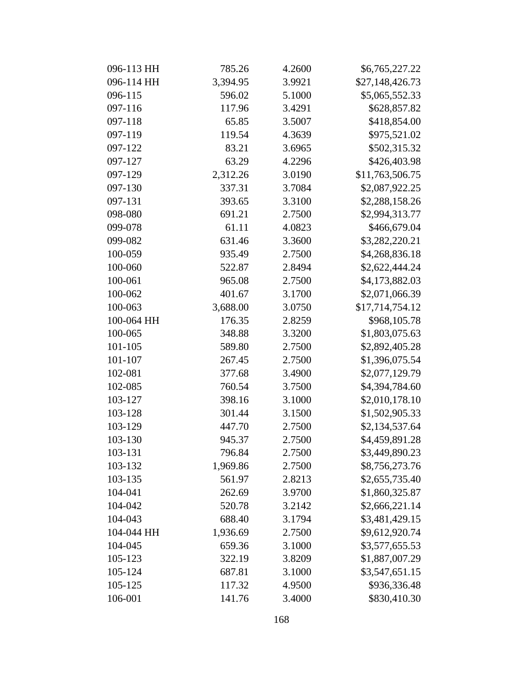| 096-113 HH | 785.26   | 4.2600 | \$6,765,227.22  |
|------------|----------|--------|-----------------|
| 096-114 HH | 3,394.95 | 3.9921 | \$27,148,426.73 |
| 096-115    | 596.02   | 5.1000 | \$5,065,552.33  |
| 097-116    | 117.96   | 3.4291 | \$628,857.82    |
| 097-118    | 65.85    | 3.5007 | \$418,854.00    |
| 097-119    | 119.54   | 4.3639 | \$975,521.02    |
| 097-122    | 83.21    | 3.6965 | \$502,315.32    |
| 097-127    | 63.29    | 4.2296 | \$426,403.98    |
| 097-129    | 2,312.26 | 3.0190 | \$11,763,506.75 |
| 097-130    | 337.31   | 3.7084 | \$2,087,922.25  |
| 097-131    | 393.65   | 3.3100 | \$2,288,158.26  |
| 098-080    | 691.21   | 2.7500 | \$2,994,313.77  |
| 099-078    | 61.11    | 4.0823 | \$466,679.04    |
| 099-082    | 631.46   | 3.3600 | \$3,282,220.21  |
| 100-059    | 935.49   | 2.7500 | \$4,268,836.18  |
| 100-060    | 522.87   | 2.8494 | \$2,622,444.24  |
| 100-061    | 965.08   | 2.7500 | \$4,173,882.03  |
| 100-062    | 401.67   | 3.1700 | \$2,071,066.39  |
| 100-063    | 3,688.00 | 3.0750 | \$17,714,754.12 |
| 100-064 HH | 176.35   | 2.8259 | \$968,105.78    |
| 100-065    | 348.88   | 3.3200 | \$1,803,075.63  |
| 101-105    | 589.80   | 2.7500 | \$2,892,405.28  |
| 101-107    | 267.45   | 2.7500 | \$1,396,075.54  |
| 102-081    | 377.68   | 3.4900 | \$2,077,129.79  |
| 102-085    | 760.54   | 3.7500 | \$4,394,784.60  |
| 103-127    | 398.16   | 3.1000 | \$2,010,178.10  |
| 103-128    | 301.44   | 3.1500 | \$1,502,905.33  |
| 103-129    | 447.70   | 2.7500 | \$2,134,537.64  |
| 103-130    | 945.37   | 2.7500 | \$4,459,891.28  |
| 103-131    | 796.84   | 2.7500 | \$3,449,890.23  |
| 103-132    | 1,969.86 | 2.7500 | \$8,756,273.76  |
| 103-135    | 561.97   | 2.8213 | \$2,655,735.40  |
| 104-041    | 262.69   | 3.9700 | \$1,860,325.87  |
| 104-042    | 520.78   | 3.2142 | \$2,666,221.14  |
| 104-043    | 688.40   | 3.1794 | \$3,481,429.15  |
| 104-044 HH | 1,936.69 | 2.7500 | \$9,612,920.74  |
| 104-045    | 659.36   | 3.1000 | \$3,577,655.53  |
| 105-123    | 322.19   | 3.8209 | \$1,887,007.29  |
| 105-124    | 687.81   | 3.1000 | \$3,547,651.15  |
| 105-125    | 117.32   | 4.9500 | \$936,336.48    |
| 106-001    | 141.76   | 3.4000 | \$830,410.30    |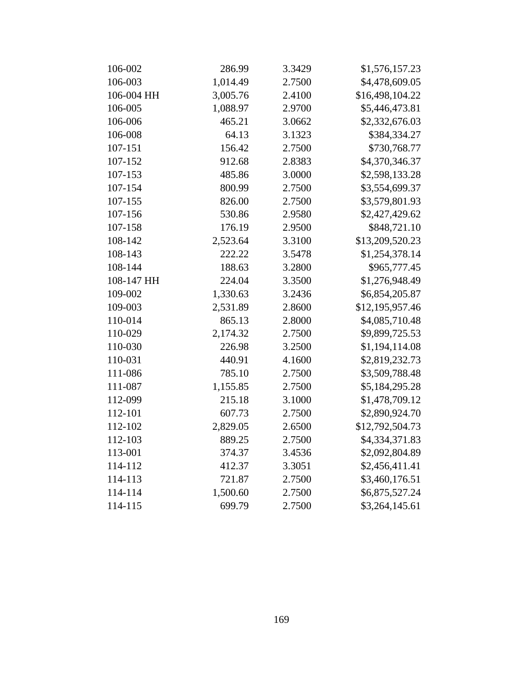| 106-002    | 286.99   | 3.3429 | \$1,576,157.23  |
|------------|----------|--------|-----------------|
| 106-003    | 1,014.49 | 2.7500 | \$4,478,609.05  |
| 106-004 HH | 3,005.76 | 2.4100 | \$16,498,104.22 |
| 106-005    | 1,088.97 | 2.9700 | \$5,446,473.81  |
| 106-006    | 465.21   | 3.0662 | \$2,332,676.03  |
| 106-008    | 64.13    | 3.1323 | \$384,334.27    |
| 107-151    | 156.42   | 2.7500 | \$730,768.77    |
| 107-152    | 912.68   | 2.8383 | \$4,370,346.37  |
| 107-153    | 485.86   | 3.0000 | \$2,598,133.28  |
| 107-154    | 800.99   | 2.7500 | \$3,554,699.37  |
| 107-155    | 826.00   | 2.7500 | \$3,579,801.93  |
| 107-156    | 530.86   | 2.9580 | \$2,427,429.62  |
| 107-158    | 176.19   | 2.9500 | \$848,721.10    |
| 108-142    | 2,523.64 | 3.3100 | \$13,209,520.23 |
| 108-143    | 222.22   | 3.5478 | \$1,254,378.14  |
| 108-144    | 188.63   | 3.2800 | \$965,777.45    |
| 108-147 HH | 224.04   | 3.3500 | \$1,276,948.49  |
| 109-002    | 1,330.63 | 3.2436 | \$6,854,205.87  |
| 109-003    | 2,531.89 | 2.8600 | \$12,195,957.46 |
| 110-014    | 865.13   | 2.8000 | \$4,085,710.48  |
| 110-029    | 2,174.32 | 2.7500 | \$9,899,725.53  |
| 110-030    | 226.98   | 3.2500 | \$1,194,114.08  |
| 110-031    | 440.91   | 4.1600 | \$2,819,232.73  |
| 111-086    | 785.10   | 2.7500 | \$3,509,788.48  |
| 111-087    | 1,155.85 | 2.7500 | \$5,184,295.28  |
| 112-099    | 215.18   | 3.1000 | \$1,478,709.12  |
| 112-101    | 607.73   | 2.7500 | \$2,890,924.70  |
| 112-102    | 2,829.05 | 2.6500 | \$12,792,504.73 |
| 112-103    | 889.25   | 2.7500 | \$4,334,371.83  |
| 113-001    | 374.37   | 3.4536 | \$2,092,804.89  |
| 114-112    | 412.37   | 3.3051 | \$2,456,411.41  |
| 114-113    | 721.87   | 2.7500 | \$3,460,176.51  |
| 114-114    | 1,500.60 | 2.7500 | \$6,875,527.24  |
| 114-115    | 699.79   | 2.7500 | \$3,264,145.61  |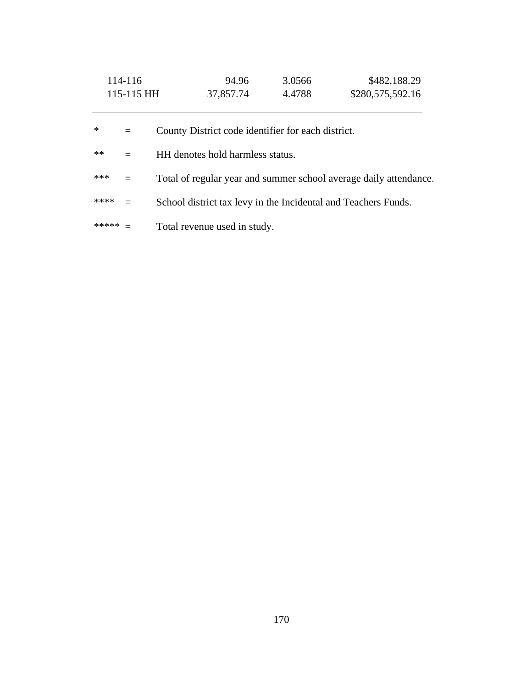| 114-116    | 94.96     | 3.0566 | \$482,188.29     |
|------------|-----------|--------|------------------|
| 115-115 HH | 37,857.74 | 4.4788 | \$280,575,592.16 |

| $\ast$ | $=$ | County District code identifier for each district.                |
|--------|-----|-------------------------------------------------------------------|
| $**$   |     | HH denotes hold harmless status.                                  |
| ***    | $=$ | Total of regular year and summer school average daily attendance. |
| ****   | $=$ | School district tax levy in the Incidental and Teachers Funds.    |
|        |     | Total revenue used in study.                                      |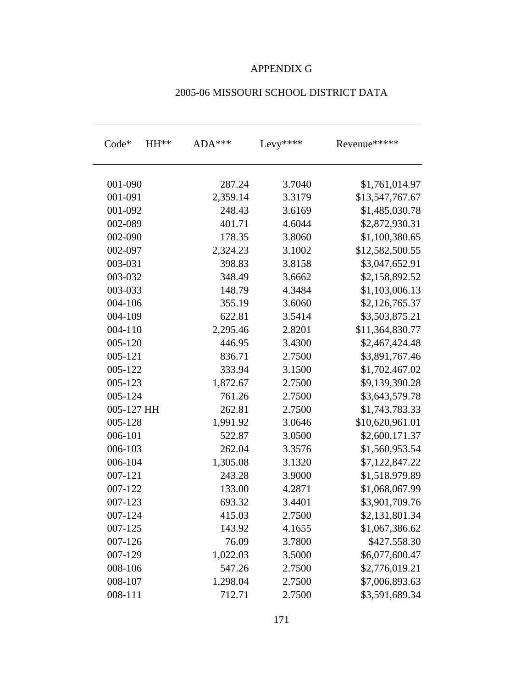## APPENDIX G

| $Code*$     | HH** | $ADA***$ | Levy**** | Revenue*****    |
|-------------|------|----------|----------|-----------------|
| 001-090     |      | 287.24   | 3.7040   | \$1,761,014.97  |
| 001-091     |      | 2,359.14 | 3.3179   | \$13,547,767.67 |
| 001-092     |      | 248.43   | 3.6169   | \$1,485,030.78  |
| 002-089     |      | 401.71   | 4.6044   | \$2,872,930.31  |
| 002-090     |      | 178.35   | 3.8060   | \$1,100,380.65  |
| 002-097     |      | 2,324.23 | 3.1002   | \$12,582,500.55 |
| 003-031     |      | 398.83   | 3.8158   | \$3,047,652.91  |
| 003-032     |      | 348.49   | 3.6662   | \$2,158,892.52  |
| 003-033     |      | 148.79   | 4.3484   | \$1,103,006.13  |
| 004-106     |      | 355.19   | 3.6060   | \$2,126,765.37  |
| 004-109     |      | 622.81   | 3.5414   | \$3,503,875.21  |
| $004 - 110$ |      | 2,295.46 | 2.8201   | \$11,364,830.77 |
| 005-120     |      | 446.95   | 3.4300   | \$2,467,424.48  |
| 005-121     |      | 836.71   | 2.7500   | \$3,891,767.46  |
| 005-122     |      | 333.94   | 3.1500   | \$1,702,467.02  |
| 005-123     |      | 1,872.67 | 2.7500   | \$9,139,390.28  |
| 005-124     |      | 761.26   | 2.7500   | \$3,643,579.78  |
| 005-127 HH  |      | 262.81   | 2.7500   | \$1,743,783.33  |
| 005-128     |      | 1,991.92 | 3.0646   | \$10,620,961.01 |
| 006-101     |      | 522.87   | 3.0500   | \$2,600,171.37  |
| 006-103     |      | 262.04   | 3.3576   | \$1,560,953.54  |
| 006-104     |      | 1,305.08 | 3.1320   | \$7,122,847.22  |
| $007 - 121$ |      | 243.28   | 3.9000   | \$1,518,979.89  |
| 007-122     |      | 133.00   | 4.2871   | \$1,068,067.99  |
| 007-123     |      | 693.32   | 3.4401   | \$3,901,709.76  |
| 007-124     |      | 415.03   | 2.7500   | \$2,131,801.34  |
| 007-125     |      | 143.92   | 4.1655   | \$1,067,386.62  |
| 007-126     |      | 76.09    | 3.7800   | \$427,558.30    |
| 007-129     |      | 1,022.03 | 3.5000   | \$6,077,600.47  |
| 008-106     |      | 547.26   | 2.7500   | \$2,776,019.21  |
| 008-107     |      | 1,298.04 | 2.7500   | \$7,006,893.63  |
| 008-111     |      | 712.71   | 2.7500   | \$3,591,689.34  |

## 2005-06 MISSOURI SCHOOL DISTRICT DATA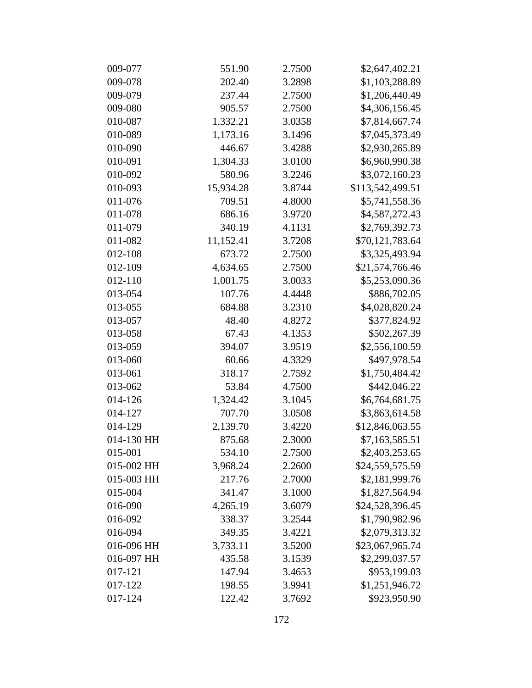| 009-077    | 551.90    | 2.7500 | \$2,647,402.21   |
|------------|-----------|--------|------------------|
| 009-078    | 202.40    | 3.2898 | \$1,103,288.89   |
| 009-079    | 237.44    | 2.7500 | \$1,206,440.49   |
| 009-080    | 905.57    | 2.7500 | \$4,306,156.45   |
| 010-087    | 1,332.21  | 3.0358 | \$7,814,667.74   |
| 010-089    | 1,173.16  | 3.1496 | \$7,045,373.49   |
| 010-090    | 446.67    | 3.4288 | \$2,930,265.89   |
| 010-091    | 1,304.33  | 3.0100 | \$6,960,990.38   |
| 010-092    | 580.96    | 3.2246 | \$3,072,160.23   |
| 010-093    | 15,934.28 | 3.8744 | \$113,542,499.51 |
| 011-076    | 709.51    | 4.8000 | \$5,741,558.36   |
| 011-078    | 686.16    | 3.9720 | \$4,587,272.43   |
| 011-079    | 340.19    | 4.1131 | \$2,769,392.73   |
| 011-082    | 11,152.41 | 3.7208 | \$70,121,783.64  |
| 012-108    | 673.72    | 2.7500 | \$3,325,493.94   |
| 012-109    | 4,634.65  | 2.7500 | \$21,574,766.46  |
| 012-110    | 1,001.75  | 3.0033 | \$5,253,090.36   |
| 013-054    | 107.76    | 4.4448 | \$886,702.05     |
| 013-055    | 684.88    | 3.2310 | \$4,028,820.24   |
| 013-057    | 48.40     | 4.8272 | \$377,824.92     |
| 013-058    | 67.43     | 4.1353 | \$502,267.39     |
| 013-059    | 394.07    | 3.9519 | \$2,556,100.59   |
| 013-060    | 60.66     | 4.3329 | \$497,978.54     |
| 013-061    | 318.17    | 2.7592 | \$1,750,484.42   |
| 013-062    | 53.84     | 4.7500 | \$442,046.22     |
| 014-126    | 1,324.42  | 3.1045 | \$6,764,681.75   |
| 014-127    | 707.70    | 3.0508 | \$3,863,614.58   |
| 014-129    | 2,139.70  | 3.4220 | \$12,846,063.55  |
| 014-130 HH | 875.68    | 2.3000 | \$7,163,585.51   |
| 015-001    | 534.10    | 2.7500 | \$2,403,253.65   |
| 015-002 HH | 3,968.24  | 2.2600 | \$24,559,575.59  |
| 015-003 HH | 217.76    | 2.7000 | \$2,181,999.76   |
| 015-004    | 341.47    | 3.1000 | \$1,827,564.94   |
| 016-090    | 4,265.19  | 3.6079 | \$24,528,396.45  |
| 016-092    | 338.37    | 3.2544 | \$1,790,982.96   |
| 016-094    | 349.35    | 3.4221 | \$2,079,313.32   |
| 016-096 HH | 3,733.11  | 3.5200 | \$23,067,965.74  |
| 016-097 HH | 435.58    | 3.1539 | \$2,299,037.57   |
| 017-121    | 147.94    | 3.4653 | \$953,199.03     |
| 017-122    | 198.55    | 3.9941 | \$1,251,946.72   |
| 017-124    | 122.42    | 3.7692 | \$923,950.90     |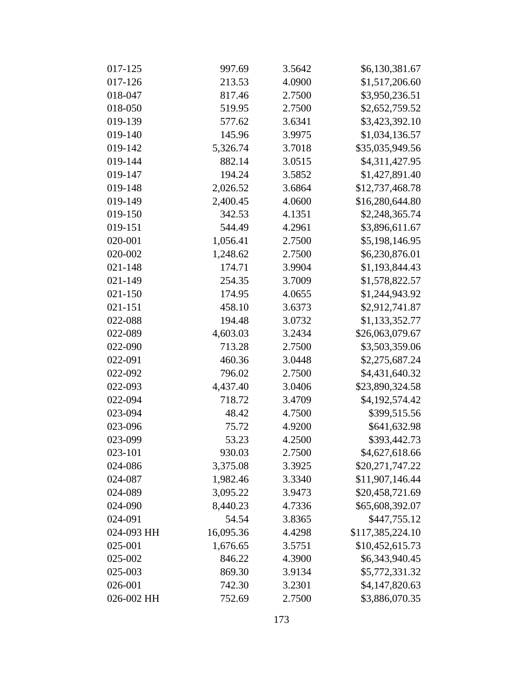| 017-125    | 997.69    | 3.5642 | \$6,130,381.67   |
|------------|-----------|--------|------------------|
| 017-126    | 213.53    | 4.0900 | \$1,517,206.60   |
| 018-047    | 817.46    | 2.7500 | \$3,950,236.51   |
| 018-050    | 519.95    | 2.7500 | \$2,652,759.52   |
| 019-139    | 577.62    | 3.6341 | \$3,423,392.10   |
| 019-140    | 145.96    | 3.9975 | \$1,034,136.57   |
| 019-142    | 5,326.74  | 3.7018 | \$35,035,949.56  |
| 019-144    | 882.14    | 3.0515 | \$4,311,427.95   |
| 019-147    | 194.24    | 3.5852 | \$1,427,891.40   |
| 019-148    | 2,026.52  | 3.6864 | \$12,737,468.78  |
| 019-149    | 2,400.45  | 4.0600 | \$16,280,644.80  |
| 019-150    | 342.53    | 4.1351 | \$2,248,365.74   |
| 019-151    | 544.49    | 4.2961 | \$3,896,611.67   |
| 020-001    | 1,056.41  | 2.7500 | \$5,198,146.95   |
| 020-002    | 1,248.62  | 2.7500 | \$6,230,876.01   |
| 021-148    | 174.71    | 3.9904 | \$1,193,844.43   |
| 021-149    | 254.35    | 3.7009 | \$1,578,822.57   |
| 021-150    | 174.95    | 4.0655 | \$1,244,943.92   |
| 021-151    | 458.10    | 3.6373 | \$2,912,741.87   |
| 022-088    | 194.48    | 3.0732 | \$1,133,352.77   |
| 022-089    | 4,603.03  | 3.2434 | \$26,063,079.67  |
| 022-090    | 713.28    | 2.7500 | \$3,503,359.06   |
| 022-091    | 460.36    | 3.0448 | \$2,275,687.24   |
| 022-092    | 796.02    | 2.7500 | \$4,431,640.32   |
| 022-093    | 4,437.40  | 3.0406 | \$23,890,324.58  |
| 022-094    | 718.72    | 3.4709 | \$4,192,574.42   |
| 023-094    | 48.42     | 4.7500 | \$399,515.56     |
| 023-096    | 75.72     | 4.9200 | \$641,632.98     |
| 023-099    | 53.23     | 4.2500 | \$393,442.73     |
| 023-101    | 930.03    | 2.7500 | \$4,627,618.66   |
| 024-086    | 3,375.08  | 3.3925 | \$20,271,747.22  |
| 024-087    | 1,982.46  | 3.3340 | \$11,907,146.44  |
| 024-089    | 3,095.22  | 3.9473 | \$20,458,721.69  |
| 024-090    | 8,440.23  | 4.7336 | \$65,608,392.07  |
| 024-091    | 54.54     | 3.8365 | \$447,755.12     |
| 024-093 HH | 16,095.36 | 4.4298 | \$117,385,224.10 |
| 025-001    | 1,676.65  | 3.5751 | \$10,452,615.73  |
| 025-002    | 846.22    | 4.3900 | \$6,343,940.45   |
| 025-003    | 869.30    | 3.9134 | \$5,772,331.32   |
| 026-001    | 742.30    | 3.2301 | \$4,147,820.63   |
| 026-002 HH | 752.69    | 2.7500 | \$3,886,070.35   |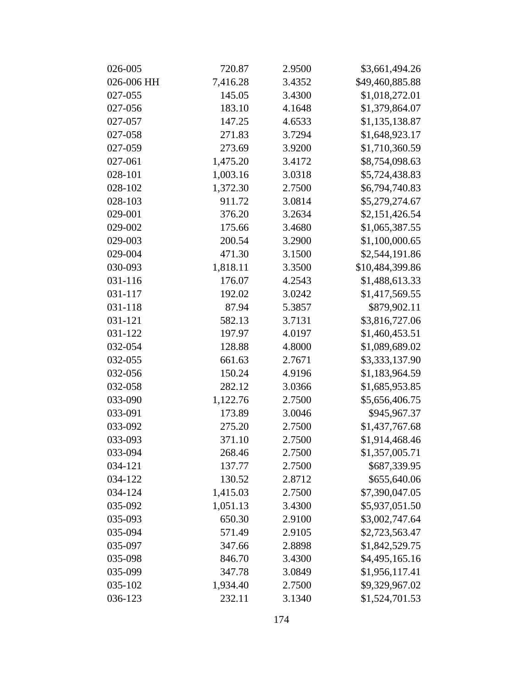| 026-005    | 720.87   | 2.9500 | \$3,661,494.26  |
|------------|----------|--------|-----------------|
| 026-006 HH | 7,416.28 | 3.4352 | \$49,460,885.88 |
| 027-055    | 145.05   | 3.4300 | \$1,018,272.01  |
| 027-056    | 183.10   | 4.1648 | \$1,379,864.07  |
| 027-057    | 147.25   | 4.6533 | \$1,135,138.87  |
| 027-058    | 271.83   | 3.7294 | \$1,648,923.17  |
| 027-059    | 273.69   | 3.9200 | \$1,710,360.59  |
| 027-061    | 1,475.20 | 3.4172 | \$8,754,098.63  |
| 028-101    | 1,003.16 | 3.0318 | \$5,724,438.83  |
| 028-102    | 1,372.30 | 2.7500 | \$6,794,740.83  |
| 028-103    | 911.72   | 3.0814 | \$5,279,274.67  |
| 029-001    | 376.20   | 3.2634 | \$2,151,426.54  |
| 029-002    | 175.66   | 3.4680 | \$1,065,387.55  |
| 029-003    | 200.54   | 3.2900 | \$1,100,000.65  |
| 029-004    | 471.30   | 3.1500 | \$2,544,191.86  |
| 030-093    | 1,818.11 | 3.3500 | \$10,484,399.86 |
| 031-116    | 176.07   | 4.2543 | \$1,488,613.33  |
| 031-117    | 192.02   | 3.0242 | \$1,417,569.55  |
| 031-118    | 87.94    | 5.3857 | \$879,902.11    |
| 031-121    | 582.13   | 3.7131 | \$3,816,727.06  |
| 031-122    | 197.97   | 4.0197 | \$1,460,453.51  |
| 032-054    | 128.88   | 4.8000 | \$1,089,689.02  |
| 032-055    | 661.63   | 2.7671 | \$3,333,137.90  |
| 032-056    | 150.24   | 4.9196 | \$1,183,964.59  |
| 032-058    | 282.12   | 3.0366 | \$1,685,953.85  |
| 033-090    | 1,122.76 | 2.7500 | \$5,656,406.75  |
| 033-091    | 173.89   | 3.0046 | \$945,967.37    |
| 033-092    | 275.20   | 2.7500 | \$1,437,767.68  |
| 033-093    | 371.10   | 2.7500 | \$1,914,468.46  |
| 033-094    | 268.46   | 2.7500 | \$1,357,005.71  |
| 034-121    | 137.77   | 2.7500 | \$687,339.95    |
| 034-122    | 130.52   | 2.8712 | \$655,640.06    |
| 034-124    | 1,415.03 | 2.7500 | \$7,390,047.05  |
| 035-092    | 1,051.13 | 3.4300 | \$5,937,051.50  |
| 035-093    | 650.30   | 2.9100 | \$3,002,747.64  |
| 035-094    | 571.49   | 2.9105 | \$2,723,563.47  |
| 035-097    | 347.66   | 2.8898 | \$1,842,529.75  |
| 035-098    | 846.70   | 3.4300 | \$4,495,165.16  |
| 035-099    | 347.78   | 3.0849 | \$1,956,117.41  |
| 035-102    | 1,934.40 | 2.7500 | \$9,329,967.02  |
| 036-123    | 232.11   | 3.1340 | \$1,524,701.53  |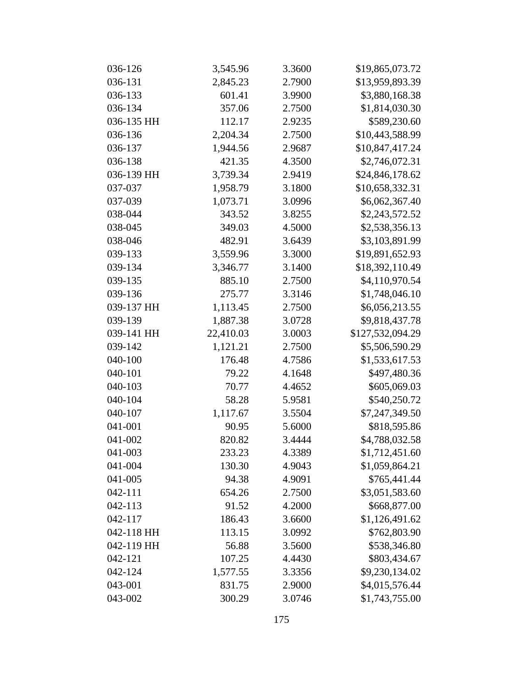| 036-126    | 3,545.96  | 3.3600 | \$19,865,073.72  |
|------------|-----------|--------|------------------|
| 036-131    | 2,845.23  | 2.7900 | \$13,959,893.39  |
| 036-133    | 601.41    | 3.9900 | \$3,880,168.38   |
| 036-134    | 357.06    | 2.7500 | \$1,814,030.30   |
| 036-135 HH | 112.17    | 2.9235 | \$589,230.60     |
| 036-136    | 2,204.34  | 2.7500 | \$10,443,588.99  |
| 036-137    | 1,944.56  | 2.9687 | \$10,847,417.24  |
| 036-138    | 421.35    | 4.3500 | \$2,746,072.31   |
| 036-139 HH | 3,739.34  | 2.9419 | \$24,846,178.62  |
| 037-037    | 1,958.79  | 3.1800 | \$10,658,332.31  |
| 037-039    | 1,073.71  | 3.0996 | \$6,062,367.40   |
| 038-044    | 343.52    | 3.8255 | \$2,243,572.52   |
| 038-045    | 349.03    | 4.5000 | \$2,538,356.13   |
| 038-046    | 482.91    | 3.6439 | \$3,103,891.99   |
| 039-133    | 3,559.96  | 3.3000 | \$19,891,652.93  |
| 039-134    | 3,346.77  | 3.1400 | \$18,392,110.49  |
| 039-135    | 885.10    | 2.7500 | \$4,110,970.54   |
| 039-136    | 275.77    | 3.3146 | \$1,748,046.10   |
| 039-137 HH | 1,113.45  | 2.7500 | \$6,056,213.55   |
| 039-139    | 1,887.38  | 3.0728 | \$9,818,437.78   |
| 039-141 HH | 22,410.03 | 3.0003 | \$127,532,094.29 |
| 039-142    | 1,121.21  | 2.7500 | \$5,506,590.29   |
| 040-100    | 176.48    | 4.7586 | \$1,533,617.53   |
| 040-101    | 79.22     | 4.1648 | \$497,480.36     |
| 040-103    | 70.77     | 4.4652 | \$605,069.03     |
| 040-104    | 58.28     | 5.9581 | \$540,250.72     |
| 040-107    | 1,117.67  | 3.5504 | \$7,247,349.50   |
| 041-001    | 90.95     | 5.6000 | \$818,595.86     |
| 041-002    | 820.82    | 3.4444 | \$4,788,032.58   |
| 041-003    | 233.23    | 4.3389 | \$1,712,451.60   |
| 041-004    | 130.30    | 4.9043 | \$1,059,864.21   |
| 041-005    | 94.38     | 4.9091 | \$765,441.44     |
| 042-111    | 654.26    | 2.7500 | \$3,051,583.60   |
| 042-113    | 91.52     | 4.2000 | \$668,877.00     |
| 042-117    | 186.43    | 3.6600 | \$1,126,491.62   |
| 042-118 HH | 113.15    | 3.0992 | \$762,803.90     |
| 042-119 HH | 56.88     | 3.5600 | \$538,346.80     |
| 042-121    | 107.25    | 4.4430 | \$803,434.67     |
| 042-124    | 1,577.55  | 3.3356 | \$9,230,134.02   |
| 043-001    | 831.75    | 2.9000 | \$4,015,576.44   |
| 043-002    | 300.29    | 3.0746 | \$1,743,755.00   |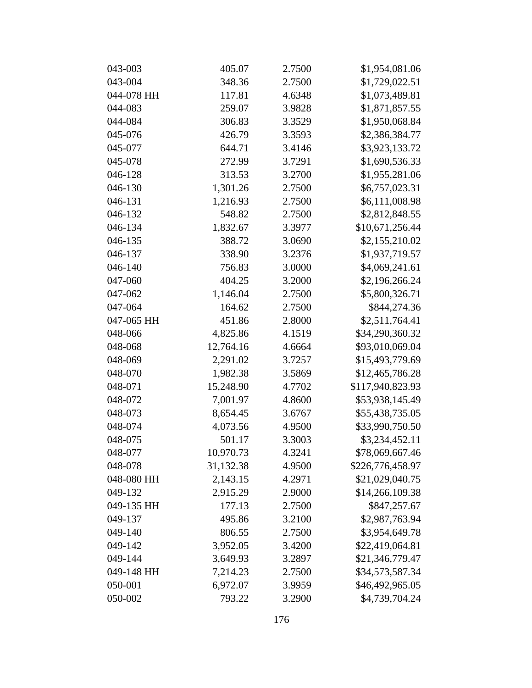| 043-003    | 405.07    | 2.7500 | \$1,954,081.06   |
|------------|-----------|--------|------------------|
| 043-004    | 348.36    | 2.7500 | \$1,729,022.51   |
| 044-078 HH | 117.81    | 4.6348 | \$1,073,489.81   |
| 044-083    | 259.07    | 3.9828 | \$1,871,857.55   |
| 044-084    | 306.83    | 3.3529 | \$1,950,068.84   |
| 045-076    | 426.79    | 3.3593 | \$2,386,384.77   |
| 045-077    | 644.71    | 3.4146 | \$3,923,133.72   |
| 045-078    | 272.99    | 3.7291 | \$1,690,536.33   |
| 046-128    | 313.53    | 3.2700 | \$1,955,281.06   |
| 046-130    | 1,301.26  | 2.7500 | \$6,757,023.31   |
| 046-131    | 1,216.93  | 2.7500 | \$6,111,008.98   |
| 046-132    | 548.82    | 2.7500 | \$2,812,848.55   |
| 046-134    | 1,832.67  | 3.3977 | \$10,671,256.44  |
| 046-135    | 388.72    | 3.0690 | \$2,155,210.02   |
| 046-137    | 338.90    | 3.2376 | \$1,937,719.57   |
| 046-140    | 756.83    | 3.0000 | \$4,069,241.61   |
| 047-060    | 404.25    | 3.2000 | \$2,196,266.24   |
| 047-062    | 1,146.04  | 2.7500 | \$5,800,326.71   |
| 047-064    | 164.62    | 2.7500 | \$844,274.36     |
| 047-065 HH | 451.86    | 2.8000 | \$2,511,764.41   |
| 048-066    | 4,825.86  | 4.1519 | \$34,290,360.32  |
| 048-068    | 12,764.16 | 4.6664 | \$93,010,069.04  |
| 048-069    | 2,291.02  | 3.7257 | \$15,493,779.69  |
| 048-070    | 1,982.38  | 3.5869 | \$12,465,786.28  |
| 048-071    | 15,248.90 | 4.7702 | \$117,940,823.93 |
| 048-072    | 7,001.97  | 4.8600 | \$53,938,145.49  |
| 048-073    | 8,654.45  | 3.6767 | \$55,438,735.05  |
| 048-074    | 4,073.56  | 4.9500 | \$33,990,750.50  |
| 048-075    | 501.17    | 3.3003 | \$3,234,452.11   |
| 048-077    | 10,970.73 | 4.3241 | \$78,069,667.46  |
| 048-078    | 31,132.38 | 4.9500 | \$226,776,458.97 |
| 048-080 HH | 2,143.15  | 4.2971 | \$21,029,040.75  |
| 049-132    | 2,915.29  | 2.9000 | \$14,266,109.38  |
| 049-135 HH | 177.13    | 2.7500 | \$847,257.67     |
| 049-137    | 495.86    | 3.2100 | \$2,987,763.94   |
| 049-140    | 806.55    | 2.7500 | \$3,954,649.78   |
| 049-142    | 3,952.05  | 3.4200 | \$22,419,064.81  |
| 049-144    | 3,649.93  | 3.2897 | \$21,346,779.47  |
| 049-148 HH | 7,214.23  | 2.7500 | \$34,573,587.34  |
| 050-001    | 6,972.07  | 3.9959 | \$46,492,965.05  |
| 050-002    | 793.22    | 3.2900 | \$4,739,704.24   |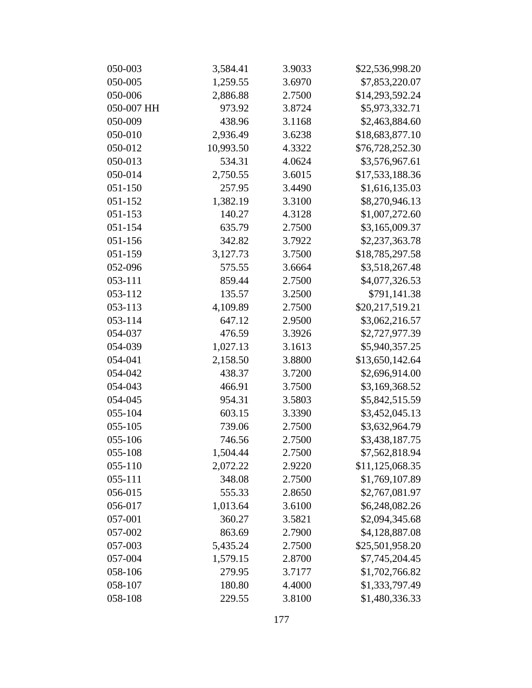| 050-003    | 3,584.41  | 3.9033 | \$22,536,998.20 |
|------------|-----------|--------|-----------------|
| 050-005    | 1,259.55  | 3.6970 | \$7,853,220.07  |
| 050-006    | 2,886.88  | 2.7500 | \$14,293,592.24 |
| 050-007 HH | 973.92    | 3.8724 | \$5,973,332.71  |
| 050-009    | 438.96    | 3.1168 | \$2,463,884.60  |
| 050-010    | 2,936.49  | 3.6238 | \$18,683,877.10 |
| 050-012    | 10,993.50 | 4.3322 | \$76,728,252.30 |
| 050-013    | 534.31    | 4.0624 | \$3,576,967.61  |
| 050-014    | 2,750.55  | 3.6015 | \$17,533,188.36 |
| 051-150    | 257.95    | 3.4490 | \$1,616,135.03  |
| 051-152    | 1,382.19  | 3.3100 | \$8,270,946.13  |
| 051-153    | 140.27    | 4.3128 | \$1,007,272.60  |
| 051-154    | 635.79    | 2.7500 | \$3,165,009.37  |
| 051-156    | 342.82    | 3.7922 | \$2,237,363.78  |
| 051-159    | 3,127.73  | 3.7500 | \$18,785,297.58 |
| 052-096    | 575.55    | 3.6664 | \$3,518,267.48  |
| 053-111    | 859.44    | 2.7500 | \$4,077,326.53  |
| 053-112    | 135.57    | 3.2500 | \$791,141.38    |
| 053-113    | 4,109.89  | 2.7500 | \$20,217,519.21 |
| 053-114    | 647.12    | 2.9500 | \$3,062,216.57  |
| 054-037    | 476.59    | 3.3926 | \$2,727,977.39  |
| 054-039    | 1,027.13  | 3.1613 | \$5,940,357.25  |
| 054-041    | 2,158.50  | 3.8800 | \$13,650,142.64 |
| 054-042    | 438.37    | 3.7200 | \$2,696,914.00  |
| 054-043    | 466.91    | 3.7500 | \$3,169,368.52  |
| 054-045    | 954.31    | 3.5803 | \$5,842,515.59  |
| 055-104    | 603.15    | 3.3390 | \$3,452,045.13  |
| 055-105    | 739.06    | 2.7500 | \$3,632,964.79  |
| 055-106    | 746.56    | 2.7500 | \$3,438,187.75  |
| 055-108    | 1,504.44  | 2.7500 | \$7,562,818.94  |
| 055-110    | 2,072.22  | 2.9220 | \$11,125,068.35 |
| 055-111    | 348.08    | 2.7500 | \$1,769,107.89  |
| 056-015    | 555.33    | 2.8650 | \$2,767,081.97  |
| 056-017    | 1,013.64  | 3.6100 | \$6,248,082.26  |
| 057-001    | 360.27    | 3.5821 | \$2,094,345.68  |
| 057-002    | 863.69    | 2.7900 | \$4,128,887.08  |
| 057-003    | 5,435.24  | 2.7500 | \$25,501,958.20 |
| 057-004    | 1,579.15  | 2.8700 | \$7,745,204.45  |
| 058-106    | 279.95    | 3.7177 | \$1,702,766.82  |
| 058-107    | 180.80    | 4.4000 | \$1,333,797.49  |
| 058-108    | 229.55    | 3.8100 | \$1,480,336.33  |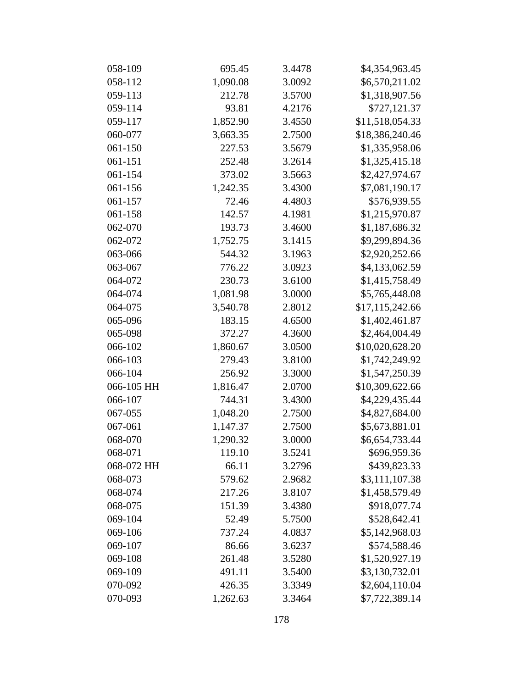| 058-109    | 695.45   | 3.4478 | \$4,354,963.45  |
|------------|----------|--------|-----------------|
| 058-112    | 1,090.08 | 3.0092 | \$6,570,211.02  |
| 059-113    | 212.78   | 3.5700 | \$1,318,907.56  |
| 059-114    | 93.81    | 4.2176 | \$727,121.37    |
| 059-117    | 1,852.90 | 3.4550 | \$11,518,054.33 |
| 060-077    | 3,663.35 | 2.7500 | \$18,386,240.46 |
| 061-150    | 227.53   | 3.5679 | \$1,335,958.06  |
| 061-151    | 252.48   | 3.2614 | \$1,325,415.18  |
| 061-154    | 373.02   | 3.5663 | \$2,427,974.67  |
| 061-156    | 1,242.35 | 3.4300 | \$7,081,190.17  |
| 061-157    | 72.46    | 4.4803 | \$576,939.55    |
| 061-158    | 142.57   | 4.1981 | \$1,215,970.87  |
| 062-070    | 193.73   | 3.4600 | \$1,187,686.32  |
| 062-072    | 1,752.75 | 3.1415 | \$9,299,894.36  |
| 063-066    | 544.32   | 3.1963 | \$2,920,252.66  |
| 063-067    | 776.22   | 3.0923 | \$4,133,062.59  |
| 064-072    | 230.73   | 3.6100 | \$1,415,758.49  |
| 064-074    | 1,081.98 | 3.0000 | \$5,765,448.08  |
| 064-075    | 3,540.78 | 2.8012 | \$17,115,242.66 |
| 065-096    | 183.15   | 4.6500 | \$1,402,461.87  |
| 065-098    | 372.27   | 4.3600 | \$2,464,004.49  |
| 066-102    | 1,860.67 | 3.0500 | \$10,020,628.20 |
| 066-103    | 279.43   | 3.8100 | \$1,742,249.92  |
| 066-104    | 256.92   | 3.3000 | \$1,547,250.39  |
| 066-105 HH | 1,816.47 | 2.0700 | \$10,309,622.66 |
| 066-107    | 744.31   | 3.4300 | \$4,229,435.44  |
| 067-055    | 1,048.20 | 2.7500 | \$4,827,684.00  |
| 067-061    | 1,147.37 | 2.7500 | \$5,673,881.01  |
| 068-070    | 1,290.32 | 3.0000 | \$6,654,733.44  |
| 068-071    | 119.10   | 3.5241 | \$696,959.36    |
| 068-072 HH | 66.11    | 3.2796 | \$439,823.33    |
| 068-073    | 579.62   | 2.9682 | \$3,111,107.38  |
| 068-074    | 217.26   | 3.8107 | \$1,458,579.49  |
| 068-075    | 151.39   | 3.4380 | \$918,077.74    |
| 069-104    | 52.49    | 5.7500 | \$528,642.41    |
| 069-106    | 737.24   | 4.0837 | \$5,142,968.03  |
| 069-107    | 86.66    | 3.6237 | \$574,588.46    |
| 069-108    | 261.48   | 3.5280 | \$1,520,927.19  |
| 069-109    | 491.11   | 3.5400 | \$3,130,732.01  |
| 070-092    | 426.35   | 3.3349 | \$2,604,110.04  |
| 070-093    | 1,262.63 | 3.3464 | \$7,722,389.14  |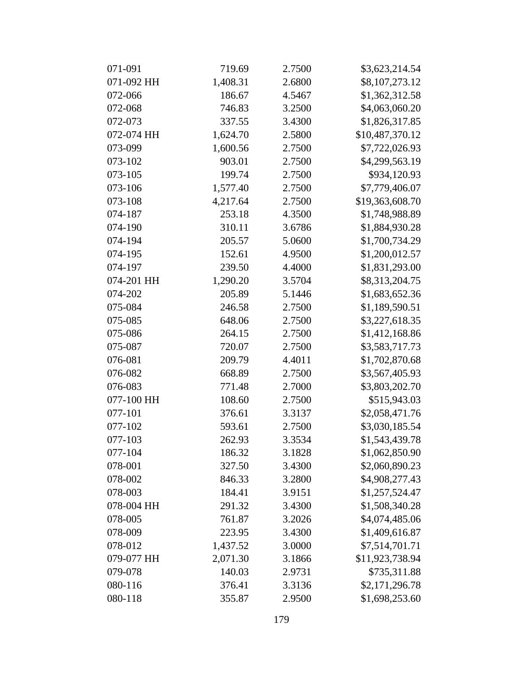| 071-091    | 719.69   | 2.7500 | \$3,623,214.54  |
|------------|----------|--------|-----------------|
| 071-092 HH | 1,408.31 | 2.6800 | \$8,107,273.12  |
| 072-066    | 186.67   | 4.5467 | \$1,362,312.58  |
| 072-068    | 746.83   | 3.2500 | \$4,063,060.20  |
| 072-073    | 337.55   | 3.4300 | \$1,826,317.85  |
| 072-074 HH | 1,624.70 | 2.5800 | \$10,487,370.12 |
| 073-099    | 1,600.56 | 2.7500 | \$7,722,026.93  |
| 073-102    | 903.01   | 2.7500 | \$4,299,563.19  |
| 073-105    | 199.74   | 2.7500 | \$934,120.93    |
| 073-106    | 1,577.40 | 2.7500 | \$7,779,406.07  |
| 073-108    | 4,217.64 | 2.7500 | \$19,363,608.70 |
| 074-187    | 253.18   | 4.3500 | \$1,748,988.89  |
| 074-190    | 310.11   | 3.6786 | \$1,884,930.28  |
| 074-194    | 205.57   | 5.0600 | \$1,700,734.29  |
| 074-195    | 152.61   | 4.9500 | \$1,200,012.57  |
| 074-197    | 239.50   | 4.4000 | \$1,831,293.00  |
| 074-201 HH | 1,290.20 | 3.5704 | \$8,313,204.75  |
| 074-202    | 205.89   | 5.1446 | \$1,683,652.36  |
| 075-084    | 246.58   | 2.7500 | \$1,189,590.51  |
| 075-085    | 648.06   | 2.7500 | \$3,227,618.35  |
| 075-086    | 264.15   | 2.7500 | \$1,412,168.86  |
| 075-087    | 720.07   | 2.7500 | \$3,583,717.73  |
| 076-081    | 209.79   | 4.4011 | \$1,702,870.68  |
| 076-082    | 668.89   | 2.7500 | \$3,567,405.93  |
| 076-083    | 771.48   | 2.7000 | \$3,803,202.70  |
| 077-100 HH | 108.60   | 2.7500 | \$515,943.03    |
| 077-101    | 376.61   | 3.3137 | \$2,058,471.76  |
| 077-102    | 593.61   | 2.7500 | \$3,030,185.54  |
| 077-103    | 262.93   | 3.3534 | \$1,543,439.78  |
| 077-104    | 186.32   | 3.1828 | \$1,062,850.90  |
| 078-001    | 327.50   | 3.4300 | \$2,060,890.23  |
| 078-002    | 846.33   | 3.2800 | \$4,908,277.43  |
| 078-003    | 184.41   | 3.9151 | \$1,257,524.47  |
| 078-004 HH | 291.32   | 3.4300 | \$1,508,340.28  |
| 078-005    | 761.87   | 3.2026 | \$4,074,485.06  |
| 078-009    | 223.95   | 3.4300 | \$1,409,616.87  |
| 078-012    | 1,437.52 | 3.0000 | \$7,514,701.71  |
| 079-077 HH | 2,071.30 | 3.1866 | \$11,923,738.94 |
| 079-078    | 140.03   | 2.9731 | \$735,311.88    |
| 080-116    | 376.41   | 3.3136 | \$2,171,296.78  |
| 080-118    | 355.87   | 2.9500 | \$1,698,253.60  |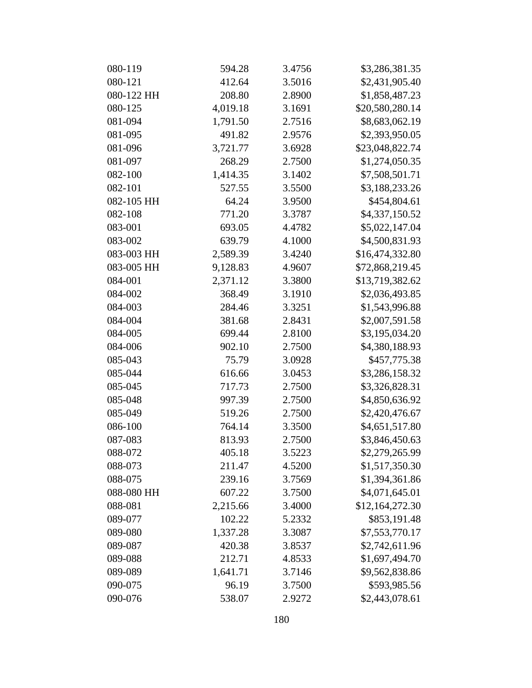| 080-119    | 594.28   | 3.4756 | \$3,286,381.35  |
|------------|----------|--------|-----------------|
| 080-121    | 412.64   | 3.5016 | \$2,431,905.40  |
| 080-122 HH | 208.80   | 2.8900 | \$1,858,487.23  |
| 080-125    | 4,019.18 | 3.1691 | \$20,580,280.14 |
| 081-094    | 1,791.50 | 2.7516 | \$8,683,062.19  |
| 081-095    | 491.82   | 2.9576 | \$2,393,950.05  |
| 081-096    | 3,721.77 | 3.6928 | \$23,048,822.74 |
| 081-097    | 268.29   | 2.7500 | \$1,274,050.35  |
| 082-100    | 1,414.35 | 3.1402 | \$7,508,501.71  |
| 082-101    | 527.55   | 3.5500 | \$3,188,233.26  |
| 082-105 HH | 64.24    | 3.9500 | \$454,804.61    |
| 082-108    | 771.20   | 3.3787 | \$4,337,150.52  |
| 083-001    | 693.05   | 4.4782 | \$5,022,147.04  |
| 083-002    | 639.79   | 4.1000 | \$4,500,831.93  |
| 083-003 HH | 2,589.39 | 3.4240 | \$16,474,332.80 |
| 083-005 HH | 9,128.83 | 4.9607 | \$72,868,219.45 |
| 084-001    | 2,371.12 | 3.3800 | \$13,719,382.62 |
| 084-002    | 368.49   | 3.1910 | \$2,036,493.85  |
| 084-003    | 284.46   | 3.3251 | \$1,543,996.88  |
| 084-004    | 381.68   | 2.8431 | \$2,007,591.58  |
| 084-005    | 699.44   | 2.8100 | \$3,195,034.20  |
| 084-006    | 902.10   | 2.7500 | \$4,380,188.93  |
| 085-043    | 75.79    | 3.0928 | \$457,775.38    |
| 085-044    | 616.66   | 3.0453 | \$3,286,158.32  |
| 085-045    | 717.73   | 2.7500 | \$3,326,828.31  |
| 085-048    | 997.39   | 2.7500 | \$4,850,636.92  |
| 085-049    | 519.26   | 2.7500 | \$2,420,476.67  |
| 086-100    | 764.14   | 3.3500 | \$4,651,517.80  |
| 087-083    | 813.93   | 2.7500 | \$3,846,450.63  |
| 088-072    | 405.18   | 3.5223 | \$2,279,265.99  |
| 088-073    | 211.47   | 4.5200 | \$1,517,350.30  |
| 088-075    | 239.16   | 3.7569 | \$1,394,361.86  |
| 088-080 HH | 607.22   | 3.7500 | \$4,071,645.01  |
| 088-081    | 2,215.66 | 3.4000 | \$12,164,272.30 |
| 089-077    | 102.22   | 5.2332 | \$853,191.48    |
| 089-080    | 1,337.28 | 3.3087 | \$7,553,770.17  |
| 089-087    | 420.38   | 3.8537 | \$2,742,611.96  |
| 089-088    | 212.71   | 4.8533 | \$1,697,494.70  |
| 089-089    | 1,641.71 | 3.7146 | \$9,562,838.86  |
| 090-075    | 96.19    | 3.7500 | \$593,985.56    |
| 090-076    | 538.07   | 2.9272 | \$2,443,078.61  |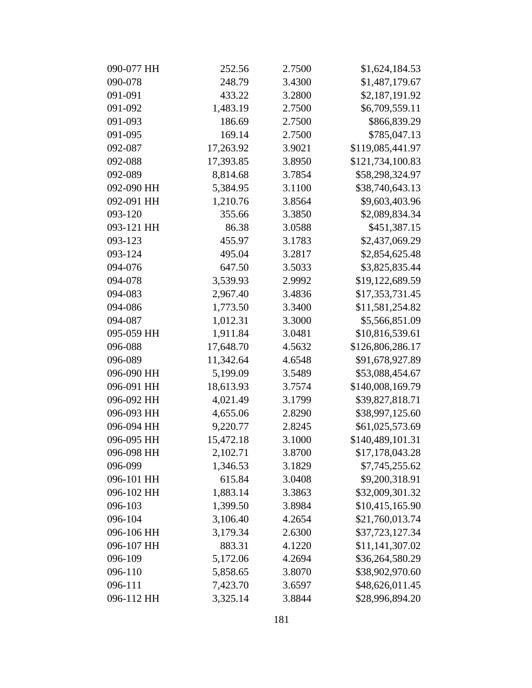| 090-077 HH | 252.56    | 2.7500 | \$1,624,184.53   |
|------------|-----------|--------|------------------|
| 090-078    | 248.79    | 3.4300 | \$1,487,179.67   |
| 091-091    | 433.22    | 3.2800 | \$2,187,191.92   |
| 091-092    | 1,483.19  | 2.7500 | \$6,709,559.11   |
| 091-093    | 186.69    | 2.7500 | \$866,839.29     |
| 091-095    | 169.14    | 2.7500 | \$785,047.13     |
| 092-087    | 17,263.92 | 3.9021 | \$119,085,441.97 |
| 092-088    | 17,393.85 | 3.8950 | \$121,734,100.83 |
| 092-089    | 8,814.68  | 3.7854 | \$58,298,324.97  |
| 092-090 HH | 5,384.95  | 3.1100 | \$38,740,643.13  |
| 092-091 HH | 1,210.76  | 3.8564 | \$9,603,403.96   |
| 093-120    | 355.66    | 3.3850 | \$2,089,834.34   |
| 093-121 HH | 86.38     | 3.0588 | \$451,387.15     |
| 093-123    | 455.97    | 3.1783 | \$2,437,069.29   |
| 093-124    | 495.04    | 3.2817 | \$2,854,625.48   |
| 094-076    | 647.50    | 3.5033 | \$3,825,835.44   |
| 094-078    | 3,539.93  | 2.9992 | \$19,122,689.59  |
| 094-083    | 2,967.40  | 3.4836 | \$17,353,731.45  |
| 094-086    | 1,773.50  | 3.3400 | \$11,581,254.82  |
| 094-087    | 1,012.31  | 3.3000 | \$5,566,851.09   |
| 095-059 HH | 1,911.84  | 3.0481 | \$10,816,539.61  |
| 096-088    | 17,648.70 | 4.5632 | \$126,806,286.17 |
| 096-089    | 11,342.64 | 4.6548 | \$91,678,927.89  |
| 096-090 HH | 5,199.09  | 3.5489 | \$53,088,454.67  |
| 096-091 HH | 18,613.93 | 3.7574 | \$140,008,169.79 |
| 096-092 HH | 4,021.49  | 3.1799 | \$39,827,818.71  |
| 096-093 HH | 4,655.06  | 2.8290 | \$38,997,125.60  |
| 096-094 HH | 9,220.77  | 2.8245 | \$61,025,573.69  |
| 096-095 HH | 15,472.18 | 3.1000 | \$140,489,101.31 |
| 096-098 HH | 2,102.71  | 3.8700 | \$17,178,043.28  |
| 096-099    | 1,346.53  | 3.1829 | \$7,745,255.62   |
| 096-101 HH | 615.84    | 3.0408 | \$9,200,318.91   |
| 096-102 HH | 1,883.14  | 3.3863 | \$32,009,301.32  |
| 096-103    | 1,399.50  | 3.8984 | \$10,415,165.90  |
| 096-104    | 3,106.40  | 4.2654 | \$21,760,013.74  |
| 096-106 HH | 3,179.34  | 2.6300 | \$37,723,127.34  |
| 096-107 HH | 883.31    | 4.1220 | \$11,141,307.02  |
| 096-109    | 5,172.06  | 4.2694 | \$36,264,580.29  |
| 096-110    | 5,858.65  | 3.8070 | \$38,902,970.60  |
| 096-111    | 7,423.70  | 3.6597 | \$48,626,011.45  |
| 096-112 HH | 3,325.14  | 3.8844 | \$28,996,894.20  |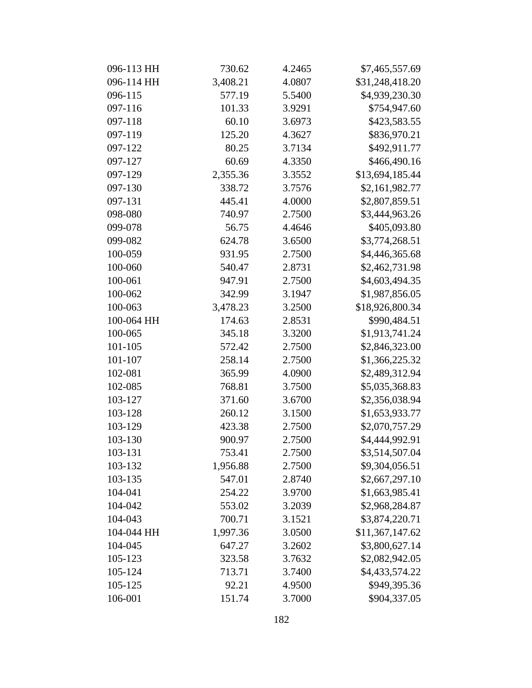| 096-113 HH | 730.62   | 4.2465 | \$7,465,557.69  |
|------------|----------|--------|-----------------|
| 096-114 HH | 3,408.21 | 4.0807 | \$31,248,418.20 |
| 096-115    | 577.19   | 5.5400 | \$4,939,230.30  |
| 097-116    | 101.33   | 3.9291 | \$754,947.60    |
| 097-118    | 60.10    | 3.6973 | \$423,583.55    |
| 097-119    | 125.20   | 4.3627 | \$836,970.21    |
| 097-122    | 80.25    | 3.7134 | \$492,911.77    |
| 097-127    | 60.69    | 4.3350 | \$466,490.16    |
| 097-129    | 2,355.36 | 3.3552 | \$13,694,185.44 |
| 097-130    | 338.72   | 3.7576 | \$2,161,982.77  |
| 097-131    | 445.41   | 4.0000 | \$2,807,859.51  |
| 098-080    | 740.97   | 2.7500 | \$3,444,963.26  |
| 099-078    | 56.75    | 4.4646 | \$405,093.80    |
| 099-082    | 624.78   | 3.6500 | \$3,774,268.51  |
| 100-059    | 931.95   | 2.7500 | \$4,446,365.68  |
| 100-060    | 540.47   | 2.8731 | \$2,462,731.98  |
| 100-061    | 947.91   | 2.7500 | \$4,603,494.35  |
| 100-062    | 342.99   | 3.1947 | \$1,987,856.05  |
| 100-063    | 3,478.23 | 3.2500 | \$18,926,800.34 |
| 100-064 HH | 174.63   | 2.8531 | \$990,484.51    |
| 100-065    | 345.18   | 3.3200 | \$1,913,741.24  |
| 101-105    | 572.42   | 2.7500 | \$2,846,323.00  |
| 101-107    | 258.14   | 2.7500 | \$1,366,225.32  |
| 102-081    | 365.99   | 4.0900 | \$2,489,312.94  |
| 102-085    | 768.81   | 3.7500 | \$5,035,368.83  |
| 103-127    | 371.60   | 3.6700 | \$2,356,038.94  |
| 103-128    | 260.12   | 3.1500 | \$1,653,933.77  |
| 103-129    | 423.38   | 2.7500 | \$2,070,757.29  |
| 103-130    | 900.97   | 2.7500 | \$4,444,992.91  |
| 103-131    | 753.41   | 2.7500 | \$3,514,507.04  |
| 103-132    | 1,956.88 | 2.7500 | \$9,304,056.51  |
| 103-135    | 547.01   | 2.8740 | \$2,667,297.10  |
| 104-041    | 254.22   | 3.9700 | \$1,663,985.41  |
| 104-042    | 553.02   | 3.2039 | \$2,968,284.87  |
| 104-043    | 700.71   | 3.1521 | \$3,874,220.71  |
| 104-044 HH | 1,997.36 | 3.0500 | \$11,367,147.62 |
| 104-045    | 647.27   | 3.2602 | \$3,800,627.14  |
| 105-123    | 323.58   | 3.7632 | \$2,082,942.05  |
| 105-124    | 713.71   | 3.7400 | \$4,433,574.22  |
| 105-125    | 92.21    | 4.9500 | \$949,395.36    |
| 106-001    | 151.74   | 3.7000 | \$904,337.05    |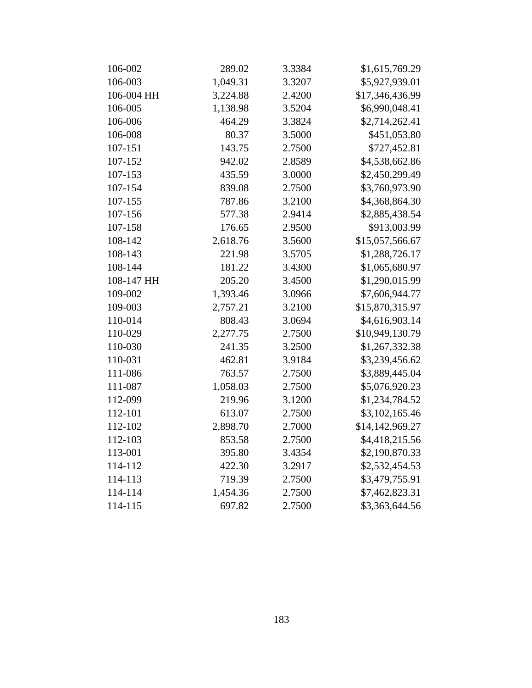| 106-002    | 289.02   | 3.3384 | \$1,615,769.29  |
|------------|----------|--------|-----------------|
| 106-003    | 1,049.31 | 3.3207 | \$5,927,939.01  |
| 106-004 HH | 3,224.88 | 2.4200 | \$17,346,436.99 |
| 106-005    | 1,138.98 | 3.5204 | \$6,990,048.41  |
| 106-006    | 464.29   | 3.3824 | \$2,714,262.41  |
| 106-008    | 80.37    | 3.5000 | \$451,053.80    |
| 107-151    | 143.75   | 2.7500 | \$727,452.81    |
| 107-152    | 942.02   | 2.8589 | \$4,538,662.86  |
| 107-153    | 435.59   | 3.0000 | \$2,450,299.49  |
| 107-154    | 839.08   | 2.7500 | \$3,760,973.90  |
| 107-155    | 787.86   | 3.2100 | \$4,368,864.30  |
| 107-156    | 577.38   | 2.9414 | \$2,885,438.54  |
| 107-158    | 176.65   | 2.9500 | \$913,003.99    |
| 108-142    | 2,618.76 | 3.5600 | \$15,057,566.67 |
| 108-143    | 221.98   | 3.5705 | \$1,288,726.17  |
| 108-144    | 181.22   | 3.4300 | \$1,065,680.97  |
| 108-147 HH | 205.20   | 3.4500 | \$1,290,015.99  |
| 109-002    | 1,393.46 | 3.0966 | \$7,606,944.77  |
| 109-003    | 2,757.21 | 3.2100 | \$15,870,315.97 |
| 110-014    | 808.43   | 3.0694 | \$4,616,903.14  |
| 110-029    | 2,277.75 | 2.7500 | \$10,949,130.79 |
| 110-030    | 241.35   | 3.2500 | \$1,267,332.38  |
| 110-031    | 462.81   | 3.9184 | \$3,239,456.62  |
| 111-086    | 763.57   | 2.7500 | \$3,889,445.04  |
| 111-087    | 1,058.03 | 2.7500 | \$5,076,920.23  |
| 112-099    | 219.96   | 3.1200 | \$1,234,784.52  |
| 112-101    | 613.07   | 2.7500 | \$3,102,165.46  |
| 112-102    | 2,898.70 | 2.7000 | \$14,142,969.27 |
| 112-103    | 853.58   | 2.7500 | \$4,418,215.56  |
| 113-001    | 395.80   | 3.4354 | \$2,190,870.33  |
| 114-112    | 422.30   | 3.2917 | \$2,532,454.53  |
| 114-113    | 719.39   | 2.7500 | \$3,479,755.91  |
| 114-114    | 1,454.36 | 2.7500 | \$7,462,823.31  |
| 114-115    | 697.82   | 2.7500 | \$3,363,644.56  |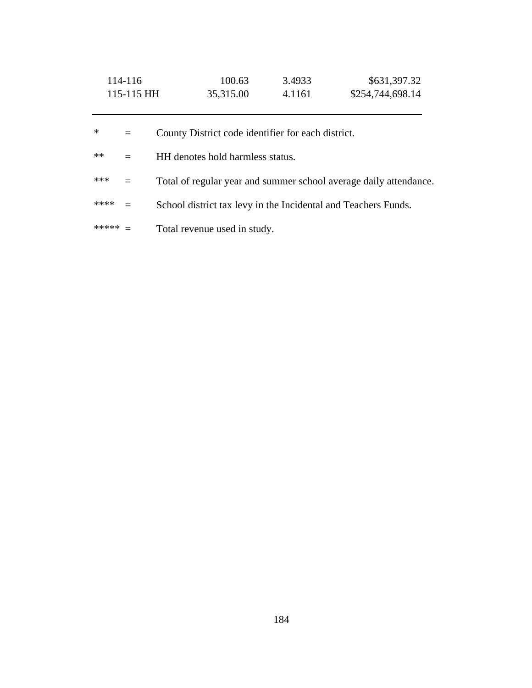| 114-116    | 100.63    | 3.4933 | \$631,397.32     |
|------------|-----------|--------|------------------|
| 115-115 HH | 35,315.00 | 4.1161 | \$254,744,698.14 |

| $\ast$ | $=$ | County District code identifier for each district.                |
|--------|-----|-------------------------------------------------------------------|
| $**$   | $=$ | HH denotes hold harmless status.                                  |
| ***    | $=$ | Total of regular year and summer school average daily attendance. |
| ****   |     | School district tax levy in the Incidental and Teachers Funds.    |
|        |     | Total revenue used in study.                                      |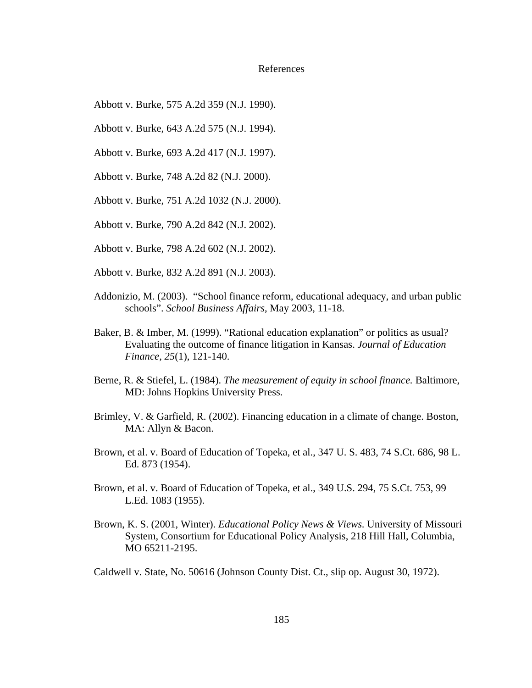## References

- Abbott v. Burke, 575 A.2d 359 (N.J. 1990).
- Abbott v. Burke, 643 A.2d 575 (N.J. 1994).
- Abbott v. Burke, 693 A.2d 417 (N.J. 1997).
- Abbott v. Burke, 748 A.2d 82 (N.J. 2000).
- Abbott v. Burke, 751 A.2d 1032 (N.J. 2000).
- Abbott v. Burke, 790 A.2d 842 (N.J. 2002).
- Abbott v. Burke, 798 A.2d 602 (N.J. 2002).
- Abbott v. Burke, 832 A.2d 891 (N.J. 2003).
- Addonizio, M. (2003). "School finance reform, educational adequacy, and urban public schools". *School Business Affairs*, May 2003, 11-18.
- Baker, B. & Imber, M. (1999). "Rational education explanation" or politics as usual? Evaluating the outcome of finance litigation in Kansas. *Journal of Education Finance, 25*(1), 121-140.
- Berne, R. & Stiefel, L. (1984). *The measurement of equity in school finance.* Baltimore, MD: Johns Hopkins University Press.
- Brimley, V. & Garfield, R. (2002). Financing education in a climate of change. Boston, MA: Allyn & Bacon.
- Brown, et al. v. Board of Education of Topeka, et al., 347 U. S. 483, 74 S.Ct. 686, 98 L. Ed. 873 (1954).
- Brown, et al. v. Board of Education of Topeka, et al., 349 U.S. 294, 75 S.Ct. 753, 99 L.Ed. 1083 (1955).
- Brown, K. S. (2001, Winter). *Educational Policy News & Views*. University of Missouri System, Consortium for Educational Policy Analysis, 218 Hill Hall, Columbia, MO 65211-2195.
- Caldwell v. State, No. 50616 (Johnson County Dist. Ct., slip op. August 30, 1972).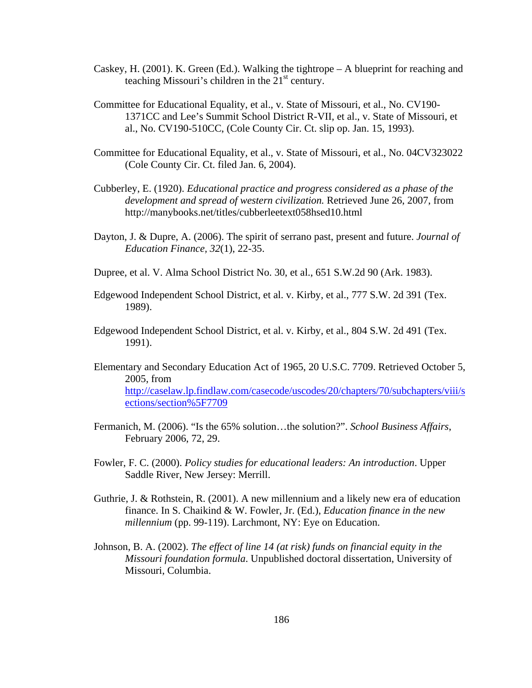- Caskey, H. (2001). K. Green (Ed.). Walking the tightrope A blueprint for reaching and teaching Missouri's children in the  $21<sup>st</sup>$  century.
- Committee for Educational Equality, et al., v. State of Missouri, et al., No. CV190- 1371CC and Lee's Summit School District R-VII, et al., v. State of Missouri, et al., No. CV190-510CC, (Cole County Cir. Ct. slip op. Jan. 15, 1993).
- Committee for Educational Equality, et al., v. State of Missouri, et al., No. 04CV323022 (Cole County Cir. Ct. filed Jan. 6, 2004).
- Cubberley, E. (1920). *Educational practice and progress considered as a phase of the development and spread of western civilization.* Retrieved June 26, 2007, from http://manybooks.net/titles/cubberleetext058hsed10.html
- Dayton, J. & Dupre, A. (2006). The spirit of serrano past, present and future. *Journal of Education Finance, 32*(1), 22-35.
- Dupree, et al. V. Alma School District No. 30, et al., 651 S.W.2d 90 (Ark. 1983).
- Edgewood Independent School District, et al. v. Kirby, et al., 777 S.W. 2d 391 (Tex. 1989).
- Edgewood Independent School District, et al. v. Kirby, et al., 804 S.W. 2d 491 (Tex. 1991).
- Elementary and Secondary Education Act of 1965, 20 U.S.C. 7709. Retrieved October 5, 2005, from [http://caselaw.lp.findlaw.com/casecode/uscodes/20/chapters/70/subchapters/viii/s](http://caselaw.lp.findlaw.com/casecode/uscodes/20/chapters/70/subchapters/viii/sections/section%5F7709) [ections/section%5F7709](http://caselaw.lp.findlaw.com/casecode/uscodes/20/chapters/70/subchapters/viii/sections/section%5F7709)
- Fermanich, M. (2006). "Is the 65% solution…the solution?". *School Business Affairs*, February 2006, 72, 29.
- Fowler, F. C. (2000). *Policy studies for educational leaders: An introduction*. Upper Saddle River, New Jersey: Merrill.
- Guthrie, J. & Rothstein, R. (2001). A new millennium and a likely new era of education finance. In S. Chaikind & W. Fowler, Jr. (Ed.), *Education finance in the new millennium* (pp. 99-119). Larchmont, NY: Eye on Education.
- Johnson, B. A. (2002). *The effect of line 14 (at risk) funds on financial equity in the Missouri foundation formula*. Unpublished doctoral dissertation, University of Missouri, Columbia.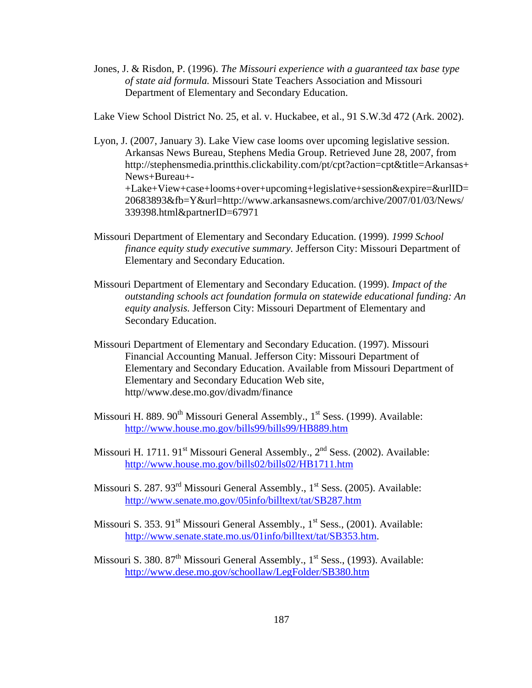Jones, J. & Risdon, P. (1996). *The Missouri experience with a guaranteed tax base type of state aid formula.* Missouri State Teachers Association and Missouri Department of Elementary and Secondary Education.

Lake View School District No. 25, et al. v. Huckabee, et al., 91 S.W.3d 472 (Ark. 2002).

- Lyon, J. (2007, January 3). Lake View case looms over upcoming legislative session. Arkansas News Bureau, Stephens Media Group. Retrieved June 28, 2007, from http://stephensmedia.printthis.clickability.com/pt/cpt?action=cpt&title=Arkansas+ News+Bureau+- +Lake+View+case+looms+over+upcoming+legislative+session&expire=&urlID= 20683893&fb=Y&url=http://www.arkansasnews.com/archive/2007/01/03/News/ 339398.html&partnerID=67971
- Missouri Department of Elementary and Secondary Education. (1999). *1999 School finance equity study executive summary.* Jefferson City: Missouri Department of Elementary and Secondary Education.
- Missouri Department of Elementary and Secondary Education. (1999). *Impact of the outstanding schools act foundation formula on statewide educational funding: An equity analysis.* Jefferson City: Missouri Department of Elementary and Secondary Education.
- Missouri Department of Elementary and Secondary Education. (1997). Missouri Financial Accounting Manual. Jefferson City: Missouri Department of Elementary and Secondary Education. Available from Missouri Department of Elementary and Secondary Education Web site, http//www.dese.mo.gov/divadm/finance
- Missouri H. 889. 90<sup>th</sup> Missouri General Assembly., 1<sup>st</sup> Sess. (1999). Available: <http://www.house.mo.gov/bills99/bills99/HB889.htm>
- Missouri H. 1711.  $91^{\text{st}}$  Missouri General Assembly.,  $2^{\text{nd}}$  Sess. (2002). Available: <http://www.house.mo.gov/bills02/bills02/HB1711.htm>
- Missouri S. 287. 93<sup>rd</sup> Missouri General Assembly., 1<sup>st</sup> Sess. (2005). Available: <http://www.senate.mo.gov/05info/billtext/tat/SB287.htm>
- Missouri S. 353. 91<sup>st</sup> Missouri General Assembly., 1<sup>st</sup> Sess., (2001). Available: [http://www.senate.state.mo.us/01info/billtext/tat/SB353.htm.](http://www.senate.state.mo.us/01info/billtext/tat/SB353.htm)
- Missouri S. 380. 87<sup>th</sup> Missouri General Assembly., 1<sup>st</sup> Sess., (1993). Available: <http://www.dese.mo.gov/schoollaw/LegFolder/SB380.htm>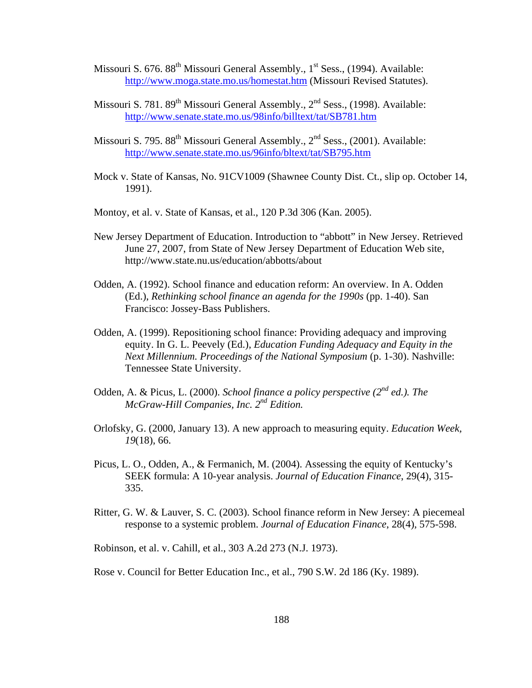- Missouri S. 676. 88<sup>th</sup> Missouri General Assembly., 1<sup>st</sup> Sess., (1994). Available: <http://www.moga.state.mo.us/homestat.htm>(Missouri Revised Statutes).
- Missouri S. 781. 89<sup>th</sup> Missouri General Assembly.,  $2<sup>nd</sup>$  Sess., (1998). Available: <http://www.senate.state.mo.us/98info/billtext/tat/SB781.htm>
- Missouri S. 795. 88<sup>th</sup> Missouri General Assembly., 2<sup>nd</sup> Sess., (2001). Available: <http://www.senate.state.mo.us/96info/bltext/tat/SB795.htm>
- Mock v. State of Kansas, No. 91CV1009 (Shawnee County Dist. Ct., slip op. October 14, 1991).
- Montoy, et al. v. State of Kansas, et al., 120 P.3d 306 (Kan. 2005).
- New Jersey Department of Education. Introduction to "abbott" in New Jersey. Retrieved June 27, 2007, from State of New Jersey Department of Education Web site, http://www.state.nu.us/education/abbotts/about
- Odden, A. (1992). School finance and education reform: An overview. In A. Odden (Ed.), *Rethinking school finance an agenda for the 1990s* (pp. 1-40). San Francisco: Jossey-Bass Publishers.
- Odden, A. (1999). Repositioning school finance: Providing adequacy and improving equity. In G. L. Peevely (Ed.), *Education Funding Adequacy and Equity in the Next Millennium. Proceedings of the National Symposium* (p. 1-30). Nashville: Tennessee State University.
- Odden, A. & Picus, L. (2000). *School finance a policy perspective (2nd ed.). The McGraw-Hill Companies, Inc. 2nd Edition.*
- Orlofsky, G. (2000, January 13). A new approach to measuring equity. *Education Week, 19*(18), 66.
- Picus, L. O., Odden, A., & Fermanich, M. (2004). Assessing the equity of Kentucky's SEEK formula: A 10-year analysis. *Journal of Education Finance*, 29(4), 315- 335.
- Ritter, G. W. & Lauver, S. C. (2003). School finance reform in New Jersey: A piecemeal response to a systemic problem. *Journal of Education Finance*, 28(4), 575-598.

Robinson, et al. v. Cahill, et al., 303 A.2d 273 (N.J. 1973).

Rose v. Council for Better Education Inc., et al., 790 S.W. 2d 186 (Ky. 1989).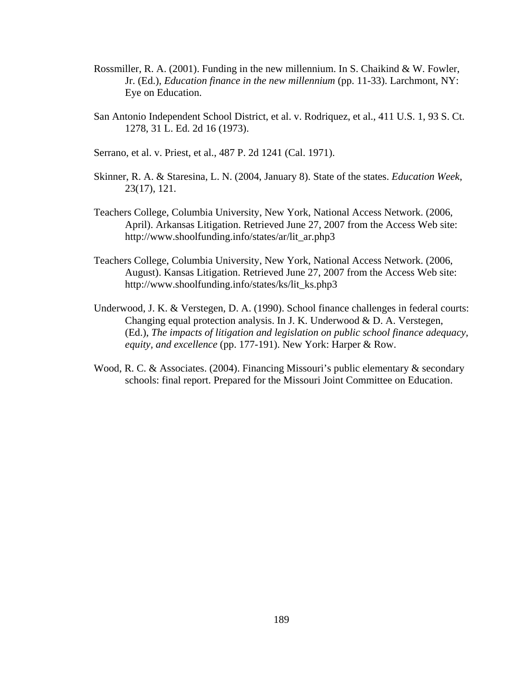- Rossmiller, R. A. (2001). Funding in the new millennium. In S. Chaikind  $&$  W. Fowler, Jr. (Ed.), *Education finance in the new millennium* (pp. 11-33). Larchmont, NY: Eye on Education.
- San Antonio Independent School District, et al. v. Rodriquez, et al., 411 U.S. 1, 93 S. Ct. 1278, 31 L. Ed. 2d 16 (1973).
- Serrano, et al. v. Priest, et al., 487 P. 2d 1241 (Cal. 1971).
- Skinner, R. A. & Staresina, L. N. (2004, January 8). State of the states. *Education Week*, 23(17), 121.
- Teachers College, Columbia University, New York, National Access Network. (2006, April). Arkansas Litigation. Retrieved June 27, 2007 from the Access Web site: http://www.shoolfunding.info/states/ar/lit\_ar.php3
- Teachers College, Columbia University, New York, National Access Network. (2006, August). Kansas Litigation. Retrieved June 27, 2007 from the Access Web site: http://www.shoolfunding.info/states/ks/lit\_ks.php3
- Underwood, J. K. & Verstegen, D. A. (1990). School finance challenges in federal courts: Changing equal protection analysis. In J. K. Underwood & D. A. Verstegen, (Ed.), *The impacts of litigation and legislation on public school finance adequacy, equity, and excellence* (pp. 177-191). New York: Harper & Row.
- Wood, R. C. & Associates. (2004). Financing Missouri's public elementary & secondary schools: final report. Prepared for the Missouri Joint Committee on Education.